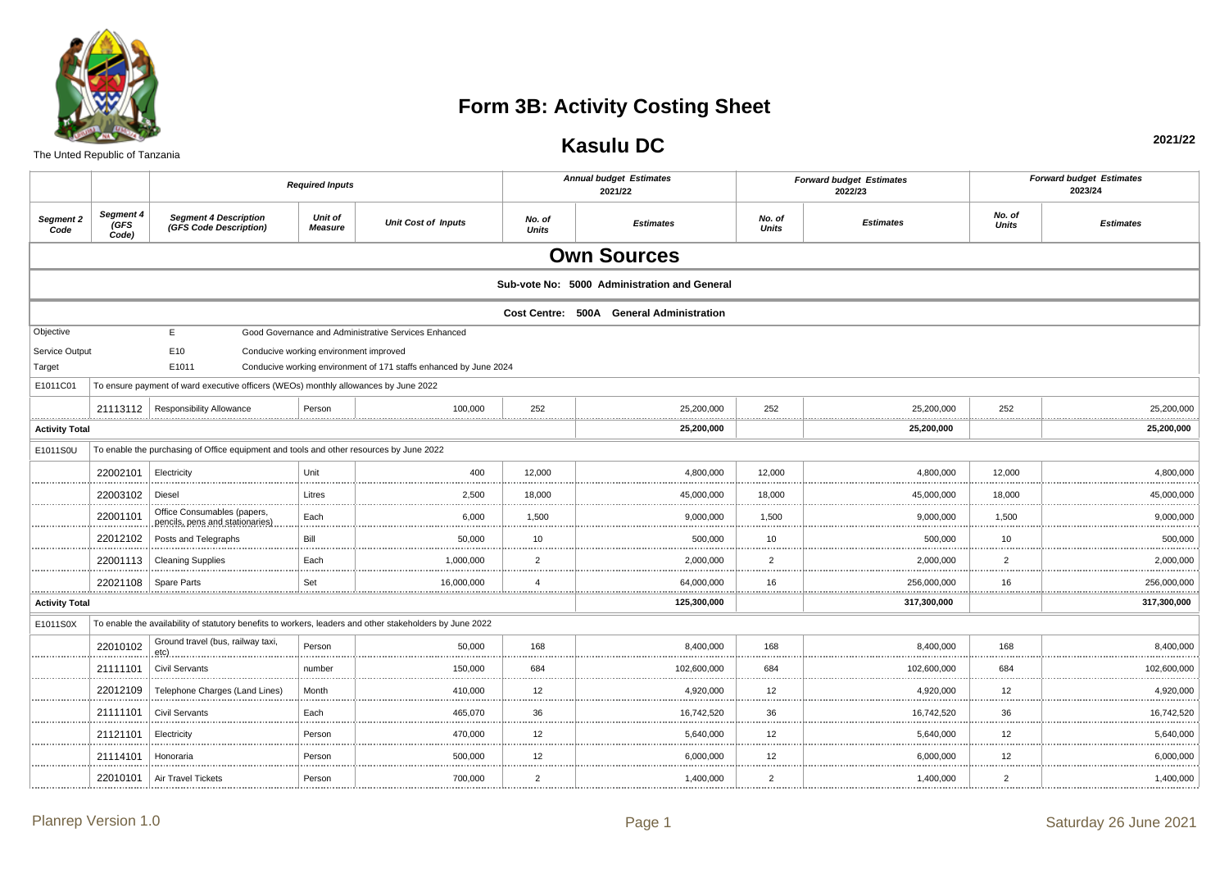

## **Form 3B: Activity Costing Sheet**

The Unted Republic of Tanzania

## **Kasulu DC**

**2021/22**

|                       |                                  |                                                                                                          | <b>Required Inputs</b>                 |                                                                   |                     | <b>Annual budget Estimates</b><br>2021/22    |                        | <b>Forward budget Estimates</b><br>2022/23 |                        | <b>Forward budget Estimates</b><br>2023/24 |
|-----------------------|----------------------------------|----------------------------------------------------------------------------------------------------------|----------------------------------------|-------------------------------------------------------------------|---------------------|----------------------------------------------|------------------------|--------------------------------------------|------------------------|--------------------------------------------|
| Segment 2<br>Code     | Segment 4<br><b>GFS</b><br>Code) | <b>Segment 4 Description</b><br>(GFS Code Description)                                                   | Unit of<br><b>Measure</b>              | <b>Unit Cost of Inputs</b>                                        | No. of<br>Units     | <b>Estimates</b>                             | No. of<br><b>Units</b> | <b>Estimates</b>                           | No. of<br><b>Units</b> | <b>Estimates</b>                           |
|                       |                                  |                                                                                                          |                                        |                                                                   |                     | <b>Own Sources</b>                           |                        |                                            |                        |                                            |
|                       |                                  |                                                                                                          |                                        |                                                                   |                     | Sub-vote No: 5000 Administration and General |                        |                                            |                        |                                            |
|                       |                                  |                                                                                                          |                                        |                                                                   |                     | Cost Centre: 500A General Administration     |                        |                                            |                        |                                            |
| Objective             |                                  | E                                                                                                        |                                        | Good Governance and Administrative Services Enhanced              |                     |                                              |                        |                                            |                        |                                            |
| Service Output        |                                  | E10                                                                                                      | Conducive working environment improved |                                                                   |                     |                                              |                        |                                            |                        |                                            |
| Target                |                                  | E1011                                                                                                    |                                        | Conducive working environment of 171 staffs enhanced by June 2024 |                     |                                              |                        |                                            |                        |                                            |
| E1011C01              |                                  | To ensure payment of ward executive officers (WEOs) monthly allowances by June 2022                      |                                        |                                                                   |                     |                                              |                        |                                            |                        |                                            |
|                       |                                  | 21113112   Responsibility Allowance<br>                                                                  | Person                                 | 100,000                                                           | 252                 | 25,200,000                                   | 252                    | 25,200,000                                 | 252                    | 25,200,000                                 |
| <b>Activity Total</b> |                                  |                                                                                                          |                                        |                                                                   |                     | <br>25,200,000                               |                        | 25,200,000                                 |                        | 25,200,000                                 |
| E1011S0U              |                                  | To enable the purchasing of Office equipment and tools and other resources by June 2022                  |                                        |                                                                   |                     |                                              |                        |                                            |                        |                                            |
| .                     | 22002101                         | Electricity                                                                                              | Unit<br>.                              | 400                                                               | 12.000              | 4.800.000<br>.                               | 12.000                 | 4.800.000                                  | 12.000                 | 4,800,000                                  |
|                       | 22003102                         | Diesel                                                                                                   | Litres                                 | 2,500                                                             | 18,000              | 45,000,000                                   | 18,000                 | 45,000,000                                 | 18,000                 | 45,000,000                                 |
| .                     | 22001101                         | Office Consumables (papers,<br>pencils, pens and stationaries)                                           | Each<br>.                              | 6,000<br>.                                                        | 1,500<br>           | 9,000,000<br>.                               | 1,500                  | 9,000,000                                  | 1,500<br>.             | 9,000,000<br>.                             |
| .                     | 22012102                         | Posts and Telegraphs                                                                                     | Bill                                   | 50.000                                                            | 10                  | 500.000                                      | 10                     | 500.000                                    | 10                     | 500.000                                    |
|                       | 22001113                         | <b>Cleaning Supplies</b>                                                                                 | Each                                   | 1,000,000                                                         | $\overline{2}$      | 2,000,000                                    | $\overline{2}$         | 2,000,000                                  | $\overline{c}$         | 2,000,000                                  |
| .                     | 22021108                         | Spare Parts                                                                                              | Set<br>.                               | 16,000,000<br>,,,,,,,,,,,,,,,,,,,,,,,,,,,,,,,,,,,,                | $\overline{4}$<br>. | 64,000,000<br>.                              | 16                     | 256,000,000                                | 16<br>.                | 256,000,000<br>. <u>.</u> .                |
| <b>Activity Total</b> |                                  |                                                                                                          |                                        |                                                                   |                     | 125,300,000                                  |                        | 317,300,000                                |                        | 317,300,000                                |
| E1011S0X              |                                  | To enable the availability of statutory benefits to workers, leaders and other stakeholders by June 2022 |                                        |                                                                   |                     |                                              |                        |                                            |                        |                                            |
|                       | 22010102                         | Ground travel (bus, railway taxi,<br>etc)                                                                | Person                                 | 50,000                                                            | 168                 | 8,400,000                                    | 168                    | 8,400,000                                  | 168                    | 8,400,000                                  |
|                       | 21111101                         | <b>Civil Servants</b>                                                                                    | number                                 | 150,000                                                           | 684                 | 102,600,000                                  | 684                    | 102,600,000                                | 684                    | 102,600,000                                |
| .                     | 22012109                         | Telephone Charges (Land Lines)                                                                           | Month                                  | 410,000                                                           | 12 <sup>2</sup>     | 4,920,000                                    | 12                     | 4,920,000                                  | 12                     | 4,920,000                                  |
|                       | 21111101                         | <b>Civil Servants</b>                                                                                    | Each                                   | 465,070                                                           | 36                  | 16.742.520                                   | 36                     | 16,742,520                                 | 36                     | 16,742,520                                 |
|                       | 21121101                         | Electricity                                                                                              | Person                                 | 470,000                                                           | 12<br>.             | 5,640,000<br>                                | 12                     | 5,640,000                                  | 12                     | 5,640,000                                  |
|                       | 21114101                         | Honoraria                                                                                                | Person                                 | 500,000                                                           | 12 <sup>2</sup>     | 6,000,000                                    | 12                     | 6,000,000                                  | 12                     | 6,000,000                                  |
|                       | 22010101                         | Air Travel Tickets                                                                                       | Person                                 | 700,000                                                           | $\overline{2}$      | 1,400,000                                    | $\overline{2}$         | 1,400,000                                  | $\overline{2}$         | 1,400,000                                  |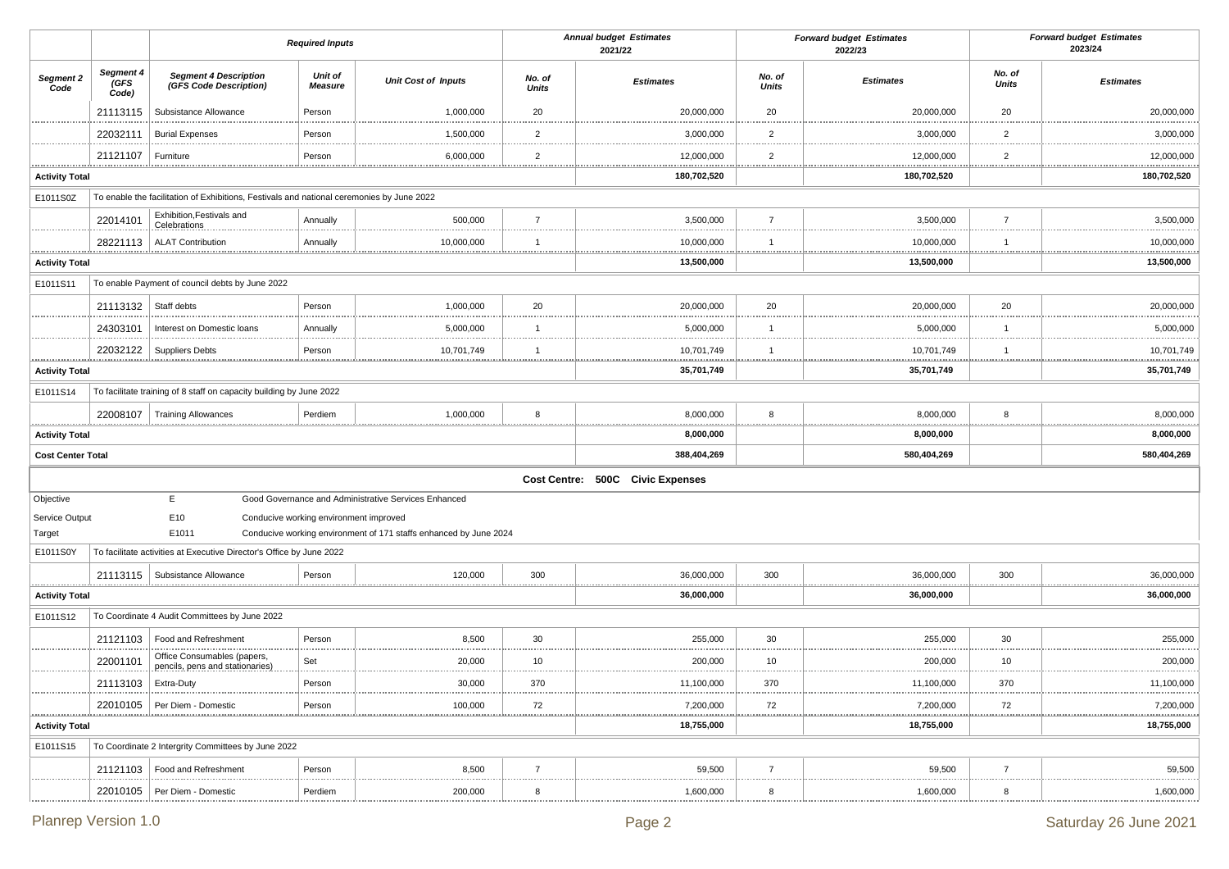|                                  |                            |                                                                                           | <b>Required Inputs</b>                 |                                                                   |                        | <b>Annual budget Estimates</b><br>2021/22 |                         | <b>Forward budget Estimates</b><br>2022/23 |                        | <b>Forward budget Estimates</b><br>2023/24 |
|----------------------------------|----------------------------|-------------------------------------------------------------------------------------------|----------------------------------------|-------------------------------------------------------------------|------------------------|-------------------------------------------|-------------------------|--------------------------------------------|------------------------|--------------------------------------------|
| Segment 2<br>Code                | Segment 4<br>(GFS<br>Code) | <b>Segment 4 Description</b><br>(GFS Code Description)                                    | Unit of<br><b>Measure</b>              | <b>Unit Cost of Inputs</b>                                        | No. of<br><b>Units</b> | <b>Estimates</b>                          | No. of<br>Units         | <b>Estimates</b>                           | No. of<br><b>Units</b> | <b>Estimates</b>                           |
|                                  | 21113115                   | Subsistance Allowance                                                                     | Person                                 | 1,000,000                                                         | 20                     | 20,000,000                                | 20                      | 20,000,000                                 | 20                     | 20,000,000                                 |
|                                  | 22032111                   | <b>Burial Expenses</b>                                                                    | Person                                 | 1,500,000                                                         | $\overline{2}$<br>.    | 3,000,000                                 | $\overline{2}$          | 3,000,000<br>.                             | $\overline{2}$         | 3,000,000                                  |
|                                  | 21121107                   | Furniture                                                                                 | .<br>Person                            | 6,000,000                                                         | $\overline{2}$         | 12,000,000                                | $\overline{2}$          | 12,000,000                                 | <br>$\overline{2}$     | 12,000,000                                 |
| .<br><b>Activity Total</b>       | <u>.</u>                   |                                                                                           |                                        |                                                                   |                        | .<br>180,702,520                          |                         | <u></u><br>180,702,520                     |                        | <br>180,702,520                            |
| E1011S0Z                         |                            | To enable the facilitation of Exhibitions, Festivals and national ceremonies by June 2022 |                                        |                                                                   |                        |                                           |                         |                                            |                        |                                            |
|                                  | 22014101                   | Exhibition, Festivals and<br>Celebrations                                                 | Annually                               | 500,000                                                           | $\overline{7}$         | 3,500,000                                 | $\overline{7}$          | 3,500,000                                  | $\overline{7}$         | 3,500,000                                  |
|                                  |                            | 28221113   ALAT Contribution                                                              | Annually                               | 10,000,000                                                        | $\overline{1}$         | 10,000,000                                | $\overline{1}$          | 10,000,000                                 | $\mathbf{1}$           | 10,000,000                                 |
| <br><b>Activity Total</b>        |                            |                                                                                           |                                        |                                                                   |                        | 13,500,000                                |                         | <br>13,500,000                             |                        | <br>13,500,000                             |
| E1011S11                         |                            | To enable Payment of council debts by June 2022                                           |                                        |                                                                   |                        |                                           |                         |                                            |                        |                                            |
|                                  | 21113132                   | Staff debts                                                                               | Person                                 | 1,000,000                                                         | 20                     | 20,000,000                                | 20                      | 20,000,000                                 | 20                     | 20,000,000                                 |
|                                  | 24303101                   | Interest on Domestic loans                                                                | Annually                               | 5,000,000                                                         | -1                     | 5,000,000                                 | $\overline{\mathbf{1}}$ | 5,000,000                                  | $\mathbf{1}$           | 5,000,000                                  |
| .                                |                            | 22032122   Suppliers Debts                                                                | Person                                 | 10,701,749                                                        | $\overline{1}$         | 10,701,749                                | $\overline{\mathbf{1}}$ | 10,701,749                                 | 1                      | 10,701,749                                 |
| <b>Activity Total</b>            |                            |                                                                                           | .                                      |                                                                   |                        | <u>.</u><br>35,701,749                    |                         | 35,701,749                                 | ****************       | .<br>35,701,749                            |
| E1011S14                         |                            | To facilitate training of 8 staff on capacity building by June 2022                       |                                        |                                                                   |                        |                                           |                         |                                            |                        |                                            |
|                                  |                            | 22008107   Training Allowances                                                            | Perdiem                                | 1,000,000                                                         | 8                      | 8,000,000                                 | 8                       | 8,000,000                                  | 8                      | 8,000,000                                  |
| <br><b>Activity Total</b>        |                            |                                                                                           |                                        |                                                                   | .                      | .<br>8,000,000                            |                         | <br>8,000,000                              | .                      | .<br>8,000,000                             |
| <b>Cost Center Total</b>         |                            |                                                                                           |                                        |                                                                   |                        | 388,404,269                               |                         | 580,404,269                                |                        | 580,404,269                                |
|                                  |                            |                                                                                           |                                        |                                                                   |                        |                                           |                         |                                            |                        |                                            |
| Objective                        |                            | E.                                                                                        |                                        | Good Governance and Administrative Services Enhanced              |                        | Cost Centre: 500C Civic Expenses          |                         |                                            |                        |                                            |
| Service Output                   |                            | E10                                                                                       | Conducive working environment improved |                                                                   |                        |                                           |                         |                                            |                        |                                            |
| Target                           |                            | E1011                                                                                     |                                        | Conducive working environment of 171 staffs enhanced by June 2024 |                        |                                           |                         |                                            |                        |                                            |
| E1011S0Y                         |                            | To facilitate activities at Executive Director's Office by June 2022                      |                                        |                                                                   |                        |                                           |                         |                                            |                        |                                            |
|                                  |                            | 21113115   Subsistance Allowance                                                          | Person                                 | 120,000                                                           | 300                    | 36,000,000                                | 300                     | 36,000,000                                 | 300                    | 36,000,000                                 |
| <u></u><br><b>Activity Total</b> |                            |                                                                                           |                                        |                                                                   |                        | 36,000,000                                |                         | <br>36,000,000                             |                        | .<br>36,000,000                            |
| E1011S12                         |                            | To Coordinate 4 Audit Committees by June 2022                                             |                                        |                                                                   |                        |                                           |                         |                                            |                        |                                            |
|                                  | 21121103                   | Food and Refreshment                                                                      | Person                                 | 8,500                                                             | 30                     | 255,000                                   | 30                      | 255,000                                    | 30                     | 255,000                                    |
|                                  | 22001101                   | Office Consumables (papers,<br>pencils, pens and stationaries)                            | Set                                    | 20,000                                                            | 10                     | 200,000                                   | 10                      | 200,000                                    | .<br>10                | <br>200,000                                |
| .                                | 21113103                   | Extra-Duty                                                                                | Person                                 | 30.000                                                            | 370                    | ,100,000                                  | 370                     | 11,100,000                                 | .<br>370               | .<br>11,100,000                            |
|                                  |                            | 22010105   Per Diem - Domestic                                                            | Person                                 | 100,000                                                           | 72                     | 7,200,000                                 | 72                      | <br>7,200,000                              | 72                     | .<br>7,200,000                             |
| <b>Activity Total</b>            |                            |                                                                                           |                                        |                                                                   |                        | 18,755,000                                |                         | 18,755,000                                 |                        | 18,755,000                                 |
| E1011S15                         |                            | To Coordinate 2 Intergrity Committees by June 2022                                        |                                        |                                                                   |                        |                                           |                         |                                            |                        |                                            |
|                                  |                            | 21121103   Food and Refreshment                                                           | Person                                 | 8,500                                                             | $\overline{7}$         | 59,500                                    | $\overline{7}$          | 59,500                                     | $\overline{7}$         | 59,500                                     |
|                                  |                            | 22010105   Per Diem - Domestic                                                            | Perdiem                                | 200,000                                                           | 8                      | 1,600,000                                 | 8                       | 1,600,000                                  | 8                      | <br>1,600,000                              |
|                                  |                            |                                                                                           |                                        |                                                                   |                        |                                           |                         |                                            |                        |                                            |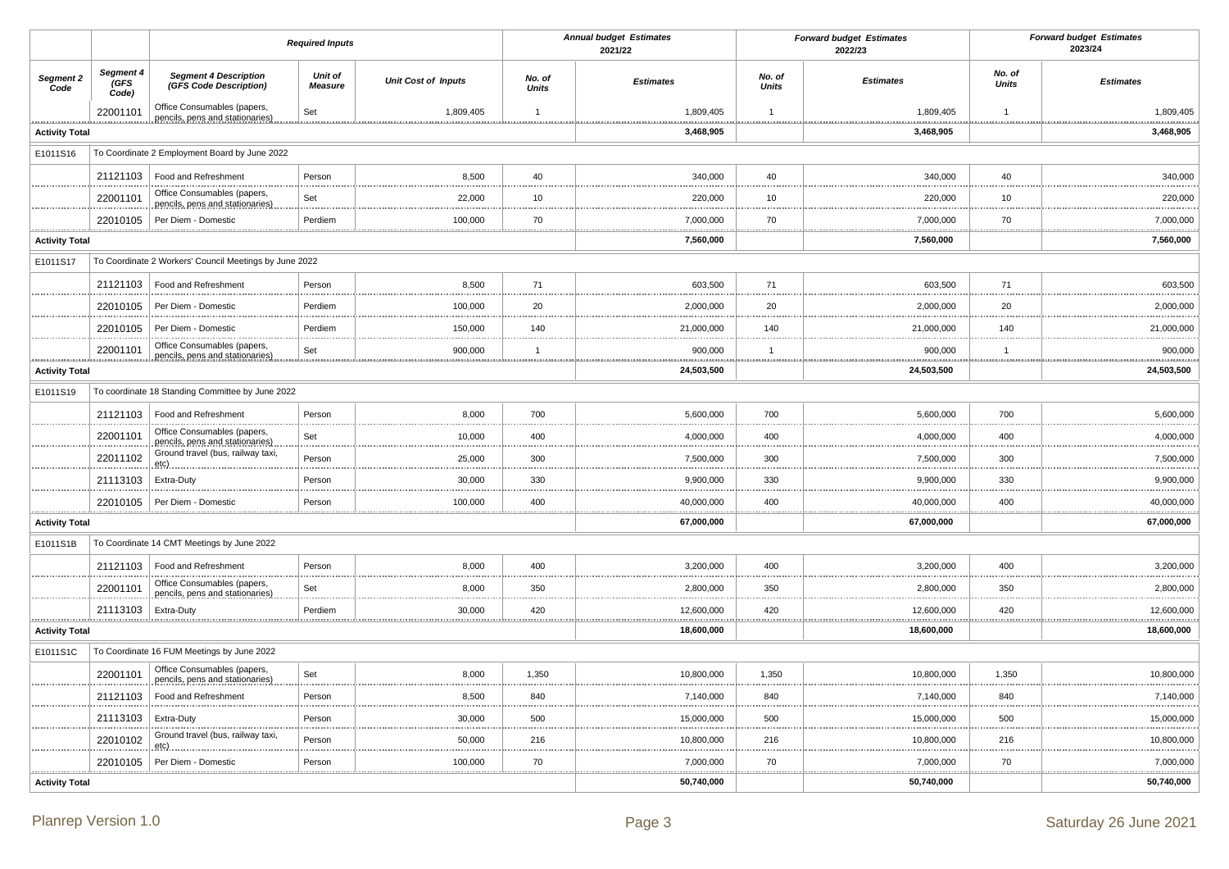|                       |                            |                                                                | <b>Required Inputs</b>    |                            |                        | <b>Annual budget Estimates</b><br>2021/22 |                        | <b>Forward budget Estimates</b><br>2022/23 |                        | <b>Forward budget Estimates</b><br>2023/24 |
|-----------------------|----------------------------|----------------------------------------------------------------|---------------------------|----------------------------|------------------------|-------------------------------------------|------------------------|--------------------------------------------|------------------------|--------------------------------------------|
| Segment 2<br>Code     | Segment 4<br>(GFS<br>Code) | <b>Segment 4 Description</b><br>(GFS Code Description)         | Unit of<br><b>Measure</b> | <b>Unit Cost of Inputs</b> | No. of<br><b>Units</b> | <b>Estimates</b>                          | No. of<br><b>Units</b> | <b>Estimates</b>                           | No. of<br><b>Units</b> | <b>Estimates</b>                           |
|                       | 22001101                   | Office Consumables (papers,<br>pencils, pens and stationaries) | Set                       | 1,809,405                  | $\overline{1}$         | 1,809,405                                 | $\overline{1}$         | 1,809,405                                  | $\mathbf{1}$           | 1,809,405                                  |
| <b>Activity Total</b> |                            |                                                                |                           |                            | .                      | 3,468,905                                 | .                      | .<br>3,468,905                             |                        | .<br>3,468,905                             |
| E1011S16              |                            | To Coordinate 2 Employment Board by June 2022                  |                           |                            |                        |                                           |                        |                                            |                        |                                            |
|                       | 21121103                   | Food and Refreshment                                           | Person                    | 8,500                      | 40                     | 340,000                                   | 40                     | 340,000                                    | 40                     | 340,000                                    |
|                       | 22001101                   | Office Consumables (papers,<br>pencils, pens and stationaries) | Set                       | 22,000                     | 10                     | 220,000                                   | 10                     | 220,000                                    | 10                     | 220,000<br>.                               |
| .                     | 22010105                   | Per Diem - Domestic                                            | Perdiem                   | 100,000                    | 70<br>                 | 7,000,000<br>.                            | 70                     | 7,000,000<br>.                             | 70                     | 7,000,000<br>                              |
| <b>Activity Total</b> |                            |                                                                |                           |                            |                        | 7,560,000                                 |                        | 7,560,000                                  |                        | 7,560,000                                  |
| E1011S17              |                            | To Coordinate 2 Workers' Council Meetings by June 2022         |                           |                            |                        |                                           |                        |                                            |                        |                                            |
|                       | 21121103                   | Food and Refreshment                                           | Person                    | 8,500                      | 71<br>.                | 603,500                                   | 71                     | 603,500                                    | 71                     | 603,500                                    |
|                       | 22010105                   | Per Diem - Domestic                                            | Perdiem                   | 100,000                    | 20                     | 2,000,000                                 | 20                     | 2,000,000                                  | 20                     | 2,000,000                                  |
|                       | 22010105                   | Per Diem - Domestic                                            | Perdiem                   | 150,000                    | 140                    | 21,000,000                                | 140                    | 21,000,000                                 | 140                    | 21,000,000                                 |
|                       | 22001101                   | Office Consumables (papers,<br>pencils, pens and stationaries) | Set                       | 900,000                    | $\overline{1}$         | 900,000                                   | $\overline{1}$         | 900,000                                    | $\mathbf{1}$           | 900,000                                    |
| <b>Activity Total</b> |                            |                                                                |                           |                            |                        | 24,503,500                                |                        | <u>.</u><br>24,503,500                     |                        | .<br>24,503,500                            |
| E1011S19              |                            | To coordinate 18 Standing Committee by June 2022               |                           |                            |                        |                                           |                        |                                            |                        |                                            |
|                       | 21121103                   | Food and Refreshment                                           | Person                    | 8,000                      | 700                    | 5,600,000                                 | 700                    | 5,600,000                                  | 700                    | 5,600,000                                  |
|                       | 22001101                   | Office Consumables (papers,<br>pencils, pens and stationaries) | Set                       | .<br>10,000                | <br>400                | 4,000,000                                 | 400                    | 4,000,000                                  | 400                    | 4,000,000                                  |
|                       | 22011102                   | Ground travel (bus, railway taxi,<br>etc)                      | Person                    | 25,000                     | 300                    | 7,500,000                                 | 300                    | 7,500,000                                  | 300                    | 7,500,000                                  |
|                       | 21113103                   | Extra-Duty                                                     | Person                    | 30,000                     | 330                    | 9,900,000                                 | 330                    | 9,900,000                                  | 330                    | 9,900,000                                  |
|                       | 22010105                   | Per Diem - Domestic                                            | Person                    | 100,000                    | 400                    | 40,000,000                                | 400                    | 40,000,000                                 | 400                    | 40,000,000                                 |
| <b>Activity Total</b> |                            |                                                                |                           |                            |                        | 67,000,000                                |                        | 67,000,000                                 |                        | 67,000,000                                 |
| E1011S1B              |                            | To Coordinate 14 CMT Meetings by June 2022                     |                           |                            |                        |                                           |                        |                                            |                        |                                            |
|                       | 21121103                   | Food and Refreshment                                           | Person                    | 8,000                      | 400                    | 3,200,000                                 | 400                    | 3,200,000                                  | 400                    | 3,200,000                                  |
|                       | 22001101                   | Office Consumables (papers,<br>pencils, pens and stationaries) | Set                       | 8,000                      | 350                    | 2,800,000                                 | 350                    | 2,800,000                                  | 350                    | 2,800,000                                  |
| . <u>.</u>            | 21113103                   | Extra-Duty                                                     | Perdiem                   | 30,000                     | 420<br>.               | 12,600,000                                | 420<br>.               | 12,600,000<br><u></u><br>                  | 420                    | 12,600,000<br>.                            |
| <b>Activity Total</b> |                            |                                                                |                           |                            |                        | 18,600,000                                |                        | 18,600,000                                 |                        | 18,600,000                                 |
| E1011S1C              |                            | To Coordinate 16 FUM Meetings by June 2022                     |                           |                            |                        |                                           |                        |                                            |                        |                                            |
|                       | 22001101                   | Office Consumables (papers,<br>pencils, pens and stationaries) | Set                       | 8,000                      | 1,350                  | 10,800,000                                | 1,350                  | 10,800,000                                 | 1,350                  | 10,800,000                                 |
|                       | 21121103                   | Food and Refreshment                                           | Person                    | 8,500                      | 840                    | 7,140,000                                 | 840                    | 7,140,000                                  | 840                    | 7,140,000                                  |
|                       | 21113103                   | Extra-Duty                                                     | Person                    | 30,000                     | 500                    | 15,000,000                                | 500                    | 15,000,000                                 | 500                    | 15,000,000                                 |
|                       | 22010102                   | Ground travel (bus, railway taxi,<br>etc)                      | Person                    | 50,000                     | 216                    | 10,800,000                                | 216                    | 10,800,000                                 | 216                    | 10,800,000                                 |
|                       | 22010105                   | Per Diem - Domestic                                            | Person                    | 100,000                    | 70                     | 7,000,000                                 | 70                     | 7,000,000                                  | 70                     | 7,000,000                                  |
| <b>Activity Total</b> |                            |                                                                |                           |                            |                        | 50,740,000                                |                        | 50,740,000                                 |                        | 50,740,000                                 |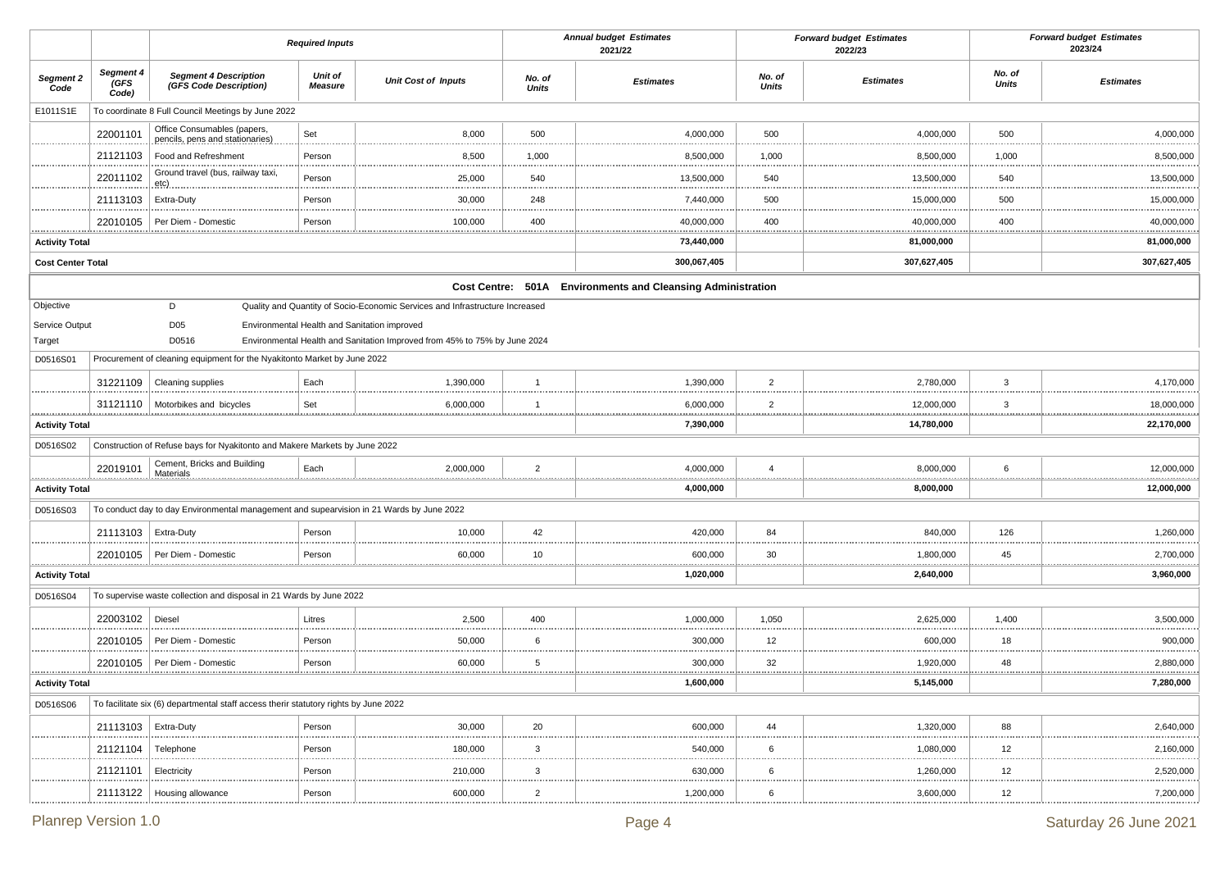|                          |                            |                                                                                          | <b>Required Inputs</b>    |                                                                              |                        | <b>Annual budget Estimates</b><br>2021/22                   |                        | <b>Forward budget Estimates</b><br>2022/23 |                        | <b>Forward budget Estimates</b><br>2023/24 |
|--------------------------|----------------------------|------------------------------------------------------------------------------------------|---------------------------|------------------------------------------------------------------------------|------------------------|-------------------------------------------------------------|------------------------|--------------------------------------------|------------------------|--------------------------------------------|
| Segment 2<br>Code        | Segment 4<br>(GFS<br>Code) | <b>Segment 4 Description</b><br>(GFS Code Description)                                   | Unit of<br><b>Measure</b> | <b>Unit Cost of Inputs</b>                                                   | No. of<br><b>Units</b> | <b>Estimates</b>                                            | No. of<br><b>Units</b> | <b>Estimates</b>                           | No. of<br><b>Units</b> | <b>Estimates</b>                           |
| E1011S1E                 |                            | To coordinate 8 Full Council Meetings by June 2022                                       |                           |                                                                              |                        |                                                             |                        |                                            |                        |                                            |
|                          | 22001101                   | Office Consumables (papers,<br>pencils, pens and stationaries)                           | Set                       | 8,000                                                                        | 500                    | 4,000,000                                                   | 500                    | 4,000,000                                  | 500                    | 4,000,000                                  |
|                          | 21121103                   | Food and Refreshment                                                                     | Person                    | 8,500                                                                        | 1,000                  | 8,500,000                                                   | 1,000                  | 8,500,000                                  | 1,000                  | 8,500,000                                  |
|                          | 22011102                   | Ground travel (bus, railway taxi,<br>etc).                                               | Person                    | 25,000                                                                       | 540                    | 13,500,000                                                  | 540                    | 13,500,000                                 | 540                    | 13,500,000                                 |
|                          | 21113103                   | Extra-Duty                                                                               | Person                    | 30,000                                                                       | 248                    | 7,440,000                                                   | 500                    | 15,000,000                                 | 500                    | 15,000,000                                 |
|                          | 22010105                   | Per Diem - Domestic                                                                      | Person                    | 100,000                                                                      | 400                    | 40,000,000                                                  | 400                    | 40,000,000                                 | 400                    | 40,000,000                                 |
| <b>Activity Total</b>    |                            |                                                                                          |                           |                                                                              |                        | 73,440,000                                                  |                        | 81,000,000                                 | .                      | .<br>81,000,000                            |
| <b>Cost Center Total</b> |                            |                                                                                          |                           |                                                                              |                        | 300,067,405                                                 |                        | 307,627,405                                |                        | 307,627,405                                |
|                          |                            |                                                                                          |                           |                                                                              |                        | Cost Centre: 501A Environments and Cleansing Administration |                        |                                            |                        |                                            |
| Objective                |                            | D                                                                                        |                           | Quality and Quantity of Socio-Economic Services and Infrastructure Increased |                        |                                                             |                        |                                            |                        |                                            |
| Service Output           |                            | D <sub>05</sub>                                                                          |                           | Environmental Health and Sanitation improved                                 |                        |                                                             |                        |                                            |                        |                                            |
| Target                   |                            | D0516                                                                                    |                           | Environmental Health and Sanitation Improved from 45% to 75% by June 2024    |                        |                                                             |                        |                                            |                        |                                            |
| D0516S01                 |                            | Procurement of cleaning equipment for the Nyakitonto Market by June 2022                 |                           |                                                                              |                        |                                                             |                        |                                            |                        |                                            |
|                          | 31221109                   | Cleaning supplies                                                                        | Each                      | 1,390,000                                                                    | $\overline{1}$         | 1,390,000                                                   | $\overline{2}$         | 2,780,000                                  | 3                      | 4,170,000                                  |
|                          | 31121110                   | Motorbikes and bicycles                                                                  | Set                       | 6,000,000                                                                    | $\overline{1}$         | 6,000,000                                                   | $\overline{2}$         | 12,000,000                                 | 3                      | 18,000,000                                 |
| <b>Activity Total</b>    |                            |                                                                                          |                           |                                                                              |                        | 7,390,000                                                   |                        | 14,780,000                                 |                        | 22,170,000                                 |
| D0516S02                 |                            | Construction of Refuse bays for Nyakitonto and Makere Markets by June 2022               |                           |                                                                              |                        |                                                             |                        |                                            |                        |                                            |
|                          | 22019101                   | Cement, Bricks and Building                                                              | Each                      | 2,000,000                                                                    | $\overline{2}$         | 4,000,000                                                   | $\overline{4}$         | 8,000,000                                  | 6                      | 12,000,000                                 |
| <b>Activity Total</b>    |                            |                                                                                          |                           |                                                                              |                        | 4,000,000                                                   |                        | 8,000,000                                  |                        | 12,000,000                                 |
| D0516S03                 |                            | To conduct day to day Environmental management and supearvision in 21 Wards by June 2022 |                           |                                                                              |                        |                                                             |                        |                                            |                        |                                            |
|                          | 21113103                   | <b>Extra-Duty</b>                                                                        | Person                    | 10,000                                                                       | 42                     | 420,000                                                     | 84                     | 840,000                                    | 126                    | 1,260,000                                  |
|                          | 22010105                   | Per Diem - Domestic                                                                      | Person                    | 60,000                                                                       | 10                     | 600,000<br>                                                 | 30                     | 1,800,000<br>.                             | 45<br>.                | 2,700,000<br>.                             |
| <b>Activity Total</b>    |                            |                                                                                          |                           |                                                                              |                        | 1,020,000                                                   |                        | 2,640,000                                  |                        | 3,960,000                                  |
| D0516S04                 |                            | To supervise waste collection and disposal in 21 Wards by June 2022                      |                           |                                                                              |                        |                                                             |                        |                                            |                        |                                            |
|                          | 22003102                   | Diesel                                                                                   | Litres                    | 2,500                                                                        | 400                    | 1,000,000                                                   | 1,050                  | 2,625,000                                  | 1,400                  | 3,500,000                                  |
|                          | 22010105                   | Per Diem - Domestic                                                                      | Person                    | 50,000                                                                       | 6                      | 300,000                                                     | 12                     | 600,000                                    | 18                     | 900,000                                    |
|                          | 22010105                   | Per Diem - Domestic                                                                      | Person                    | 60,000                                                                       | 5                      | 300,000                                                     | 32<br><u></u>          | 1,920,000                                  | 48                     | 2,880,000                                  |
| <b>Activity Total</b>    |                            |                                                                                          |                           |                                                                              |                        | 1,600,000                                                   |                        | 5,145,000                                  |                        | 7,280,000                                  |
| D0516S06                 |                            | To facilitate six (6) departmental staff access therir statutory rights by June 2022     |                           |                                                                              |                        |                                                             |                        |                                            |                        |                                            |
|                          | 21113103   Extra-Duty      |                                                                                          | Person<br>.               | 30,000                                                                       | 20                     | 600,000<br>.                                                | 44<br>.                | 1,320,000<br>                              | 88                     | 2,640,000                                  |
|                          | 21121104                   | Telephone                                                                                | Person                    | 180,000                                                                      | $\mathbf{3}$           | 540,000                                                     | 6                      | 1,080,000                                  | 12                     | 2,160,000                                  |
|                          | 21121101                   | Electricity                                                                              | Person                    | 210,000                                                                      | $\mathbf{3}$           | 630,000                                                     | 6                      | 1,260,000                                  | 12                     | 2,520,000                                  |
|                          | 21113122                   | Housing allowance                                                                        | Person                    | 600,000                                                                      | $\overline{2}$         | 1,200,000                                                   | 6                      | 3,600,000                                  | 12                     | 7,200,000                                  |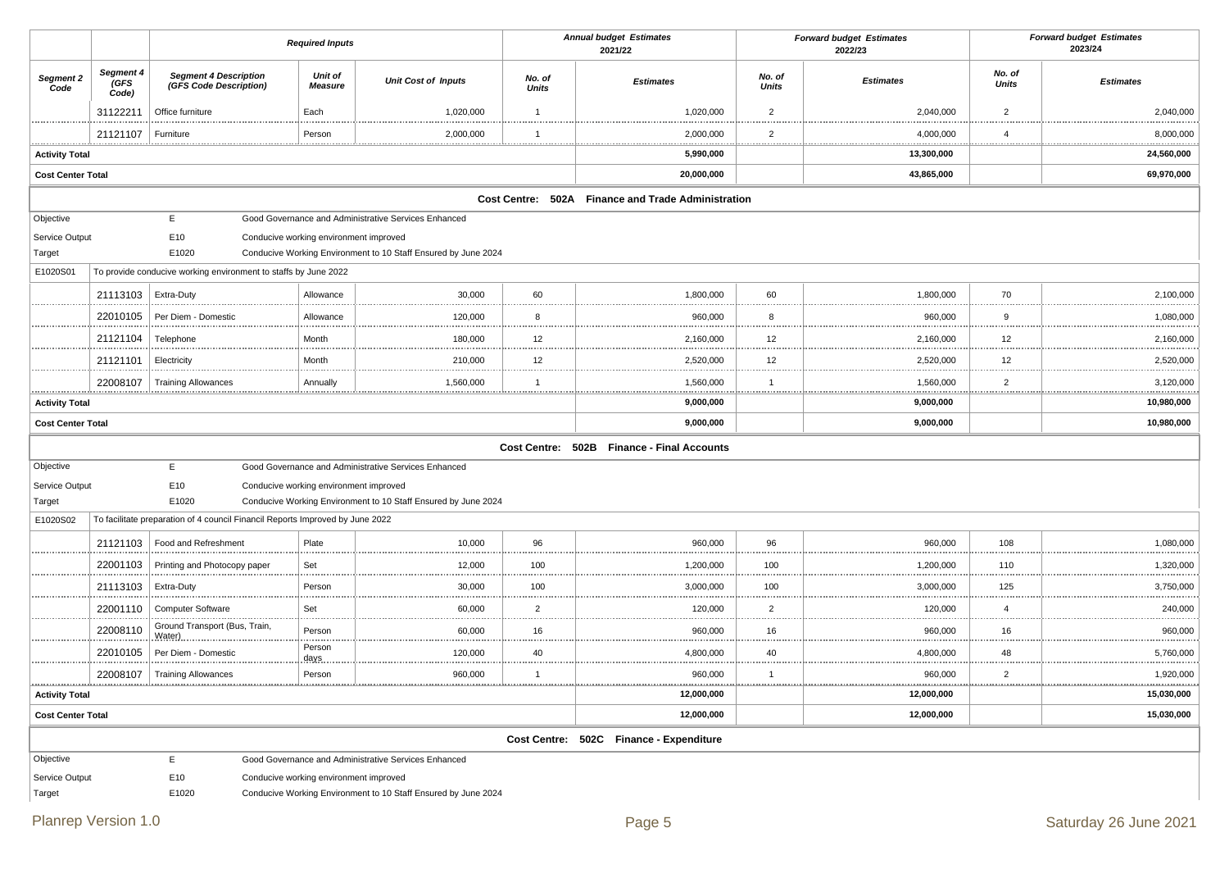|                          |                            |                                                                               | <b>Required Inputs</b>                 |                                                                |                        | <b>Annual budget Estimates</b><br>2021/22          |                        | <b>Forward budget Estimates</b><br>2022/23 |                        | <b>Forward budget Estimates</b><br>2023/24 |
|--------------------------|----------------------------|-------------------------------------------------------------------------------|----------------------------------------|----------------------------------------------------------------|------------------------|----------------------------------------------------|------------------------|--------------------------------------------|------------------------|--------------------------------------------|
| Segment 2<br>Code        | Segment 4<br>(GFS<br>Code) | <b>Segment 4 Description</b><br>(GFS Code Description)                        | <b>Unit of</b><br><b>Measure</b>       | <b>Unit Cost of Inputs</b>                                     | No. of<br><b>Units</b> | <b>Estimates</b>                                   | No. of<br><b>Units</b> | <b>Estimates</b>                           | No. of<br><b>Units</b> | <b>Estimates</b>                           |
|                          | 31122211                   | Office furniture                                                              | Each                                   | 1,020,000                                                      | $\overline{1}$         | 1,020,000                                          | $\overline{2}$         | 2,040,000                                  | $\overline{2}$         | 2,040,000                                  |
|                          | 21121107                   | Furniture                                                                     | Person                                 | 2,000,000                                                      | $\mathbf{1}$<br>.      | 2,000,000<br>.                                     | $\overline{2}$         | 4,000,000<br>.                             | $\overline{4}$<br>.    | 8,000,000                                  |
| <b>Activity Total</b>    |                            |                                                                               |                                        |                                                                |                        | 5,990,000                                          |                        | 13,300,000                                 |                        | 24,560,000                                 |
| <b>Cost Center Total</b> |                            |                                                                               |                                        |                                                                |                        | 20,000,000                                         |                        | 43,865,000                                 |                        | 69,970,000                                 |
|                          |                            |                                                                               |                                        |                                                                |                        | Cost Centre: 502A Finance and Trade Administration |                        |                                            |                        |                                            |
| Objective                |                            | E.                                                                            |                                        | Good Governance and Administrative Services Enhanced           |                        |                                                    |                        |                                            |                        |                                            |
| Service Output           |                            | E10                                                                           | Conducive working environment improved |                                                                |                        |                                                    |                        |                                            |                        |                                            |
| Target                   |                            | E1020                                                                         |                                        | Conducive Working Environment to 10 Staff Ensured by June 2024 |                        |                                                    |                        |                                            |                        |                                            |
| E1020S01                 |                            | To provide conducive working environment to staffs by June 2022               |                                        |                                                                |                        |                                                    |                        |                                            |                        |                                            |
|                          | 21113103                   | Extra-Duty                                                                    | Allowance                              | 30,000                                                         | 60                     | 1,800,000                                          | 60                     | 1,800,000                                  | 70                     | 2,100,000                                  |
|                          | 22010105                   | Per Diem - Domestic                                                           | Allowance                              | 120,000                                                        | 8                      | 960,000                                            | 8                      | 960,000                                    | 9                      | 1,080,000                                  |
|                          | 21121104                   | Telephone                                                                     | Month                                  | 180,000                                                        | 12                     | 2,160,000                                          | 12                     | 2,160,000                                  | 12                     | 2,160,000                                  |
|                          | 21121101                   | Electricity                                                                   | Month                                  | 210,000                                                        | 12                     | 2,520,000                                          | 12                     | 2,520,000<br>                              | 12                     | 2,520,000                                  |
| <u></u>                  | 22008107                   | <b>Training Allowances</b>                                                    | Annually                               | 1,560,000                                                      | $\mathbf{1}$           | 1,560,000                                          | $\overline{1}$         | 1,560,000                                  | $\overline{2}$<br>     | 3,120,000                                  |
| <b>Activity Total</b>    |                            |                                                                               |                                        |                                                                |                        | 9,000,000                                          |                        | 9,000,000                                  |                        | 10,980,000                                 |
| <b>Cost Center Total</b> |                            |                                                                               |                                        |                                                                |                        | 9,000,000                                          |                        | 9,000,000                                  |                        | 10,980,000                                 |
|                          |                            |                                                                               |                                        |                                                                |                        | Cost Centre: 502B Finance - Final Accounts         |                        |                                            |                        |                                            |
| Objective                |                            | E                                                                             |                                        | Good Governance and Administrative Services Enhanced           |                        |                                                    |                        |                                            |                        |                                            |
| Service Output           |                            | E10                                                                           | Conducive working environment improved |                                                                |                        |                                                    |                        |                                            |                        |                                            |
| Target                   |                            | E1020                                                                         |                                        | Conducive Working Environment to 10 Staff Ensured by June 2024 |                        |                                                    |                        |                                            |                        |                                            |
| E1020S02                 |                            | To facilitate preparation of 4 council Financil Reports Improved by June 2022 |                                        |                                                                |                        |                                                    |                        |                                            |                        |                                            |
|                          | 21121103                   | Food and Refreshment                                                          | Plate                                  | 10,000                                                         | 96                     | 960,000                                            | 96                     | 960,000                                    | 108<br>                | 1,080,000<br>.                             |
|                          | 22001103                   | Printing and Photocopy paper                                                  | Set                                    | 12,000                                                         | 100                    | 1,200,000                                          | 100                    | 1,200,000                                  | 110<br>.               | 1,320,000                                  |
|                          | 21113103   Extra-Duty      |                                                                               | Person                                 | 30,000                                                         | 100                    | 3,000,000                                          | 100                    | 3,000,000                                  | 125                    | 3,750,000<br>.                             |
|                          | 22001110                   | <b>Computer Software</b>                                                      | Set                                    | 60,000                                                         | $\overline{2}$         | 120,000                                            | $\overline{2}$         | 120,000                                    | $\overline{4}$<br>.    | 240,000<br>.                               |
|                          | 22008110                   | Ground Transport (Bus, Train,<br>Water)                                       | Person                                 | 60,000                                                         | 16                     | 960,000                                            | 16                     | 960,000                                    | 16                     | 960,000                                    |
|                          | 22010105                   | Per Diem - Domestic                                                           | Person<br>days                         | 120,000                                                        | 40                     | 4,800,000                                          | 40                     | 4,800,000                                  | 48<br>.                | 5,760,000                                  |
|                          |                            | 22008107   Training Allowances                                                | Person                                 | 960,000                                                        | $\overline{1}$         | 960,000                                            | $\overline{1}$         | 960,000                                    | $\overline{2}$         | 1,920,000                                  |
| <b>Activity Total</b>    |                            |                                                                               |                                        |                                                                |                        | 12,000,000                                         |                        | 12,000,000                                 |                        | 15,030,000                                 |
| <b>Cost Center Total</b> |                            |                                                                               |                                        |                                                                |                        | 12,000,000                                         |                        | 12,000,000                                 |                        | 15,030,000                                 |
|                          |                            |                                                                               |                                        |                                                                |                        | Cost Centre: 502C Finance - Expenditure            |                        |                                            |                        |                                            |
| Objective                |                            | E                                                                             |                                        | Good Governance and Administrative Services Enhanced           |                        |                                                    |                        |                                            |                        |                                            |
| Service Output           |                            | E10                                                                           | Conducive working environment improved |                                                                |                        |                                                    |                        |                                            |                        |                                            |
| Target                   |                            | E1020                                                                         |                                        | Conducive Working Environment to 10 Staff Ensured by June 2024 |                        |                                                    |                        |                                            |                        |                                            |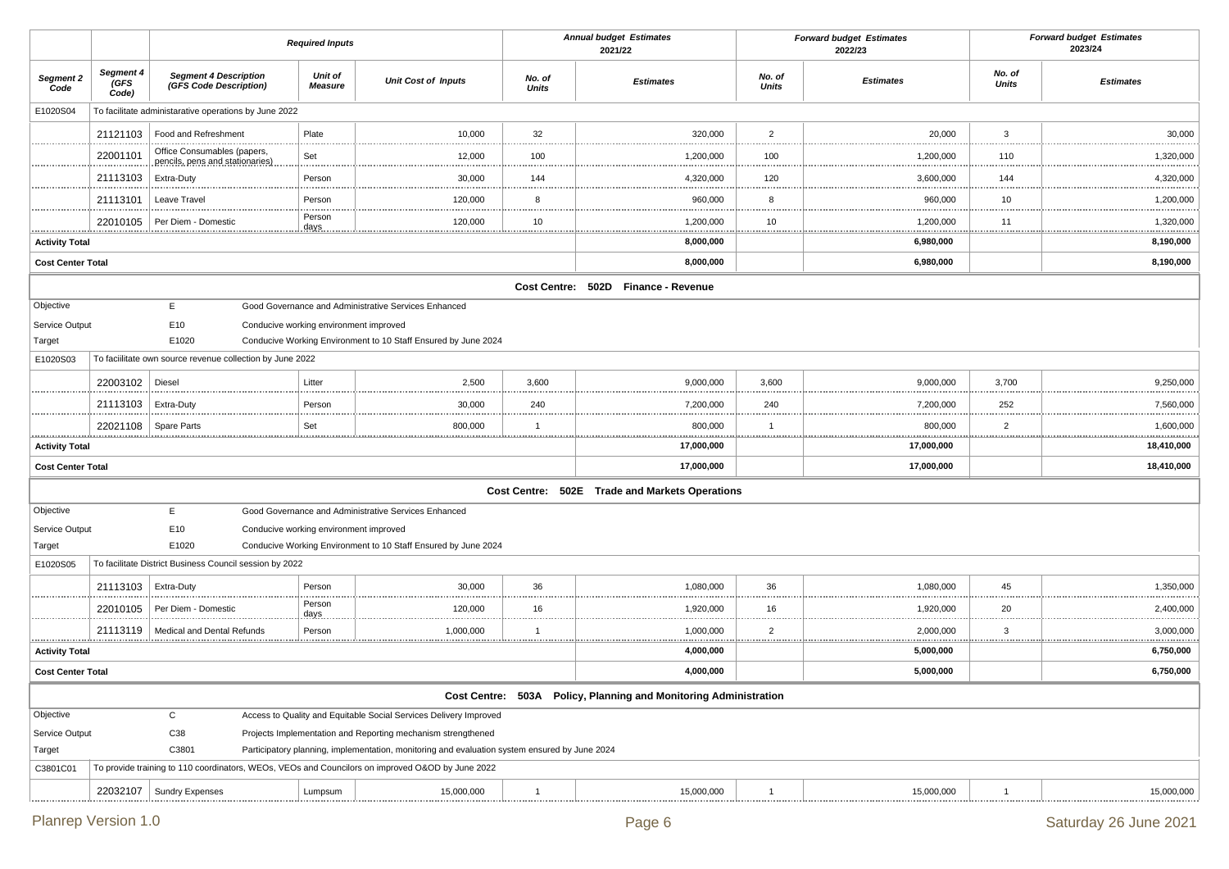|                          |                            |                                                                | <b>Required Inputs</b>                 |                                                                                                  |                        | <b>Annual budget Estimates</b><br>2021/22                        |                        | <b>Forward budget Estimates</b><br>2022/23 |                        | <b>Forward budget Estimates</b><br>2023/24 |
|--------------------------|----------------------------|----------------------------------------------------------------|----------------------------------------|--------------------------------------------------------------------------------------------------|------------------------|------------------------------------------------------------------|------------------------|--------------------------------------------|------------------------|--------------------------------------------|
| Segment 2<br>Code        | Segment 4<br>(GFS<br>Code) | <b>Segment 4 Description</b><br>(GFS Code Description)         | Unit of<br><b>Measure</b>              | <b>Unit Cost of Inputs</b>                                                                       | No. of<br><b>Units</b> | <b>Estimates</b>                                                 | No. of<br><b>Units</b> | <b>Estimates</b>                           | No. of<br><b>Units</b> | <b>Estimates</b>                           |
| E1020S04                 |                            | To facilitate administarative operations by June 2022          |                                        |                                                                                                  |                        |                                                                  |                        |                                            |                        |                                            |
|                          | 21121103                   | Food and Refreshment                                           | Plate                                  | 10,000                                                                                           | 32                     | 320,000                                                          | $\overline{2}$         | 20,000                                     | 3                      | 30,000                                     |
|                          | 22001101                   | Office Consumables (papers,<br>pencils, pens and stationaries) | Set                                    | 12,000                                                                                           | 100                    | 1,200,000                                                        | .<br>100               | 1,200,000                                  | 110                    | 1,320,000                                  |
|                          | 21113103                   | Extra-Duty                                                     | Person                                 | 30,000                                                                                           | 144                    | 4,320,000                                                        | <br>120                | 3,600,000                                  | 144                    | 4,320,000                                  |
|                          | 21113101                   | Leave Travel                                                   | Person                                 | 120,000                                                                                          | 8                      | 960,000                                                          | <br>8                  | 960,000                                    | 10                     | 1,200,000                                  |
|                          | 22010105                   | Per Diem - Domestic                                            | Person                                 | 120,000                                                                                          | 10                     | 1,200,000                                                        | 10                     | 1,200,000                                  | 11                     | 1,320,000                                  |
| <b>Activity Total</b>    |                            |                                                                |                                        |                                                                                                  |                        | <br>8,000,000                                                    | <u></u>                | .<br>6,980,000                             | .                      | 8,190,000                                  |
| <b>Cost Center Total</b> |                            |                                                                |                                        |                                                                                                  |                        | 8,000,000                                                        |                        | 6,980,000                                  |                        | 8,190,000                                  |
|                          |                            |                                                                |                                        |                                                                                                  |                        | Cost Centre: 502D Finance - Revenue                              |                        |                                            |                        |                                            |
| Objective                |                            | E                                                              |                                        | Good Governance and Administrative Services Enhanced                                             |                        |                                                                  |                        |                                            |                        |                                            |
| Service Output           |                            | E10                                                            | Conducive working environment improved |                                                                                                  |                        |                                                                  |                        |                                            |                        |                                            |
| Target                   |                            | E1020                                                          |                                        | Conducive Working Environment to 10 Staff Ensured by June 2024                                   |                        |                                                                  |                        |                                            |                        |                                            |
| E1020S03                 |                            | To facilitate own source revenue collection by June 2022       |                                        |                                                                                                  |                        |                                                                  |                        |                                            |                        |                                            |
|                          | 22003102                   | Diesel                                                         | Litter                                 | 2,500                                                                                            | 3,600                  | 9,000,000                                                        | 3,600                  | 9,000,000                                  | 3,700                  | 9,250,000                                  |
|                          | 21113103                   | Extra-Duty                                                     | Person                                 | 30,000                                                                                           | 240                    | 7,200,000                                                        | 240                    | 7,200,000                                  | 252                    | 7,560,000                                  |
|                          | 22021108                   | <b>Spare Parts</b>                                             | Set                                    | 800,000                                                                                          | $\overline{1}$         | 800,000                                                          | -1                     | 800,000                                    | $\overline{2}$         | 1,600,000                                  |
| <b>Activity Total</b>    |                            |                                                                |                                        |                                                                                                  |                        | 17,000,000                                                       |                        | 17,000,000                                 |                        | 18,410,000                                 |
| <b>Cost Center Total</b> |                            |                                                                |                                        |                                                                                                  |                        | 17,000,000                                                       |                        | 17,000,000                                 |                        | 18,410,000                                 |
|                          |                            |                                                                |                                        |                                                                                                  |                        | Cost Centre: 502E Trade and Markets Operations                   |                        |                                            |                        |                                            |
| Objective                |                            | E                                                              |                                        | Good Governance and Administrative Services Enhanced                                             |                        |                                                                  |                        |                                            |                        |                                            |
| Service Output           |                            | E10                                                            | Conducive working environment improved |                                                                                                  |                        |                                                                  |                        |                                            |                        |                                            |
| Target                   |                            | E1020                                                          |                                        | Conducive Working Environment to 10 Staff Ensured by June 2024                                   |                        |                                                                  |                        |                                            |                        |                                            |
| E1020S05                 |                            | To facilitate District Business Council session by 2022        |                                        |                                                                                                  |                        |                                                                  |                        |                                            |                        |                                            |
|                          | 21113103                   | Extra-Duty                                                     | Person                                 | 30,000                                                                                           | 36                     | 1,080,000                                                        | 36<br>                 | 1,080,000                                  | 45                     | 1,350,000                                  |
|                          | 22010105                   | Per Diem - Domestic                                            | Person<br>$days$                       | 120,000                                                                                          | 16                     | 1,920,000                                                        | 16                     | 1,920,000                                  | 20                     | 2,400,000                                  |
|                          | 21113119                   | Medical and Dental Refunds                                     | Person                                 | 1,000,000                                                                                        | $\overline{1}$         | 1,000,000                                                        | 2                      | 2,000,000<br><br>                          | 3<br>.                 | 3,000,000                                  |
| <b>Activity Total</b>    |                            |                                                                |                                        |                                                                                                  |                        | 4,000,000                                                        |                        | 5,000,000                                  |                        | 6,750,000                                  |
| <b>Cost Center Total</b> |                            |                                                                |                                        |                                                                                                  |                        | 4,000,000                                                        |                        | 5,000,000                                  |                        | 6,750,000                                  |
|                          |                            |                                                                |                                        |                                                                                                  |                        | Cost Centre: 503A Policy, Planning and Monitoring Administration |                        |                                            |                        |                                            |
| Objective                |                            | $\mathsf{C}$                                                   |                                        | Access to Quality and Equitable Social Services Delivery Improved                                |                        |                                                                  |                        |                                            |                        |                                            |
| Service Output           |                            | C38                                                            |                                        | Projects Implementation and Reporting mechanism strengthened                                     |                        |                                                                  |                        |                                            |                        |                                            |
| Target                   |                            | C3801                                                          |                                        | Participatory planning, implementation, monitoring and evaluation system ensured by June 2024    |                        |                                                                  |                        |                                            |                        |                                            |
| C3801C01                 |                            |                                                                |                                        | To provide training to 110 coordinators, WEOs, VEOs and Councilors on improved O&OD by June 2022 |                        |                                                                  |                        |                                            |                        |                                            |
|                          | 22032107                   | <b>Sundry Expenses</b>                                         | Lumpsum                                | 15,000,000                                                                                       | $\overline{1}$         | 15,000,000                                                       | $\overline{1}$         | 15,000,000                                 | $\mathbf{1}$           | 15,000,000                                 |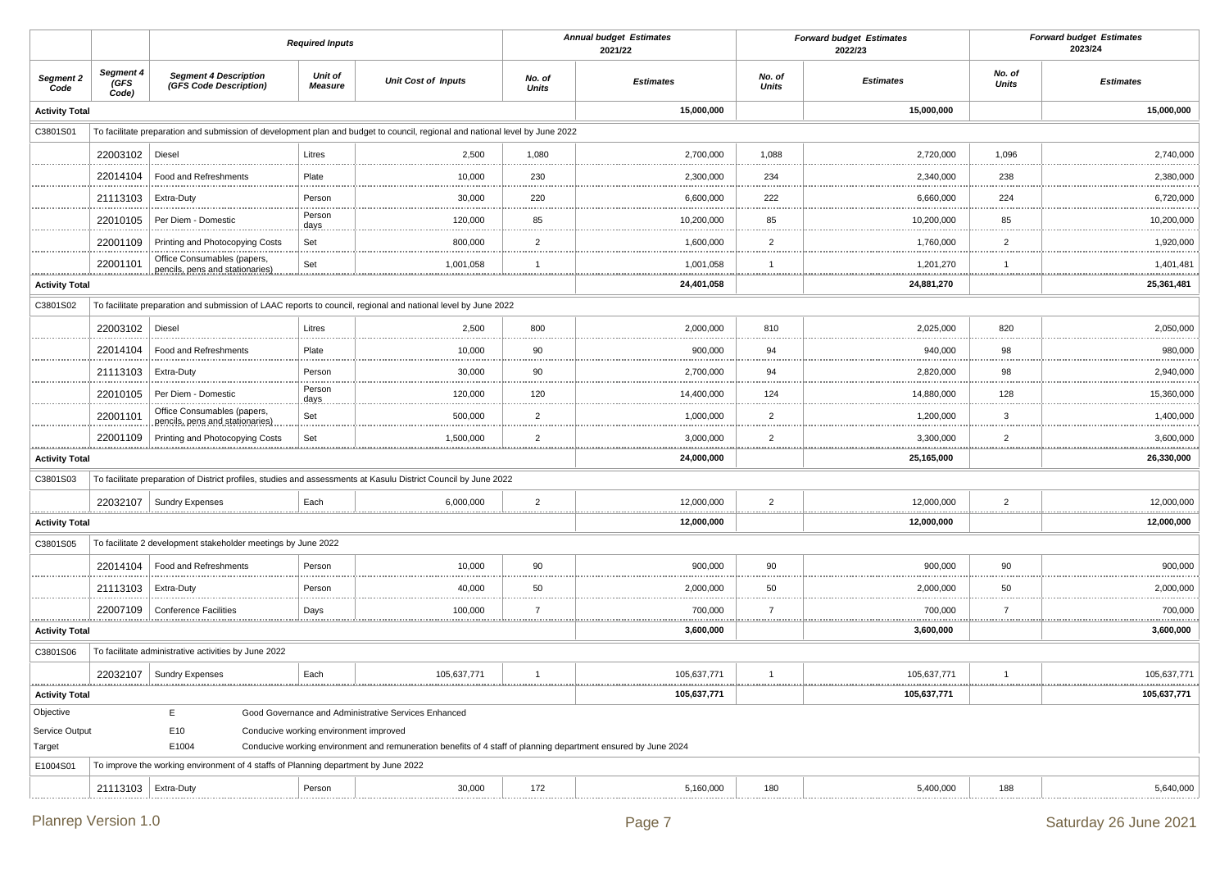|                          |                            |                                                                                                                              | <b>Required Inputs</b>                 |                                                                                                                |                           | <b>Annual budget Estimates</b><br>2021/22 |                 | <b>Forward budget Estimates</b><br>2022/23 |                           | <b>Forward budget Estimates</b><br>2023/24 |
|--------------------------|----------------------------|------------------------------------------------------------------------------------------------------------------------------|----------------------------------------|----------------------------------------------------------------------------------------------------------------|---------------------------|-------------------------------------------|-----------------|--------------------------------------------|---------------------------|--------------------------------------------|
| Segment 2<br>Code        | Segment 4<br>(GFS<br>Code) | <b>Segment 4 Description</b><br>(GFS Code Description)                                                                       | Unit of<br><b>Measure</b>              | <b>Unit Cost of Inputs</b>                                                                                     | No. of<br>Units           | <b>Estimates</b>                          | No. of<br>Units | <b>Estimates</b>                           | No. of<br><b>Units</b>    | <b>Estimates</b>                           |
| <b>Activity Total</b>    |                            |                                                                                                                              |                                        |                                                                                                                |                           | 15,000,000                                |                 | 15,000,000                                 |                           | 15,000,000                                 |
| C3801S01                 |                            | To facilitate preparation and submission of development plan and budget to council, regional and national level by June 2022 |                                        |                                                                                                                |                           |                                           |                 |                                            |                           |                                            |
|                          | 22003102                   | Diesel                                                                                                                       | Litres                                 | 2,500                                                                                                          | 1,080                     | 2,700,000                                 | 1,088           | 2,720,000                                  | 1,096                     | 2,740,000                                  |
|                          | 22014104                   | Food and Refreshments                                                                                                        | Plate                                  | 10,000                                                                                                         | 230                       | 2,300,000                                 | 234             | 2,340,000                                  | 238                       | 2,380,000                                  |
|                          | 21113103                   | Extra-Duty                                                                                                                   | Person                                 | 30,000                                                                                                         | 220                       | 6,600,000                                 | 222             | 6,660,000                                  | 224                       | 6,720,000                                  |
|                          | 22010105                   | Per Diem - Domestic                                                                                                          | Person<br>days                         | 120,000                                                                                                        | 85                        | 10,200,000                                | 85              | 10,200,000                                 | 85                        | 10,200,000                                 |
|                          | 22001109                   | Printing and Photocopying Costs                                                                                              | Set                                    | 800,000                                                                                                        | $\overline{2}$            | 1,600,000                                 | $\overline{2}$  | 1,760,000                                  | $\overline{2}$            | 1,920,000                                  |
| .                        | 22001101                   | Office Consumables (papers,<br>pencils, pens and stationaries)                                                               | Set                                    | 1,001,058<br>                                                                                                  |                           | 1,001,058                                 | $\mathbf{1}$    | 1,201,270<br>.                             | .                         | 1,401,481                                  |
| <b>Activity Total</b>    |                            |                                                                                                                              |                                        |                                                                                                                |                           | 24,401,058                                |                 | 24,881,270                                 |                           | 25,361,481                                 |
| C3801S02                 |                            | To facilitate preparation and submission of LAAC reports to council, regional and national level by June 2022                |                                        |                                                                                                                |                           |                                           |                 |                                            |                           |                                            |
|                          | 22003102                   | Diesel                                                                                                                       | Litres                                 | 2,500                                                                                                          | 800                       | 2,000,000                                 | 810             | 2,025,000                                  | 820<br>                   | 2,050,000                                  |
|                          | 22014104                   | Food and Refreshments                                                                                                        | Plate                                  | 10,000                                                                                                         | 90<br>.                   | 900,000                                   | 94              | 940,000                                    | 98                        | 980,000                                    |
|                          | 21113103                   | Extra-Duty                                                                                                                   | Person                                 | 30,000                                                                                                         | 90<br>1.111               | 2,700,000                                 | 94              | 2,820,000                                  | 98                        | 2,940,000                                  |
|                          | 22010105                   | Per Diem - Domestic                                                                                                          | Person<br>days.                        | 120,000                                                                                                        | 120<br>                   | 14,400,000                                | 124             | 14,880,000<br>                             | 128<br>.                  | 15,360,000                                 |
|                          | 22001101                   | Office Consumables (papers,<br>pencils, pens and stationaries)                                                               | Set                                    | 500,000                                                                                                        | $\overline{2}$<br>.       | 1,000,000                                 | $\overline{2}$  | 1,200,000<br>                              | 3<br>.                    | 1,400,000                                  |
|                          | 22001109                   | Printing and Photocopying Costs                                                                                              | Set                                    | 1,500,000                                                                                                      | $\overline{2}$            | 3,000,000                                 | $\overline{2}$  | 3,300,000                                  | $\overline{2}$            | 3,600,000                                  |
| <b>Activity Total</b>    |                            |                                                                                                                              |                                        |                                                                                                                |                           | 24,000,000                                |                 | 25,165,000                                 |                           | 26,330,000                                 |
| C3801S03                 |                            | To facilitate preparation of District profiles, studies and assessments at Kasulu District Council by June 2022              |                                        |                                                                                                                |                           |                                           |                 |                                            |                           |                                            |
|                          |                            | 22032107   Sundry Expenses                                                                                                   | Each<br>.                              | 6,000,000                                                                                                      | $\overline{2}$<br><u></u> | 12,000,000                                | $\overline{2}$  | 12,000,000                                 | $\overline{2}$            | 12,000,000                                 |
| <b>Activity Total</b>    |                            |                                                                                                                              |                                        |                                                                                                                |                           | 12,000,000                                |                 | 12,000,000                                 |                           | 12,000,000                                 |
| C3801S05                 |                            | To facilitate 2 development stakeholder meetings by June 2022                                                                |                                        |                                                                                                                |                           |                                           |                 |                                            |                           |                                            |
|                          | 22014104                   | Food and Refreshments                                                                                                        | Person                                 | 10,000                                                                                                         | 90                        | 900,000                                   | 90              | 900,000                                    | 90                        | 900,000                                    |
|                          | 21113103                   | Extra-Duty                                                                                                                   | Person                                 | 40,000                                                                                                         | 50<br>.                   | 2,000,000                                 | 50              | 2,000,000                                  | 50                        | 2,000,000                                  |
|                          | 22007109                   | <b>Conference Facilities</b>                                                                                                 | Days                                   | 100,000                                                                                                        | $\overline{7}$            | 700,000                                   | 7               | 700,000                                    | $\overline{7}$<br><u></u> | 700,000                                    |
| <b>Activity Total</b>    |                            |                                                                                                                              |                                        |                                                                                                                |                           | 3,600,000                                 |                 | 3,600,000                                  |                           | 3,600,000                                  |
| C3801S06                 |                            | To facilitate administrative activities by June 2022                                                                         |                                        |                                                                                                                |                           |                                           |                 |                                            |                           |                                            |
|                          |                            | 22032107   Sundry Expenses                                                                                                   | Each                                   | 105,637,771                                                                                                    | $\overline{1}$            | 105,637,771                               | $\mathbf{1}$    | 105,637,771                                | -1                        | 105,637,771                                |
| <b>Activity Total</b>    |                            |                                                                                                                              |                                        |                                                                                                                |                           | 105,637,771                               |                 | 105,637,771                                |                           | 105,637,771                                |
| Objective                |                            | E.                                                                                                                           |                                        | Good Governance and Administrative Services Enhanced                                                           |                           |                                           |                 |                                            |                           |                                            |
| Service Output<br>Target |                            | E10<br>E1004                                                                                                                 | Conducive working environment improved | Conducive working environment and remuneration benefits of 4 staff of planning department ensured by June 2024 |                           |                                           |                 |                                            |                           |                                            |
| E1004S01                 |                            | To improve the working environment of 4 staffs of Planning department by June 2022                                           |                                        |                                                                                                                |                           |                                           |                 |                                            |                           |                                            |
|                          | 21113103   Extra-Duty      |                                                                                                                              | Person                                 | 30,000                                                                                                         | 172                       | 5,160,000                                 | 180             | 5,400,000                                  | 188                       | 5,640,000                                  |
|                          |                            |                                                                                                                              |                                        |                                                                                                                |                           |                                           |                 |                                            |                           |                                            |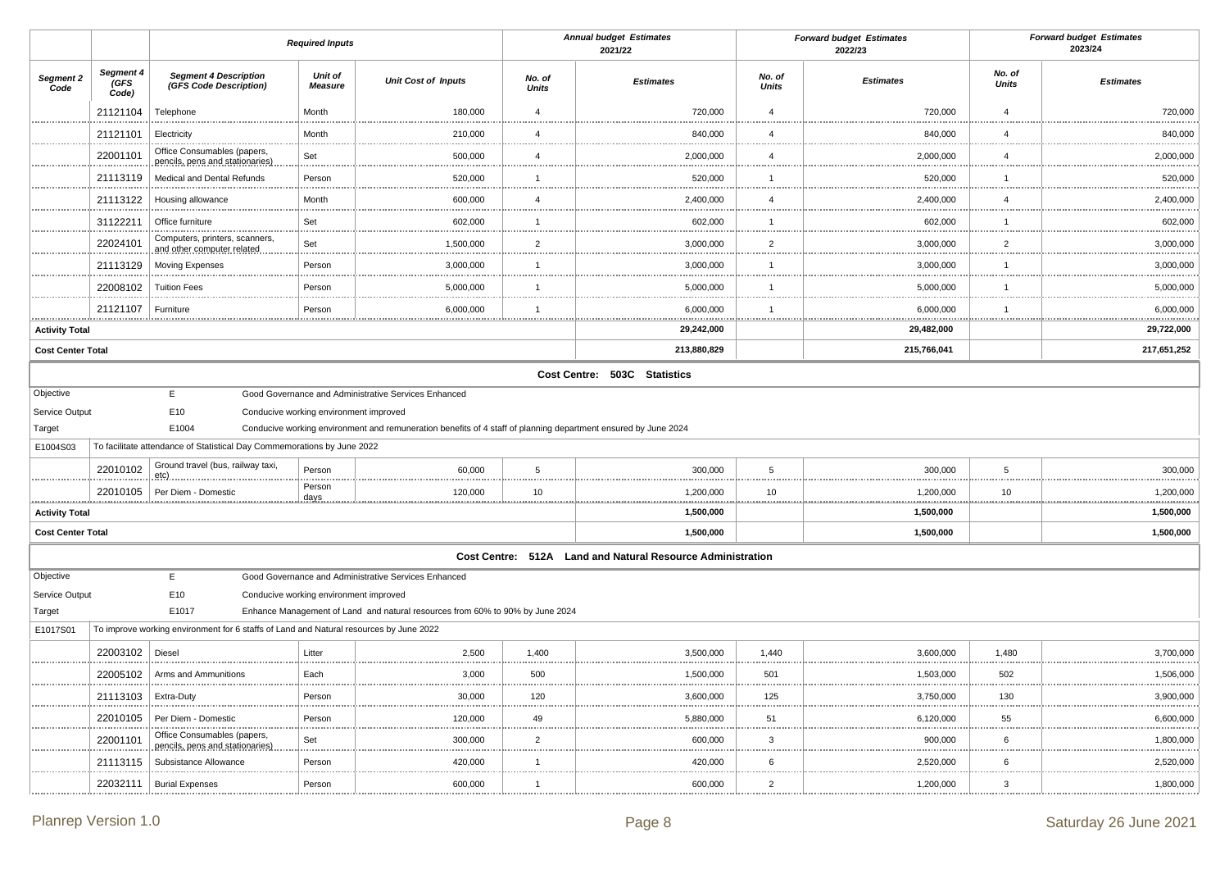|                                                   |                            |                                                                                              | <b>Required Inputs</b>                 |                                                                                                                                                                        |                        | <b>Annual budget Estimates</b><br>2021/22                  | <b>Forward budget Estimates</b><br>2022/23 |                  |                        | <b>Forward budget Estimates</b><br>2023/24 |
|---------------------------------------------------|----------------------------|----------------------------------------------------------------------------------------------|----------------------------------------|------------------------------------------------------------------------------------------------------------------------------------------------------------------------|------------------------|------------------------------------------------------------|--------------------------------------------|------------------|------------------------|--------------------------------------------|
| Segment 2<br>Code                                 | Segment 4<br>(GFS<br>Code) | <b>Segment 4 Description</b><br>(GFS Code Description)                                       | Unit of<br><b>Measure</b>              | <b>Unit Cost of Inputs</b>                                                                                                                                             | No. of<br><b>Units</b> | <b>Estimates</b>                                           | No. of<br><b>Units</b>                     | <b>Estimates</b> | No. of<br><b>Units</b> | <b>Estimates</b>                           |
|                                                   | 21121104                   | Telephone                                                                                    | Month                                  | 180,000                                                                                                                                                                | $\overline{4}$         | 720,000                                                    | $\overline{4}$                             | 720,000          | $\overline{4}$         | 720,000                                    |
|                                                   | 21121101                   | Electricity                                                                                  | Month                                  | 210,000                                                                                                                                                                | $\overline{4}$         | 840,000                                                    | $\overline{4}$                             | 840,000          | $\overline{4}$<br>.    | 840,000                                    |
|                                                   | 22001101                   | Office Consumables (papers,<br>pencils, pens and stationaries)                               | Set                                    | 500,000                                                                                                                                                                | $\overline{4}$         | 2,000,000                                                  | $\overline{4}$                             | 2,000,000        | $\overline{4}$         | 2,000,000                                  |
|                                                   | 21113119                   | Medical and Dental Refunds                                                                   | Person                                 | 520,000                                                                                                                                                                | $\mathbf{1}$           | 520,000                                                    | $\overline{1}$                             | 520,000          | $\mathbf{1}$           | 520,000                                    |
|                                                   | 21113122                   | Housing allowance                                                                            | Month                                  | 600,000                                                                                                                                                                | $\overline{4}$         | 2,400,000                                                  | $\overline{4}$                             | 2,400,000        | $\overline{4}$         | 2,400,000                                  |
|                                                   | 31122211                   | Office furniture<br>.                                                                        | Set                                    | 602,000                                                                                                                                                                | $\overline{1}$         | 602,000                                                    | $\overline{1}$<br>                         | 602,000          | $\overline{1}$<br>     | 602,000                                    |
|                                                   | 22024101                   | Computers, printers, scanners,<br>and other computer related                                 | Set                                    | 1,500,000                                                                                                                                                              | $\overline{2}$         | 3,000,000                                                  | $\overline{2}$                             | 3,000,000        | $\overline{2}$         | 3,000,000                                  |
|                                                   | 21113129                   | Moving Expenses                                                                              | Person                                 | 3,000,000                                                                                                                                                              | $\overline{1}$         | 3,000,000                                                  | $\overline{1}$                             | 3,000,000        | $\overline{1}$<br>.    | 3,000,000                                  |
|                                                   | 22008102                   | <b>Tuition Fees</b>                                                                          | Person                                 | 5,000,000                                                                                                                                                              | $\mathbf{1}$           | 5,000,000                                                  | $\mathbf{1}$                               | 5,000,000        | $\overline{1}$         | 5,000,000                                  |
|                                                   | 21121107                   | Furniture                                                                                    | Person                                 | 6,000,000                                                                                                                                                              | $\overline{1}$         | 6,000,000                                                  | $\overline{1}$                             | 6,000,000        | $\overline{1}$         | 6,000,000                                  |
| <b>Activity Total</b>                             |                            |                                                                                              |                                        |                                                                                                                                                                        |                        | 29,242,000                                                 |                                            | 29,482,000       |                        | 29,722,000                                 |
| <b>Cost Center Total</b>                          |                            |                                                                                              |                                        |                                                                                                                                                                        |                        | 213,880,829                                                |                                            | 215,766,041      |                        | 217,651,252                                |
|                                                   |                            |                                                                                              |                                        |                                                                                                                                                                        |                        | Cost Centre: 503C Statistics                               |                                            |                  |                        |                                            |
| Objective<br>Service Output<br>Target<br>E1004S03 |                            | E<br>E10<br>E1004<br>To facilitate attendance of Statistical Day Commemorations by June 2022 | Conducive working environment improved | Good Governance and Administrative Services Enhanced<br>Conducive working environment and remuneration benefits of 4 staff of planning department ensured by June 2024 |                        |                                                            |                                            |                  |                        |                                            |
|                                                   | 22010102                   | Ground travel (bus, railway taxi,<br>$etc)$ .                                                | Person                                 | 60,000                                                                                                                                                                 | $5\phantom{.0}$        | 300,000                                                    | 5                                          | 300,000          | 5                      | 300,000                                    |
|                                                   | 22010105                   | Per Diem - Domestic                                                                          | Person<br>days.                        | 120,000                                                                                                                                                                | 10                     | 1,200,000                                                  | 10                                         | 1,200,000        | 10                     | 1,200,000                                  |
| <b>Activity Total</b>                             |                            |                                                                                              |                                        |                                                                                                                                                                        |                        | 1,500,000                                                  |                                            | 1,500,000        |                        | 1,500,000                                  |
| <b>Cost Center Total</b>                          |                            |                                                                                              |                                        |                                                                                                                                                                        |                        | 1,500,000                                                  |                                            | 1,500,000        |                        | 1,500,000                                  |
|                                                   |                            |                                                                                              |                                        |                                                                                                                                                                        |                        | Cost Centre: 512A Land and Natural Resource Administration |                                            |                  |                        |                                            |
| Objective<br>Service Output<br>Target             |                            | E<br>E10<br>E1017                                                                            | Conducive working environment improved | Good Governance and Administrative Services Enhanced<br>Enhance Management of Land and natural resources from 60% to 90% by June 2024                                  |                        |                                                            |                                            |                  |                        |                                            |
| E1017S01                                          |                            | To improve working environment for 6 staffs of Land and Natural resources by June 2022       |                                        |                                                                                                                                                                        |                        |                                                            |                                            |                  |                        |                                            |
|                                                   | 22003102                   | Diesel                                                                                       | Litter                                 | 2,500                                                                                                                                                                  | 1,400                  | 3,500,000                                                  | 1,440                                      | 3,600,000        | 1,480                  | 3,700,000                                  |
|                                                   | 22005102                   | Arms and Ammunitions                                                                         | Each                                   | 3,000                                                                                                                                                                  | 500                    | 1,500,000                                                  | 501                                        | 1,503,000        | 502                    | 1,506,000                                  |
|                                                   | 21113103                   | Extra-Duty                                                                                   | Person                                 | 30,000                                                                                                                                                                 | 120                    | 3,600,000                                                  | 125                                        | 3,750,000        | 130                    | 3,900,000                                  |
|                                                   | 22010105                   | Per Diem - Domestic                                                                          | Person                                 | 120,000                                                                                                                                                                | 49                     | 5,880,000                                                  | 51                                         | 6,120,000        | 55                     | 6,600,000                                  |
|                                                   | 22001101                   | Office Consumables (papers,<br>pencils, pens and stationaries)                               | Set                                    | 300,000                                                                                                                                                                | $\overline{2}$         | 600,000                                                    | 3                                          | 900,000          | 6                      | 1,800,000                                  |
|                                                   | 21113115                   | Subsistance Allowance                                                                        | Person                                 | 420,000                                                                                                                                                                | $\mathbf{1}$           | 420,000                                                    | 6                                          | 2,520,000        | 6<br><b>A 10 A</b>     | 2,520,000                                  |
|                                                   | 22032111                   | <b>Burial Expenses</b>                                                                       | Person                                 | 600,000                                                                                                                                                                | $\overline{1}$         | 600,000                                                    | $\overline{2}$                             | 1,200,000        | 3                      | 1,800,000                                  |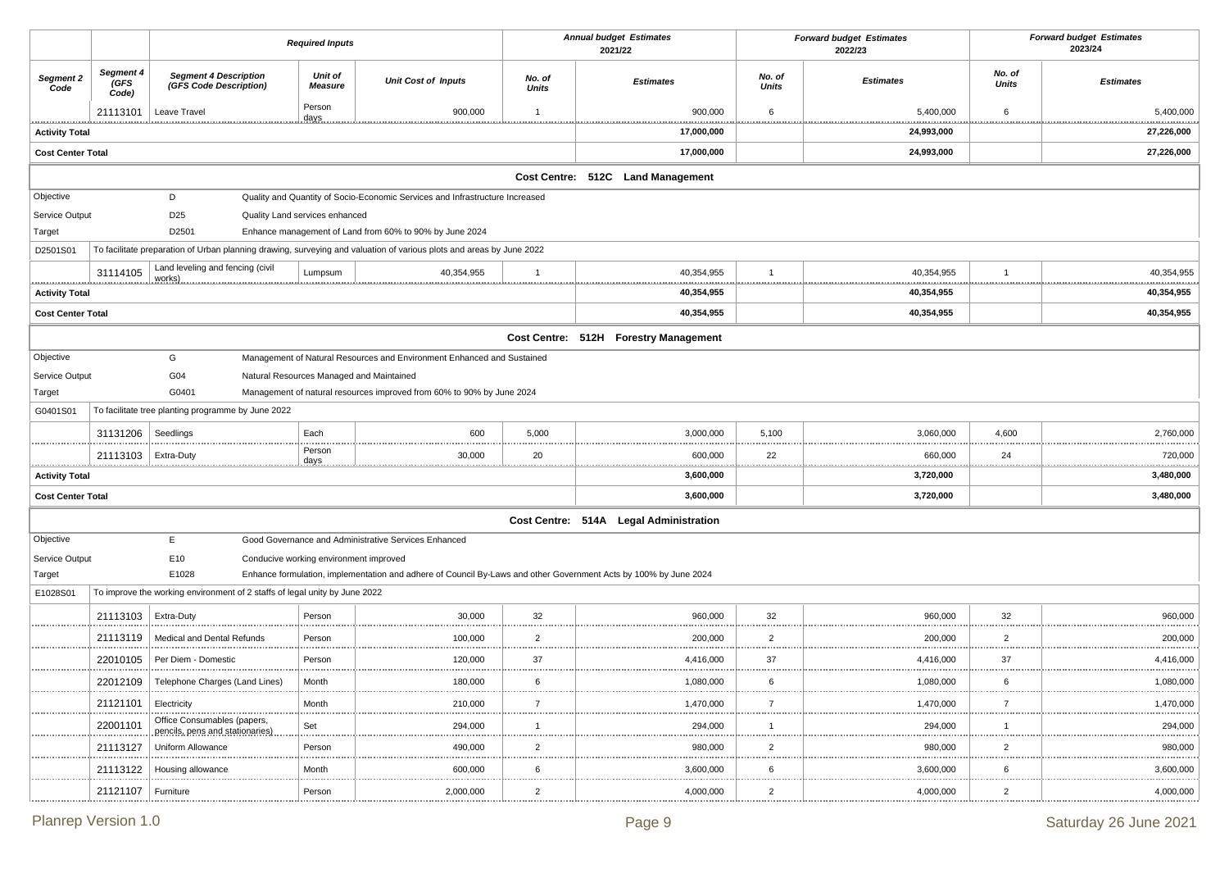|                            |                            |                                                                            | <b>Required Inputs</b>    |                                                                                                                      |                        | <b>Annual budget Estimates</b><br>2021/22 | <b>Forward budget Estimates</b><br>2022/23 |                  | <b>Forward budget Estimates</b><br>2023/24 |                  |
|----------------------------|----------------------------|----------------------------------------------------------------------------|---------------------------|----------------------------------------------------------------------------------------------------------------------|------------------------|-------------------------------------------|--------------------------------------------|------------------|--------------------------------------------|------------------|
| Segment 2<br>Code          | Segment 4<br>(GFS<br>Code) | <b>Segment 4 Description</b><br>(GFS Code Description)                     | Unit of<br><b>Measure</b> | <b>Unit Cost of Inputs</b>                                                                                           | No. of<br><b>Units</b> | <b>Estimates</b>                          | No. of<br><b>Units</b>                     | <b>Estimates</b> | No. of<br><b>Units</b>                     | <b>Estimates</b> |
|                            | 21113101                   | Leave Travel                                                               | Person<br>days            | 900,000                                                                                                              | $\mathbf 1$            | 900,000                                   | 6                                          | 5,400,000        | 6                                          | 5,400,000        |
| <b>Activity Total</b>      |                            |                                                                            |                           |                                                                                                                      |                        | 17,000,000                                |                                            | 24,993,000       |                                            | 27,226,000       |
| <b>Cost Center Total</b>   |                            |                                                                            |                           |                                                                                                                      |                        | 17,000,000                                |                                            | 24,993,000       |                                            | 27,226,000       |
|                            |                            |                                                                            |                           |                                                                                                                      |                        | Cost Centre: 512C Land Management         |                                            |                  |                                            |                  |
| Objective                  |                            | D                                                                          |                           | Quality and Quantity of Socio-Economic Services and Infrastructure Increased                                         |                        |                                           |                                            |                  |                                            |                  |
| Service Output             |                            | D <sub>25</sub><br>Quality Land services enhanced                          |                           |                                                                                                                      |                        |                                           |                                            |                  |                                            |                  |
| Target                     |                            | D2501                                                                      |                           | Enhance management of Land from 60% to 90% by June 2024                                                              |                        |                                           |                                            |                  |                                            |                  |
| D2501S01                   |                            |                                                                            |                           | To facilitate preparation of Urban planning drawing, surveying and valuation of various plots and areas by June 2022 |                        |                                           |                                            |                  |                                            |                  |
|                            | 31114105                   | Land leveling and fencing (civil<br>works                                  | Lumpsum                   | 40,354,955                                                                                                           | $\mathbf{1}$           | 40,354,955                                | $\mathbf{1}$                               | 40,354,955       | $\mathbf{1}$<br>.                          | 40,354,955       |
| <b>Activity Total</b>      |                            |                                                                            |                           |                                                                                                                      |                        | 40,354,955                                |                                            | 40,354,955       |                                            | 40,354,955       |
| <b>Cost Center Total</b>   |                            |                                                                            |                           |                                                                                                                      |                        | 40,354,955                                |                                            | 40,354,955       |                                            | 40,354,955       |
|                            |                            |                                                                            |                           |                                                                                                                      |                        | Cost Centre: 512H Forestry Management     |                                            |                  |                                            |                  |
| Objective                  |                            | G                                                                          |                           | Management of Natural Resources and Environment Enhanced and Sustained                                               |                        |                                           |                                            |                  |                                            |                  |
| Service Output             |                            | G04                                                                        |                           | Natural Resources Managed and Maintained                                                                             |                        |                                           |                                            |                  |                                            |                  |
| Target                     |                            | G0401                                                                      |                           | Management of natural resources improved from 60% to 90% by June 2024                                                |                        |                                           |                                            |                  |                                            |                  |
| G0401S01                   |                            | To facilitate tree planting programme by June 2022                         |                           |                                                                                                                      |                        |                                           |                                            |                  |                                            |                  |
|                            | 31131206                   | Seedlings                                                                  | Each                      | 600                                                                                                                  | 5,000                  | 3,000,000                                 | 5,100                                      | 3,060,000        | 4,600                                      | 2,760,000        |
|                            | 21113103                   | Extra-Duty                                                                 | Person<br>days            | 30,000                                                                                                               | 20                     | 600,000                                   | 22                                         | 660,000          | 24                                         | 720,000          |
| .<br><b>Activity Total</b> |                            |                                                                            |                           |                                                                                                                      | .                      | 3,600,000                                 |                                            | 3,720,000        |                                            | 3,480,000        |
| <b>Cost Center Total</b>   |                            |                                                                            |                           |                                                                                                                      |                        | 3,600,000                                 |                                            | 3,720,000        |                                            | 3,480,000        |
|                            |                            |                                                                            |                           |                                                                                                                      |                        | Cost Centre: 514A Legal Administration    |                                            |                  |                                            |                  |
| Objective                  |                            | E                                                                          |                           | Good Governance and Administrative Services Enhanced                                                                 |                        |                                           |                                            |                  |                                            |                  |
| Service Output             |                            | E10<br>Conducive working environment improved                              |                           |                                                                                                                      |                        |                                           |                                            |                  |                                            |                  |
| Target                     |                            | E1028                                                                      |                           | Enhance formulation, implementation and adhere of Council By-Laws and other Government Acts by 100% by June 2024     |                        |                                           |                                            |                  |                                            |                  |
| E1028S01                   |                            | To improve the working environment of 2 staffs of legal unity by June 2022 |                           |                                                                                                                      |                        |                                           |                                            |                  |                                            |                  |
|                            | 21113103                   | <b>Extra-Duty</b>                                                          | Person                    | 30,000                                                                                                               | 32                     | 960,000                                   | 32                                         | 960,000          | 32                                         | 960,000          |
|                            | 21113119                   | Medical and Dental Refunds                                                 | Person                    | 100,000                                                                                                              | $\overline{2}$         | 200,000                                   | $\overline{2}$                             | 200,000          | $\overline{2}$                             | 200,000          |
|                            | 22010105                   | Per Diem - Domestic                                                        | Person<br>.               | 120,000                                                                                                              | 37<br>.                | 4,416,000                                 | 37<br>                                     | 4,416,000        | 37                                         | 4,416,000        |
|                            | 22012109                   | Telephone Charges (Land Lines)                                             | Month                     | 180,000                                                                                                              | 6                      | 1,080,000                                 | 6                                          | 1,080,000        | 6                                          | 1,080,000        |
|                            | 21121101                   | Electricity                                                                | Month                     | 210,000                                                                                                              |                        | 1,470,000                                 |                                            | 1,470,000        | -7                                         | 1,470,000        |
|                            | 22001101                   | Office Consumables (papers,<br>pencils, pens and stationaries)             | Set                       | 294,000                                                                                                              | 1                      | 294,000                                   | -1                                         | 294,000          | $\overline{1}$                             | 294,000          |
|                            | 21113127                   | Uniform Allowance                                                          | Person                    | 490,000                                                                                                              | $\overline{2}$         | 980,000                                   | $\overline{2}$                             | 980,000          | $\overline{2}$                             | 980,000          |
|                            | 21113122                   | Housing allowance                                                          | Month                     | 600,000                                                                                                              | 6                      | 3,600,000                                 | 6                                          | 3,600,000        | 6                                          | 3,600,000        |
|                            | 21121107   Furniture       |                                                                            | Person                    | 2,000,000                                                                                                            | $\overline{2}$         | 4,000,000                                 | $\overline{2}$                             | 4,000,000        | $\overline{2}$                             | 4,000,000        |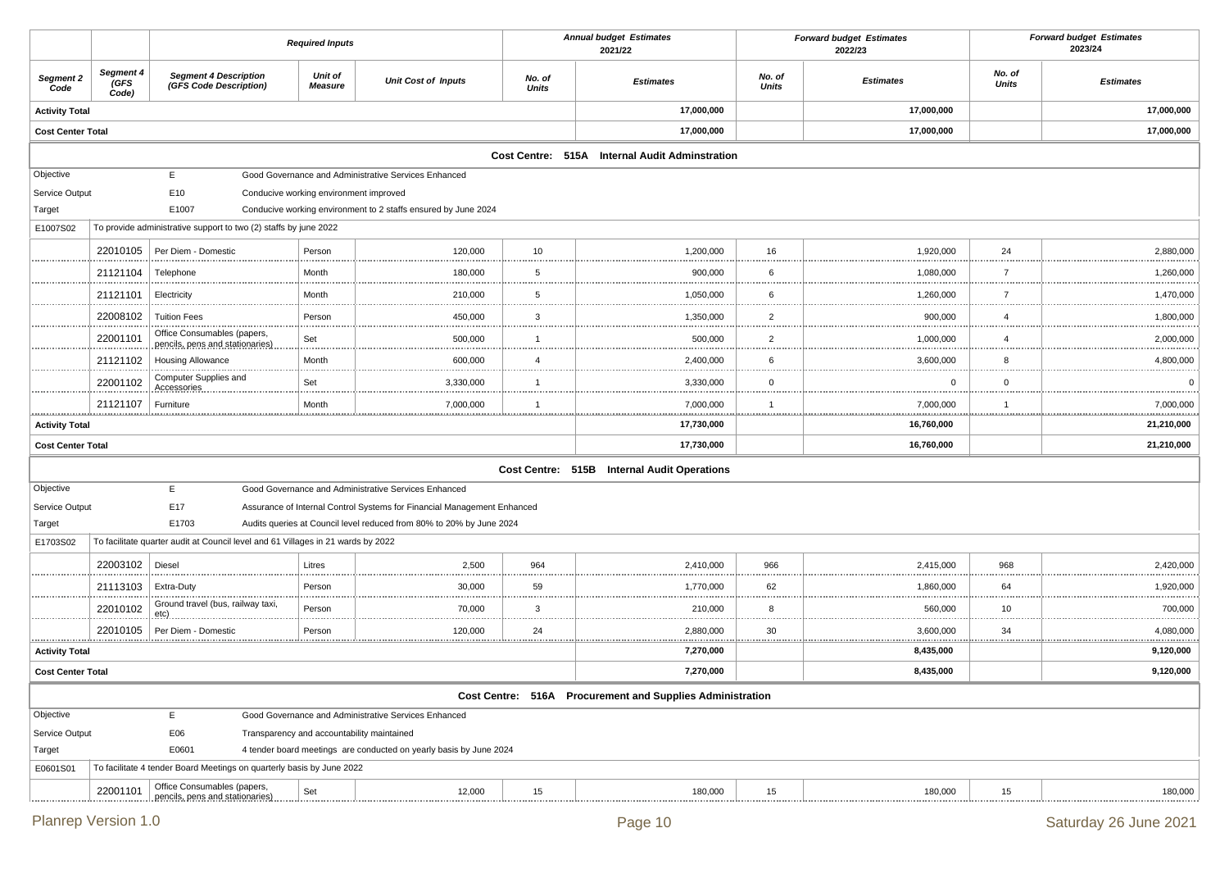|                            |                            |                                                                                  | <b>Required Inputs</b>                 |                                                                         |                        | <b>Annual budget Estimates</b><br>2021/22                 |                        | <b>Forward budget Estimates</b><br>2022/23 |                        | <b>Forward budget Estimates</b><br>2023/24 |
|----------------------------|----------------------------|----------------------------------------------------------------------------------|----------------------------------------|-------------------------------------------------------------------------|------------------------|-----------------------------------------------------------|------------------------|--------------------------------------------|------------------------|--------------------------------------------|
| Segment 2<br>Code          | Segment 4<br>(GFS<br>Code) | <b>Segment 4 Description</b><br>(GFS Code Description)                           | Unit of<br><b>Measure</b>              | <b>Unit Cost of Inputs</b>                                              | No. of<br><b>Units</b> | <b>Estimates</b>                                          | No. of<br><b>Units</b> | <b>Estimates</b>                           | No. of<br><b>Units</b> | <b>Estimates</b>                           |
| <b>Activity Total</b>      |                            |                                                                                  |                                        |                                                                         |                        | 17,000,000                                                |                        | 17,000,000                                 |                        | 17,000,000                                 |
| <b>Cost Center Total</b>   |                            |                                                                                  |                                        |                                                                         |                        | 17,000,000                                                |                        | 17,000,000                                 |                        | 17,000,000                                 |
|                            |                            |                                                                                  |                                        |                                                                         |                        | Cost Centre: 515A Internal Audit Adminstration            |                        |                                            |                        |                                            |
| Objective                  |                            | E.                                                                               |                                        | Good Governance and Administrative Services Enhanced                    |                        |                                                           |                        |                                            |                        |                                            |
| Service Output             |                            | E10                                                                              | Conducive working environment improved |                                                                         |                        |                                                           |                        |                                            |                        |                                            |
| Target                     |                            | E1007                                                                            |                                        | Conducive working environment to 2 staffs ensured by June 2024          |                        |                                                           |                        |                                            |                        |                                            |
| E1007S02                   |                            | To provide administrative support to two (2) staffs by june 2022                 |                                        |                                                                         |                        |                                                           |                        |                                            |                        |                                            |
|                            | 22010105                   | Per Diem - Domestic                                                              | Person                                 | 120,000                                                                 | 10                     | 1,200,000                                                 | 16                     | 1,920,000                                  | 24                     | 2,880,000                                  |
|                            | 21121104                   | Telephone                                                                        | Month                                  | 180,000                                                                 | 5                      | 900,000                                                   | 6                      | 1,080,000                                  | $\overline{7}$         | 1,260,000                                  |
|                            | 21121101                   | Electricity                                                                      | Month                                  | 210,000                                                                 | 5                      | 1,050,000                                                 | 6                      | 1,260,000                                  | $\overline{7}$         | 1,470,000                                  |
|                            | 22008102                   | <b>Tuition Fees</b>                                                              | Person                                 | 450,000                                                                 | 3                      | 1,350,000                                                 | $\overline{2}$         | 900,000                                    | $\overline{4}$         | 1,800,000                                  |
|                            | 22001101                   | Office Consumables (papers,<br>pencils, pens and stationaries)                   | Set                                    | 500,000                                                                 | -1                     | 500,000                                                   | $\overline{2}$         | 1,000,000                                  | $\overline{4}$         | 2,000,000                                  |
|                            | 21121102                   | <b>Housing Allowance</b>                                                         | Month                                  | 600,000                                                                 | $\overline{4}$         | 2,400,000                                                 | 6                      | 3,600,000                                  | 8                      | 4,800,000                                  |
|                            | 22001102                   | Computer Supplies and<br><b>Accessories</b>                                      | Set                                    | 3,330,000                                                               | $\overline{1}$         | 3,330,000                                                 | $\mathbf 0$            | $\mathbf 0$                                | $\mathbf 0$            |                                            |
|                            | 21121107                   | Furniture                                                                        | Month                                  | 7,000,000                                                               |                        | 7,000,000                                                 | $\overline{1}$         | 7,000,000                                  | -1                     | 7,000,000                                  |
| .<br><b>Activity Total</b> |                            |                                                                                  |                                        |                                                                         |                        | 17,730,000                                                |                        | 16,760,000                                 |                        | 21,210,000                                 |
| <b>Cost Center Total</b>   |                            |                                                                                  |                                        |                                                                         |                        | 17,730,000                                                |                        | 16,760,000                                 |                        | 21,210,000                                 |
|                            |                            |                                                                                  |                                        |                                                                         |                        | Cost Centre: 515B Internal Audit Operations               |                        |                                            |                        |                                            |
| Objective                  |                            | E                                                                                |                                        | Good Governance and Administrative Services Enhanced                    |                        |                                                           |                        |                                            |                        |                                            |
| Service Output             |                            | E17                                                                              |                                        | Assurance of Internal Control Systems for Financial Management Enhanced |                        |                                                           |                        |                                            |                        |                                            |
| Target                     |                            | E1703                                                                            |                                        | Audits queries at Council level reduced from 80% to 20% by June 2024    |                        |                                                           |                        |                                            |                        |                                            |
| E1703S02                   |                            | To facilitate quarter audit at Council level and 61 Villages in 21 wards by 2022 |                                        |                                                                         |                        |                                                           |                        |                                            |                        |                                            |
|                            | 22003102                   | Diesel                                                                           | Litres                                 | 2,500                                                                   | 964                    | 2,410,000                                                 | 966                    | 2,415,000                                  | 968                    | 2,420,000                                  |
|                            | 21113103                   | Extra-Duty                                                                       | Person                                 | 30,000                                                                  | 59<br>                 | 1,770,000                                                 | 62                     | 1,860,000                                  | 64                     | 1,920,000                                  |
|                            | 22010102                   | Ground travel (bus, railway taxi,<br>$etc)$ .                                    | Person                                 | 70,000                                                                  | 3                      | 210,000                                                   | 8                      | 560,000                                    | 10                     | 700,000                                    |
|                            | 22010105                   | Per Diem - Domestic<br><b></b>                                                   | Person                                 | 120,000                                                                 | 24                     | 2,880,000                                                 | 30                     | 3,600,000                                  | 34                     | 4,080,000                                  |
| <b>Activity Total</b>      |                            |                                                                                  |                                        |                                                                         |                        | 7,270,000                                                 |                        | ******************<br>8,435,000            |                        | 9,120,000                                  |
| <b>Cost Center Total</b>   |                            |                                                                                  |                                        |                                                                         |                        | 7,270,000                                                 |                        | 8,435,000                                  |                        | 9,120,000                                  |
|                            |                            |                                                                                  |                                        |                                                                         |                        | Cost Centre: 516A Procurement and Supplies Administration |                        |                                            |                        |                                            |
| Objective                  |                            | E.                                                                               |                                        | Good Governance and Administrative Services Enhanced                    |                        |                                                           |                        |                                            |                        |                                            |
| Service Output             |                            | E06                                                                              |                                        | Transparency and accountability maintained                              |                        |                                                           |                        |                                            |                        |                                            |
| Target                     |                            | E0601                                                                            |                                        | 4 tender board meetings are conducted on yearly basis by June 2024      |                        |                                                           |                        |                                            |                        |                                            |
| E0601S01                   |                            | To facilitate 4 tender Board Meetings on quarterly basis by June 2022            |                                        |                                                                         |                        |                                                           |                        |                                            |                        |                                            |
|                            | 22001101<br>.              | Office Consumables (papers,<br>pencils, pens and stationaries)                   | Set                                    | 12,000                                                                  | 15<br>                 | 180,000                                                   | 15                     | 180,000<br>                                | 15<br>                 | 180,000                                    |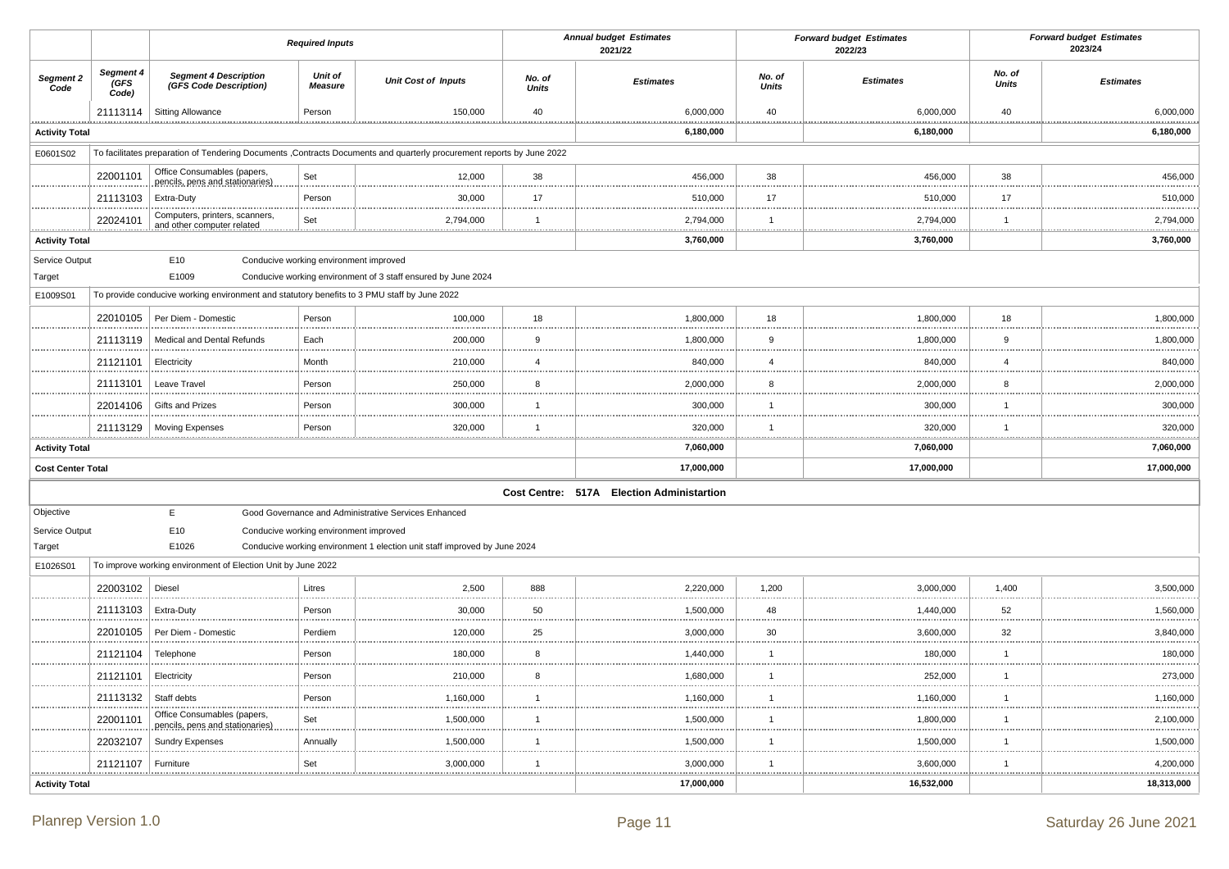|                                      |                            |                                                                                                                         | <b>Required Inputs</b>                 |                                                                           |                 | <b>Annual budget Estimates</b><br>2021/22 | <b>Forward budget Estimates</b><br>2022/23 |                  |                        | <b>Forward budget Estimates</b><br>2023/24 |
|--------------------------------------|----------------------------|-------------------------------------------------------------------------------------------------------------------------|----------------------------------------|---------------------------------------------------------------------------|-----------------|-------------------------------------------|--------------------------------------------|------------------|------------------------|--------------------------------------------|
| Segment 2<br>Code                    | Segment 4<br>(GFS<br>Code) | <b>Segment 4 Description</b><br>(GFS Code Description)                                                                  | <b>Unit of</b><br><b>Measure</b>       | <b>Unit Cost of Inputs</b>                                                | No. of<br>Units | <b>Estimates</b>                          | No. of<br>Units                            | <b>Estimates</b> | No. of<br><b>Units</b> | <b>Estimates</b>                           |
|                                      | 21113114                   | <b>Sitting Allowance</b>                                                                                                | Person                                 | 150,000                                                                   | 40              | 6,000,000                                 | 40                                         | 6,000,000        | 40                     | 6,000,000<br>                              |
| <b>Activity Total</b>                |                            |                                                                                                                         |                                        |                                                                           |                 | 6,180,000                                 |                                            | 6,180,000        |                        | 6,180,000                                  |
| E0601S02                             |                            | To facilitates preparation of Tendering Documents , Contracts Documents and quarterly procurement reports by June 2022  |                                        |                                                                           |                 |                                           |                                            |                  |                        |                                            |
|                                      | 22001101                   | Office Consumables (papers,<br>pencils, pens and stationaries)                                                          | Set                                    | 12,000                                                                    | 38<br>          | 456,000                                   | 38                                         | 456,000          | 38                     | 456,000                                    |
|                                      | 21113103                   | Extra-Duty                                                                                                              | Person                                 | 30,000                                                                    | 17              | 510,000                                   | 17                                         | 510,000          | 17                     | 510,000                                    |
|                                      | 22024101                   | Computers, printers, scanners,<br>and other computer related                                                            | Set                                    | 2,794,000                                                                 | -1              | 2,794,000                                 | $\mathbf{1}$                               | 2,794,000        | $\mathbf{1}$           | 2,794,000                                  |
| <b>Activity Total</b>                |                            |                                                                                                                         |                                        |                                                                           |                 | <br>3,760,000                             |                                            | <br>3,760,000    | .                      | .<br>3,760,000                             |
| Service Output<br>Target<br>E1009S01 |                            | E <sub>10</sub><br>E1009<br>To provide conducive working environment and statutory benefits to 3 PMU staff by June 2022 | Conducive working environment improved | Conducive working environment of 3 staff ensured by June 2024             |                 |                                           |                                            |                  |                        |                                            |
|                                      | 22010105                   | Per Diem - Domestic                                                                                                     | Person                                 | 100,000                                                                   | 18              | 1,800,000                                 | 18                                         | 1,800,000        | 18                     | 1,800,000                                  |
|                                      | 21113119                   | Medical and Dental Refunds                                                                                              | Each                                   | 200,000                                                                   | 9               | 1,800,000                                 | 9                                          | 1,800,000        | 9                      | 1,800,000                                  |
|                                      | 21121101                   | Electricity                                                                                                             | Month                                  | 210,000                                                                   | $\overline{4}$  | 840,000                                   | $\overline{\mathbf{4}}$                    | 840,000          | $\overline{4}$         | 840,000                                    |
|                                      | 21113101                   | Leave Travel                                                                                                            | Person                                 | .<br>250,000                                                              | .<br>8          | 2,000,000                                 | .<br>8                                     | 2,000,000        | 8                      | 2,000,000                                  |
|                                      | 22014106                   | Gifts and Prizes                                                                                                        | Person                                 | 300,000                                                                   | -1              | 300,000                                   |                                            | 300,000          | $\overline{1}$         | 300,000                                    |
|                                      | 21113129                   | <b>Moving Expenses</b>                                                                                                  | Person                                 | 320,000                                                                   |                 | 320,000                                   |                                            | 320,000          | $\mathbf{1}$           | 320,000                                    |
| <br><b>Activity Total</b>            |                            |                                                                                                                         |                                        |                                                                           |                 | 7,060,000                                 |                                            | <br>7,060,000    |                        | .<br>7,060,000                             |
| <b>Cost Center Total</b>             |                            |                                                                                                                         |                                        |                                                                           |                 | 17,000,000                                |                                            | 17,000,000       |                        | 17,000,000                                 |
|                                      |                            |                                                                                                                         |                                        |                                                                           |                 | Cost Centre: 517A Election Administartion |                                            |                  |                        |                                            |
| Objective                            |                            | Е                                                                                                                       |                                        | Good Governance and Administrative Services Enhanced                      |                 |                                           |                                            |                  |                        |                                            |
| Service Output                       |                            | E10                                                                                                                     | Conducive working environment improved |                                                                           |                 |                                           |                                            |                  |                        |                                            |
| Target                               |                            | E1026                                                                                                                   |                                        | Conducive working environment 1 election unit staff improved by June 2024 |                 |                                           |                                            |                  |                        |                                            |
| E1026S01                             |                            | To improve working environment of Election Unit by June 2022                                                            |                                        |                                                                           |                 |                                           |                                            |                  |                        |                                            |
|                                      | 22003102                   | Diesel                                                                                                                  | Litres                                 | 2,500<br>                                                                 | 888<br>.        | 2,220,000                                 | 1,200                                      | 3,000,000        | 1,400                  | 3,500,000<br>                              |
|                                      | 21113103                   | Extra-Duty                                                                                                              | Person                                 | 30,000                                                                    | 50              | 1,500,000                                 | 48                                         | 1,440,000        | 52                     | 1,560,000                                  |
|                                      | 22010105                   | Per Diem - Domestic                                                                                                     | Perdiem                                | 120,000<br>.                                                              | 25<br>          | 3,000,000                                 | 30                                         | 3,600,000<br>    | 32                     | 3,840,000                                  |
|                                      | 21121104                   | Telephone                                                                                                               | Person                                 | 180,000                                                                   | 8               | 1,440,000                                 |                                            | 180,000          | $\mathbf{1}$           | 180,000<br>                                |
|                                      | 21121101                   | Electricity                                                                                                             | Person                                 | 210,000                                                                   | 8               | 1,680,000                                 | $\overline{1}$                             | 252,000          | $\mathbf{1}$           | 273,000                                    |
|                                      | 21113132                   | Staff debts                                                                                                             | Person                                 | 1,160,000                                                                 | $\overline{1}$  | 1,160,000                                 | -1                                         | 1,160,000        | $\overline{1}$         | 1,160,000<br>.                             |
|                                      | 22001101                   | Office Consumables (papers,<br>pencils, pens and stationaries)                                                          | Set                                    | 1,500,000<br>                                                             | $\overline{1}$  | 1,500,000                                 |                                            | 1,800,000<br>.   | $\mathbf{1}$           | 2,100,000<br>.                             |
|                                      | 22032107                   | <b>Sundry Expenses</b>                                                                                                  | Annually                               | 1,500,000<br>.                                                            | $\overline{1}$  | 1,500,000                                 |                                            | 1,500,000        | $\overline{1}$         | 1,500,000<br>.                             |
|                                      | 21121107                   | Furniture                                                                                                               | Set<br><u></u>                         | 3,000,000                                                                 | -1              | 3,000,000<br>******************           | 1                                          | 3,600,000        | $\mathbf{1}$           | 4,200,000<br><u>.</u>                      |
| <b>Activity Total</b>                |                            |                                                                                                                         |                                        |                                                                           |                 | 17,000,000                                |                                            | 16,532,000       |                        | 18,313,000                                 |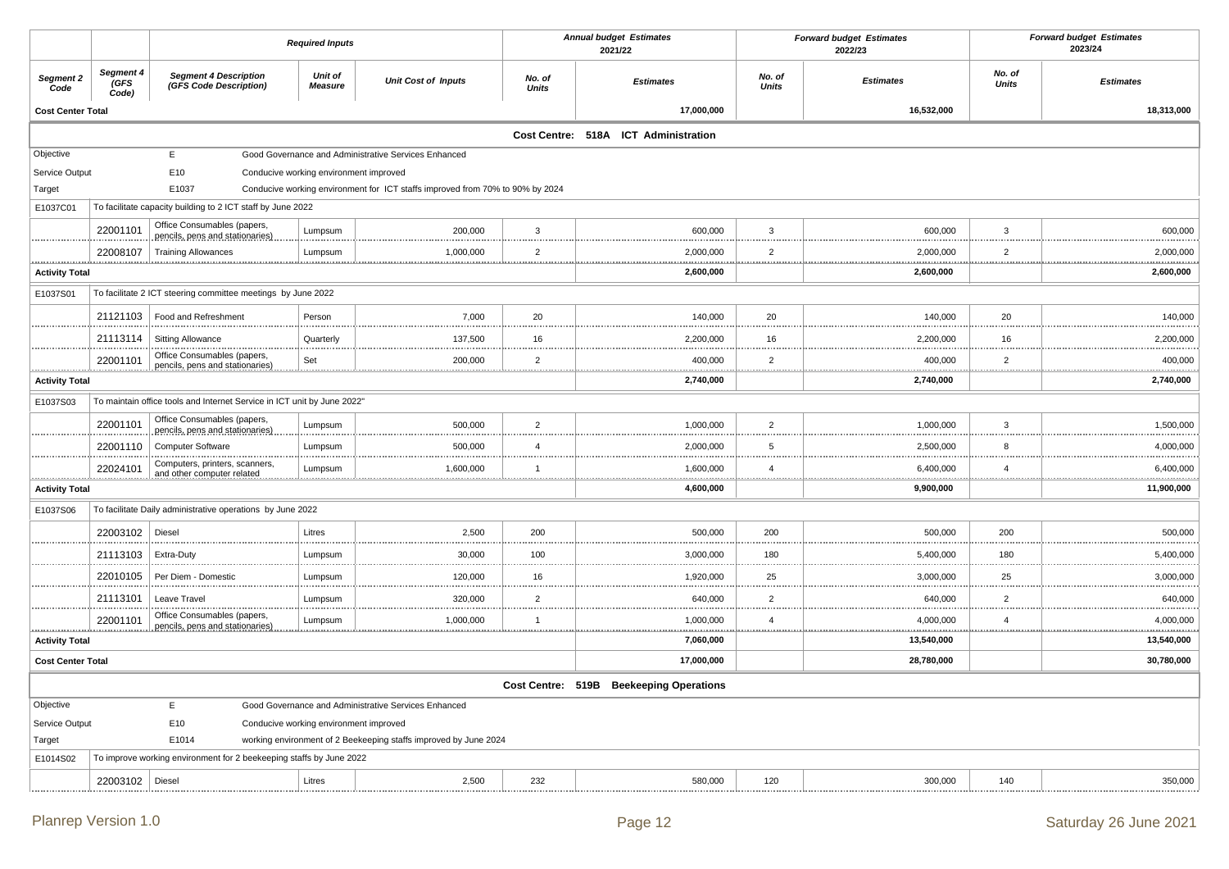|                            |                             |                                                                         | <b>Required Inputs</b>                 |                                                                               |                    | <b>Annual budget Estimates</b><br>2021/22 |                     | <b>Forward budget Estimates</b><br>2022/23 |                    | <b>Forward budget Estimates</b><br>2023/24 |
|----------------------------|-----------------------------|-------------------------------------------------------------------------|----------------------------------------|-------------------------------------------------------------------------------|--------------------|-------------------------------------------|---------------------|--------------------------------------------|--------------------|--------------------------------------------|
| Segment 2<br>Code          | Segment 4<br>(GFS)<br>Code) | <b>Segment 4 Description</b><br>(GFS Code Description)                  | Unit of<br><b>Measure</b>              | <b>Unit Cost of Inputs</b>                                                    | No. of<br>Units    | <b>Estimates</b>                          | No. of<br>Units     | <b>Estimates</b>                           | No. of<br>Units    | <b>Estimates</b>                           |
| <b>Cost Center Total</b>   |                             |                                                                         |                                        |                                                                               |                    | 17,000,000                                |                     | 16,532,000                                 |                    | 18,313,000                                 |
|                            |                             |                                                                         |                                        |                                                                               |                    | Cost Centre: 518A ICT Administration      |                     |                                            |                    |                                            |
| Objective                  |                             | E                                                                       |                                        | Good Governance and Administrative Services Enhanced                          |                    |                                           |                     |                                            |                    |                                            |
| Service Output<br>Target   |                             | E10<br>E1037                                                            | Conducive working environment improved | Conducive working environment for ICT staffs improved from 70% to 90% by 2024 |                    |                                           |                     |                                            |                    |                                            |
| E1037C01                   |                             | To facilitate capacity building to 2 ICT staff by June 2022             |                                        |                                                                               |                    |                                           |                     |                                            |                    |                                            |
|                            | 22001101                    | Office Consumables (papers,<br>pencils, pens and stationaries)          | Lumpsum                                | 200,000                                                                       | 3                  | 600,000                                   | 3                   | 600,000                                    | 3                  | 600,000<br>.                               |
|                            | 22008107                    | <b>Training Allowances</b>                                              | Lumpsum                                | 1,000,000                                                                     | $\overline{2}$     | 2,000,000                                 | $\overline{2}$<br>. | 2,000,000                                  | $\overline{2}$     | 2,000,000                                  |
| <b>Activity Total</b>      |                             |                                                                         |                                        |                                                                               |                    | 2,600,000                                 |                     | 2,600,000                                  |                    | 2,600,000                                  |
| E1037S01                   |                             | To facilitate 2 ICT steering committee meetings by June 2022            |                                        |                                                                               |                    |                                           |                     |                                            |                    |                                            |
|                            | 21121103                    | Food and Refreshment                                                    | Person                                 | 7,000                                                                         | 20                 | 140,000                                   | 20                  | 140,000                                    | 20                 | 140,000                                    |
|                            | 21113114                    | <b>Sitting Allowance</b>                                                | Quarterly                              | 137,500                                                                       | 16                 | 2,200,000                                 | 16                  | 2,200,000                                  | 16                 | 2,200,000                                  |
|                            | 22001101                    | Office Consumables (papers,<br>pencils, pens and stationaries)          | Set                                    | 200,000                                                                       | $\overline{2}$     | 400,000                                   | $\overline{2}$      | 400,000                                    | $\overline{2}$     | 400,000                                    |
| .<br><b>Activity Total</b> | <u></u>                     |                                                                         |                                        |                                                                               |                    | <u></u><br>2,740,000                      |                     | 2,740,000                                  |                    | <u></u><br>2,740,000                       |
| E1037S03                   |                             | To maintain office tools and Internet Service in ICT unit by June 2022" |                                        |                                                                               |                    |                                           |                     |                                            |                    |                                            |
|                            | 22001101                    | Office Consumables (papers,<br>pencils, pens and stationaries)          | Lumpsum                                | 500,000                                                                       | $\overline{2}$     | 1,000,000                                 | $\overline{2}$      | 1,000,000                                  | 3                  | 1,500,000                                  |
|                            | 22001110                    | <b>Computer Software</b>                                                | Lumpsum                                | 500,000                                                                       | $\overline{4}$<br> | 2,000,000                                 | 5                   | 2,500,000                                  | 8                  | 4,000,000                                  |
|                            | 22024101                    | Computers, printers, scanners,<br>and other computer related            | Lumpsum                                | 1,600,000                                                                     | $\overline{1}$     | 1,600,000                                 | $\overline{4}$      | 6,400,000                                  | $\overline{4}$     | 6,400,000                                  |
| <b>Activity Total</b>      |                             |                                                                         |                                        |                                                                               |                    | 4,600,000                                 |                     | 9,900,000                                  |                    | 11,900,000                                 |
| E1037S06                   |                             | To facilitate Daily administrative operations by June 2022              |                                        |                                                                               |                    |                                           |                     |                                            |                    |                                            |
|                            | 22003102                    | Diesel                                                                  | Litres                                 | 2,500                                                                         | 200                | 500,000                                   | 200                 | 500,000                                    | 200                | 500,000                                    |
|                            | 21113103                    | Extra-Duty                                                              | Lumpsum                                | 30,000<br>.                                                                   | 100                | 3,000,000                                 | 180                 | 5,400,000                                  | 180                | 5,400,000<br>.                             |
|                            | 22010105                    | Per Diem - Domestic                                                     | Lumpsum                                | 120,000<br>                                                                   | 16                 | 1,920,000                                 | 25                  | 3,000,000<br>                              | 25                 | 3,000,000                                  |
|                            | 21113101                    | Leave Travel                                                            | Lumpsum                                | 320,000                                                                       | 2                  | 640,000                                   | $\overline{2}$      | 640,000                                    | $\overline{2}$     | 640,000                                    |
|                            | 22001101                    | Office Consumables (papers,<br>pencils, pens and stationaries           | Lumpsum                                | 1,000,000                                                                     | $\overline{1}$<br> | 1,000,000                                 | $\overline{4}$<br>  | 4,000,000                                  | $\overline{4}$<br> | 4,000,000<br>                              |
| .<br><b>Activity Total</b> |                             |                                                                         |                                        |                                                                               |                    | 7,060,000                                 |                     | .<br>13,540,000                            |                    | 13,540,000                                 |
| <b>Cost Center Total</b>   |                             |                                                                         |                                        |                                                                               |                    | 17,000,000                                |                     | 28,780,000                                 |                    | 30,780,000                                 |
|                            |                             |                                                                         |                                        |                                                                               |                    | Cost Centre: 519B Beekeeping Operations   |                     |                                            |                    |                                            |
| Objective                  |                             | E                                                                       |                                        | Good Governance and Administrative Services Enhanced                          |                    |                                           |                     |                                            |                    |                                            |
| Service Output             |                             | E10                                                                     | Conducive working environment improved |                                                                               |                    |                                           |                     |                                            |                    |                                            |
| Target                     |                             | E1014                                                                   |                                        | working environment of 2 Beekeeping staffs improved by June 2024              |                    |                                           |                     |                                            |                    |                                            |
| E1014S02                   |                             | To improve working environment for 2 beekeeping staffs by June 2022     |                                        |                                                                               |                    |                                           |                     |                                            |                    |                                            |
|                            | 22003102   Diesel           |                                                                         | Litres                                 | 2,500                                                                         | 232                | 580,000                                   | 120                 | 300,000                                    | 140                | 350,000                                    |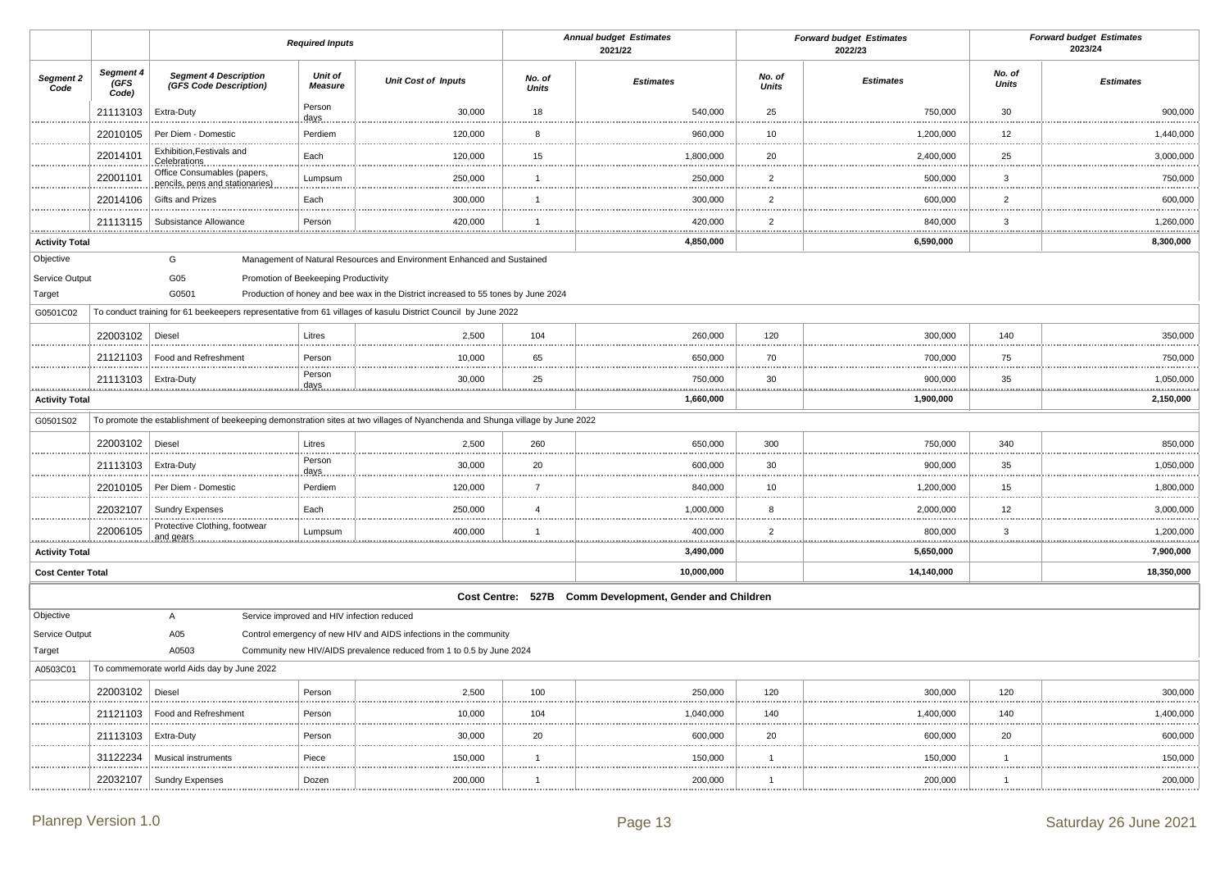|                          |                                  |                                                                | <b>Required Inputs</b>               |                                                                                                                              |                        | <b>Annual budget Estimates</b><br>2021/22               |                        | <b>Forward budget Estimates</b><br>2022/23 |                        | <b>Forward budget Estimates</b><br>2023/24 |
|--------------------------|----------------------------------|----------------------------------------------------------------|--------------------------------------|------------------------------------------------------------------------------------------------------------------------------|------------------------|---------------------------------------------------------|------------------------|--------------------------------------------|------------------------|--------------------------------------------|
| Segment 2<br>Code        | Segment 4<br><b>GFS</b><br>Code) | <b>Segment 4 Description</b><br>(GFS Code Description)         | <b>Unit of</b><br><b>Measure</b>     | <b>Unit Cost of Inputs</b>                                                                                                   | No. of<br><b>Units</b> | <b>Estimates</b>                                        | No. of<br><b>Units</b> | <b>Estimates</b>                           | No. of<br><b>Units</b> | <b>Estimates</b>                           |
|                          | 21113103                         | Extra-Duty                                                     | Person<br>days                       | 30,000                                                                                                                       | 18                     | 540,000                                                 | 25                     | 750,000                                    | 30                     | 900,000                                    |
|                          | 22010105                         | Per Diem - Domestic                                            | Perdiem                              | 120,000                                                                                                                      | 8                      | 960,000                                                 | 10                     | 1,200,000                                  | 12                     | 1,440,000                                  |
|                          | 22014101                         | Exhibition, Festivals and<br><b>Celebrations</b>               | Each                                 | 120,000                                                                                                                      | 15                     | 1,800,000                                               | 20                     | 2,400,000                                  | 25                     | 3,000,000                                  |
|                          | 22001101                         | Office Consumables (papers,<br>pencils, pens and stationaries) | Lumpsum                              | 250,000                                                                                                                      | $\overline{1}$         | 250,000                                                 | $\overline{2}$         | 500,000                                    | 3                      | 750,000                                    |
|                          | 22014106                         | Gifts and Prizes                                               | Each                                 | 300,000                                                                                                                      | $\mathbf{1}$           | 300,000                                                 | $\overline{2}$         | 600,000                                    | $\overline{2}$         | 600,000                                    |
|                          | 21113115                         | Subsistance Allowance                                          | Person                               | 420,000                                                                                                                      | -1                     | 420,000                                                 | $\overline{2}$         | 840,000                                    | 3                      | 1,260,000                                  |
| <b>Activity Total</b>    |                                  |                                                                |                                      |                                                                                                                              | .                      | 4,850,000                                               |                        | .<br>6,590,000                             | .                      | 8,300,000                                  |
| Objective                |                                  | G                                                              |                                      | Management of Natural Resources and Environment Enhanced and Sustained                                                       |                        |                                                         |                        |                                            |                        |                                            |
| Service Output           |                                  | G05                                                            | Promotion of Beekeeping Productivity |                                                                                                                              |                        |                                                         |                        |                                            |                        |                                            |
| Target                   |                                  | G0501                                                          |                                      | Production of honey and bee wax in the District increased to 55 tones by June 2024                                           |                        |                                                         |                        |                                            |                        |                                            |
| G0501C02                 |                                  |                                                                |                                      | To conduct training for 61 beekeepers representative from 61 villages of kasulu District Council by June 2022                |                        |                                                         |                        |                                            |                        |                                            |
|                          | 22003102 Diesel                  |                                                                | Litres                               | 2,500                                                                                                                        | 104                    | 260,000                                                 | 120                    | 300,000                                    | 140                    | 350,000                                    |
|                          | 21121103                         | Food and Refreshment                                           | Person                               | 10,000                                                                                                                       | 65                     | 650,000                                                 | 70                     | 700,000                                    | 75                     | 750,000                                    |
|                          | 21113103                         | <b>Extra-Duty</b>                                              | Person<br><u>days.</u>               | 30,000                                                                                                                       | 25<br>.                | 750,000                                                 | 30                     | 900,000                                    | 35<br>.                | 1,050,000                                  |
| <b>Activity Total</b>    |                                  |                                                                |                                      |                                                                                                                              |                        | 1,660,000                                               |                        | 1,900,000                                  |                        | 2,150,000                                  |
| G0501S02                 |                                  |                                                                |                                      | To promote the establishment of beekeeping demonstration sites at two villages of Nyanchenda and Shunga village by June 2022 |                        |                                                         |                        |                                            |                        |                                            |
|                          | 22003102                         | Diesel                                                         | Litres                               | 2,500                                                                                                                        | 260                    | 650,000                                                 | 300                    | 750,000                                    | 340                    | 850,000                                    |
|                          | 21113103                         | Extra-Duty                                                     | Person<br>days.                      | 30,000                                                                                                                       | 20                     | 600,000                                                 | 30                     | 900,000                                    | 35                     | 1,050,000                                  |
|                          | 22010105                         | Per Diem - Domestic                                            | Perdiem                              | 120,000                                                                                                                      | $\overline{7}$         | 840,000                                                 | 10                     | 1,200,000                                  | 15                     | 1,800,000                                  |
|                          | 22032107                         | <b>Sundry Expenses</b>                                         | Each                                 | 250,000                                                                                                                      | $\overline{4}$         | 1,000,000                                               | 8                      | 2,000,000                                  | 12                     | 3,000,000                                  |
|                          | 22006105                         | Protective Clothing, footwear<br>and gears                     | Lumpsum                              | 400,000                                                                                                                      | $\overline{1}$         | 400,000                                                 | $\overline{2}$         | 800,000                                    | 3                      | 1,200,000                                  |
| <b>Activity Total</b>    |                                  |                                                                |                                      |                                                                                                                              |                        | 3,490,000                                               |                        | 5,650,000                                  |                        | 7,900,000                                  |
| <b>Cost Center Total</b> |                                  |                                                                |                                      |                                                                                                                              |                        | 10,000,000                                              |                        | 14,140,000                                 |                        | 18,350,000                                 |
|                          |                                  |                                                                |                                      |                                                                                                                              |                        | Cost Centre: 527B Comm Development, Gender and Children |                        |                                            |                        |                                            |
| Objective                |                                  | A                                                              |                                      | Service improved and HIV infection reduced                                                                                   |                        |                                                         |                        |                                            |                        |                                            |
| Service Output           |                                  | A05                                                            |                                      | Control emergency of new HIV and AIDS infections in the community                                                            |                        |                                                         |                        |                                            |                        |                                            |
| Target                   |                                  | A0503                                                          |                                      | Community new HIV/AIDS prevalence reduced from 1 to 0.5 by June 2024                                                         |                        |                                                         |                        |                                            |                        |                                            |
| A0503C01                 |                                  | To commemorate world Aids day by June 2022                     |                                      |                                                                                                                              |                        |                                                         |                        |                                            |                        |                                            |
|                          | 22003102                         | Diesel                                                         | Person                               | 2,500                                                                                                                        | 100                    | 250,000                                                 | 120                    | 300,000                                    | 120                    | 300,000                                    |
|                          | 21121103                         | Food and Refreshment                                           | Person                               | 10,000                                                                                                                       | 104                    | 1,040,000                                               | 140                    | 1,400,000                                  | 140                    | 1,400,000                                  |
|                          | 21113103                         | Extra-Duty                                                     | Person                               | 30,000                                                                                                                       | 20                     | 600,000                                                 | 20                     | 600,000                                    | 20                     | 600,000                                    |
|                          | 31122234                         | Musical instruments                                            | Piece                                | 150,000                                                                                                                      | $\mathbf{1}$           | 150,000                                                 | $\overline{1}$         | 150,000                                    | $\overline{1}$         | 150,000                                    |
|                          | 22032107                         | <b>Sundry Expenses</b>                                         | Dozen                                | 200,000                                                                                                                      | .<br>$\overline{1}$    | 200,000                                                 | $\mathbf{1}$           | .<br>200,000                               | .<br>$\mathbf{1}$      | 200,000                                    |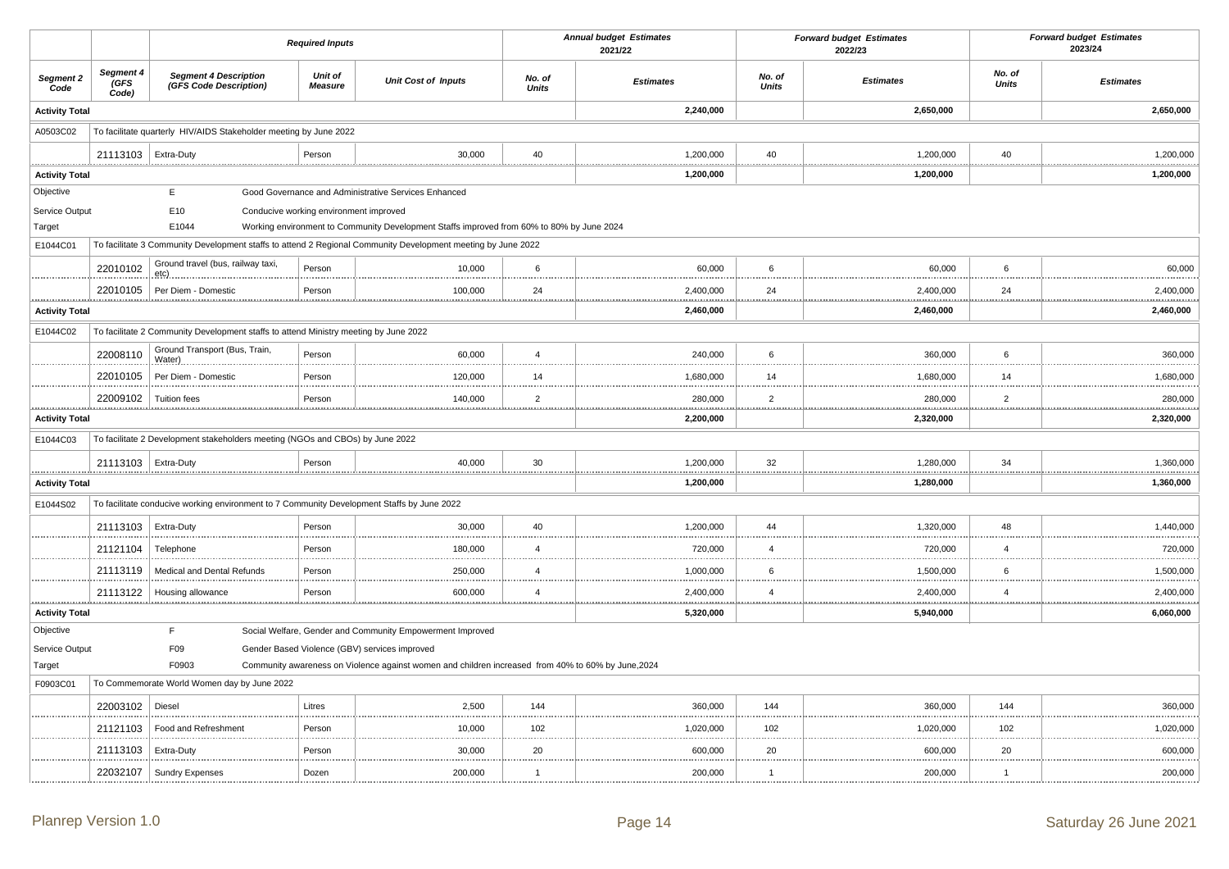|                       |                            |                                                                                            | <b>Required Inputs</b>                 |                                                                                                              |                        | <b>Annual budget Estimates</b><br>2021/22 |                        | <b>Forward budget Estimates</b><br>2022/23 |                        | <b>Forward budget Estimates</b><br>2023/24 |
|-----------------------|----------------------------|--------------------------------------------------------------------------------------------|----------------------------------------|--------------------------------------------------------------------------------------------------------------|------------------------|-------------------------------------------|------------------------|--------------------------------------------|------------------------|--------------------------------------------|
| Segment 2<br>Code     | Segment 4<br>(GFS<br>Code) | <b>Segment 4 Description</b><br>(GFS Code Description)                                     | <b>Unit of</b><br><b>Measure</b>       | <b>Unit Cost of Inputs</b>                                                                                   | No. of<br><b>Units</b> | <b>Estimates</b>                          | No. of<br><b>Units</b> | <b>Estimates</b>                           | No. of<br><b>Units</b> | <b>Estimates</b>                           |
| <b>Activity Total</b> |                            |                                                                                            |                                        |                                                                                                              |                        | 2,240,000                                 |                        | 2,650,000                                  |                        | 2,650,000                                  |
| A0503C02              |                            | To facilitate quarterly HIV/AIDS Stakeholder meeting by June 2022                          |                                        |                                                                                                              |                        |                                           |                        |                                            |                        |                                            |
|                       | 21113103   Extra-Duty      |                                                                                            | Person                                 | 30,000                                                                                                       | 40                     | 1,200,000                                 | 40                     | 1,200,000                                  | 40                     | 1,200,000                                  |
| <b>Activity Total</b> |                            |                                                                                            |                                        |                                                                                                              |                        | 1,200,000                                 |                        | 1,200,000                                  |                        | 1,200,000                                  |
| Objective             |                            | E                                                                                          |                                        | Good Governance and Administrative Services Enhanced                                                         |                        |                                           |                        |                                            |                        |                                            |
| Service Output        |                            | E10                                                                                        | Conducive working environment improved |                                                                                                              |                        |                                           |                        |                                            |                        |                                            |
| Target                |                            | E1044                                                                                      |                                        | Working environment to Community Development Staffs improved from 60% to 80% by June 2024                    |                        |                                           |                        |                                            |                        |                                            |
| E1044C01              |                            |                                                                                            |                                        | To facilitate 3 Community Development staffs to attend 2 Regional Community Development meeting by June 2022 |                        |                                           |                        |                                            |                        |                                            |
|                       | 22010102                   | Ground travel (bus, railway taxi,                                                          | Person                                 | 10,000                                                                                                       | 6                      | 60,000                                    | 6                      | 60,000                                     | 6                      | 60,000                                     |
|                       | 22010105                   | Per Diem - Domestic                                                                        | Person                                 | 100,000                                                                                                      | 24                     | 2,400,000                                 | 24                     | 2,400,000                                  | 24                     | 2,400,000                                  |
| <b>Activity Total</b> |                            |                                                                                            |                                        |                                                                                                              |                        | 2,460,000                                 | .                      | 2,460,000                                  |                        | 2,460,000                                  |
| E1044C02              |                            | To facilitate 2 Community Development staffs to attend Ministry meeting by June 2022       |                                        |                                                                                                              |                        |                                           |                        |                                            |                        |                                            |
|                       | 22008110                   | Ground Transport (Bus, Train,<br>Water)                                                    | Person                                 | 60,000                                                                                                       | $\overline{4}$         | 240,000                                   | 6                      | 360,000                                    | 6                      | 360,000                                    |
|                       | 22010105                   | Per Diem - Domestic                                                                        | Person                                 | 120,000                                                                                                      | 14                     | 1,680,000                                 | 14                     | 1,680,000                                  | 14                     | 1,680,000                                  |
|                       | 22009102                   | <b>Tuition fees</b>                                                                        | Person                                 | 140,000                                                                                                      | $\overline{2}$         | 280,000                                   | $\overline{2}$         | 280,000                                    | $\overline{2}$         | 280,000                                    |
| <b>Activity Total</b> |                            |                                                                                            |                                        |                                                                                                              |                        | . <u>.</u><br>2,200,000                   |                        | 2,320,000                                  |                        | .<br>2,320,000                             |
| E1044C03              |                            | To facilitate 2 Development stakeholders meeting (NGOs and CBOs) by June 2022              |                                        |                                                                                                              |                        |                                           |                        |                                            |                        |                                            |
|                       | 21113103   Extra-Duty      |                                                                                            | Person                                 | 40,000                                                                                                       | 30                     | 1,200,000<br>                             | 32<br>.                | 1,280,000<br>                              | 34                     | 1,360,000<br>.                             |
| <b>Activity Total</b> |                            |                                                                                            |                                        |                                                                                                              |                        | 1,200,000                                 |                        | 1,280,000                                  |                        | 1,360,000                                  |
| E1044S02              |                            | To facilitate conducive working environment to 7 Community Development Staffs by June 2022 |                                        |                                                                                                              |                        |                                           |                        |                                            |                        |                                            |
|                       | 21113103                   | Extra-Duty                                                                                 | Person                                 | 30,000                                                                                                       | 40                     | 1,200,000                                 | 44                     | 1,320,000                                  | 48                     | 1,440,000                                  |
|                       | 21121104                   | Telephone                                                                                  | Person                                 | 180,000                                                                                                      | $\overline{4}$         | 720,000                                   | $\overline{4}$         | 720,000                                    | $\overline{4}$         | 720,000<br>.                               |
|                       | 21113119                   | Medical and Dental Refunds                                                                 | Person                                 | 250,000                                                                                                      | $\overline{4}$         | 1,000,000                                 | 6                      | 1,500,000                                  | 6                      | 1,500,000                                  |
|                       | 21113122                   | Housing allowance                                                                          | Person                                 | 600,000                                                                                                      | $\boldsymbol{\Delta}$  | 2,400,000                                 | $\boldsymbol{\Delta}$  | 2,400,000                                  | $\overline{4}$         | 2,400,000                                  |
| <b>Activity Total</b> |                            |                                                                                            |                                        |                                                                                                              |                        | ****************<br>5,320,000             |                        | 5,940,000                                  |                        | .<br>6,060,000                             |
| Objective             |                            | F                                                                                          |                                        | Social Welfare, Gender and Community Empowerment Improved                                                    |                        |                                           |                        |                                            |                        |                                            |
| Service Output        |                            | F09                                                                                        |                                        | Gender Based Violence (GBV) services improved                                                                |                        |                                           |                        |                                            |                        |                                            |
| Target                |                            | F0903                                                                                      |                                        | Community awareness on Violence against women and children increased from 40% to 60% by June, 2024           |                        |                                           |                        |                                            |                        |                                            |
| F0903C01              |                            | To Commemorate World Women day by June 2022                                                |                                        |                                                                                                              |                        |                                           |                        |                                            |                        |                                            |
|                       | 22003102                   | Diesel                                                                                     | Litres                                 | 2,500                                                                                                        | 144                    | 360,000                                   | 144                    | 360,000                                    | 144                    | 360,000                                    |
|                       | 21121103                   | Food and Refreshment                                                                       | Person                                 | 10,000                                                                                                       | 102                    | 1,020,000                                 | 102                    | 1,020,000                                  | 102                    | 1,020,000                                  |
|                       | 21113103                   | Extra-Duty                                                                                 | Person                                 | 30,000                                                                                                       | 20                     | 600,000                                   | 20                     | 600,000                                    | 20                     | 600,000                                    |
|                       | 22032107                   | <b>Sundry Expenses</b>                                                                     | Dozen                                  | 200,000                                                                                                      | $\mathbf{1}$           | 200,000                                   | $\overline{1}$         | 200,000                                    | $\mathbf{1}$           | 200,000                                    |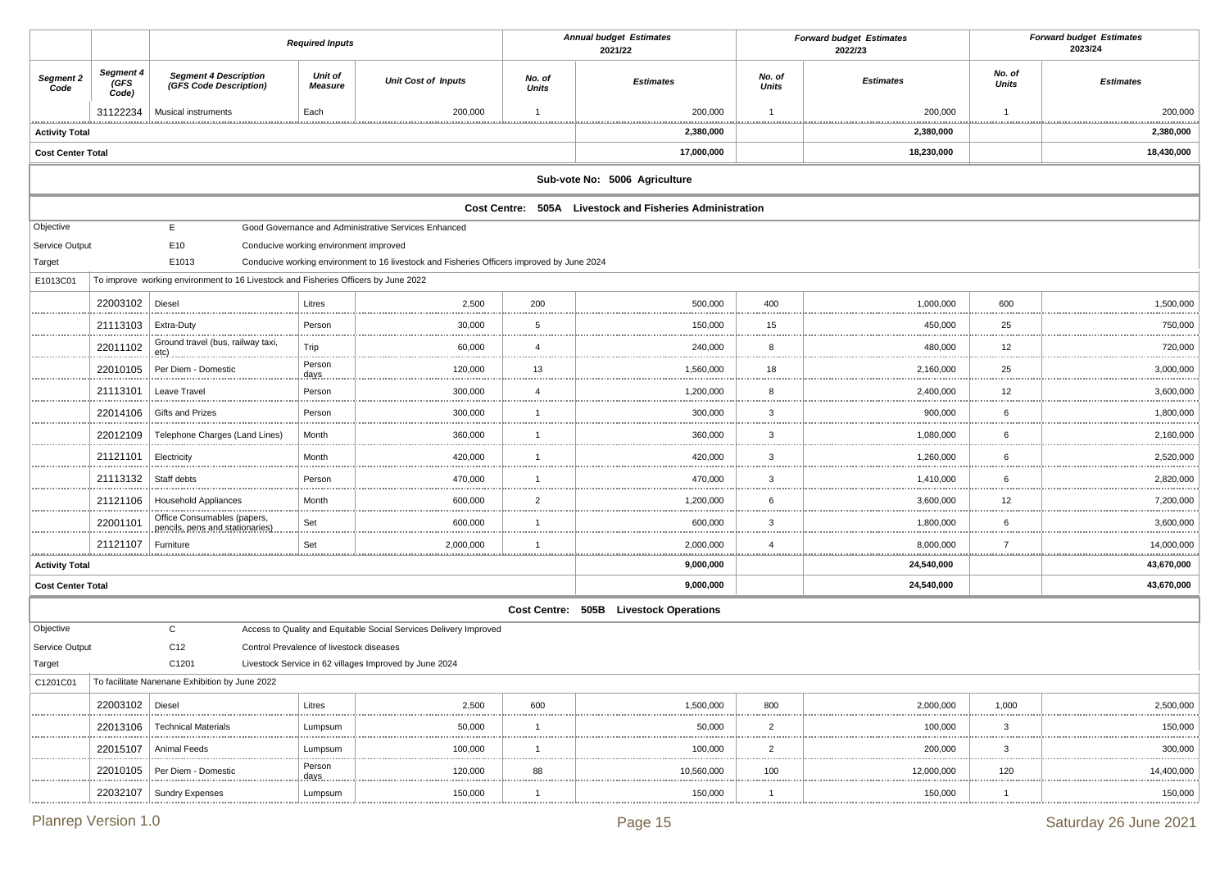|                          |                            |                                                                                    | <b>Required Inputs</b>                   |                                                                                            |                                | <b>Annual budget Estimates</b><br>2021/22                |                     | <b>Forward budget Estimates</b><br>2022/23 |                        | <b>Forward budget Estimates</b><br>2023/24 |
|--------------------------|----------------------------|------------------------------------------------------------------------------------|------------------------------------------|--------------------------------------------------------------------------------------------|--------------------------------|----------------------------------------------------------|---------------------|--------------------------------------------|------------------------|--------------------------------------------|
| Segment 2<br>Code        | Segment 4<br>(GFS<br>Code) | <b>Segment 4 Description</b><br>(GFS Code Description)                             | Unit of<br><b>Measure</b>                | <b>Unit Cost of Inputs</b>                                                                 | No. of<br><b>Units</b>         | <b>Estimates</b>                                         | No. of<br>Units     | <b>Estimates</b>                           | No. of<br><b>Units</b> | <b>Estimates</b>                           |
|                          | 31122234                   | Musical instruments                                                                | Each                                     | 200,000                                                                                    | $\overline{1}$                 | 200,000                                                  | $\overline{1}$      | 200,000                                    | -1                     | 200,000                                    |
| <b>Activity Total</b>    |                            |                                                                                    |                                          | .                                                                                          |                                | 2,380,000                                                |                     | 2,380,000                                  |                        | <b>**********</b><br>2,380,000             |
| <b>Cost Center Total</b> |                            |                                                                                    |                                          |                                                                                            |                                | 17,000,000                                               |                     | 18,230,000                                 |                        | 18,430,000                                 |
|                          |                            |                                                                                    |                                          |                                                                                            |                                | Sub-vote No: 5006 Agriculture                            |                     |                                            |                        |                                            |
|                          |                            |                                                                                    |                                          |                                                                                            |                                | Cost Centre: 505A Livestock and Fisheries Administration |                     |                                            |                        |                                            |
| Objective                |                            | E                                                                                  |                                          | Good Governance and Administrative Services Enhanced                                       |                                |                                                          |                     |                                            |                        |                                            |
| Service Output           |                            | E10                                                                                | Conducive working environment improved   |                                                                                            |                                |                                                          |                     |                                            |                        |                                            |
| Target                   |                            | E1013                                                                              |                                          | Conducive working environment to 16 livestock and Fisheries Officers improved by June 2024 |                                |                                                          |                     |                                            |                        |                                            |
| E1013C01                 |                            | To improve working environment to 16 Livestock and Fisheries Officers by June 2022 |                                          |                                                                                            |                                |                                                          |                     |                                            |                        |                                            |
|                          | 22003102                   | Diesel                                                                             | Litres                                   | 2,500                                                                                      | 200                            | 500,000                                                  | 400                 | 1,000,000                                  | 600                    | 1,500,000                                  |
|                          | 21113103                   | <b>Extra-Duty</b>                                                                  | Person                                   | 30,000                                                                                     | 5                              | 150,000                                                  | 15<br>              | 450,000                                    | 25<br>                 | 750,000<br>.                               |
|                          | 22011102                   | Ground travel (bus, railway taxi,<br><u>etc)</u>                                   | Trip                                     | 60,000                                                                                     | $\overline{4}$                 | 240,000                                                  | 8                   | 480,000                                    | 12                     | 720,000                                    |
|                          | 22010105                   | Per Diem - Domestic                                                                | Person<br>days.                          | 120,000                                                                                    | 13                             | 1,560,000                                                | 18                  | 2,160,000                                  | 25<br>.                | <br>3,000,000                              |
|                          | 21113101                   | Leave Travel                                                                       | Person                                   | 300,000                                                                                    | $\overline{4}$                 | 1,200,000                                                | 8                   | 2,400,000                                  | 12                     | 3,600,000                                  |
|                          | 22014106                   | Gifts and Prizes                                                                   | Person                                   | 300,000<br>                                                                                | $\overline{1}$                 | 300,000                                                  | 3<br>               | 900,000<br>.                               | 6<br>                  | 1,800,000                                  |
|                          | 22012109                   | Telephone Charges (Land Lines)                                                     | Month                                    | 360,000                                                                                    | $\overline{1}$                 | 360,000                                                  | 3                   | 1,080,000                                  | 6                      | 2,160,000                                  |
|                          | 21121101                   | Electricity                                                                        | Month                                    | 420,000                                                                                    | $\overline{1}$                 | 420,000                                                  | 3                   | 1,260,000                                  | 6                      | 2,520,000                                  |
|                          | 21113132                   | Staff debts                                                                        | Person                                   | 470,000                                                                                    | $\overline{1}$                 | 470,000                                                  | 3                   | 1,410,000                                  | 6                      | 2,820,000<br>                              |
|                          | 21121106                   | <b>Household Appliances</b>                                                        | Month                                    | 600,000                                                                                    | $\overline{2}$                 | 1,200,000                                                | 6                   | 3,600,000                                  | 12                     | 7,200,000                                  |
|                          | 22001101                   | Office Consumables (papers,<br>pencils, pens and stationaries)                     | Set                                      | 600,000                                                                                    | $\overline{1}$                 | 600,000                                                  | 3                   | 1,800,000                                  | 6                      | 3,600,000                                  |
|                          | 21121107                   | Furniture                                                                          | Set                                      | 2,000,000<br>.                                                                             | $\mathbf 1$                    | 2,000,000<br>****************                            | $\overline{4}$<br>. | 8,000,000<br><u></u>                       | $\overline{7}$<br>.    | 14,000,000<br><u></u>                      |
| <b>Activity Total</b>    |                            |                                                                                    |                                          |                                                                                            |                                | 9,000,000                                                |                     | 24,540,000                                 |                        | 43,670,000                                 |
| <b>Cost Center Total</b> |                            |                                                                                    |                                          |                                                                                            |                                | 9,000,000                                                |                     | 24,540,000                                 |                        | 43,670,000                                 |
|                          |                            |                                                                                    |                                          |                                                                                            |                                | Cost Centre: 505B Livestock Operations                   |                     |                                            |                        |                                            |
| Objective                |                            | $\mathsf{C}$                                                                       |                                          | Access to Quality and Equitable Social Services Delivery Improved                          |                                |                                                          |                     |                                            |                        |                                            |
| Service Output           |                            | C12                                                                                | Control Prevalence of livestock diseases |                                                                                            |                                |                                                          |                     |                                            |                        |                                            |
| Target                   |                            | C1201                                                                              |                                          | Livestock Service in 62 villages Improved by June 2024                                     |                                |                                                          |                     |                                            |                        |                                            |
| C1201C01                 |                            | To facilitate Nanenane Exhibition by June 2022                                     |                                          |                                                                                            |                                |                                                          |                     |                                            |                        |                                            |
|                          | 22003102                   | Diesel                                                                             | Litres                                   | 2,500                                                                                      | 600                            | 1,500,000                                                | 800                 | 2,000,000                                  | 1,000                  | 2,500,000                                  |
|                          | 22013106                   | <b>Technical Materials</b>                                                         | Lumpsum                                  | 50,000<br>.                                                                                | $\overline{1}$<br><b>LESSE</b> | 50,000<br>                                               | $\overline{2}$      | 100,000<br>.                               | 3<br>.                 | 150,000<br>.                               |
|                          | 22015107                   | Animal Feeds                                                                       | Lumpsum                                  | 100,000                                                                                    | $\overline{1}$                 | 100,000                                                  | $\overline{2}$      | 200,000                                    | 3                      | 300,000<br>                                |
|                          | 22010105                   | Per Diem - Domestic                                                                | Person<br>days                           | 120,000<br>.                                                                               | 88                             | 10,560,000                                               | 100                 | 12,000,000<br>.                            | 120<br>                | 14,400,000                                 |
|                          | 22032107                   | Sundry Expenses                                                                    | Lumpsum                                  | 150,000                                                                                    | $\overline{1}$                 | 150,000                                                  | $\overline{1}$      | 150,000                                    | $\overline{1}$         | 150,000                                    |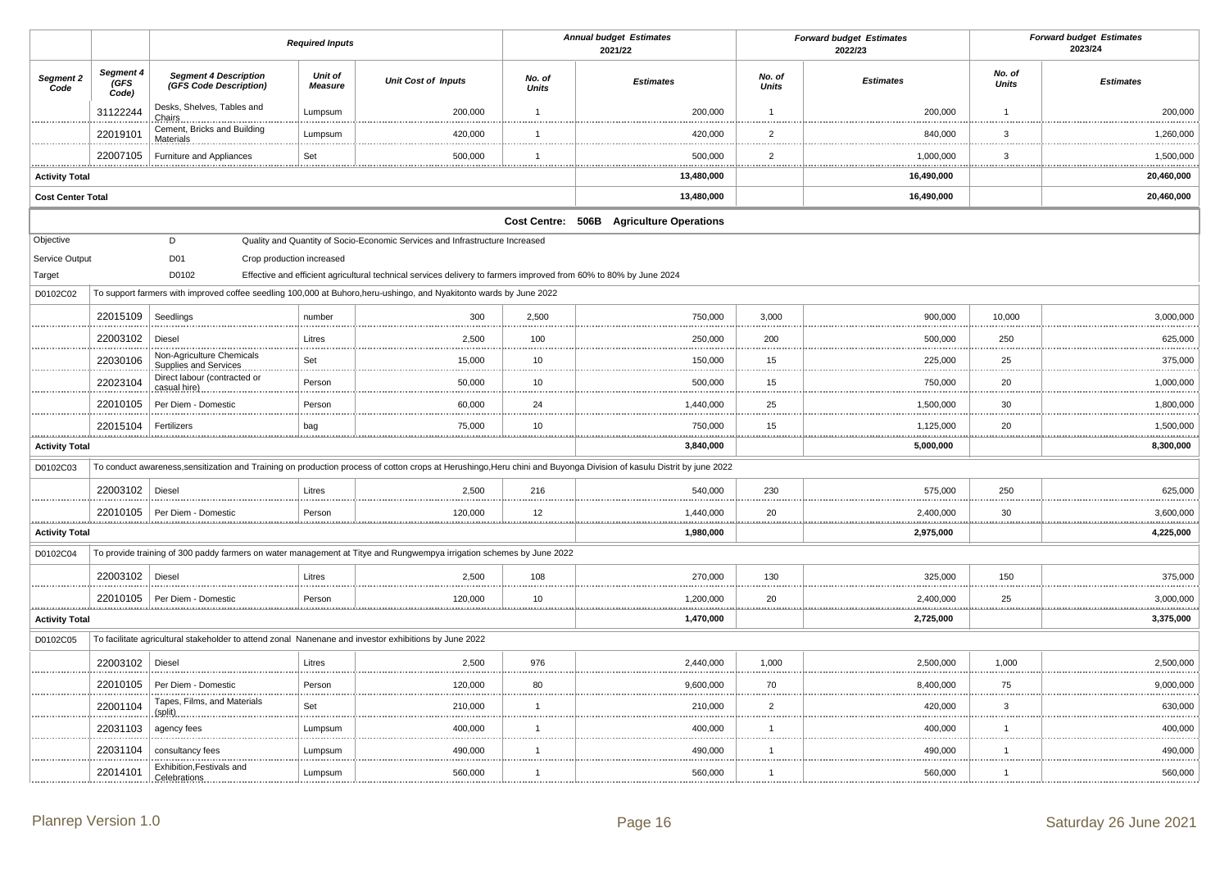|                          |                            |                                                                                                       | <b>Required Inputs</b>    |                                                                                                                      |                        | <b>Annual budget Estimates</b><br>2021/22                                                                                                                            |                        | <b>Forward budget Estimates</b><br>2022/23 |                        | <b>Forward budget Estimates</b><br>2023/24 |
|--------------------------|----------------------------|-------------------------------------------------------------------------------------------------------|---------------------------|----------------------------------------------------------------------------------------------------------------------|------------------------|----------------------------------------------------------------------------------------------------------------------------------------------------------------------|------------------------|--------------------------------------------|------------------------|--------------------------------------------|
| Segment 2<br>Code        | Segment 4<br>(GFS<br>Code) | <b>Segment 4 Description</b><br>(GFS Code Description)                                                | Unit of<br><b>Measure</b> | <b>Unit Cost of Inputs</b>                                                                                           | No. of<br><b>Units</b> | <b>Estimates</b>                                                                                                                                                     | No. of<br><b>Units</b> | <b>Estimates</b>                           | No. of<br><b>Units</b> | <b>Estimates</b>                           |
|                          | 31122244                   | Desks, Shelves, Tables and<br>Chairs.                                                                 | Lumpsum                   | 200,000                                                                                                              | $\overline{1}$         | 200,000                                                                                                                                                              | $\overline{1}$         | 200,000                                    | $\overline{1}$         | 200,000                                    |
|                          | 22019101                   | Cement, Bricks and Building<br>Materials                                                              | Lumpsum                   | 420,000                                                                                                              | $\overline{1}$         | 420,000                                                                                                                                                              | $\overline{2}$         | 840,000                                    | $\mathbf{3}$           | 1,260,000                                  |
|                          | 22007105                   | Furniture and Appliances                                                                              | Set                       | 500,000                                                                                                              | $\overline{1}$         | 500,000                                                                                                                                                              | $\overline{2}$         | 1,000,000                                  | 3                      | 1,500,000                                  |
| <b>Activity Total</b>    |                            |                                                                                                       |                           |                                                                                                                      |                        | .<br>13,480,000                                                                                                                                                      |                        | 16,490,000                                 |                        | 20,460,000                                 |
| <b>Cost Center Total</b> |                            |                                                                                                       |                           |                                                                                                                      |                        | 13,480,000                                                                                                                                                           |                        | 16,490,000                                 |                        | 20,460,000                                 |
|                          |                            |                                                                                                       |                           |                                                                                                                      |                        | Cost Centre: 506B Agriculture Operations                                                                                                                             |                        |                                            |                        |                                            |
| Objective                |                            | D                                                                                                     |                           | Quality and Quantity of Socio-Economic Services and Infrastructure Increased                                         |                        |                                                                                                                                                                      |                        |                                            |                        |                                            |
| Service Output           |                            | D01<br>Crop production increased                                                                      |                           |                                                                                                                      |                        |                                                                                                                                                                      |                        |                                            |                        |                                            |
| Target                   |                            | D0102                                                                                                 |                           | Effective and efficient agricultural technical services delivery to farmers improved from 60% to 80% by June 2024    |                        |                                                                                                                                                                      |                        |                                            |                        |                                            |
| D0102C02                 |                            |                                                                                                       |                           | To support farmers with improved coffee seedling 100,000 at Buhoro, heru-ushingo, and Nyakitonto wards by June 2022  |                        |                                                                                                                                                                      |                        |                                            |                        |                                            |
|                          | 22015109                   | Seedlings                                                                                             | number                    | 300                                                                                                                  | 2,500                  | 750,000                                                                                                                                                              | 3,000                  | 900,000                                    | 10,000                 | 3,000,000                                  |
|                          | 22003102                   | Diesel                                                                                                | Litres                    | 2,500                                                                                                                | 100                    | 250,000                                                                                                                                                              | 200                    | 500,000                                    | 250                    | 625,000                                    |
|                          | 22030106                   | Non-Agriculture Chemicals<br>Supplies and Services.                                                   | Set                       | 15,000                                                                                                               | 10                     | 150,000                                                                                                                                                              | 15                     | 225,000                                    | 25                     | 375,000                                    |
|                          | 22023104                   | Direct labour (contracted or<br>casual hire)                                                          | Person                    | 50,000                                                                                                               | 10                     | 500,000                                                                                                                                                              | 15                     | 750,000                                    | 20                     | 1,000,000                                  |
|                          | 22010105                   | Per Diem - Domestic                                                                                   | Person                    | 60,000                                                                                                               | 24                     | 1,440,000                                                                                                                                                            | 25                     | 1,500,000                                  | 30                     | 1,800,000                                  |
|                          | 22015104                   | Fertilizers                                                                                           | bag                       | 75,000                                                                                                               | 10                     | 750,000                                                                                                                                                              | 15                     | 1,125,000                                  | 20                     | 1,500,000                                  |
| <b>Activity Total</b>    |                            |                                                                                                       |                           |                                                                                                                      |                        | 3,840,000                                                                                                                                                            |                        | 5,000,000                                  |                        | 8,300,000                                  |
| D0102C03                 |                            |                                                                                                       |                           |                                                                                                                      |                        | To conduct awareness, sensitization and Training on production process of cotton crops at Herushingo, Heru chini and Buyonga Division of kasulu Distrit by june 2022 |                        |                                            |                        |                                            |
|                          | 22003102 Diesel            |                                                                                                       | Litres                    | 2,500                                                                                                                | 216                    | 540,000                                                                                                                                                              | 230                    | 575,000                                    | 250                    | 625,000                                    |
|                          | 22010105                   | Per Diem - Domestic                                                                                   | Person                    | 120,000                                                                                                              | 12                     | 1,440,000                                                                                                                                                            | 20                     | 2,400,000                                  | 30                     | 3,600,000                                  |
| <b>Activity Total</b>    |                            |                                                                                                       |                           |                                                                                                                      |                        | 1,980,000                                                                                                                                                            |                        | 2,975,000                                  |                        | 4,225,000                                  |
| D0102C04                 |                            |                                                                                                       |                           | To provide training of 300 paddy farmers on water management at Titye and Rungwempya irrigation schemes by June 2022 |                        |                                                                                                                                                                      |                        |                                            |                        |                                            |
|                          | 22003102 Diesel            |                                                                                                       | Litres                    | 2,500                                                                                                                | 108                    | 270,000                                                                                                                                                              | 130                    | 325,000                                    | 150                    | 375,000                                    |
|                          | 22010105                   | Per Diem - Domestic                                                                                   | Person                    | 120,000                                                                                                              | 10                     | 1,200,000                                                                                                                                                            | 20                     | 2,400,000                                  | 25                     | 3,000,000                                  |
| <b>Activity Total</b>    |                            |                                                                                                       |                           |                                                                                                                      |                        | 1,470,000                                                                                                                                                            |                        | 2,725,000                                  |                        | 3,375,000                                  |
| D0102C05                 |                            | To facilitate agricultural stakeholder to attend zonal Nanenane and investor exhibitions by June 2022 |                           |                                                                                                                      |                        |                                                                                                                                                                      |                        |                                            |                        |                                            |
|                          | 22003102 Diesel            |                                                                                                       | Litres                    | 2,500                                                                                                                | 976                    | 2,440,000                                                                                                                                                            | 1,000                  | 2,500,000                                  | 1,000                  | 2,500,000                                  |
|                          | 22010105                   | Per Diem - Domestic                                                                                   | Person                    | 120,000                                                                                                              | 80                     | 9,600,000                                                                                                                                                            | 70                     | 8,400,000                                  | 75                     | 9,000,000                                  |
|                          | 22001104                   | Tapes, Films, and Materials<br>(split)                                                                | Set                       | 210,000                                                                                                              | $\overline{1}$<br>.    | 210,000                                                                                                                                                              | $\overline{2}$         | 420,000                                    | $\mathbf{3}$           | 630,000                                    |
|                          | 22031103                   | agency fees                                                                                           | Lumpsum                   | 400,000                                                                                                              | $\overline{1}$         | 400,000                                                                                                                                                              | $\mathbf{1}$           | 400,000                                    | $\overline{1}$         | 400,000                                    |
|                          | 22031104                   | consultancy fees                                                                                      | Lumpsum                   | 490,000                                                                                                              | $\overline{1}$         | 490,000                                                                                                                                                              | $\overline{1}$         | 490,000                                    | $\overline{1}$         | 490,000                                    |
|                          | 22014101                   | Exhibition, Festivals and<br>Celebrations.                                                            | Lumpsum                   | 560,000                                                                                                              | $\overline{1}$         | 560,000                                                                                                                                                              | $\overline{1}$         | 560,000                                    | $\mathbf{1}$           | 560,000                                    |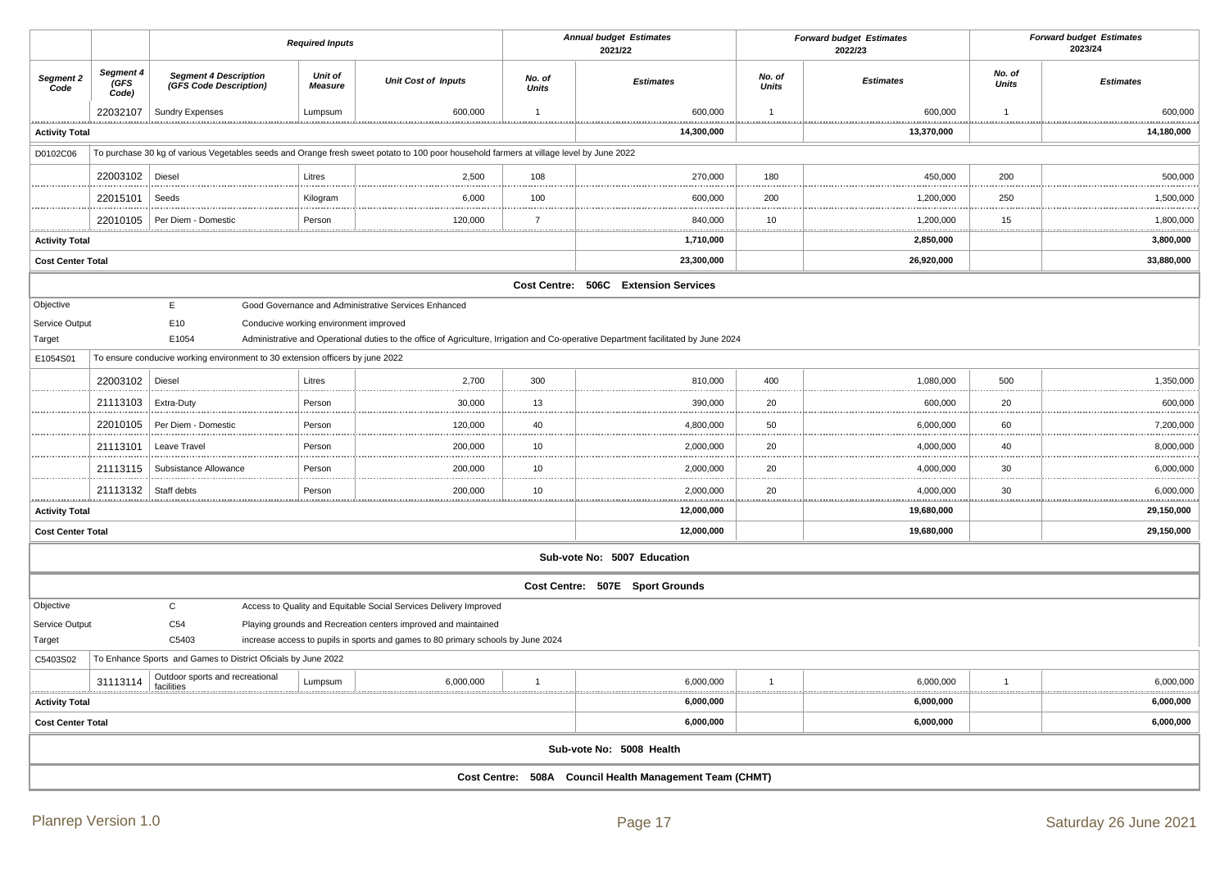|                            |                            |                                                                               | <b>Required Inputs</b>                 |                                                                                                                                         | <b>Annual budget Estimates</b><br>2021/22 |                                                                                                                                     |                        | <b>Forward budget Estimates</b><br>2022/23 |                        | <b>Forward budget Estimates</b><br>2023/24 |
|----------------------------|----------------------------|-------------------------------------------------------------------------------|----------------------------------------|-----------------------------------------------------------------------------------------------------------------------------------------|-------------------------------------------|-------------------------------------------------------------------------------------------------------------------------------------|------------------------|--------------------------------------------|------------------------|--------------------------------------------|
| Segment 2<br>Code          | Segment 4<br>(GFS<br>Code) | <b>Segment 4 Description</b><br>(GFS Code Description)                        | Unit of<br><b>Measure</b>              | <b>Unit Cost of Inputs</b>                                                                                                              | No. of<br><b>Units</b>                    | <b>Estimates</b>                                                                                                                    | No. of<br><b>Units</b> | <b>Estimates</b>                           | No. of<br><b>Units</b> | <b>Estimates</b>                           |
|                            | 22032107                   | <b>Sundry Expenses</b>                                                        | Lumpsum                                | 600,000                                                                                                                                 | $\mathbf{1}$                              | 600,000                                                                                                                             | $\overline{1}$         | 600,000                                    | $\mathbf{1}$           | 600,000                                    |
| <b>Activity Total</b>      |                            |                                                                               |                                        |                                                                                                                                         |                                           | 14,300,000                                                                                                                          |                        | .<br>13,370,000                            |                        | 14,180,000                                 |
| D0102C06                   |                            |                                                                               |                                        | To purchase 30 kg of various Vegetables seeds and Orange fresh sweet potato to 100 poor household farmers at village level by June 2022 |                                           |                                                                                                                                     |                        |                                            |                        |                                            |
|                            | 22003102                   | Diesel                                                                        | Litres                                 | 2,500                                                                                                                                   | 108                                       | 270,000                                                                                                                             | 180                    | 450,000                                    | 200                    | 500,000                                    |
|                            | 22015101                   | Seeds                                                                         | Kilogram                               | 6,000                                                                                                                                   | 100                                       | 600,000                                                                                                                             | 200                    | 1,200,000                                  | 250                    | 1,500,000                                  |
|                            | 22010105                   | Per Diem - Domestic                                                           | Person                                 | 120,000                                                                                                                                 | $\overline{7}$                            | 840,000                                                                                                                             | 10                     | 1,200,000                                  | 15                     | 1,800,000                                  |
| .<br><b>Activity Total</b> |                            |                                                                               |                                        |                                                                                                                                         |                                           | .<br>1,710,000                                                                                                                      |                        | <br>2,850,000                              |                        | <br>3,800,000                              |
| <b>Cost Center Total</b>   |                            |                                                                               |                                        |                                                                                                                                         |                                           | 23,300,000                                                                                                                          |                        | 26,920,000                                 |                        | 33,880,000                                 |
|                            |                            |                                                                               |                                        |                                                                                                                                         |                                           | Cost Centre: 506C Extension Services                                                                                                |                        |                                            |                        |                                            |
| Objective                  |                            | E                                                                             |                                        | Good Governance and Administrative Services Enhanced                                                                                    |                                           |                                                                                                                                     |                        |                                            |                        |                                            |
| Service Output             |                            | E10                                                                           | Conducive working environment improved |                                                                                                                                         |                                           |                                                                                                                                     |                        |                                            |                        |                                            |
| Target                     |                            | E1054                                                                         |                                        |                                                                                                                                         |                                           | Administrative and Operational duties to the office of Agriculture, Irrigation and Co-operative Department facilitated by June 2024 |                        |                                            |                        |                                            |
| E1054S01                   |                            | To ensure conducive working environment to 30 extension officers by june 2022 |                                        |                                                                                                                                         |                                           |                                                                                                                                     |                        |                                            |                        |                                            |
|                            | 22003102                   | Diesel                                                                        | Litres                                 | 2,700                                                                                                                                   | 300                                       | 810,000                                                                                                                             | 400                    | 1,080,000                                  | 500                    | 1,350,000                                  |
|                            | 21113103                   | Extra-Duty                                                                    | Person                                 | 30,000                                                                                                                                  | 13                                        | 390,000                                                                                                                             | 20                     | 600,000                                    | 20                     | 600,000                                    |
|                            | 22010105                   | Per Diem - Domestic                                                           | Person                                 | 120,000                                                                                                                                 | 40                                        | 4,800,000                                                                                                                           | 50                     | 6,000,000                                  | 60                     | 7,200,000                                  |
|                            | 21113101                   | Leave Travel                                                                  | Person                                 | 200,000                                                                                                                                 | 10                                        | 2,000,000                                                                                                                           | 20                     | 4,000,000                                  | 40<br>1.11             | 8,000,000                                  |
|                            | 21113115                   | Subsistance Allowance                                                         | Person                                 | 200,000                                                                                                                                 | 10                                        | 2,000,000                                                                                                                           | 20                     | 4,000,000                                  | 30                     | 6,000,000                                  |
|                            | 21113132                   | Staff debts                                                                   | Person                                 | 200,000                                                                                                                                 | 10                                        | 2,000,000                                                                                                                           | 20                     | 4,000,000                                  | 30                     | 6,000,000                                  |
| <b>Activity Total</b>      |                            |                                                                               |                                        |                                                                                                                                         |                                           | 12,000,000                                                                                                                          |                        | 19,680,000                                 |                        | 29,150,000                                 |
| <b>Cost Center Total</b>   |                            |                                                                               |                                        |                                                                                                                                         |                                           | 12,000,000                                                                                                                          |                        | 19,680,000                                 |                        | 29,150,000                                 |
|                            |                            |                                                                               |                                        |                                                                                                                                         |                                           | Sub-vote No: 5007 Education                                                                                                         |                        |                                            |                        |                                            |
|                            |                            |                                                                               |                                        |                                                                                                                                         |                                           | Cost Centre: 507E Sport Grounds                                                                                                     |                        |                                            |                        |                                            |
| Objective                  |                            | $\mathsf C$                                                                   |                                        | Access to Quality and Equitable Social Services Delivery Improved                                                                       |                                           |                                                                                                                                     |                        |                                            |                        |                                            |
| Service Output             |                            | C <sub>54</sub>                                                               |                                        | Playing grounds and Recreation centers improved and maintained                                                                          |                                           |                                                                                                                                     |                        |                                            |                        |                                            |
| Target                     |                            | C5403                                                                         |                                        | increase access to pupils in sports and games to 80 primary schools by June 2024                                                        |                                           |                                                                                                                                     |                        |                                            |                        |                                            |
| C5403S02                   |                            | To Enhance Sports and Games to District Oficials by June 2022                 |                                        |                                                                                                                                         |                                           |                                                                                                                                     |                        |                                            |                        |                                            |
| .                          | 31113114                   | Outdoor sports and recreational<br>facilities                                 | Lumpsum                                | 6,000,000                                                                                                                               | $\mathbf{1}$                              | 6,000,000                                                                                                                           | $\overline{1}$         | 6,000,000                                  | $\mathbf{1}$<br>.      | 6,000,000                                  |
| <b>Activity Total</b>      |                            |                                                                               |                                        |                                                                                                                                         |                                           | 6,000,000                                                                                                                           |                        | 6,000,000                                  |                        | 6,000,000                                  |
| <b>Cost Center Total</b>   |                            |                                                                               |                                        |                                                                                                                                         |                                           | 6,000,000                                                                                                                           |                        | 6,000,000                                  |                        | 6,000,000                                  |
|                            |                            |                                                                               |                                        |                                                                                                                                         |                                           | Sub-vote No: 5008 Health                                                                                                            |                        |                                            |                        |                                            |
|                            |                            |                                                                               |                                        |                                                                                                                                         |                                           | Cost Centre: 508A Council Health Management Team (CHMT)                                                                             |                        |                                            |                        |                                            |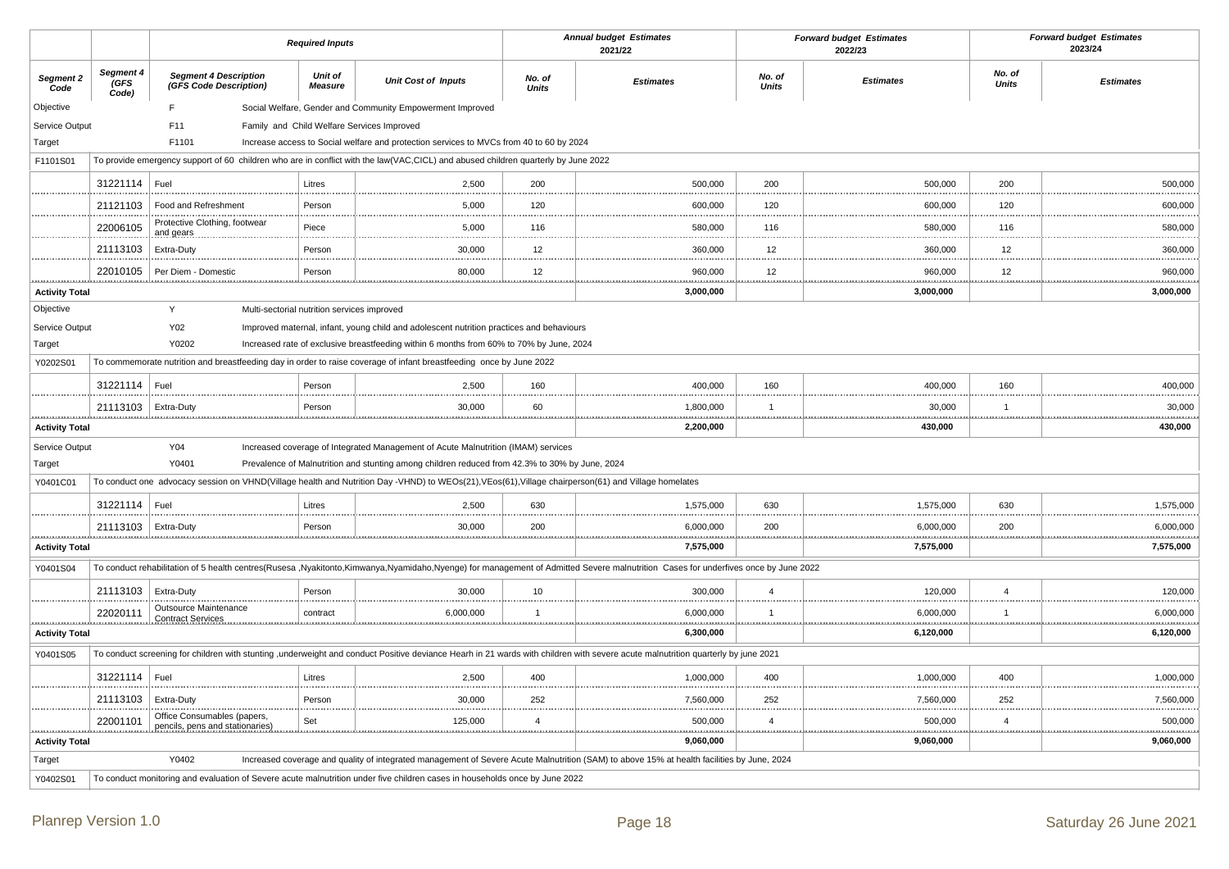|                                       |                             |                                                                                                                                                      | <b>Required Inputs</b>    |                                                                                                                                                                                     |                        | <b>Annual budget Estimates</b><br>2021/22                                                                                                                                         |                        | <b>Forward budget Estimates</b><br>2022/23 |                        | <b>Forward budget Estimates</b><br>2023/24 |
|---------------------------------------|-----------------------------|------------------------------------------------------------------------------------------------------------------------------------------------------|---------------------------|-------------------------------------------------------------------------------------------------------------------------------------------------------------------------------------|------------------------|-----------------------------------------------------------------------------------------------------------------------------------------------------------------------------------|------------------------|--------------------------------------------|------------------------|--------------------------------------------|
| Segment 2<br>Code                     | Segment 4<br>(GFS)<br>Code) | <b>Segment 4 Description</b><br>(GFS Code Description)                                                                                               | Unit of<br><b>Measure</b> | <b>Unit Cost of Inputs</b>                                                                                                                                                          | No. of<br><b>Units</b> | <b>Estimates</b>                                                                                                                                                                  | No. of<br><b>Units</b> | <b>Estimates</b>                           | No. of<br><b>Units</b> | <b>Estimates</b>                           |
| Objective                             |                             | F.                                                                                                                                                   |                           | Social Welfare, Gender and Community Empowerment Improved                                                                                                                           |                        |                                                                                                                                                                                   |                        |                                            |                        |                                            |
| Service Output                        |                             | F11                                                                                                                                                  |                           | Family and Child Welfare Services Improved                                                                                                                                          |                        |                                                                                                                                                                                   |                        |                                            |                        |                                            |
| Target                                |                             | F1101                                                                                                                                                |                           | Increase access to Social welfare and protection services to MVCs from 40 to 60 by 2024                                                                                             |                        |                                                                                                                                                                                   |                        |                                            |                        |                                            |
| F1101S01                              |                             | To provide emergency support of 60 children who are in conflict with the law(VAC,CICL) and abused children quarterly by June 2022                    |                           |                                                                                                                                                                                     |                        |                                                                                                                                                                                   |                        |                                            |                        |                                            |
|                                       | 31221114                    | Fuel                                                                                                                                                 | Litres                    | 2.500                                                                                                                                                                               | 200                    | 500,000                                                                                                                                                                           | 200                    | 500.000                                    | 200                    | 500,000                                    |
|                                       | 21121103                    | Food and Refreshment                                                                                                                                 | Person                    | 5,000                                                                                                                                                                               | 120                    | 600,000                                                                                                                                                                           | 120                    | 600,000                                    | 120                    | 600,000                                    |
|                                       | 22006105                    | Protective Clothing, footwear<br>and gears                                                                                                           | Piece                     | 5,000                                                                                                                                                                               | 116                    | 580,000                                                                                                                                                                           | 116                    | 580,000                                    | 116                    | 580,000                                    |
|                                       | 21113103                    | Extra-Duty                                                                                                                                           | Person                    | 30,000                                                                                                                                                                              | 12                     | 360,000                                                                                                                                                                           | 12                     | 360,000                                    | 12                     | 360,000<br>.                               |
|                                       | 22010105                    | Per Diem - Domestic                                                                                                                                  | Person                    | 80,000<br>.                                                                                                                                                                         | 12                     | 960,000<br><u></u>                                                                                                                                                                | 12<br>.                | 960,000                                    | 12                     | 960,000<br>.                               |
| <b>Activity Total</b>                 |                             |                                                                                                                                                      |                           |                                                                                                                                                                                     |                        | 3,000,000                                                                                                                                                                         |                        | 3,000,000                                  |                        | 3,000,000                                  |
| Objective<br>Service Output<br>Target |                             | Y<br>Multi-sectorial nutrition services improved<br>Y02<br>Y0202                                                                                     |                           | Improved maternal, infant, young child and adolescent nutrition practices and behaviours<br>Increased rate of exclusive breastfeeding within 6 months from 60% to 70% by June, 2024 |                        |                                                                                                                                                                                   |                        |                                            |                        |                                            |
| Y0202S01                              |                             | To commemorate nutrition and breastfeeding day in order to raise coverage of infant breastfeeding once by June 2022                                  |                           |                                                                                                                                                                                     |                        |                                                                                                                                                                                   |                        |                                            |                        |                                            |
|                                       | 31221114                    | Fuel                                                                                                                                                 | Person                    | 2,500                                                                                                                                                                               | 160                    | 400,000                                                                                                                                                                           | 160                    | 400,000                                    | 160                    | 400,000                                    |
|                                       | 21113103                    | Extra-Duty                                                                                                                                           | Person                    | 30,000<br>                                                                                                                                                                          | 60<br>.                | 1,800,000                                                                                                                                                                         | $\overline{1}$         | 30,000                                     | $\overline{1}$         | 30,000                                     |
| <b>Activity Total</b>                 |                             |                                                                                                                                                      |                           |                                                                                                                                                                                     |                        | 2,200,000                                                                                                                                                                         |                        | 430,000                                    |                        | 430,000                                    |
| Service Output                        |                             | Y04                                                                                                                                                  |                           | Increased coverage of Integrated Management of Acute Malnutrition (IMAM) services                                                                                                   |                        |                                                                                                                                                                                   |                        |                                            |                        |                                            |
| Target                                |                             | Y0401                                                                                                                                                |                           | Prevalence of Malnutrition and stunting among children reduced from 42.3% to 30% by June, 2024                                                                                      |                        |                                                                                                                                                                                   |                        |                                            |                        |                                            |
| Y0401C01                              |                             | To conduct one advocacy session on VHND(Village health and Nutrition Day -VHND) to WEOs(21), VEos(61), Village chairperson(61) and Village homelates |                           |                                                                                                                                                                                     |                        |                                                                                                                                                                                   |                        |                                            |                        |                                            |
|                                       | 31221114                    | Fuel                                                                                                                                                 | Litres                    | 2,500                                                                                                                                                                               | 630<br>                | 1,575,000                                                                                                                                                                         | 630<br>.               | 1,575,000                                  | 630                    | 1,575,000                                  |
|                                       | 21113103                    | Extra-Duty                                                                                                                                           | Person                    | 30,000                                                                                                                                                                              | 200                    | 6,000,000                                                                                                                                                                         | 200                    | 6,000,000                                  | 200                    | 6.000.000                                  |
| <b>Activity Total</b>                 |                             |                                                                                                                                                      |                           |                                                                                                                                                                                     |                        | 7,575,000                                                                                                                                                                         |                        | 7,575,000                                  |                        | 7,575,000                                  |
| Y0401S04                              |                             |                                                                                                                                                      |                           |                                                                                                                                                                                     |                        | To conduct rehabilitation of 5 health centres(Rusesa ,Nyakitonto,Kimwanya,Nyamidaho,Nyenge) for management of Admitted Severe malnutrition Cases for underfives once by June 2022 |                        |                                            |                        |                                            |
|                                       | 21113103                    | Extra-Duty                                                                                                                                           | Person                    | 30,000                                                                                                                                                                              | $10$                   | 300,000                                                                                                                                                                           | $\overline{a}$         | 120,000                                    | $\overline{4}$         | 120,000                                    |
|                                       | 22020111                    | Outsource Maintenance<br><b>Contract Services</b>                                                                                                    | contract                  | 6,000,000                                                                                                                                                                           | $\overline{1}$         | 6,000,000                                                                                                                                                                         | $\overline{1}$         | 6,000,000                                  | $\overline{1}$         | 6,000,000                                  |
| <b>Activity Total</b>                 |                             |                                                                                                                                                      |                           |                                                                                                                                                                                     |                        | 6,300,000                                                                                                                                                                         |                        | 6,120,000                                  |                        | 6,120,000                                  |
| Y0401S05                              |                             |                                                                                                                                                      |                           |                                                                                                                                                                                     |                        | To conduct screening for children with stunting , underweight and conduct Positive deviance Hearh in 21 wards with children with severe acute malnutrition quarterly by june 2021 |                        |                                            |                        |                                            |
|                                       | 31221114                    | Fuel                                                                                                                                                 | Litres                    | 2,500                                                                                                                                                                               | 400<br>                | 1,000,000                                                                                                                                                                         | 400<br>                | 1,000,000                                  | 400                    | 1,000,000                                  |
|                                       | 21113103                    | Extra-Duty                                                                                                                                           | Person                    | 30,000                                                                                                                                                                              | 252                    | 7,560,000                                                                                                                                                                         | 252                    | 7,560,000                                  | 252                    | 7,560,000                                  |
|                                       | 22001101                    | Office Consumables (papers,<br>pencils, pens and stationaries)                                                                                       | Set                       | 125,000                                                                                                                                                                             | $\overline{4}$         | 500,000                                                                                                                                                                           | $\overline{4}$<br>     | 500,000                                    | $\overline{4}$         | 500,000<br>.                               |
| <b>Activity Total</b>                 |                             |                                                                                                                                                      |                           |                                                                                                                                                                                     |                        | 9,060,000                                                                                                                                                                         |                        | 9,060,000                                  |                        | 9,060,000                                  |
| Target                                |                             | Y0402                                                                                                                                                |                           |                                                                                                                                                                                     |                        | Increased coverage and quality of integrated management of Severe Acute Malnutrition (SAM) to above 15% at health facilities by June, 2024                                        |                        |                                            |                        |                                            |
| Y0402S01                              |                             | To conduct monitoring and evaluation of Severe acute malnutrition under five children cases in households once by June 2022                          |                           |                                                                                                                                                                                     |                        |                                                                                                                                                                                   |                        |                                            |                        |                                            |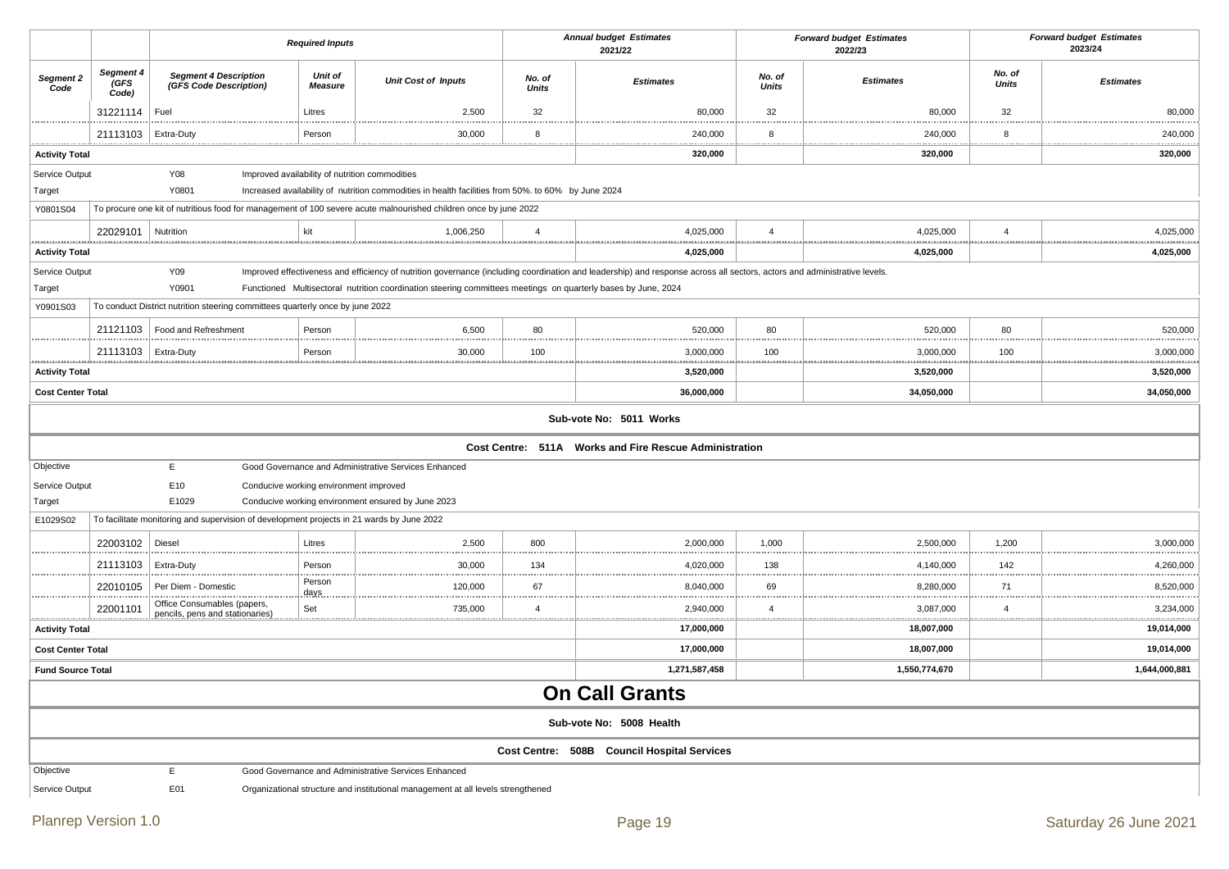|                          |                                                                                                                                                                                                                                                                                                           |                                                                                           | <b>Required Inputs</b> |                                                                                                                  | <b>Annual budget Estimates</b><br>2021/22 |                                                        |                     | <b>Forward budget Estimates</b><br>2022/23 |                        | <b>Forward budget Estimates</b><br>2023/24 |  |
|--------------------------|-----------------------------------------------------------------------------------------------------------------------------------------------------------------------------------------------------------------------------------------------------------------------------------------------------------|-------------------------------------------------------------------------------------------|------------------------|------------------------------------------------------------------------------------------------------------------|-------------------------------------------|--------------------------------------------------------|---------------------|--------------------------------------------|------------------------|--------------------------------------------|--|
| Segment 2<br>Code        | Segment 4<br>(GFS<br>Code)                                                                                                                                                                                                                                                                                | <b>Segment 4 Description</b><br>(GFS Code Description)                                    | Unit of<br>Measure     | <b>Unit Cost of Inputs</b>                                                                                       | No. of<br><b>Units</b>                    | <b>Estimates</b>                                       | No. of<br>Units     | <b>Estimates</b>                           | No. of<br><b>Units</b> | <b>Estimates</b>                           |  |
|                          | 31221114                                                                                                                                                                                                                                                                                                  | Fuel                                                                                      | Litres                 | 2,500                                                                                                            | 32                                        | 80,000                                                 | 32                  | 80,000                                     | 32                     | 80,000                                     |  |
|                          | 21113103                                                                                                                                                                                                                                                                                                  | Extra-Duty                                                                                | Person                 | 30,000                                                                                                           | 8                                         | 240,000                                                | 8                   | 240,000                                    | 8                      | 240,000                                    |  |
| <b>Activity Total</b>    |                                                                                                                                                                                                                                                                                                           |                                                                                           |                        |                                                                                                                  | .                                         | 320,000                                                | .                   | <br>320,000                                | .                      | <br>320,000                                |  |
| Service Output           |                                                                                                                                                                                                                                                                                                           | Y08                                                                                       |                        | Improved availability of nutrition commodities                                                                   |                                           |                                                        |                     |                                            |                        |                                            |  |
| Target                   |                                                                                                                                                                                                                                                                                                           | Y0801                                                                                     |                        | Increased availability of nutrition commodities in health facilities from 50%. to 60% by June 2024               |                                           |                                                        |                     |                                            |                        |                                            |  |
| Y0801S04                 |                                                                                                                                                                                                                                                                                                           |                                                                                           |                        | To procure one kit of nutritious food for management of 100 severe acute malnourished children once by june 2022 |                                           |                                                        |                     |                                            |                        |                                            |  |
|                          | 22029101                                                                                                                                                                                                                                                                                                  | Nutrition                                                                                 | kit                    | 1,006,250                                                                                                        | $\overline{4}$<br>                        | 4,025,000                                              | $\overline{4}$      | 4,025,000                                  | $\overline{4}$         | 4,025,000                                  |  |
| <b>Activity Total</b>    |                                                                                                                                                                                                                                                                                                           |                                                                                           |                        |                                                                                                                  |                                           | 4,025,000                                              |                     | 4,025,000                                  |                        | 4,025,000                                  |  |
| Service Output<br>Target | Y09<br>Improved effectiveness and efficiency of nutrition governance (including coordination and leadership) and response across all sectors, actors and administrative levels.<br>Y0901<br>Functioned Multisectoral nutrition coordination steering committees meetings on quarterly bases by June, 2024 |                                                                                           |                        |                                                                                                                  |                                           |                                                        |                     |                                            |                        |                                            |  |
| Y0901S03                 |                                                                                                                                                                                                                                                                                                           | To conduct District nutrition steering committees quarterly once by june 2022             |                        |                                                                                                                  |                                           |                                                        |                     |                                            |                        |                                            |  |
|                          | 21121103                                                                                                                                                                                                                                                                                                  | Food and Refreshment                                                                      | Person                 | 6,500                                                                                                            | 80                                        | 520,000                                                | 80                  | 520,000                                    | 80                     | 520,000                                    |  |
|                          | 21113103                                                                                                                                                                                                                                                                                                  | Extra-Duty                                                                                | Person                 | 30,000                                                                                                           | 100                                       | 3,000,000                                              | 100                 | 3,000,000                                  | 100                    | 3,000,000                                  |  |
| <b>Activity Total</b>    | <u></u><br>3,520,000<br>3,520,000<br>3,520,000                                                                                                                                                                                                                                                            |                                                                                           |                        |                                                                                                                  |                                           |                                                        |                     |                                            |                        |                                            |  |
| <b>Cost Center Total</b> |                                                                                                                                                                                                                                                                                                           |                                                                                           |                        |                                                                                                                  |                                           | 36,000,000                                             |                     | 34,050,000                                 |                        | 34,050,000                                 |  |
|                          |                                                                                                                                                                                                                                                                                                           |                                                                                           |                        |                                                                                                                  |                                           | Sub-vote No: 5011 Works                                |                     |                                            |                        |                                            |  |
|                          |                                                                                                                                                                                                                                                                                                           |                                                                                           |                        |                                                                                                                  |                                           | Cost Centre: 511A Works and Fire Rescue Administration |                     |                                            |                        |                                            |  |
| Objective                |                                                                                                                                                                                                                                                                                                           | E                                                                                         |                        | Good Governance and Administrative Services Enhanced                                                             |                                           |                                                        |                     |                                            |                        |                                            |  |
| Service Output           |                                                                                                                                                                                                                                                                                                           | E10<br>Conducive working environment improved                                             |                        |                                                                                                                  |                                           |                                                        |                     |                                            |                        |                                            |  |
| Target                   |                                                                                                                                                                                                                                                                                                           | E1029                                                                                     |                        | Conducive working environment ensured by June 2023                                                               |                                           |                                                        |                     |                                            |                        |                                            |  |
| E1029S02                 |                                                                                                                                                                                                                                                                                                           | To facilitate monitoring and supervision of development projects in 21 wards by June 2022 |                        |                                                                                                                  |                                           |                                                        |                     |                                            |                        |                                            |  |
|                          | 22003102                                                                                                                                                                                                                                                                                                  | Diesel                                                                                    | Litres                 | 2,500                                                                                                            | 800                                       | 2,000,000                                              | 1,000               | 2,500,000                                  | 1,200                  | 3,000,000                                  |  |
|                          | 21113103                                                                                                                                                                                                                                                                                                  | Extra-Duty                                                                                | Person                 | 30,000                                                                                                           | 134                                       | 4,020,000                                              | 138                 | 4,140,000                                  | 142                    | 4,260,000                                  |  |
|                          | 22010105                                                                                                                                                                                                                                                                                                  | Per Diem - Domestic                                                                       | Person<br>days.        | 120,000                                                                                                          | 67<br>.                                   | 8,040,000                                              | 69                  | 8,280,000                                  | 71<br>.                | 8,520,000<br>.                             |  |
|                          | 22001101                                                                                                                                                                                                                                                                                                  | Office Consumables (papers,<br>pencils, pens and stationaries)                            | Set                    | 735,000                                                                                                          | $\overline{4}$                            | 2,940,000                                              | $\overline{4}$<br>. | 3,087,000                                  | $\overline{4}$<br>     | 3,234,000                                  |  |
| <b>Activity Total</b>    |                                                                                                                                                                                                                                                                                                           |                                                                                           |                        |                                                                                                                  |                                           | 17,000,000                                             |                     | 18,007,000                                 |                        | 19,014,000                                 |  |
| <b>Cost Center Total</b> |                                                                                                                                                                                                                                                                                                           |                                                                                           |                        |                                                                                                                  |                                           | 17,000,000                                             |                     | 18,007,000                                 |                        | 19,014,000                                 |  |
| <b>Fund Source Total</b> |                                                                                                                                                                                                                                                                                                           |                                                                                           |                        |                                                                                                                  |                                           | 1,271,587,458                                          |                     | 1,550,774,670                              |                        | 1,644,000,881                              |  |
|                          | <b>On Call Grants</b>                                                                                                                                                                                                                                                                                     |                                                                                           |                        |                                                                                                                  |                                           |                                                        |                     |                                            |                        |                                            |  |
|                          |                                                                                                                                                                                                                                                                                                           |                                                                                           |                        |                                                                                                                  |                                           | Sub-vote No: 5008 Health                               |                     |                                            |                        |                                            |  |
|                          |                                                                                                                                                                                                                                                                                                           |                                                                                           |                        |                                                                                                                  |                                           | Cost Centre: 508B Council Hospital Services            |                     |                                            |                        |                                            |  |
| Objective                |                                                                                                                                                                                                                                                                                                           | E                                                                                         |                        | Good Governance and Administrative Services Enhanced                                                             |                                           |                                                        |                     |                                            |                        |                                            |  |
| Service Output           |                                                                                                                                                                                                                                                                                                           | E01                                                                                       |                        | Organizational structure and institutional management at all levels strengthened                                 |                                           |                                                        |                     |                                            |                        |                                            |  |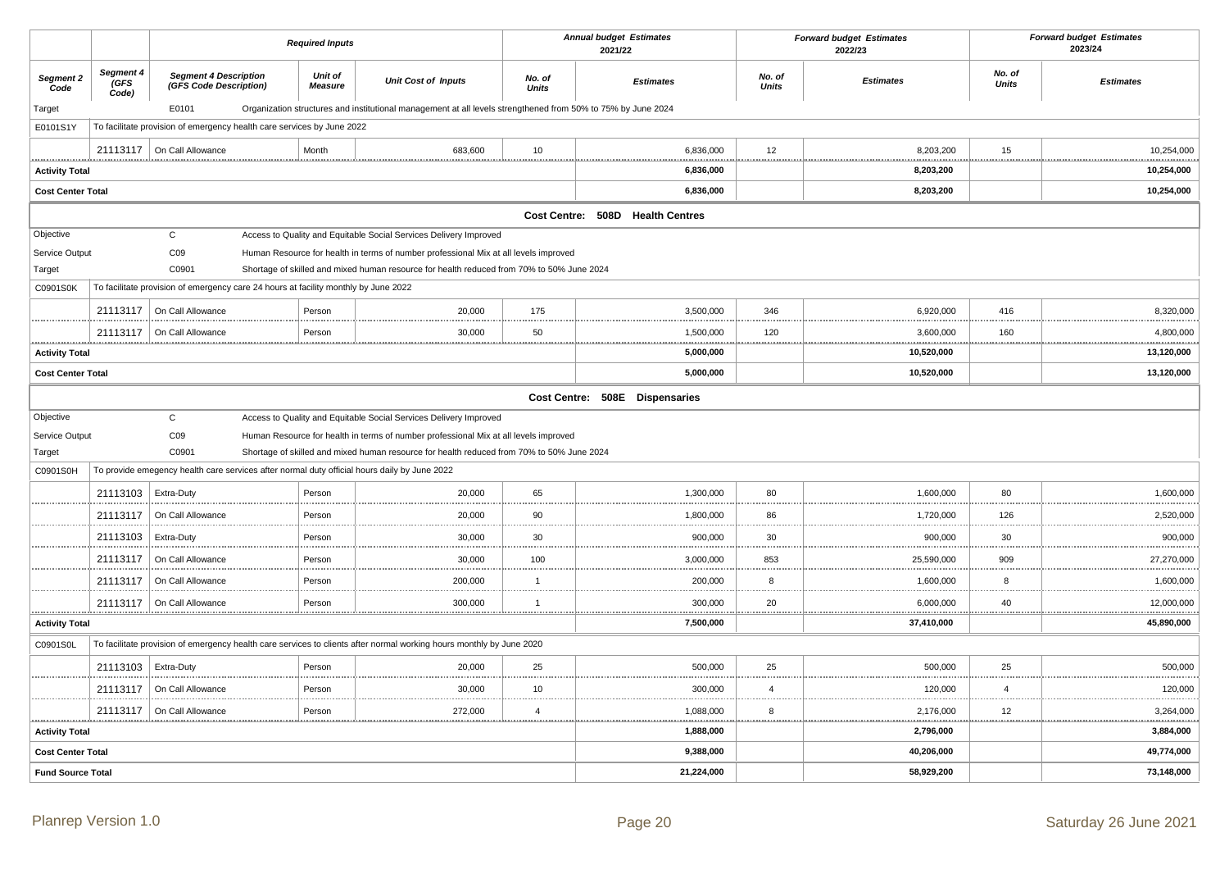|                          |                            |                                                                                     | <b>Required Inputs</b>    |                                                                                                                      |                        | <b>Annual budget Estimates</b><br>2021/22 |                        | <b>Forward budget Estimates</b><br>2022/23 |                        | <b>Forward budget Estimates</b><br>2023/24 |
|--------------------------|----------------------------|-------------------------------------------------------------------------------------|---------------------------|----------------------------------------------------------------------------------------------------------------------|------------------------|-------------------------------------------|------------------------|--------------------------------------------|------------------------|--------------------------------------------|
| Segment 2<br>Code        | Segment 4<br>(GFS<br>Code) | <b>Segment 4 Description</b><br>(GFS Code Description)                              | Unit of<br><b>Measure</b> | <b>Unit Cost of Inputs</b>                                                                                           | No. of<br><b>Units</b> | <b>Estimates</b>                          | No. of<br><b>Units</b> | <b>Estimates</b>                           | No. of<br><b>Units</b> | <b>Estimates</b>                           |
| Target                   |                            | E0101                                                                               |                           | Organization structures and institutional management at all levels strengthened from 50% to 75% by June 2024         |                        |                                           |                        |                                            |                        |                                            |
| E0101S1Y                 |                            | To facilitate provision of emergency health care services by June 2022              |                           |                                                                                                                      |                        |                                           |                        |                                            |                        |                                            |
|                          |                            | 21113117   On Call Allowance                                                        | Month                     | 683,600                                                                                                              | 10                     | 6,836,000                                 | 12                     | 8,203,200                                  | 15                     | 10,254,000                                 |
| <b>Activity Total</b>    |                            |                                                                                     |                           |                                                                                                                      |                        | <u></u><br>6,836,000                      |                        | 8,203,200                                  | <u></u>                | 10,254,000                                 |
| <b>Cost Center Total</b> |                            |                                                                                     |                           |                                                                                                                      |                        | 6,836,000                                 |                        | 8,203,200                                  |                        | 10,254,000                                 |
|                          |                            |                                                                                     |                           |                                                                                                                      |                        | Cost Centre: 508D Health Centres          |                        |                                            |                        |                                            |
| Objective                |                            | $\mathsf{C}$                                                                        |                           | Access to Quality and Equitable Social Services Delivery Improved                                                    |                        |                                           |                        |                                            |                        |                                            |
| Service Output           |                            | CO9                                                                                 |                           | Human Resource for health in terms of number professional Mix at all levels improved                                 |                        |                                           |                        |                                            |                        |                                            |
| Target                   |                            | C0901                                                                               |                           | Shortage of skilled and mixed human resource for health reduced from 70% to 50% June 2024                            |                        |                                           |                        |                                            |                        |                                            |
| C0901S0K                 |                            | To facilitate provision of emergency care 24 hours at facility monthly by June 2022 |                           |                                                                                                                      |                        |                                           |                        |                                            |                        |                                            |
|                          |                            | 21113117   On Call Allowance                                                        | Person                    | 20,000                                                                                                               | 175                    | 3,500,000                                 | 346                    | 6,920,000                                  | 416                    | 8,320,000                                  |
|                          |                            | 21113117   On Call Allowance                                                        | Person                    | 30,000                                                                                                               | 50                     | 1,500,000                                 | 120                    | 3,600,000                                  | 160                    | 4,800,000                                  |
| <b>Activity Total</b>    |                            |                                                                                     |                           |                                                                                                                      |                        | 5,000,000                                 | . <u>.</u>             | 10,520,000                                 |                        | 13,120,000                                 |
| <b>Cost Center Total</b> |                            |                                                                                     |                           |                                                                                                                      |                        | 5,000,000                                 |                        | 10,520,000                                 |                        | 13,120,000                                 |
|                          |                            |                                                                                     |                           |                                                                                                                      |                        | Cost Centre: 508E Dispensaries            |                        |                                            |                        |                                            |
| Objective                |                            | $\mathbf C$                                                                         |                           | Access to Quality and Equitable Social Services Delivery Improved                                                    |                        |                                           |                        |                                            |                        |                                            |
| Service Output           |                            | CO9                                                                                 |                           | Human Resource for health in terms of number professional Mix at all levels improved                                 |                        |                                           |                        |                                            |                        |                                            |
| Target                   |                            | C0901                                                                               |                           | Shortage of skilled and mixed human resource for health reduced from 70% to 50% June 2024                            |                        |                                           |                        |                                            |                        |                                            |
| C0901S0H                 |                            |                                                                                     |                           | To provide emegency health care services after normal duty official hours daily by June 2022                         |                        |                                           |                        |                                            |                        |                                            |
|                          | 21113103   Extra-Duty      |                                                                                     | Person                    | 20,000                                                                                                               | 65                     | 1,300,000                                 | 80<br>                 | 1,600,000                                  | 80                     | 1,600,000                                  |
|                          | 21113117                   | On Call Allowance                                                                   | Person                    | 20,000                                                                                                               | 90                     | 1,800,000                                 | 86                     | 1,720,000                                  | 126                    | 2,520,000                                  |
|                          | 21113103                   | Extra-Duty                                                                          | Person                    | 30,000                                                                                                               | 30                     | 900,000                                   | 30                     | 900,000                                    | 30                     | 900,000                                    |
|                          | 21113117                   | On Call Allowance                                                                   | Person                    | 30,000                                                                                                               | 100                    | 3,000,000                                 | 853                    | 25,590,000                                 | 909                    | 27,270,000                                 |
|                          | 21113117                   | On Call Allowance                                                                   | Person<br>                | 200,000                                                                                                              | $\mathbf{1}$           | 200,000                                   | 8<br>                  | 1,600,000<br>.                             | 8                      | 1,600,000                                  |
|                          |                            | 21113117   On Call Allowance                                                        | Person                    | 300,000                                                                                                              | $\overline{1}$         | 300,000                                   | 20                     | 6,000,000                                  | 40                     | 12,000,000                                 |
| <b>Activity Total</b>    |                            |                                                                                     |                           |                                                                                                                      |                        | 7,500,000                                 | .                      | 37,410,000                                 |                        | 45,890,000                                 |
| C0901S0L                 |                            |                                                                                     |                           | To facilitate provision of emergency health care services to clients after normal working hours monthly by June 2020 |                        |                                           |                        |                                            |                        |                                            |
|                          | 21113103                   | Extra-Duty                                                                          | Person                    | 20,000                                                                                                               | 25                     | 500,000                                   | 25                     | 500,000                                    | 25                     | 500,000                                    |
|                          |                            | 21113117   On Call Allowance                                                        | Person                    | 30,000                                                                                                               | 10                     | 300,000                                   | $\overline{4}$         | 120,000                                    | $\overline{4}$         | 120,000                                    |
|                          | 21113117                   | On Call Allowance                                                                   | Person                    | 272,000                                                                                                              | $\overline{4}$         | 1,088,000                                 | 8                      | 2,176,000                                  | 12                     | 3,264,000                                  |
| <b>Activity Total</b>    |                            |                                                                                     |                           |                                                                                                                      |                        | <u>.</u><br>1,888,000                     | <u></u>                | <u></u><br>2,796,000                       |                        | <u>.</u><br>3,884,000                      |
| <b>Cost Center Total</b> |                            |                                                                                     |                           |                                                                                                                      |                        | 9,388,000                                 |                        | 40,206,000                                 |                        | 49,774,000                                 |
| <b>Fund Source Total</b> |                            |                                                                                     |                           |                                                                                                                      |                        | 21,224,000                                |                        | 58,929,200                                 |                        | 73,148,000                                 |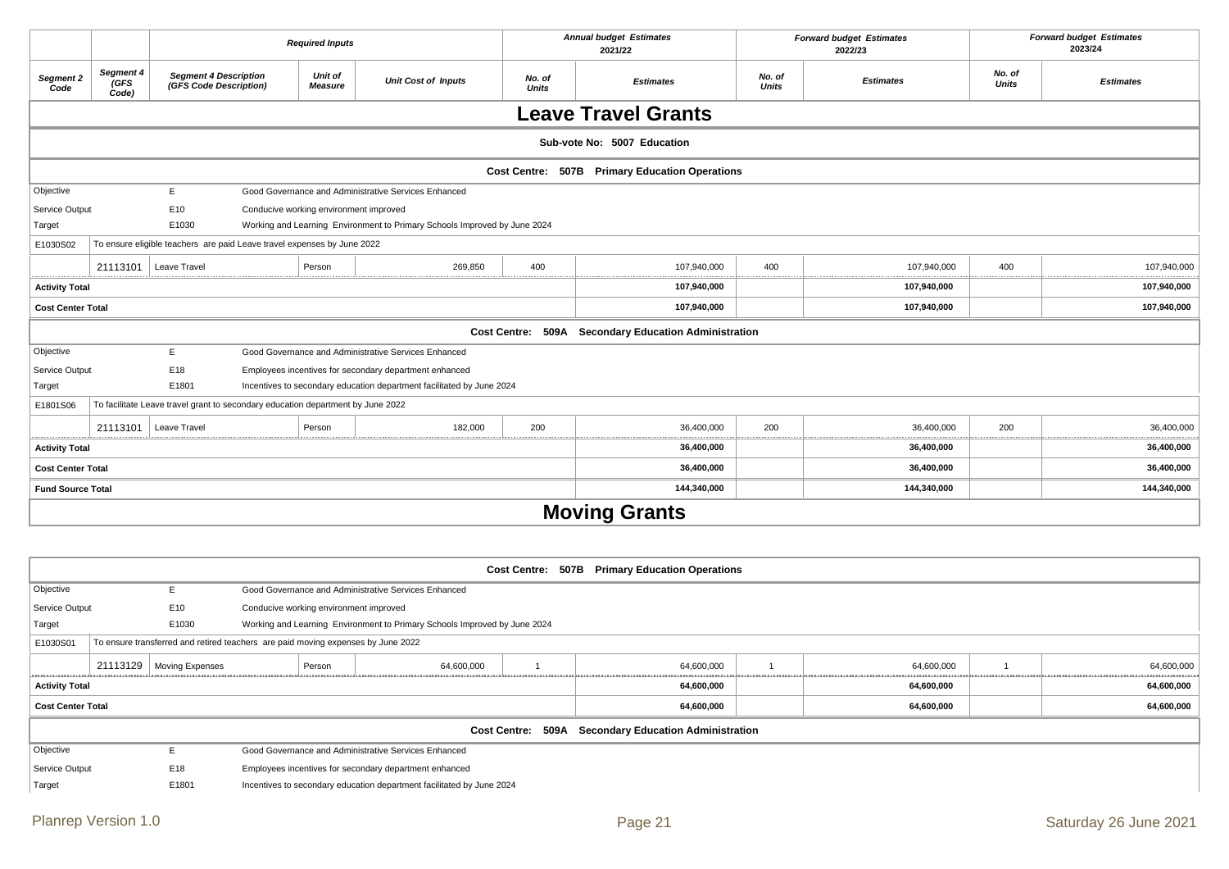|                          |                            |                                                                                 | <b>Required Inputs</b>                 |                                                                           |                        | <b>Annual budget Estimates</b><br>2021/22            |                        | <b>Forward budget Estimates</b><br>2022/23 |                        | <b>Forward budget Estimates</b><br>2023/24 |
|--------------------------|----------------------------|---------------------------------------------------------------------------------|----------------------------------------|---------------------------------------------------------------------------|------------------------|------------------------------------------------------|------------------------|--------------------------------------------|------------------------|--------------------------------------------|
| Segment 2<br>Code        | Segment 4<br>(GFS<br>Code) | <b>Segment 4 Description</b><br>(GFS Code Description)                          | Unit of<br><b>Measure</b>              | <b>Unit Cost of Inputs</b>                                                | No. of<br><b>Units</b> | <b>Estimates</b>                                     | No. of<br><b>Units</b> | <b>Estimates</b>                           | No. of<br><b>Units</b> | <b>Estimates</b>                           |
|                          |                            |                                                                                 |                                        |                                                                           |                        | <b>Leave Travel Grants</b>                           |                        |                                            |                        |                                            |
|                          |                            |                                                                                 |                                        |                                                                           |                        | Sub-vote No: 5007 Education                          |                        |                                            |                        |                                            |
|                          |                            |                                                                                 |                                        |                                                                           |                        | Cost Centre: 507B Primary Education Operations       |                        |                                            |                        |                                            |
| Objective                |                            | E.                                                                              |                                        | Good Governance and Administrative Services Enhanced                      |                        |                                                      |                        |                                            |                        |                                            |
| Service Output           |                            | E10                                                                             | Conducive working environment improved |                                                                           |                        |                                                      |                        |                                            |                        |                                            |
| Target                   |                            | E1030                                                                           |                                        | Working and Learning Environment to Primary Schools Improved by June 2024 |                        |                                                      |                        |                                            |                        |                                            |
| E1030S02                 |                            | To ensure eligible teachers are paid Leave travel expenses by June 2022         |                                        |                                                                           |                        |                                                      |                        |                                            |                        |                                            |
| <u>.</u>                 | 21113101                   | Leave Travel                                                                    | Person                                 | 269.850                                                                   | 400                    | 107,940,000                                          | 400                    | 107,940,000                                | 400                    | 107,940,000                                |
| <b>Activity Total</b>    |                            |                                                                                 |                                        |                                                                           |                        | 107,940,000                                          |                        | 107,940,000                                |                        | 107,940,000                                |
| <b>Cost Center Total</b> |                            |                                                                                 |                                        |                                                                           |                        | 107,940,000                                          |                        | 107,940,000                                |                        | 107,940,000                                |
|                          |                            |                                                                                 |                                        |                                                                           |                        | Cost Centre: 509A Secondary Education Administration |                        |                                            |                        |                                            |
| Objective                |                            | E.                                                                              |                                        | Good Governance and Administrative Services Enhanced                      |                        |                                                      |                        |                                            |                        |                                            |
| Service Output           |                            | E18                                                                             |                                        | Employees incentives for secondary department enhanced                    |                        |                                                      |                        |                                            |                        |                                            |
| Target                   |                            | E1801                                                                           |                                        | Incentives to secondary education department facilitated by June 2024     |                        |                                                      |                        |                                            |                        |                                            |
| E1801S06                 |                            | To facilitate Leave travel grant to secondary education department by June 2022 |                                        |                                                                           |                        |                                                      |                        |                                            |                        |                                            |
|                          | 21113101                   | Leave Travel                                                                    | Person                                 | 182,000                                                                   | 200                    | 36,400,000                                           | 200                    | 36,400,000                                 | 200                    | 36,400,000                                 |
| <b>Activity Total</b>    |                            |                                                                                 |                                        |                                                                           |                        | 36,400,000                                           |                        | 36,400,000                                 |                        | 36,400,000                                 |
| <b>Cost Center Total</b> |                            |                                                                                 |                                        |                                                                           |                        | 36,400,000                                           |                        | 36,400,000                                 |                        | 36,400,000                                 |
| <b>Fund Source Total</b> |                            |                                                                                 |                                        |                                                                           |                        | 144,340,000                                          |                        | 144,340,000                                |                        | 144,340,000                                |
|                          |                            |                                                                                 |                                        |                                                                           |                        | <b>Moving Grants</b>                                 |                        |                                            |                        |                                            |

|                          |                                                                                  |                                        |        |                                                                           |  | Cost Centre: 507B Primary Education Operations       |            |            |
|--------------------------|----------------------------------------------------------------------------------|----------------------------------------|--------|---------------------------------------------------------------------------|--|------------------------------------------------------|------------|------------|
| Objective                | ь.                                                                               |                                        |        | Good Governance and Administrative Services Enhanced                      |  |                                                      |            |            |
| Service Output           | E10                                                                              | Conducive working environment improved |        |                                                                           |  |                                                      |            |            |
| Target                   | E1030                                                                            |                                        |        | Working and Learning Environment to Primary Schools Improved by June 2024 |  |                                                      |            |            |
| E1030S01                 | To ensure transferred and retired teachers are paid moving expenses by June 2022 |                                        |        |                                                                           |  |                                                      |            |            |
|                          | 21113129   Moving Expenses                                                       |                                        | Person | 64,600,000                                                                |  | 64,600,000                                           | 64,600,000 | 64,600,000 |
| <b>Activity Total</b>    |                                                                                  |                                        |        |                                                                           |  | 64,600,000                                           | 64,600,000 | 64,600,000 |
| <b>Cost Center Total</b> |                                                                                  |                                        |        |                                                                           |  | 64,600,000                                           | 64,600,000 | 64,600,000 |
|                          |                                                                                  |                                        |        |                                                                           |  | Cost Centre: 509A Secondary Education Administration |            |            |
| Objective                | E.                                                                               |                                        |        | Good Governance and Administrative Services Enhanced                      |  |                                                      |            |            |
| Service Output           | E18                                                                              |                                        |        | Employees incentives for secondary department enhanced                    |  |                                                      |            |            |
| Target                   | E1801                                                                            |                                        |        | Incentives to secondary education department facilitated by June 2024     |  |                                                      |            |            |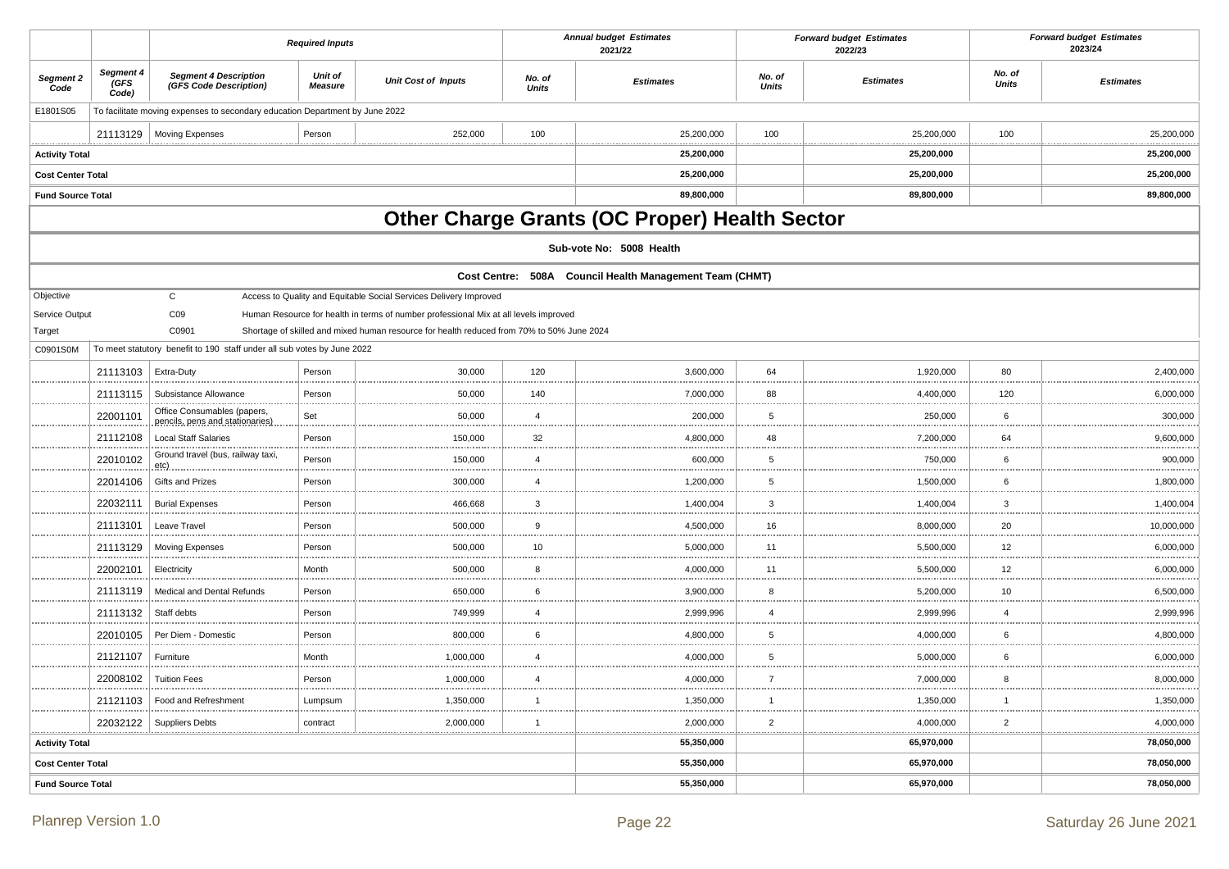|                          |                            |                                                                              | <b>Required Inputs</b>    |                                                                                           |                        | <b>Annual budget Estimates</b><br>2021/22               |                         | <b>Forward budget Estimates</b><br>2022/23 |                        | <b>Forward budget Estimates</b><br>2023/24 |
|--------------------------|----------------------------|------------------------------------------------------------------------------|---------------------------|-------------------------------------------------------------------------------------------|------------------------|---------------------------------------------------------|-------------------------|--------------------------------------------|------------------------|--------------------------------------------|
| Segment 2<br>Code        | Segment 4<br>(GFS<br>Code) | <b>Segment 4 Description</b><br>(GFS Code Description)                       | <b>Unit of</b><br>Measure | <b>Unit Cost of Inputs</b>                                                                | No. of<br><b>Units</b> | <b>Estimates</b>                                        | No. of<br><b>Units</b>  | <b>Estimates</b>                           | No. of<br><b>Units</b> | <b>Estimates</b>                           |
| E1801S05                 |                            | To facilitate moving expenses to secondary education Department by June 2022 |                           |                                                                                           |                        |                                                         |                         |                                            |                        |                                            |
|                          | 21113129                   | <b>Moving Expenses</b>                                                       | Person                    | 252,000                                                                                   | 100                    | 25,200,000                                              | 100<br>.                | 25,200,000<br>.                            | 100<br>.               | 25,200,000                                 |
| <b>Activity Total</b>    |                            |                                                                              |                           |                                                                                           |                        | 25,200,000                                              |                         | 25,200,000                                 |                        | 25,200,000                                 |
| <b>Cost Center Total</b> |                            |                                                                              |                           |                                                                                           |                        | 25,200,000                                              |                         | 25,200,000                                 |                        | 25,200,000                                 |
| <b>Fund Source Total</b> |                            |                                                                              |                           |                                                                                           |                        | 89,800,000                                              |                         | 89,800,000                                 |                        | 89,800,000                                 |
|                          |                            |                                                                              |                           |                                                                                           |                        | Other Charge Grants (OC Proper) Health Sector           |                         |                                            |                        |                                            |
|                          |                            |                                                                              |                           |                                                                                           |                        | Sub-vote No: 5008 Health                                |                         |                                            |                        |                                            |
|                          |                            |                                                                              |                           |                                                                                           |                        | Cost Centre: 508A Council Health Management Team (CHMT) |                         |                                            |                        |                                            |
| Objective                |                            | $\mathsf{C}$                                                                 |                           | Access to Quality and Equitable Social Services Delivery Improved                         |                        |                                                         |                         |                                            |                        |                                            |
| Service Output           |                            | CO9                                                                          |                           | Human Resource for health in terms of number professional Mix at all levels improved      |                        |                                                         |                         |                                            |                        |                                            |
| Target                   |                            | C0901                                                                        |                           | Shortage of skilled and mixed human resource for health reduced from 70% to 50% June 2024 |                        |                                                         |                         |                                            |                        |                                            |
| C0901S0M                 |                            | To meet statutory benefit to 190 staff under all sub votes by June 2022      |                           |                                                                                           |                        |                                                         |                         |                                            |                        |                                            |
|                          | 21113103                   | Extra-Duty                                                                   | Person                    | 30,000                                                                                    | 120                    | 3,600,000                                               | 64                      | 1,920,000                                  | 80                     | 2,400,000                                  |
|                          | 21113115                   | Subsistance Allowance                                                        | Person                    | 50,000                                                                                    | 140                    | 7,000,000                                               | 88                      | 4,400,000                                  | 120                    | 6,000,000                                  |
|                          | 22001101                   | Office Consumables (papers,<br>pencils, pens and stationaries)               | Set                       | 50,000                                                                                    | $\overline{4}$         | 200,000                                                 | 5                       | 250,000                                    | 6                      | 300,000                                    |
|                          | 21112108                   | <b>Local Staff Salaries</b>                                                  | Person                    | 150,000                                                                                   | 32                     | 4,800,000                                               | 48                      | 7,200,000                                  | 64                     | 9,600,000                                  |
|                          | 22010102                   | Ground travel (bus, railway taxi,<br>etç).                                   | Person                    | 150,000                                                                                   | $\overline{4}$         | 600,000                                                 | 5                       | 750,000                                    | 6                      | 900,000                                    |
|                          | 22014106                   | Gifts and Prizes                                                             | Person                    | 300,000                                                                                   | $\overline{4}$         | 1,200,000                                               | 5                       | 1,500,000                                  | 6                      | 1,800,000                                  |
|                          | 22032111                   | <b>Burial Expenses</b>                                                       | Person                    | 466,668                                                                                   | $\mathbf{3}$           | 1,400,004                                               | $\mathbf{3}$            | 1,400,004                                  | $\mathbf{3}$           | 1,400,004                                  |
|                          | 21113101                   | Leave Travel                                                                 | Person                    | 500,000                                                                                   | 9                      | 4,500,000                                               | 16                      | 8,000,000                                  | 20                     | 10,000,000<br>.                            |
|                          | 21113129                   | <b>Moving Expenses</b>                                                       | Person                    | 500,000                                                                                   | 10                     | 5,000,000                                               | 11<br>.                 | 5,500,000                                  | 12<br>.                | 6,000,000<br>.                             |
|                          | 22002101                   | Electricity                                                                  | Month                     | 500,000                                                                                   | 8                      | 4,000,000                                               | 11                      | 5,500,000                                  | 12                     | 6,000,000                                  |
|                          | 21113119                   | Medical and Dental Refunds                                                   | Person                    | 650,000                                                                                   | 6                      | 3,900,000                                               | 8                       | 5,200,000                                  | 10                     | 6,500,000                                  |
|                          | 21113132                   | Staff debts                                                                  | Person                    | 749,999                                                                                   | $\overline{4}$         | 2,999,996                                               | $\overline{\mathbf{A}}$ | 2,999,996                                  | .<br>$\overline{4}$    | 2,999,996                                  |
|                          | 22010105                   | Per Diem - Domestic                                                          | Person                    | 800,000                                                                                   | 6                      | 4,800,000                                               | 5                       | 4,000,000                                  | 6                      | 4,800,000                                  |
|                          | 21121107                   | Furniture                                                                    | Month                     | 1,000,000                                                                                 | $\overline{4}$         | 4,000,000                                               | 5                       | 5,000,000                                  | 6                      | 6,000,000                                  |
|                          | 22008102                   | <b>Tuition Fees</b>                                                          | Person                    | 1,000,000                                                                                 | $\overline{4}$         | 4,000,000                                               | $\overline{7}$          | 7,000,000                                  | 8                      | 8,000,000                                  |
|                          | 21121103                   | Food and Refreshment                                                         | Lumpsum                   | 1,350,000                                                                                 | -1                     | 1,350,000                                               | -1                      | 1,350,000                                  | -1                     | 1,350,000                                  |
|                          | 22032122                   | <b>Suppliers Debts</b>                                                       | contract                  | .<br>2,000,000                                                                            | $\mathbf{1}$           | 2,000,000                                               | $\overline{2}$          | 4,000,000                                  | <br>$\overline{2}$     | 4,000,000                                  |
| <b>Activity Total</b>    |                            |                                                                              |                           |                                                                                           |                        | 55,350,000                                              |                         | 65,970,000                                 | .                      | 78,050,000                                 |
| <b>Cost Center Total</b> |                            |                                                                              |                           |                                                                                           |                        | 55,350,000                                              |                         | 65,970,000                                 |                        | 78,050,000                                 |
| <b>Fund Source Total</b> |                            |                                                                              |                           |                                                                                           |                        | 55,350,000                                              |                         | 65,970,000                                 |                        | 78,050,000                                 |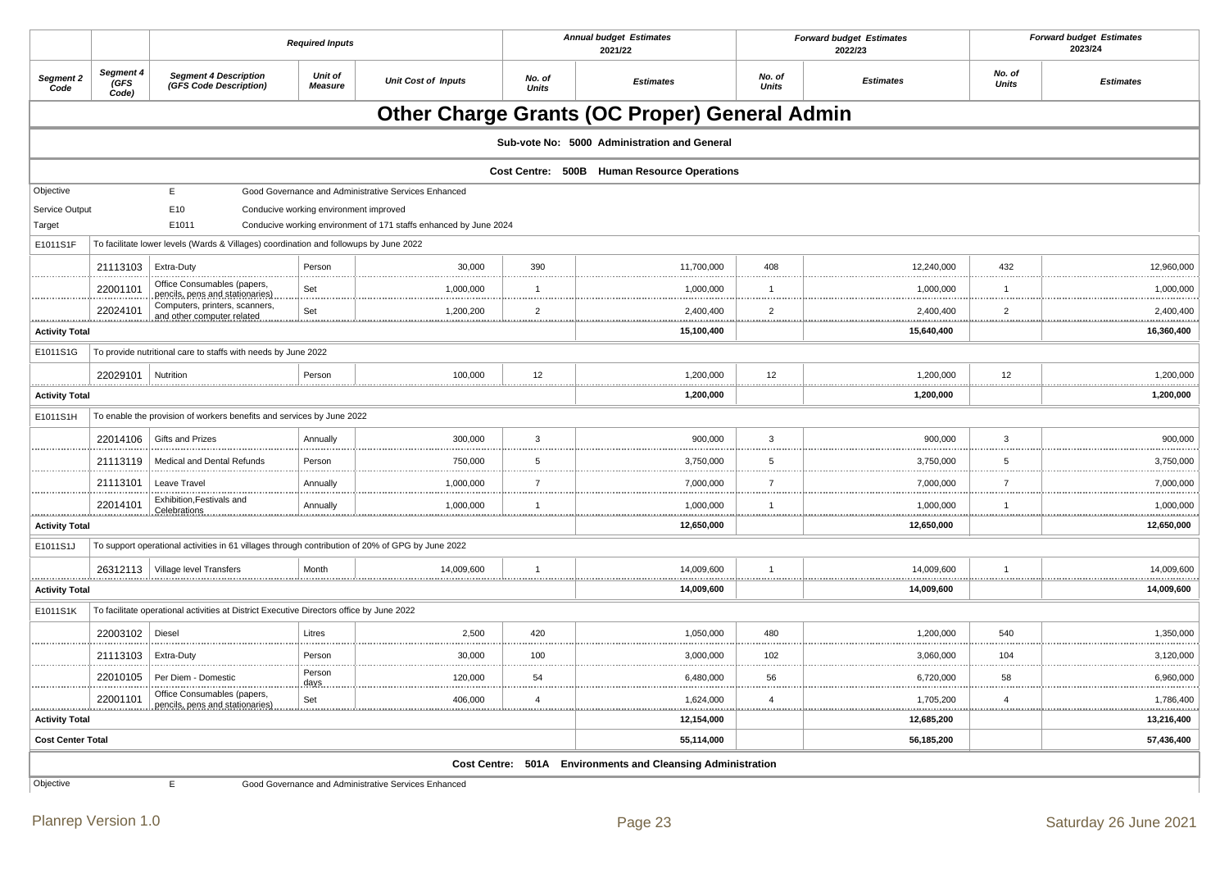|                       |                            |                                                                                                  | <b>Required Inputs</b>                 |                                                                   |                        | <b>Annual budget Estimates</b><br>2021/22            |                        | <b>Forward budget Estimates</b><br>2022/23 |                        | <b>Forward budget Estimates</b><br>2023/24 |
|-----------------------|----------------------------|--------------------------------------------------------------------------------------------------|----------------------------------------|-------------------------------------------------------------------|------------------------|------------------------------------------------------|------------------------|--------------------------------------------|------------------------|--------------------------------------------|
| Segment 2<br>Code     | Segment 4<br>(GFS<br>Code) | <b>Segment 4 Description</b><br>(GFS Code Description)                                           | Unit of<br><b>Measure</b>              | <b>Unit Cost of Inputs</b>                                        | No. of<br><b>Units</b> | <b>Estimates</b>                                     | No. of<br><b>Units</b> | <b>Estimates</b>                           | No. of<br><b>Units</b> | <b>Estimates</b>                           |
|                       |                            |                                                                                                  |                                        |                                                                   |                        | <b>Other Charge Grants (OC Proper) General Admin</b> |                        |                                            |                        |                                            |
|                       |                            |                                                                                                  |                                        |                                                                   |                        | Sub-vote No: 5000 Administration and General         |                        |                                            |                        |                                            |
|                       |                            |                                                                                                  |                                        |                                                                   |                        | Cost Centre: 500B Human Resource Operations          |                        |                                            |                        |                                            |
| Objective             |                            | E                                                                                                |                                        | Good Governance and Administrative Services Enhanced              |                        |                                                      |                        |                                            |                        |                                            |
| Service Output        |                            | E10<br>E1011                                                                                     | Conducive working environment improved |                                                                   |                        |                                                      |                        |                                            |                        |                                            |
| Target<br>E1011S1F    |                            | To facilitate lower levels (Wards & Villages) coordination and followups by June 2022            |                                        | Conducive working environment of 171 staffs enhanced by June 2024 |                        |                                                      |                        |                                            |                        |                                            |
|                       |                            |                                                                                                  |                                        |                                                                   |                        |                                                      |                        |                                            |                        |                                            |
|                       | 21113103                   | Extra-Duty<br>Office Consumables (papers,                                                        | Person                                 | 30,000                                                            | 390                    | 11,700,000                                           | 408                    | 12,240,000                                 | 432                    | 12,960,000                                 |
|                       | 22001101                   | pencils, pens and stationaries)                                                                  | Set                                    | 1,000,000                                                         | $\overline{1}$         | 1,000,000                                            | $\overline{1}$         | 1,000,000                                  | $\mathbf{1}$           | 1,000,000                                  |
|                       | 22024101                   | Computers, printers, scanners,<br>and other computer related                                     | Set                                    | 1,200,200                                                         | $\overline{2}$         | 2,400,400                                            | $\overline{c}$         | 2,400,400                                  | $\overline{2}$         | 2,400,400                                  |
| <b>Activity Total</b> |                            |                                                                                                  |                                        |                                                                   |                        | 15,100,400                                           |                        | 15,640,400                                 |                        | 16,360,400                                 |
| E1011S1G              |                            | To provide nutritional care to staffs with needs by June 2022                                    |                                        |                                                                   |                        |                                                      |                        |                                            |                        |                                            |
|                       | 22029101                   | Nutrition                                                                                        | Person                                 | 100,000                                                           | 12                     | 1,200,000                                            | 12                     | 1,200,000                                  | 12                     | 1,200,000                                  |
| <b>Activity Total</b> | .                          |                                                                                                  |                                        |                                                                   |                        | 1,200,000                                            |                        | .<br>1,200,000                             |                        | 1,200,000                                  |
| E1011S1H              |                            | To enable the provision of workers benefits and services by June 2022                            |                                        |                                                                   |                        |                                                      |                        |                                            |                        |                                            |
|                       | 22014106                   | <b>Gifts and Prizes</b>                                                                          | Annually                               | 300,000                                                           | 3                      | 900.000                                              | $\mathbf{3}$           | 900,000                                    | 3                      | 900,000                                    |
|                       | 21113119                   | Medical and Dental Refunds                                                                       | Person                                 | 750,000                                                           | 5                      | 3,750,000                                            | 5                      | 3,750,000                                  | 5                      | 3,750,000                                  |
|                       | 21113101                   | Leave Travel                                                                                     | Annually                               | 1,000,000                                                         | $\overline{7}$         | 7,000,000                                            | $\overline{7}$         | 7,000,000                                  | $\overline{7}$         | 7,000,000                                  |
|                       |                            | Exhibition, Festivals and                                                                        |                                        |                                                                   |                        |                                                      |                        |                                            |                        |                                            |
|                       | 22014101                   | Celebrations                                                                                     | Annually                               | 1,000,000                                                         |                        | 1,000,000                                            | $\overline{1}$         | 1,000,000                                  | $\overline{1}$         | 1,000,000                                  |
| <b>Activity Total</b> |                            |                                                                                                  |                                        |                                                                   |                        | 12,650,000                                           |                        | 12,650,000                                 |                        | 12,650,000                                 |
| E1011S1J              |                            | To support operational activities in 61 villages through contribution of 20% of GPG by June 2022 |                                        |                                                                   |                        |                                                      |                        |                                            |                        |                                            |
|                       |                            | 26312113   Village level Transfers                                                               | Month                                  | 14.009.600                                                        | -1                     | 14,009,600                                           | $\overline{1}$         | 14,009,600<br>.                            | $\overline{1}$         | 14,009,600                                 |
| <b>Activity Total</b> |                            |                                                                                                  |                                        |                                                                   |                        | 14,009,600                                           |                        | 14,009,600                                 |                        | 14,009,600                                 |
| E1011S1K              |                            | To facilitate operational activities at District Executive Directors office by June 2022         |                                        |                                                                   |                        |                                                      |                        |                                            |                        |                                            |
|                       | 22003102                   | Diesel                                                                                           | Litres                                 | 2,500                                                             | 420                    | 1,050,000                                            | 480                    | 1,200,000                                  | 540                    | 1,350,000                                  |
|                       | 21113103                   | Extra-Duty                                                                                       | Person                                 | 30,000                                                            | 100                    | 3,000,000                                            | 102                    | 3,060,000                                  | 104                    | 3,120,000                                  |
|                       | 22010105                   | Per Diem - Domestic                                                                              | Person<br>days                         | 120,000                                                           | 54                     | 6,480,000                                            | 56                     | 6,720,000                                  | 58                     | 6,960,000                                  |
|                       | 22001101                   | Office Consumables (papers,<br>pencils, pens and stationaries                                    | Set                                    | 406,000                                                           | $\overline{4}$         | 1,624,000                                            | $\overline{4}$         | 1,705,200                                  | $\overline{4}$         | 1,786,400                                  |
| <b>Activity Total</b> |                            |                                                                                                  |                                        |                                                                   |                        | 12,154,000                                           |                        | 12,685,200                                 |                        | 13,216,400                                 |
|                       | <b>Cost Center Total</b>   |                                                                                                  |                                        |                                                                   |                        | 55,114,000                                           |                        | 56,185,200                                 |                        | 57,436,400                                 |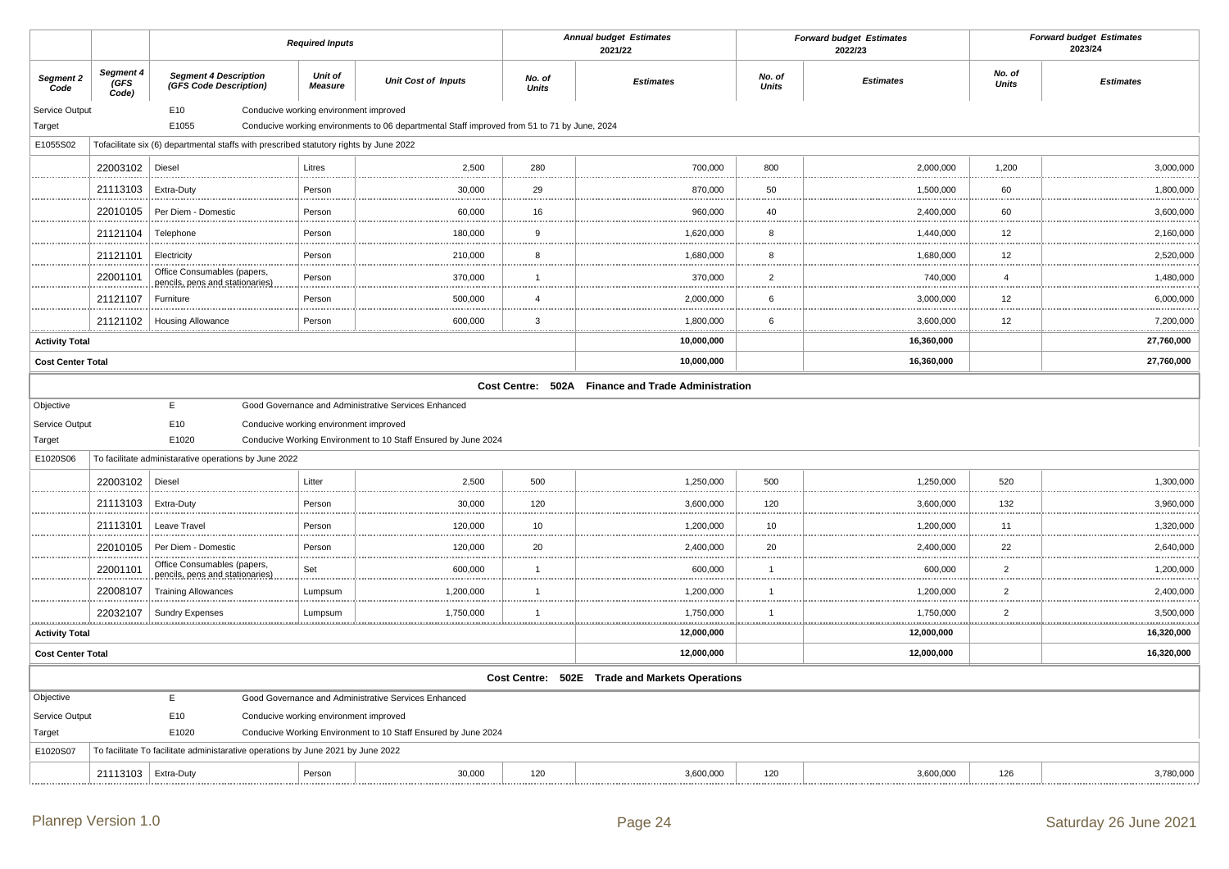|                          |                            |                                                                                        | <b>Required Inputs</b>                 |                                                                                              |                 | <b>Annual budget Estimates</b><br>2021/22          |                        | <b>Forward budget Estimates</b><br>2022/23 |                        | <b>Forward budget Estimates</b><br>2023/24 |
|--------------------------|----------------------------|----------------------------------------------------------------------------------------|----------------------------------------|----------------------------------------------------------------------------------------------|-----------------|----------------------------------------------------|------------------------|--------------------------------------------|------------------------|--------------------------------------------|
| Segment 2<br>Code        | Segment 4<br>(GFS<br>Code) | <b>Segment 4 Description</b><br>(GFS Code Description)                                 | Unit of<br><b>Measure</b>              | <b>Unit Cost of Inputs</b>                                                                   | No. of<br>Units | <b>Estimates</b>                                   | No. of<br><b>Units</b> | <b>Estimates</b>                           | No. of<br><b>Units</b> | <b>Estimates</b>                           |
| Service Output           |                            | E10                                                                                    | Conducive working environment improved |                                                                                              |                 |                                                    |                        |                                            |                        |                                            |
| Target                   |                            | E1055                                                                                  |                                        | Conducive working environments to 06 departmental Staff improved from 51 to 71 by June, 2024 |                 |                                                    |                        |                                            |                        |                                            |
| E1055S02                 |                            | Tofacilitate six (6) departmental staffs with prescribed statutory rights by June 2022 |                                        |                                                                                              |                 |                                                    |                        |                                            |                        |                                            |
|                          | 22003102                   | Diesel                                                                                 | Litres                                 | 2,500                                                                                        | 280             | 700,000                                            | 800                    | 2,000,000                                  | 1,200                  | 3,000,000                                  |
|                          | 21113103                   | Extra-Duty                                                                             | Person                                 | 30,000                                                                                       | 29              | 870,000                                            | 50                     | 1,500,000                                  | 60                     | 1,800,000                                  |
|                          | 22010105                   | Per Diem - Domestic                                                                    | Person                                 | 60,000                                                                                       | 16              | 960,000                                            | 40                     | 2,400,000                                  | 60                     | 3,600,000                                  |
|                          | 21121104                   | Telephone                                                                              | Person                                 | 180,000                                                                                      | 9               | 1,620,000                                          | 8                      | 1,440,000                                  | 12                     | 2,160,000                                  |
|                          | 21121101                   | Electricity                                                                            | Person                                 | 210,000                                                                                      | 8               | 1,680,000                                          | 8                      | 1,680,000                                  | 12                     | 2,520,000                                  |
|                          | 22001101                   | Office Consumables (papers,<br>pencils, pens and stationaries)                         | Person                                 | 370,000                                                                                      | $\overline{1}$  | 370,000                                            | $\overline{2}$         | 740,000                                    | $\overline{4}$         | 1,480,000                                  |
|                          | 21121107                   | Furniture                                                                              | Person                                 | 500,000                                                                                      | $\overline{4}$  | 2,000,000                                          | 6                      | 3,000,000                                  | 12                     | 6,000,000                                  |
|                          | 21121102                   | <b>Housing Allowance</b>                                                               | Person                                 | 600,000                                                                                      | 3               | 1,800,000                                          | 6                      | 3,600,000                                  | 12                     | 7,200,000                                  |
| <b>Activity Total</b>    |                            |                                                                                        |                                        |                                                                                              |                 | 10,000,000                                         |                        | 16,360,000                                 |                        | 27,760,000                                 |
| <b>Cost Center Total</b> |                            |                                                                                        |                                        |                                                                                              |                 | 10,000,000                                         |                        | 16,360,000                                 |                        | 27,760,000                                 |
|                          |                            |                                                                                        |                                        |                                                                                              |                 | Cost Centre: 502A Finance and Trade Administration |                        |                                            |                        |                                            |
| Objective                |                            | E                                                                                      |                                        | Good Governance and Administrative Services Enhanced                                         |                 |                                                    |                        |                                            |                        |                                            |
| Service Output           |                            | E10                                                                                    | Conducive working environment improved |                                                                                              |                 |                                                    |                        |                                            |                        |                                            |
| Target                   |                            | E1020                                                                                  |                                        | Conducive Working Environment to 10 Staff Ensured by June 2024                               |                 |                                                    |                        |                                            |                        |                                            |
| E1020S06                 |                            | To facilitate administarative operations by June 2022                                  |                                        |                                                                                              |                 |                                                    |                        |                                            |                        |                                            |
|                          | 22003102                   | Diesel                                                                                 | Litter                                 | 2,500                                                                                        | 500             | 1,250,000                                          | 500                    | 1,250,000                                  | 520                    | 1,300,000                                  |
|                          | 21113103                   | Extra-Duty                                                                             | Person                                 | 30,000                                                                                       | 120             | 3,600,000                                          | 120                    | 3,600,000                                  | 132                    | 3,960,000                                  |
|                          | 21113101                   | Leave Travel                                                                           | Person                                 | 120,000                                                                                      | 10              | 1,200,000                                          | 10                     | 1,200,000                                  | 11                     | 1,320,000                                  |
|                          | 22010105                   | Per Diem - Domestic                                                                    | Person                                 | 120,000                                                                                      | 20              | 2,400,000                                          | 20                     | 2,400,000                                  | 22                     | 2,640,000                                  |
|                          | 22001101                   | Office Consumables (papers,<br>pencils, pens and stationaries)                         | Set                                    | 600,000                                                                                      | $\overline{1}$  | 600,000                                            | $\overline{1}$         | 600,000                                    | $\overline{2}$         | 1,200,000                                  |
|                          | 22008107                   | <b>Training Allowances</b>                                                             | Lumpsum                                | 1,200,000                                                                                    | $\overline{1}$  | 1,200,000                                          | $\overline{1}$         | 1,200,000                                  | $\overline{2}$         | 2,400,000                                  |
|                          | 22032107                   | <b>Sundry Expenses</b>                                                                 | Lumpsum                                | 1,750,000                                                                                    | -1              | 1,750,000                                          | $\overline{1}$<br>.    | 1,750,000                                  | $\overline{2}$         | 3,500,000                                  |
| <b>Activity Total</b>    |                            |                                                                                        |                                        |                                                                                              |                 | 12,000,000                                         |                        | 12,000,000                                 |                        | 16,320,000                                 |
| <b>Cost Center Total</b> |                            |                                                                                        |                                        |                                                                                              |                 | 12,000,000                                         |                        | 12,000,000                                 |                        | 16,320,000                                 |
|                          |                            |                                                                                        |                                        |                                                                                              |                 | Cost Centre: 502E Trade and Markets Operations     |                        |                                            |                        |                                            |
| Objective                |                            | E                                                                                      |                                        | Good Governance and Administrative Services Enhanced                                         |                 |                                                    |                        |                                            |                        |                                            |
| Service Output           |                            | E10                                                                                    | Conducive working environment improved |                                                                                              |                 |                                                    |                        |                                            |                        |                                            |
| Target                   |                            | E1020                                                                                  |                                        | Conducive Working Environment to 10 Staff Ensured by June 2024                               |                 |                                                    |                        |                                            |                        |                                            |
| E1020S07                 |                            | To facilitate To facilitate administarative operations by June 2021 by June 2022       |                                        |                                                                                              |                 |                                                    |                        |                                            |                        |                                            |
|                          | 21113103                   | Extra-Duty                                                                             | Person                                 | 30,000                                                                                       | 120             | 3,600,000                                          | 120                    | 3,600,000                                  | 126                    | 3,780,000                                  |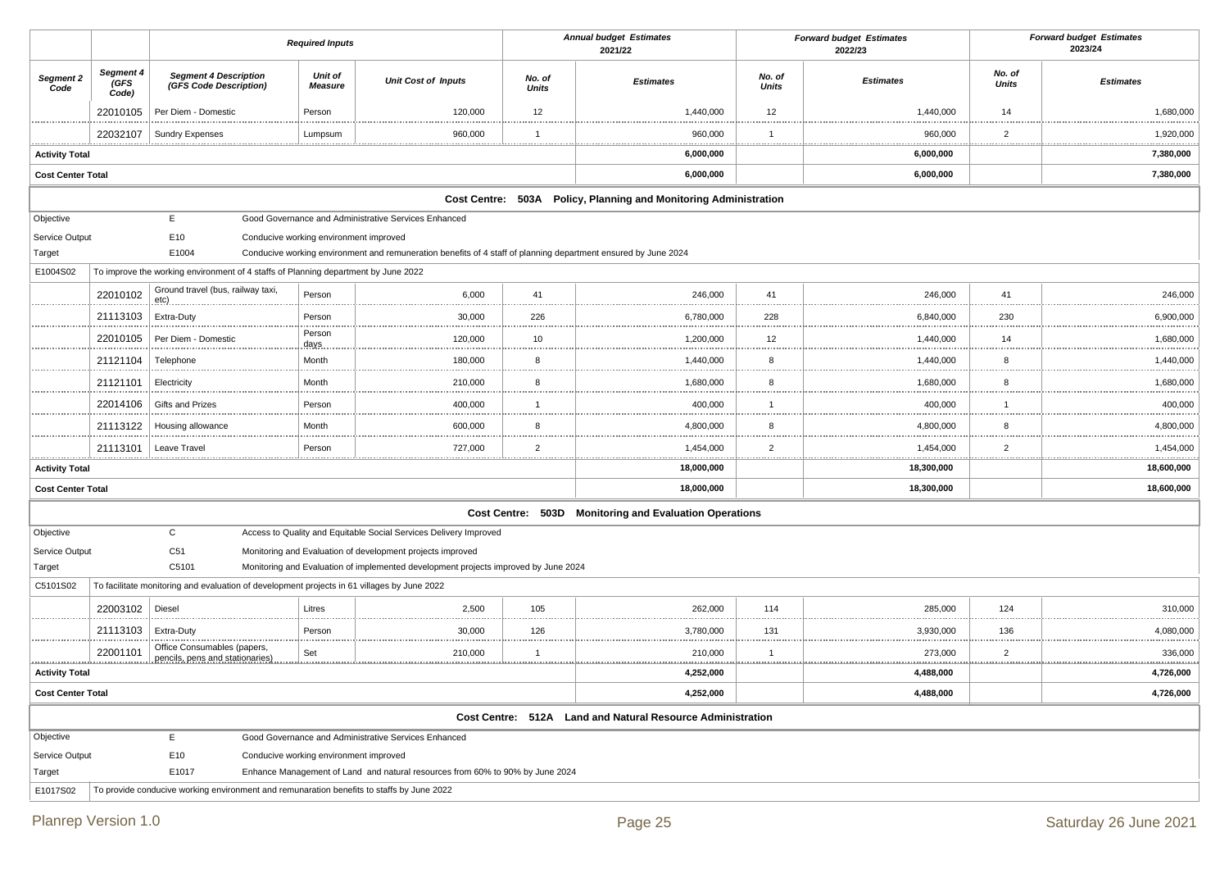|                                    |                            |                                                                                             | <b>Annual budget Estimates</b><br><b>Required Inputs</b><br>2021/22 |                                                                                                                |                        |                                                                  |                     | <b>Forward budget Estimates</b><br>2022/23 | <b>Forward budget Estimates</b><br>2023/24 |                  |
|------------------------------------|----------------------------|---------------------------------------------------------------------------------------------|---------------------------------------------------------------------|----------------------------------------------------------------------------------------------------------------|------------------------|------------------------------------------------------------------|---------------------|--------------------------------------------|--------------------------------------------|------------------|
| Segment 2<br>Code                  | Segment 4<br>(GFS<br>Code) | <b>Segment 4 Description</b><br>(GFS Code Description)                                      | Unit of<br>Measure                                                  | <b>Unit Cost of Inputs</b>                                                                                     | No. of<br><b>Units</b> | <b>Estimates</b>                                                 | No. of<br>Units     | <b>Estimates</b>                           | No. of<br><b>Units</b>                     | <b>Estimates</b> |
|                                    | 22010105                   | Per Diem - Domestic                                                                         | Person                                                              | 120,000                                                                                                        | 12                     | 1,440,000                                                        | 12                  | 1,440,000                                  | 14                                         | 1,680,000        |
|                                    | 22032107                   | <b>Sundry Expenses</b>                                                                      | Lumpsum<br>                                                         | 960,000                                                                                                        | $\mathbf 1$<br>.       | 960,000                                                          | .                   | 960,000                                    | $\overline{2}$<br>                         | 1,920,000<br>.   |
| <b>Activity Total</b>              |                            |                                                                                             |                                                                     |                                                                                                                |                        | 6,000,000                                                        |                     | 6,000,000                                  |                                            | 7,380,000        |
| <b>Cost Center Total</b>           |                            |                                                                                             |                                                                     |                                                                                                                |                        | 6,000,000                                                        |                     | 6,000,000                                  |                                            | 7,380,000        |
|                                    |                            |                                                                                             |                                                                     |                                                                                                                |                        | Cost Centre: 503A Policy, Planning and Monitoring Administration |                     |                                            |                                            |                  |
| Objective                          |                            | E                                                                                           |                                                                     | Good Governance and Administrative Services Enhanced                                                           |                        |                                                                  |                     |                                            |                                            |                  |
| Service Output                     |                            | E10                                                                                         | Conducive working environment improved                              |                                                                                                                |                        |                                                                  |                     |                                            |                                            |                  |
| Target                             |                            | E1004                                                                                       |                                                                     | Conducive working environment and remuneration benefits of 4 staff of planning department ensured by June 2024 |                        |                                                                  |                     |                                            |                                            |                  |
| E1004S02                           |                            | To improve the working environment of 4 staffs of Planning department by June 2022          |                                                                     |                                                                                                                |                        |                                                                  |                     |                                            |                                            |                  |
|                                    | 22010102                   | Ground travel (bus, railway taxi,<br><u>.etc)</u>                                           | Person                                                              | 6,000                                                                                                          | 41                     | 246,000                                                          | 41                  | 246,000                                    | 41                                         | 246,000          |
|                                    | 21113103                   | Extra-Duty                                                                                  | Person                                                              | 30,000                                                                                                         | 226                    | 6,780,000                                                        | 228                 | 6,840,000                                  | 230                                        | 6,900,000        |
|                                    | 22010105                   | Per Diem - Domestic                                                                         | Person<br>days                                                      | 120,000                                                                                                        | 10                     | 1,200,000                                                        | 12                  | 1,440,000                                  | 14                                         | 1,680,000        |
|                                    | 21121104                   | Telephone                                                                                   | Month                                                               | 180,000                                                                                                        | 8                      | 1,440,000                                                        | 8                   | 1,440,000                                  | 8                                          | 1,440,000        |
|                                    | 21121101                   | Electricity                                                                                 | Month                                                               | 210,000                                                                                                        | 8                      | 1,680,000                                                        | 8                   | 1,680,000                                  | 8                                          | 1,680,000        |
|                                    | 22014106                   | <b>Gifts and Prizes</b>                                                                     | Person                                                              | 400,000                                                                                                        | $\overline{1}$         | 400,000                                                          |                     | 400,000                                    | $\mathbf{1}$                               | 400,000          |
|                                    | 21113122                   | Housing allowance                                                                           | Month                                                               | 600,000                                                                                                        | 8                      | 4,800,000                                                        | 8                   | 4,800,000                                  | 8                                          | 4,800,000        |
|                                    | 21113101                   | Leave Trave                                                                                 | Person                                                              | 727,000                                                                                                        | $\overline{2}$<br>.    | 1,454,000                                                        | $\overline{2}$<br>. | 1,454,000                                  | $\overline{2}$<br>.                        | 1,454,000        |
| <b>Activity Total</b>              |                            |                                                                                             |                                                                     |                                                                                                                |                        | 18,000,000                                                       |                     | 18,300,000                                 |                                            | 18,600,000       |
| <b>Cost Center Total</b>           |                            |                                                                                             |                                                                     |                                                                                                                |                        | 18,000,000                                                       |                     | 18,300,000                                 |                                            | 18,600,000       |
|                                    |                            |                                                                                             |                                                                     |                                                                                                                |                        | Cost Centre: 503D Monitoring and Evaluation Operations           |                     |                                            |                                            |                  |
| Objective                          |                            | $\mathsf{C}$                                                                                |                                                                     | Access to Quality and Equitable Social Services Delivery Improved                                              |                        |                                                                  |                     |                                            |                                            |                  |
| Service Output                     |                            | C51                                                                                         |                                                                     | Monitoring and Evaluation of development projects improved                                                     |                        |                                                                  |                     |                                            |                                            |                  |
| Target                             |                            | C5101                                                                                       |                                                                     | Monitoring and Evaluation of implemented development projects improved by June 2024                            |                        |                                                                  |                     |                                            |                                            |                  |
| C5101S02                           |                            | To facilitate monitoring and evaluation of development projects in 61 villages by June 2022 |                                                                     |                                                                                                                |                        |                                                                  |                     |                                            |                                            |                  |
|                                    | 22003102                   | Diesel                                                                                      | Litres                                                              | 2,500                                                                                                          | 105                    | 262,000                                                          | 114                 | 285,000                                    | 124                                        | 310,000          |
|                                    | 21113103                   | Extra-Duty                                                                                  | Person                                                              | 30,000                                                                                                         | 126                    | 3,780,000                                                        | 131                 | 3,930,000                                  | 136                                        | 4,080,000        |
|                                    | 22001101                   | Office Consumables (papers,<br>pencils, pens and stationaries)                              | Set                                                                 | 210,000                                                                                                        | -1<br>.                | 210,000                                                          | .                   | 273,000                                    | 2<br>.                                     | 336,000<br>.     |
| 4,252,000<br><b>Activity Total</b> |                            |                                                                                             |                                                                     |                                                                                                                |                        |                                                                  | 4,488,000           |                                            | 4,726,000                                  |                  |
| <b>Cost Center Total</b>           |                            |                                                                                             |                                                                     |                                                                                                                |                        | 4,252,000                                                        |                     | 4,488,000                                  |                                            | 4,726,000        |
|                                    |                            |                                                                                             |                                                                     |                                                                                                                |                        | Cost Centre: 512A Land and Natural Resource Administration       |                     |                                            |                                            |                  |
| Objective                          |                            | Ε.                                                                                          |                                                                     | Good Governance and Administrative Services Enhanced                                                           |                        |                                                                  |                     |                                            |                                            |                  |
| Service Output                     |                            | E10                                                                                         | Conducive working environment improved                              |                                                                                                                |                        |                                                                  |                     |                                            |                                            |                  |
| Target                             |                            | E1017                                                                                       |                                                                     | Enhance Management of Land and natural resources from 60% to 90% by June 2024                                  |                        |                                                                  |                     |                                            |                                            |                  |
| E1017S02                           |                            | To provide conducive working environment and remunaration benefits to staffs by June 2022   |                                                                     |                                                                                                                |                        |                                                                  |                     |                                            |                                            |                  |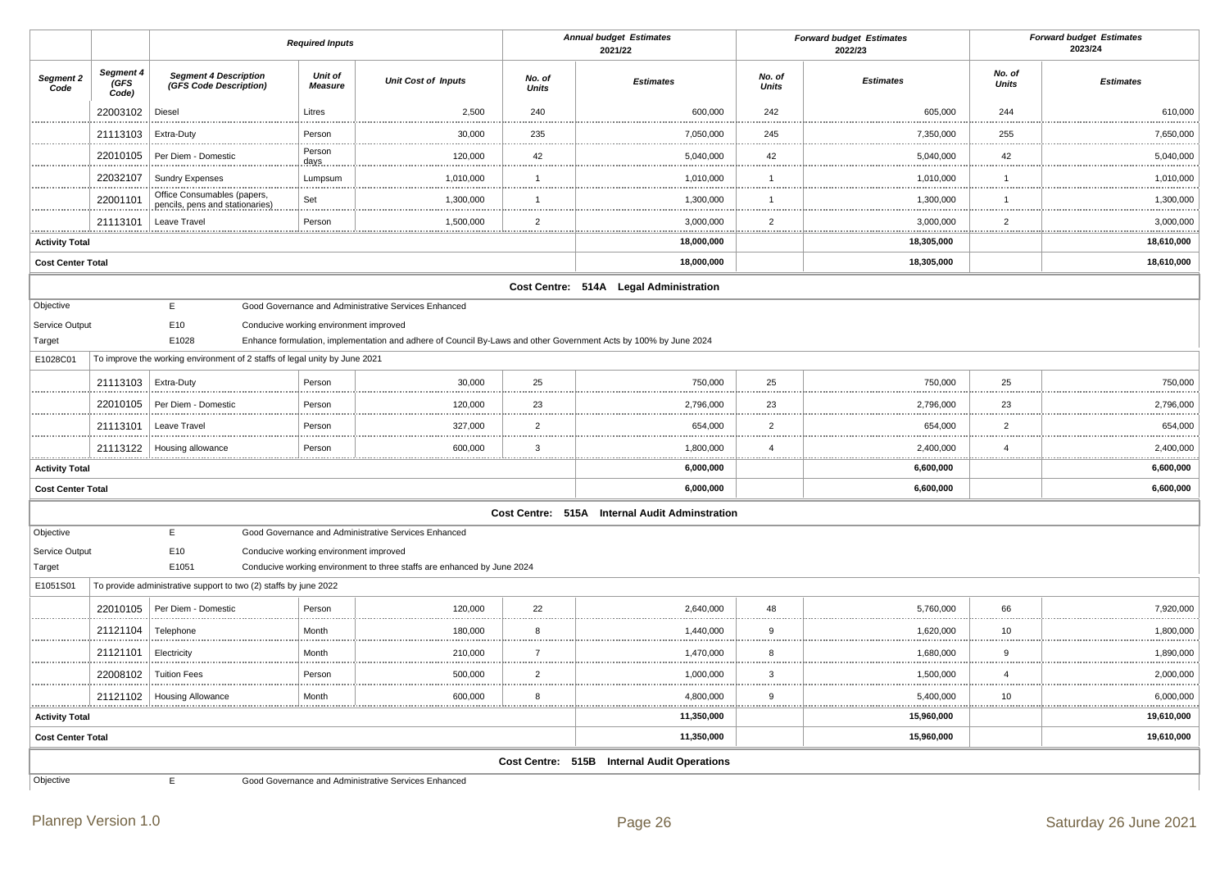|                          |                                  |                                                                            | <b>Required Inputs</b>                 |                                                                                                                  |                        | <b>Annual budget Estimates</b><br>2021/22      | <b>Forward budget Estimates</b><br>2022/23 |                       |                        | <b>Forward budget Estimates</b><br>2023/24 |  |
|--------------------------|----------------------------------|----------------------------------------------------------------------------|----------------------------------------|------------------------------------------------------------------------------------------------------------------|------------------------|------------------------------------------------|--------------------------------------------|-----------------------|------------------------|--------------------------------------------|--|
| Segment 2<br>Code        | Segment 4<br><b>GFS</b><br>Code) | <b>Segment 4 Description</b><br>(GFS Code Description)                     | <b>Unit of</b><br><b>Measure</b>       | <b>Unit Cost of Inputs</b>                                                                                       | No. of<br><b>Units</b> | <b>Estimates</b>                               | No. of<br><b>Units</b>                     | <b>Estimates</b>      | No. of<br><b>Units</b> | <b>Estimates</b>                           |  |
|                          | 22003102                         | Diesel                                                                     | Litres                                 | 2,500                                                                                                            | 240                    | 600.000                                        | 242                                        | 605,000               | 244                    | 610,000                                    |  |
|                          | 21113103                         | Extra-Duty                                                                 | Person                                 | 30,000                                                                                                           | 235                    | 7,050,000                                      | 245                                        | 7,350,000             | 255                    | 7,650,000                                  |  |
|                          | 22010105                         | Per Diem - Domestic                                                        | Person<br>days                         | 120,000                                                                                                          | 42                     | 5,040,000                                      | 42                                         | 5,040,000             | 42                     | 5,040,000                                  |  |
|                          | 22032107                         | <b>Sundry Expenses</b>                                                     | Lumpsum                                | 1,010,000                                                                                                        | $\mathbf{1}$           | 1,010,000                                      | $\overline{1}$                             | 1,010,000             | $\overline{1}$         | 1,010,000                                  |  |
|                          | 22001101                         | Office Consumables (papers,<br>pencils, pens and stationaries)             | Set                                    | 1,300,000                                                                                                        | $\mathbf{1}$           | 1,300,000                                      | $\overline{1}$                             | 1,300,000<br>         | $\overline{1}$         | 1,300,000                                  |  |
|                          | 21113101                         | Leave Travel                                                               | Person                                 | 1,500,000                                                                                                        | 2                      | 3,000,000                                      | $\overline{2}$                             | 3,000,000             | $\overline{2}$         | 3,000,000                                  |  |
| <b>Activity Total</b>    |                                  |                                                                            |                                        |                                                                                                                  |                        | 18,000,000                                     |                                            | 18,305,000            |                        | 18,610,000                                 |  |
| <b>Cost Center Total</b> |                                  |                                                                            |                                        |                                                                                                                  |                        | 18,000,000                                     |                                            | 18,305,000            |                        | 18,610,000                                 |  |
|                          |                                  |                                                                            |                                        |                                                                                                                  |                        | Cost Centre: 514A Legal Administration         |                                            |                       |                        |                                            |  |
| Objective                |                                  | E                                                                          |                                        | Good Governance and Administrative Services Enhanced                                                             |                        |                                                |                                            |                       |                        |                                            |  |
| Service Output           |                                  | E10                                                                        | Conducive working environment improved |                                                                                                                  |                        |                                                |                                            |                       |                        |                                            |  |
| Target                   |                                  | E1028                                                                      |                                        | Enhance formulation, implementation and adhere of Council By-Laws and other Government Acts by 100% by June 2024 |                        |                                                |                                            |                       |                        |                                            |  |
| E1028C01                 |                                  | To improve the working environment of 2 staffs of legal unity by June 2021 |                                        |                                                                                                                  |                        |                                                |                                            |                       |                        |                                            |  |
|                          | 21113103                         | Extra-Duty                                                                 | Person                                 | 30,000                                                                                                           | 25                     | 750,000                                        | 25                                         | 750,000               | 25                     | 750,000                                    |  |
|                          | 22010105                         | Per Diem - Domestic                                                        | Person                                 | 120,000                                                                                                          | 23                     | 2,796,000                                      | 23                                         | 2,796,000             | 23                     | 2,796,000                                  |  |
|                          | 21113101                         | Leave Travel                                                               | Person                                 | 327,000                                                                                                          | $\overline{2}$         | 654,000                                        | $\overline{2}$                             | 654,000               | $\overline{2}$<br>     | 654,000                                    |  |
|                          | 21113122                         | Housing allowance                                                          | Person                                 | 600,000                                                                                                          | 3                      | 1,800,000                                      | $\overline{4}$                             | 2,400,000             | $\overline{4}$<br>     | 2,400,000                                  |  |
| <b>Activity Total</b>    |                                  |                                                                            |                                        |                                                                                                                  |                        | 6,000,000                                      |                                            | 6,600,000             |                        | 6,600,000                                  |  |
| <b>Cost Center Total</b> |                                  |                                                                            |                                        |                                                                                                                  |                        | 6,000,000                                      |                                            | 6,600,000             |                        | 6,600,000                                  |  |
|                          |                                  |                                                                            |                                        |                                                                                                                  |                        | Cost Centre: 515A Internal Audit Adminstration |                                            |                       |                        |                                            |  |
| Objective                |                                  | E                                                                          |                                        | Good Governance and Administrative Services Enhanced                                                             |                        |                                                |                                            |                       |                        |                                            |  |
| Service Output           |                                  | E10                                                                        | Conducive working environment improved |                                                                                                                  |                        |                                                |                                            |                       |                        |                                            |  |
| Target                   |                                  | E1051                                                                      |                                        | Conducive working environment to three staffs are enhanced by June 2024                                          |                        |                                                |                                            |                       |                        |                                            |  |
| E1051S01                 |                                  | To provide administrative support to two (2) staffs by june 2022           |                                        |                                                                                                                  |                        |                                                |                                            |                       |                        |                                            |  |
|                          | 22010105                         | Per Diem - Domestic                                                        | Person                                 | 120,000                                                                                                          | 22                     | 2,640,000                                      | 48                                         | 5,760,000             | 66                     | 7,920,000                                  |  |
|                          | 21121104                         | Telephone                                                                  | Month                                  | 180,000                                                                                                          | 8                      | 1,440,000                                      | 9                                          | 1,620,000             | 10                     | 1,800,000                                  |  |
|                          | 21121101                         | Electricity                                                                | Month                                  | 210,000                                                                                                          | $\overline{7}$         | 1,470,000                                      | 8                                          | 1,680,000             | 9                      | 1,890,000                                  |  |
|                          | 22008102                         | <b>Tuition Fees</b>                                                        | Person                                 | 500,000                                                                                                          | $\overline{2}$         | 1,000,000                                      | $\mathbf{3}$                               | 1,500,000             | $\overline{4}$         | 2,000,000                                  |  |
|                          |                                  | 21121102   Housing Allowance                                               | Month                                  | 600,000                                                                                                          | 8                      | 4,800,000                                      | 9                                          | 5,400,000<br><u>.</u> | 10                     | 6,000,000                                  |  |
| <b>Activity Total</b>    |                                  |                                                                            |                                        |                                                                                                                  |                        | 11,350,000                                     |                                            | 15,960,000            |                        | 19,610,000                                 |  |
| <b>Cost Center Total</b> |                                  |                                                                            |                                        |                                                                                                                  |                        | 11,350,000                                     |                                            | 15,960,000            |                        | 19,610,000                                 |  |
|                          |                                  |                                                                            |                                        |                                                                                                                  |                        | Cost Centre: 515B Internal Audit Operations    |                                            |                       |                        |                                            |  |
| Objective                |                                  | E                                                                          |                                        | Good Governance and Administrative Services Enhanced                                                             |                        |                                                |                                            |                       |                        |                                            |  |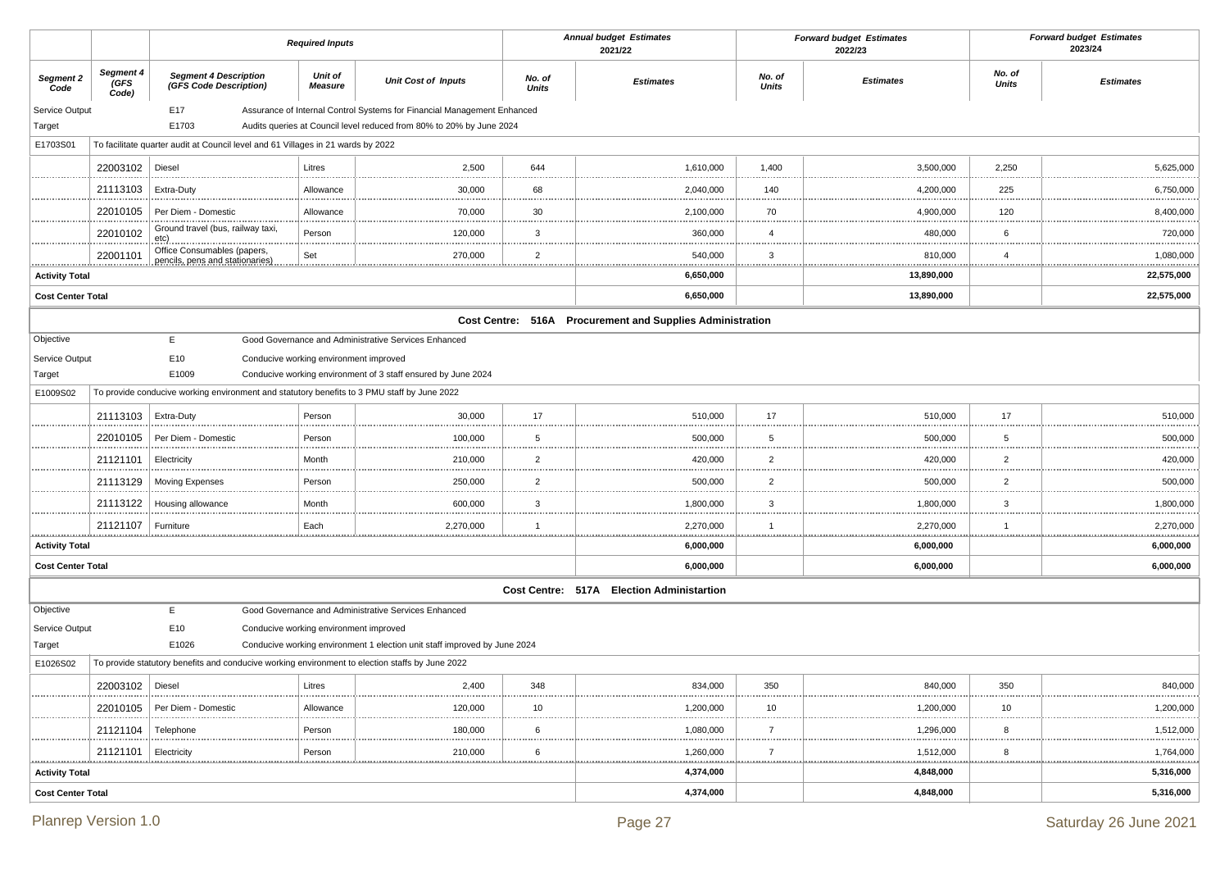|                          |                                                 |                                                                                                 | <b>Required Inputs</b>                 |                                                                           |                         | <b>Annual budget Estimates</b><br>2021/22                 |                        | <b>Forward budget Estimates</b><br>2022/23 |                                        | <b>Forward budget Estimates</b><br>2023/24 |
|--------------------------|-------------------------------------------------|-------------------------------------------------------------------------------------------------|----------------------------------------|---------------------------------------------------------------------------|-------------------------|-----------------------------------------------------------|------------------------|--------------------------------------------|----------------------------------------|--------------------------------------------|
| Segment 2<br>Code        | Segment 4<br>(GFS<br>Code)                      | <b>Segment 4 Description</b><br>(GFS Code Description)                                          | Unit of<br><b>Measure</b>              | <b>Unit Cost of Inputs</b>                                                | No. of<br>Units         | <b>Estimates</b>                                          | No. of<br><b>Units</b> | <b>Estimates</b>                           | No. of<br><b>Units</b>                 | <b>Estimates</b>                           |
| Service Output           |                                                 | E17                                                                                             |                                        | Assurance of Internal Control Systems for Financial Management Enhanced   |                         |                                                           |                        |                                            |                                        |                                            |
| Target                   |                                                 | E1703                                                                                           |                                        | Audits queries at Council level reduced from 80% to 20% by June 2024      |                         |                                                           |                        |                                            |                                        |                                            |
| E1703S01                 |                                                 | To facilitate quarter audit at Council level and 61 Villages in 21 wards by 2022                |                                        |                                                                           |                         |                                                           |                        |                                            |                                        |                                            |
|                          | 22003102                                        | Diesel                                                                                          | Litres                                 | 2,500                                                                     | 644                     | 1,610,000                                                 | 1,400                  | 3,500,000                                  | 2,250                                  | 5,625,000                                  |
|                          | 21113103                                        | Extra-Duty                                                                                      | Allowance                              | 30,000                                                                    | 68                      | 2,040,000                                                 | 140                    | 4,200,000                                  | 225                                    | 6,750,000                                  |
|                          | 22010105                                        | Per Diem - Domestic                                                                             | Allowance                              | 70,000                                                                    | 30                      | 2,100,000                                                 | 70                     | 4,900,000                                  | 120                                    | 8,400,000                                  |
|                          | 22010102                                        | Ground travel (bus, railway taxi,<br>etc)                                                       | Person                                 | 120,000                                                                   | 3                       | 360,000                                                   | $\overline{4}$         | 480,000                                    | 6                                      | 720,000                                    |
|                          | 22001101                                        | Office Consumables (papers,<br>pencils, pens and stationaries)                                  | Set                                    | 270,000                                                                   | $\overline{2}$          | 540,000                                                   | 3                      | 810,000                                    | $\overline{4}$                         | 1,080,000<br><u></u>                       |
| <b>Activity Total</b>    |                                                 |                                                                                                 |                                        |                                                                           |                         | .<br>6,650,000                                            | <u></u>                | 13,890,000                                 | <u></u>                                | 22,575,000                                 |
| <b>Cost Center Total</b> |                                                 |                                                                                                 |                                        |                                                                           |                         | 6,650,000                                                 |                        | 13,890,000                                 |                                        | 22,575,000                                 |
|                          |                                                 |                                                                                                 |                                        |                                                                           |                         | Cost Centre: 516A Procurement and Supplies Administration |                        |                                            |                                        |                                            |
| Objective                |                                                 | Е.                                                                                              |                                        | Good Governance and Administrative Services Enhanced                      |                         |                                                           |                        |                                            |                                        |                                            |
| Service Output           |                                                 | E10                                                                                             | Conducive working environment improved |                                                                           |                         |                                                           |                        |                                            |                                        |                                            |
| Target                   |                                                 | E1009                                                                                           |                                        | Conducive working environment of 3 staff ensured by June 2024             |                         |                                                           |                        |                                            |                                        |                                            |
| E1009S02                 |                                                 | To provide conducive working environment and statutory benefits to 3 PMU staff by June 2022     |                                        |                                                                           |                         |                                                           |                        |                                            |                                        |                                            |
| .                        | 21113103                                        | Extra-Duty                                                                                      | Person                                 | 30,000                                                                    | 17                      | 510,000                                                   | 17                     | 510,000                                    | 17                                     | 510,000                                    |
|                          | 22010105                                        | Per Diem - Domestic                                                                             | Person                                 | 100,000                                                                   | 5                       | 500,000                                                   | 5                      | 500,000                                    | 5                                      | 500,000<br>.                               |
| .                        | 21121101                                        | Electricity                                                                                     | Month                                  | 210,000                                                                   | $\overline{2}$          | 420,000                                                   | $\overline{2}$         | 420,000                                    | $\overline{2}$                         | 420,000                                    |
|                          | 21113129                                        | <b>Moving Expenses</b>                                                                          | Person                                 | 250,000<br>.                                                              | $\overline{2}$          | 500,000                                                   | $\overline{2}$<br>     | 500,000                                    | $\overline{2}$                         | 500,000<br>.                               |
|                          | 21113122                                        | Housing allowance                                                                               | Month                                  | 600,000                                                                   | 3                       | 1,800,000                                                 | 3                      | 1,800,000                                  | 3                                      | 1,800,000                                  |
|                          | 21121107                                        | Furniture                                                                                       | Each<br>.                              | 2,270,000                                                                 | $\overline{\mathbf{1}}$ | 2,270,000<br>,,,,,,,,,,,,,,,,,,                           |                        | 2,270,000                                  | $\overline{\phantom{a}}$<br>. <u>.</u> | 2,270,000<br>.                             |
| <b>Activity Total</b>    |                                                 |                                                                                                 |                                        |                                                                           |                         | 6,000,000                                                 |                        | 6,000,000                                  |                                        | 6,000,000                                  |
| <b>Cost Center Total</b> |                                                 |                                                                                                 |                                        |                                                                           |                         | 6,000,000                                                 |                        | 6,000,000                                  |                                        | 6,000,000                                  |
|                          |                                                 |                                                                                                 |                                        |                                                                           |                         | Cost Centre: 517A Election Administartion                 |                        |                                            |                                        |                                            |
| Objective                |                                                 | E.                                                                                              |                                        | Good Governance and Administrative Services Enhanced                      |                         |                                                           |                        |                                            |                                        |                                            |
| Service Output           |                                                 | E10                                                                                             | Conducive working environment improved |                                                                           |                         |                                                           |                        |                                            |                                        |                                            |
| Target                   |                                                 | E1026                                                                                           |                                        | Conducive working environment 1 election unit staff improved by June 2024 |                         |                                                           |                        |                                            |                                        |                                            |
| E1026S02                 |                                                 | To provide statutory benefits and conducive working environment to election staffs by June 2022 |                                        |                                                                           |                         |                                                           |                        |                                            |                                        |                                            |
|                          | 22003102   Diesel<br>                           |                                                                                                 | Litres                                 | 2,400                                                                     | 348                     | 834,000<br>                                               | 350<br>                | 840,000                                    | 350                                    | 840,000<br>.                               |
|                          |                                                 | 22010105   Per Diem - Domestic                                                                  | Allowance                              | 120,000                                                                   | 10                      | 1,200,000<br>.                                            | 10<br>                 | 1,200,000                                  | 10                                     | 1,200,000<br>                              |
|                          | $21121104$ Telephone<br>                        |                                                                                                 | Person                                 | 180,000                                                                   | 6                       | 1,080,000<br>                                             | $\overline{7}$         | 1,296,000                                  | 8                                      | 1,512,000<br>                              |
|                          | 21121101                                        | Electricity                                                                                     | Person                                 | 210,000                                                                   | 6                       | 1,260,000<br><u></u>                                      | $\overline{7}$         | 1,512,000                                  | 8                                      | 1,764,000                                  |
|                          | 4,374,000<br>4,848,000<br><b>Activity Total</b> |                                                                                                 |                                        |                                                                           |                         | 5,316,000                                                 |                        |                                            |                                        |                                            |
| <b>Cost Center Total</b> |                                                 |                                                                                                 |                                        |                                                                           |                         | 4,374,000                                                 |                        | 4,848,000                                  |                                        | 5,316,000                                  |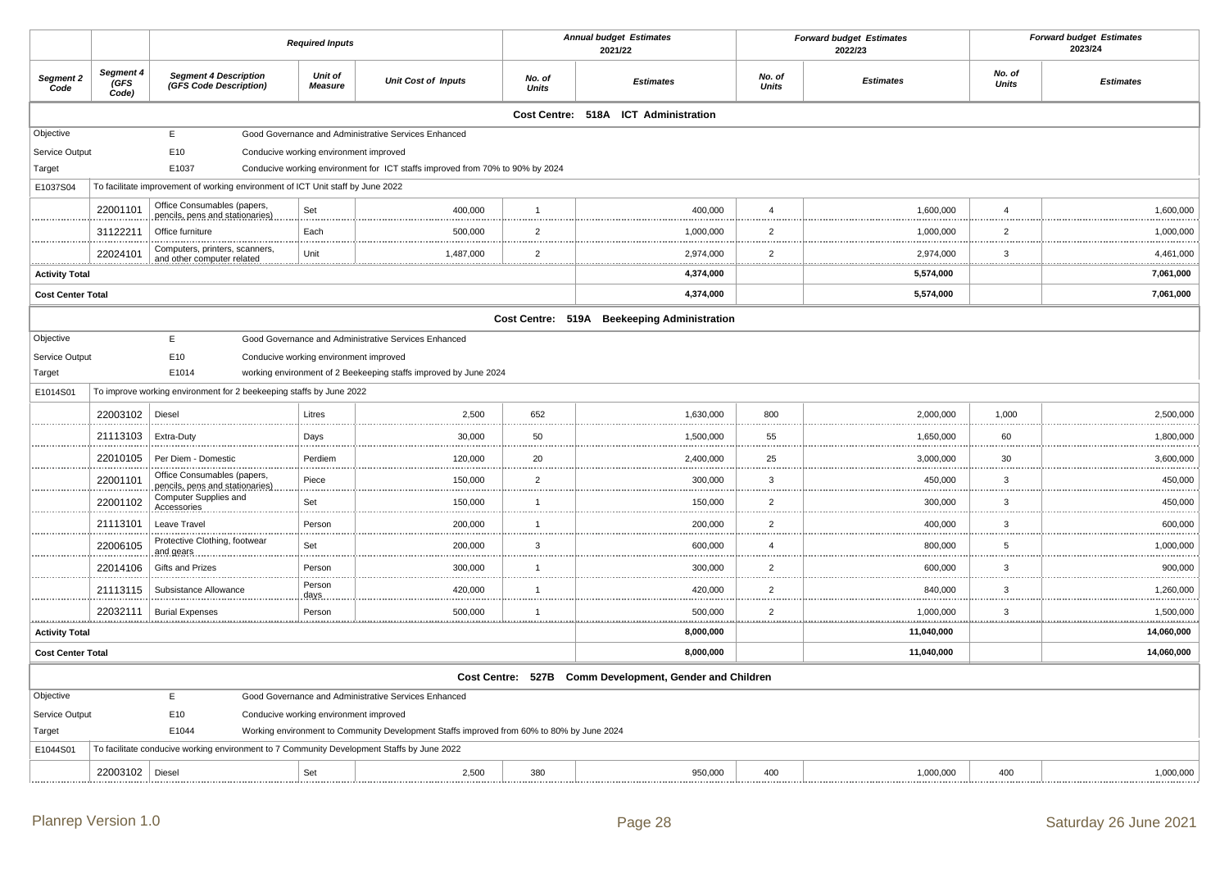|                          |                           |                                                                                            | <b>Required Inputs</b>                 |                                                                                           |                        | <b>Annual budget Estimates</b><br>2021/22               |                     | <b>Forward budget Estimates</b><br>2022/23 |                       | <b>Forward budget Estimates</b><br>2023/24 |
|--------------------------|---------------------------|--------------------------------------------------------------------------------------------|----------------------------------------|-------------------------------------------------------------------------------------------|------------------------|---------------------------------------------------------|---------------------|--------------------------------------------|-----------------------|--------------------------------------------|
| Segment 2<br>Code        | Segment 4<br>GFS<br>Code) | <b>Segment 4 Description</b><br>(GFS Code Description)                                     | Unit of<br><b>Measure</b>              | <b>Unit Cost of Inputs</b>                                                                | No. of<br><b>Units</b> | <b>Estimates</b>                                        | No. of<br>Units     | <b>Estimates</b>                           | No. of<br>Units       | <b>Estimates</b>                           |
|                          |                           |                                                                                            |                                        |                                                                                           |                        | Cost Centre: 518A ICT Administration                    |                     |                                            |                       |                                            |
| Objective                |                           | E                                                                                          |                                        | Good Governance and Administrative Services Enhanced                                      |                        |                                                         |                     |                                            |                       |                                            |
| Service Output           |                           | E10                                                                                        | Conducive working environment improved |                                                                                           |                        |                                                         |                     |                                            |                       |                                            |
| Target                   |                           | E1037                                                                                      |                                        | Conducive working environment for ICT staffs improved from 70% to 90% by 2024             |                        |                                                         |                     |                                            |                       |                                            |
| E1037S04                 |                           | To facilitate improvement of working environment of ICT Unit staff by June 2022            |                                        |                                                                                           |                        |                                                         |                     |                                            |                       |                                            |
|                          | 22001101                  | Office Consumables (papers,<br>pencils, pens and stationaries)                             | Set                                    | 400,000                                                                                   | $\overline{1}$         | 400,000                                                 | $\overline{4}$      | 1,600,000                                  | $\boldsymbol{\Delta}$ | 1,600,000                                  |
|                          | 31122211                  | Office furniture                                                                           | Each                                   | 500,000                                                                                   | $\overline{2}$         | 1,000,000                                               | $\overline{2}$      | 1,000,000                                  | 2<br>1.1.1.1          | 1,000,000                                  |
|                          | 22024101                  | Computers, printers, scanners,<br>and other computer related.                              | Unit                                   | 1,487,000                                                                                 | $\overline{2}$         | 2,974,000                                               | $\overline{2}$<br>. | 2,974,000                                  | 3<br><u>.</u>         | 4,461,000                                  |
| <b>Activity Total</b>    |                           |                                                                                            |                                        |                                                                                           |                        | 4,374,000                                               |                     | 5,574,000                                  |                       | 7,061,000                                  |
| <b>Cost Center Total</b> |                           |                                                                                            |                                        |                                                                                           |                        | 4,374,000                                               |                     | 5,574,000                                  |                       | 7,061,000                                  |
|                          |                           |                                                                                            |                                        |                                                                                           |                        | Cost Centre: 519A Beekeeping Administration             |                     |                                            |                       |                                            |
| Objective                |                           | E                                                                                          |                                        | Good Governance and Administrative Services Enhanced                                      |                        |                                                         |                     |                                            |                       |                                            |
| Service Output           |                           | E10                                                                                        | Conducive working environment improved |                                                                                           |                        |                                                         |                     |                                            |                       |                                            |
| Target                   |                           | E1014                                                                                      |                                        | working environment of 2 Beekeeping staffs improved by June 2024                          |                        |                                                         |                     |                                            |                       |                                            |
| E1014S01                 |                           | To improve working environment for 2 beekeeping staffs by June 2022                        |                                        |                                                                                           |                        |                                                         |                     |                                            |                       |                                            |
|                          | 22003102                  | Diesel                                                                                     | Litres                                 | 2,500                                                                                     | 652                    | 1,630,000                                               | 800                 | 2,000,000                                  | 1,000                 | 2,500,000                                  |
|                          | 21113103                  | Extra-Duty                                                                                 | Days                                   | 30,000                                                                                    | 50                     | 1,500,000                                               | 55                  | 1,650,000                                  | 60                    | 1,800,000                                  |
|                          | 22010105                  | Per Diem - Domestic                                                                        | Perdiem                                | 120,000                                                                                   | 20                     | 2,400,000                                               | 25                  | 3,000,000                                  | 30                    | 3,600,000                                  |
|                          | 22001101                  | Office Consumables (papers,<br>pencils, pens and stationaries)                             | Piece                                  | 150,000                                                                                   | $\overline{2}$         | 300,000                                                 | 3                   | 450,000                                    | 3                     | 450,000                                    |
|                          | 22001102                  | Computer Supplies and<br>Accessories                                                       | Set                                    | 150,000                                                                                   | $\overline{1}$         | 150,000                                                 | $\overline{2}$      | 300,000                                    | 3<br>                 | 450,000                                    |
|                          | 21113101                  | Leave Travel                                                                               | Person                                 | 200,000                                                                                   | $\overline{1}$         | 200,000                                                 | $\overline{2}$      | 400,000                                    | 3                     | 600,000                                    |
|                          | 22006105                  | Protective Clothing, footwear<br>and gears                                                 | Set                                    | 200,000                                                                                   | $\mathbf{3}$           | 600,000                                                 | $\overline{4}$      | 800,000                                    | 5                     | 1,000,000                                  |
|                          | 22014106                  | Gifts and Prizes                                                                           | Person                                 | 300,000                                                                                   | $\overline{1}$         | 300,000                                                 | $\overline{2}$      | 600,000                                    | $\mathbf{3}$          | 900,000                                    |
|                          | 21113115                  | Subsistance Allowance                                                                      | Person<br>days.                        | 420,000                                                                                   | $\overline{1}$         | 420,000                                                 | $\overline{2}$      | 840,000                                    | 3                     | 1,260,000                                  |
|                          | 22032111                  | <b>Burial Expenses</b>                                                                     | Person                                 | 500,000                                                                                   | $\overline{1}$         | 500,000                                                 | $\overline{2}$<br>  | 1,000,000                                  | 3<br>.                | 1,500,000                                  |
| <b>Activity Total</b>    |                           |                                                                                            |                                        |                                                                                           |                        | 8,000,000                                               |                     | 11,040,000                                 |                       | 14,060,000                                 |
| <b>Cost Center Total</b> |                           |                                                                                            |                                        |                                                                                           |                        | 8,000,000                                               |                     | 11,040,000                                 |                       | 14,060,000                                 |
|                          |                           |                                                                                            |                                        |                                                                                           |                        | Cost Centre: 527B Comm Development, Gender and Children |                     |                                            |                       |                                            |
| Objective                |                           | E                                                                                          |                                        | Good Governance and Administrative Services Enhanced                                      |                        |                                                         |                     |                                            |                       |                                            |
| Service Output           |                           | E10                                                                                        | Conducive working environment improved |                                                                                           |                        |                                                         |                     |                                            |                       |                                            |
| Target                   |                           | E1044                                                                                      |                                        | Working environment to Community Development Staffs improved from 60% to 80% by June 2024 |                        |                                                         |                     |                                            |                       |                                            |
| E1044S01                 |                           | To facilitate conducive working environment to 7 Community Development Staffs by June 2022 |                                        |                                                                                           |                        |                                                         |                     |                                            |                       |                                            |
|                          | 22003102   Diesel         |                                                                                            | Set                                    | 2,500                                                                                     | 380                    | 950,000                                                 | 400                 | 1,000,000                                  | 400                   | 1,000,000                                  |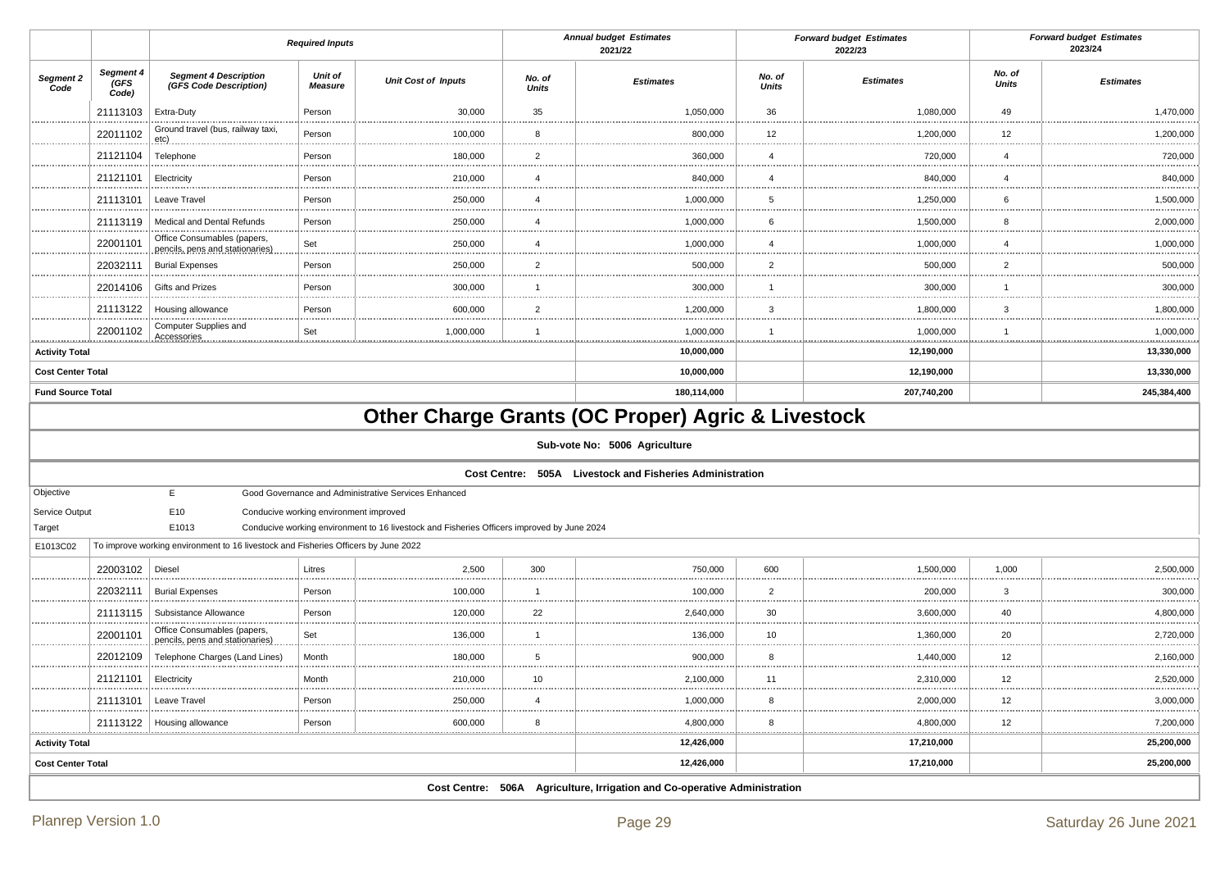|                          |                           |                                                                                    | <b>Required Inputs</b>                 |                                                                                            |                        | <b>Annual budget Estimates</b><br>2021/22                                                                                                                 |                        | <b>Forward budget Estimates</b><br>2022/23 |                 | <b>Forward budget Estimates</b><br>2023/24 |
|--------------------------|---------------------------|------------------------------------------------------------------------------------|----------------------------------------|--------------------------------------------------------------------------------------------|------------------------|-----------------------------------------------------------------------------------------------------------------------------------------------------------|------------------------|--------------------------------------------|-----------------|--------------------------------------------|
| Segment 2<br>Code        | Segment 4<br>GFS<br>Code) | <b>Segment 4 Description</b><br>(GFS Code Description)                             | Unit of<br><b>Measure</b>              | <b>Unit Cost of Inputs</b>                                                                 | No. of<br><b>Units</b> | <b>Estimates</b>                                                                                                                                          | No. of<br><b>Units</b> | <b>Estimates</b>                           | No. of<br>Units | <b>Estimates</b>                           |
|                          | 21113103                  | Extra-Duty                                                                         | Person                                 | 30,000                                                                                     | 35                     | 1,050,000                                                                                                                                                 | 36                     | 1,080,000                                  | 49              | 1,470,000                                  |
|                          | 22011102                  | Ground travel (bus, railway taxi,<br>etc)                                          | Person                                 | 100,000                                                                                    | 8                      | 800,000                                                                                                                                                   | 12                     | 1,200,000                                  | 12              | 1,200,000                                  |
|                          | 21121104                  | Telephone                                                                          | Person                                 | 180,000                                                                                    | $\overline{2}$         | 360,000                                                                                                                                                   | $\overline{4}$         | 720,000                                    | $\overline{4}$  | 720,000                                    |
|                          | 21121101                  | Electricity                                                                        | Person                                 | 210,000                                                                                    | $\overline{4}$         | 840,000                                                                                                                                                   | $\overline{4}$         | 840,000                                    | $\overline{4}$  | 840,000                                    |
|                          | 21113101                  | Leave Travel                                                                       | Person                                 | 250,000                                                                                    | $\overline{4}$         | 1,000,000                                                                                                                                                 | 5                      | 1,250,000                                  | 6               | 1,500,000                                  |
|                          | 21113119                  | Medical and Dental Refunds                                                         | Person                                 | 250,000                                                                                    | $\overline{4}$         | 1,000,000                                                                                                                                                 | 6                      | 1,500,000                                  | 8               | 2,000,000                                  |
|                          | 22001101                  | Office Consumables (papers,<br>pencils, pens and stationaries)                     | Set                                    | 250,000                                                                                    | $\overline{4}$         | 1,000,000                                                                                                                                                 | $\overline{4}$         | 1,000,000                                  | $\overline{4}$  | 1,000,000                                  |
|                          | 22032111                  | <b>Burial Expenses</b>                                                             | Person                                 | 250,000                                                                                    | $\overline{2}$         | 500,000                                                                                                                                                   | $\overline{2}$         | 500,000                                    | $\overline{2}$  | 500,000                                    |
|                          | 22014106                  | Gifts and Prizes                                                                   | Person                                 | 300,000                                                                                    | $\mathbf{1}$           | 300,000                                                                                                                                                   | $\overline{1}$         | 300,000                                    | $\overline{1}$  | 300,000                                    |
|                          | 21113122                  | Housing allowance                                                                  | Person                                 | 600,000                                                                                    | $\overline{2}$         | 1,200,000                                                                                                                                                 | 3                      | 1,800,000                                  | 3               | 1,800,000                                  |
|                          | 22001102                  | Computer Supplies and<br>Accessories                                               | Set                                    | 1,000,000                                                                                  | $\mathbf{1}$           | 1,000,000                                                                                                                                                 | $\overline{1}$         | 1,000,000                                  | $\overline{1}$  | 1,000,000                                  |
| <b>Activity Total</b>    |                           |                                                                                    |                                        |                                                                                            |                        | 10,000,000                                                                                                                                                |                        | 12,190,000                                 |                 | <br>13,330,000                             |
| <b>Cost Center Total</b> |                           |                                                                                    |                                        |                                                                                            |                        | 10,000,000                                                                                                                                                |                        | 12,190,000                                 |                 | 13,330,000                                 |
| <b>Fund Source Total</b> |                           |                                                                                    |                                        |                                                                                            |                        | 180,114,000                                                                                                                                               |                        | 207,740,200                                |                 | 245,384,400                                |
|                          |                           |                                                                                    |                                        |                                                                                            |                        | <b>Other Charge Grants (OC Proper) Agric &amp; Livestock</b><br>Sub-vote No: 5006 Agriculture<br>Cost Centre: 505A Livestock and Fisheries Administration |                        |                                            |                 |                                            |
| Objective                |                           | E                                                                                  |                                        | Good Governance and Administrative Services Enhanced                                       |                        |                                                                                                                                                           |                        |                                            |                 |                                            |
| Service Output           |                           | E10                                                                                | Conducive working environment improved |                                                                                            |                        |                                                                                                                                                           |                        |                                            |                 |                                            |
| Target                   |                           | E1013                                                                              |                                        | Conducive working environment to 16 livestock and Fisheries Officers improved by June 2024 |                        |                                                                                                                                                           |                        |                                            |                 |                                            |
| E1013C02                 |                           | To improve working environment to 16 livestock and Fisheries Officers by June 2022 |                                        |                                                                                            |                        |                                                                                                                                                           |                        |                                            |                 |                                            |
|                          | 22003102                  | Diesel                                                                             | Litres                                 | 2,500                                                                                      | 300                    | 750,000                                                                                                                                                   | 600                    | 1,500,000                                  | 1,000           | 2,500,000                                  |
|                          | 22032111                  | <b>Burial Expenses</b>                                                             | Person                                 | 100,000                                                                                    | $\mathbf{1}$           | 100,000                                                                                                                                                   | $\overline{2}$         | 200,000                                    | 3               | 300,000                                    |
|                          | 21113115                  | Subsistance Allowance                                                              | Person                                 | 120,000                                                                                    | 22                     | 2,640,000                                                                                                                                                 | 30                     | 3,600,000                                  | 40              | 4,800,000                                  |
|                          | 22001101                  | Office Consumables (papers,<br>pencils, pens and stationaries)                     | Set                                    | 136,000                                                                                    | $\overline{1}$         | 136,000                                                                                                                                                   | 10                     | 1,360,000                                  | 20              | 2,720,000                                  |
|                          | 22012109                  | Telephone Charges (Land Lines)                                                     | Month                                  | 180,000                                                                                    | $\overline{5}$         | 900,000                                                                                                                                                   | 8                      | 1,440,000                                  | 12              | 2,160,000                                  |
|                          | 21121101                  | Electricity                                                                        | Month                                  | 210,000                                                                                    | 10                     | 2,100,000                                                                                                                                                 | 11                     | 2,310,000                                  | 12              | 2,520,000                                  |
|                          | 21113101                  | Leave Travel                                                                       | Person                                 | 250,000                                                                                    | 4                      | 1,000,000                                                                                                                                                 | 8                      | 2,000,000                                  | 12<br>.         | 3,000,000                                  |
|                          |                           | 21113122   Housing allowance                                                       | Person                                 | 600,000                                                                                    | 8                      | 4,800,000                                                                                                                                                 | 8<br>                  | 4,800,000                                  | 12<br>          | 7,200,000                                  |
| <b>Activity Total</b>    |                           |                                                                                    |                                        |                                                                                            |                        | 12,426,000                                                                                                                                                |                        | 17,210,000                                 |                 | 25,200,000                                 |
| <b>Cost Center Total</b> |                           |                                                                                    |                                        |                                                                                            |                        | 12,426,000                                                                                                                                                |                        | 17,210,000                                 |                 | 25,200,000                                 |
|                          |                           |                                                                                    |                                        | Cost Centre: 506A                                                                          |                        | Agriculture, Irrigation and Co-operative Administration                                                                                                   |                        |                                            |                 |                                            |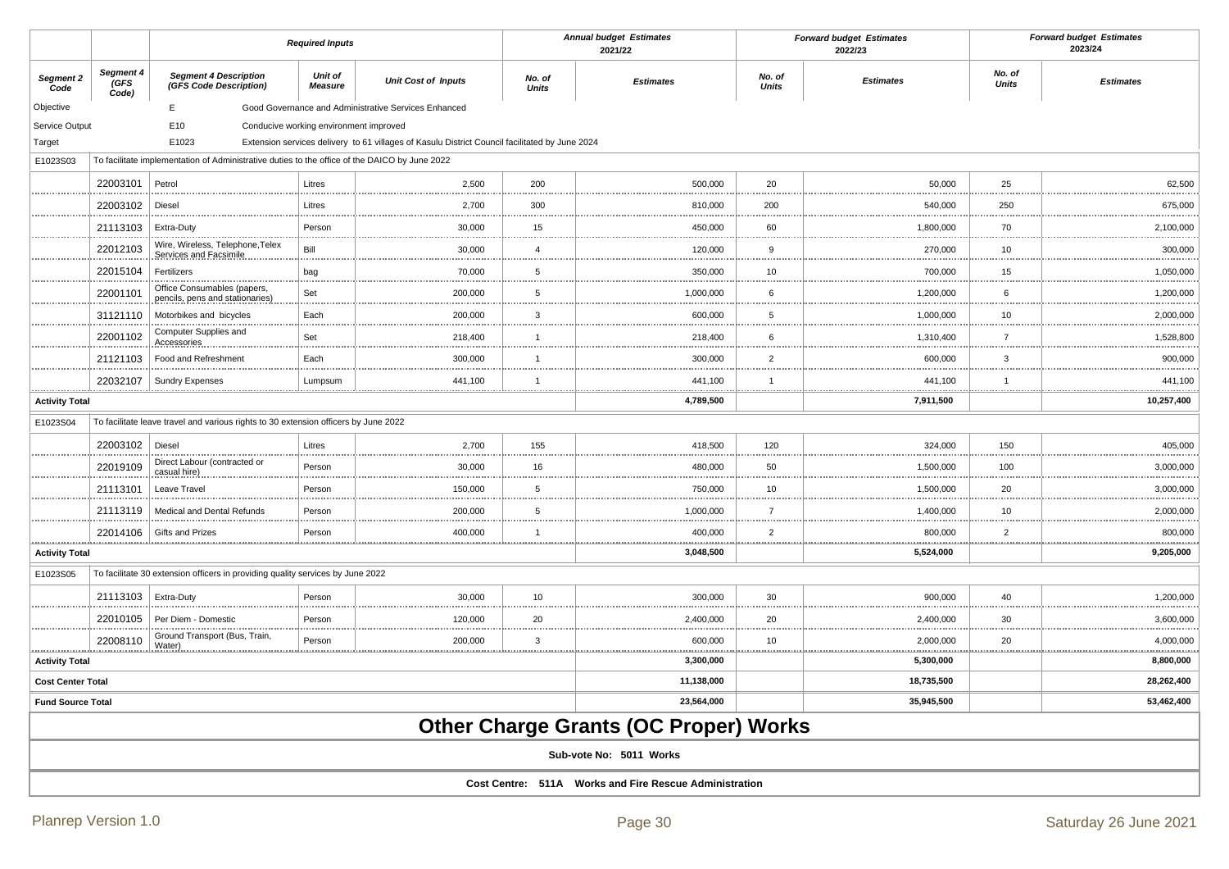|                            |                            |                                                                                               | <b>Required Inputs</b>                 |                                                                                                |                        | <b>Annual budget Estimates</b><br>2021/22              |                        | <b>Forward budget Estimates</b><br>2022/23 |                 | <b>Forward budget Estimates</b><br>2023/24 |
|----------------------------|----------------------------|-----------------------------------------------------------------------------------------------|----------------------------------------|------------------------------------------------------------------------------------------------|------------------------|--------------------------------------------------------|------------------------|--------------------------------------------|-----------------|--------------------------------------------|
| Segment 2<br>Code          | Segment 4<br>(GFS<br>Code) | <b>Segment 4 Description</b><br>(GFS Code Description)                                        | Unit of<br><b>Measure</b>              | <b>Unit Cost of Inputs</b>                                                                     | No. of<br><b>Units</b> | <b>Estimates</b>                                       | No. of<br><b>Units</b> | <b>Estimates</b>                           | No. of<br>Units | <b>Estimates</b>                           |
| Objective                  |                            | E                                                                                             |                                        | Good Governance and Administrative Services Enhanced                                           |                        |                                                        |                        |                                            |                 |                                            |
| Service Output             |                            | E10                                                                                           | Conducive working environment improved |                                                                                                |                        |                                                        |                        |                                            |                 |                                            |
| Target                     |                            | E1023                                                                                         |                                        | Extension services delivery to 61 villages of Kasulu District Council facilitated by June 2024 |                        |                                                        |                        |                                            |                 |                                            |
| E1023S03                   |                            | To facilitate implementation of Administrative duties to the office of the DAICO by June 2022 |                                        |                                                                                                |                        |                                                        |                        |                                            |                 |                                            |
|                            | 22003101                   | Petrol                                                                                        | Litres                                 | 2,500                                                                                          | 200                    | 500,000                                                | 20                     | 50,000                                     | 25              | 62,500                                     |
|                            | 22003102                   | Diesel                                                                                        | Litres                                 | 2,700                                                                                          | 300                    | 810,000                                                | 200                    | 540,000                                    | 250             | 675,000                                    |
|                            | 21113103                   | Extra-Duty                                                                                    | Person                                 | 30,000                                                                                         | 15                     | 450,000                                                | 60                     | 1,800,000                                  | 70              | 2,100,000                                  |
|                            | 22012103                   | Wire, Wireless, Telephone, Telex<br>Services and Facsimile                                    | Bill                                   | 30,000                                                                                         | $\overline{4}$         | 120,000                                                | 9                      | 270,000                                    | 10              | 300,000                                    |
|                            | 22015104                   | Fertilizers                                                                                   | bag                                    | 70,000                                                                                         | 5                      | 350,000                                                | 10                     | 700,000                                    | 15              | 1,050,000                                  |
|                            | 22001101                   | Office Consumables (papers,<br>pencils, pens and stationaries)                                | Set                                    | 200,000                                                                                        | 5<br>                  | 1,000,000                                              | 6                      | 1,200,000                                  | 6               | 1,200,000                                  |
|                            | 31121110                   | Motorbikes and bicycles                                                                       | Each                                   | 200,000                                                                                        | $\mathbf{3}$           | 600,000                                                | 5                      | 1,000,000                                  | 10              | 2,000,000                                  |
|                            | 22001102                   | Computer Supplies and<br>Accessories                                                          | Set                                    | 218,400                                                                                        | $\overline{1}$         | 218,400                                                | 6                      | 1,310,400                                  | $\overline{7}$  | 1,528,800                                  |
|                            | 21121103                   | Food and Refreshment                                                                          | Each                                   | 300,000                                                                                        | $\overline{1}$         | 300,000                                                | $\overline{2}$         | 600,000                                    | $\mathbf{3}$    | 900,000                                    |
|                            | 22032107                   | <b>Sundry Expenses</b>                                                                        | Lumpsum                                | 441,100                                                                                        | $\mathbf{1}$           | 441,100                                                | $\overline{1}$         | 441.100                                    | $\mathbf{1}$    | 441,100                                    |
| <b>Activity Total</b>      |                            |                                                                                               |                                        |                                                                                                |                        | 4,789,500                                              |                        | .<br>7,911,500                             |                 | .<br>10,257,400                            |
| E1023S04                   |                            | To facilitate leave travel and various rights to 30 extension officers by June 2022           |                                        |                                                                                                |                        |                                                        |                        |                                            |                 |                                            |
|                            | 22003102                   | Diesel                                                                                        | Litres                                 | 2,700                                                                                          | 155                    | 418,500                                                | 120                    | 324,000                                    | 150             | 405,000                                    |
|                            | 22019109                   | Direct Labour (contracted or<br>casual hire)                                                  | Person                                 | 30,000                                                                                         | 16<br>                 | 480,000                                                | 50                     | 1,500,000                                  | 100             | 3,000,000                                  |
|                            | 21113101                   | Leave Travel                                                                                  | Person                                 | 150,000                                                                                        | $\,$ 5 $\,$            | 750,000                                                | 10                     | 1,500,000                                  | 20              | 3,000,000                                  |
|                            | 21113119                   | Medical and Dental Refunds                                                                    | Person                                 | 200,000                                                                                        | 5                      | 1,000,000                                              | $\overline{7}$         | 1,400,000                                  | 10              | 2,000,000                                  |
| .                          | 22014106                   | Gifts and Prizes                                                                              | Person<br>                             | 400,000                                                                                        | $\mathbf{1}$           | 400,000<br>.                                           | $\overline{2}$         | 800,000<br>.                               | $\overline{2}$  | 800,000<br>.                               |
| <b>Activity Total</b>      |                            |                                                                                               |                                        |                                                                                                |                        | 3,048,500                                              |                        | 5,524,000                                  |                 | 9,205,000                                  |
| E1023S05                   |                            | To facilitate 30 extension officers in providing quality services by June 2022                |                                        |                                                                                                |                        |                                                        |                        |                                            |                 |                                            |
|                            | 21113103                   | Extra-Duty                                                                                    | Person                                 | 30,000                                                                                         | 10                     | 300,000                                                | 30                     | 900,000                                    | 40              | 1,200,000                                  |
|                            | 22010105                   | Per Diem - Domestic                                                                           | Person                                 | 120,000                                                                                        | 20                     | 2,400,000                                              | 20                     | 2,400,000                                  | 30              | 3,600,000                                  |
|                            | 22008110                   | Ground Transport (Bus, Train,<br>Water)                                                       | Person                                 | 200,000                                                                                        | $\mathbf{3}$           | 600,000                                                | 10                     | 2,000,000                                  | 20              | 4,000,000                                  |
| .<br><b>Activity Total</b> |                            |                                                                                               |                                        |                                                                                                |                        | 3,300,000                                              |                        | 5,300,000                                  |                 | 8,800,000                                  |
| <b>Cost Center Total</b>   |                            |                                                                                               |                                        |                                                                                                |                        | 11,138,000                                             |                        | 18,735,500                                 |                 | 28,262,400                                 |
| <b>Fund Source Total</b>   |                            |                                                                                               |                                        |                                                                                                |                        | 23,564,000                                             |                        | 35,945,500                                 |                 | 53,462,400                                 |
|                            |                            |                                                                                               |                                        |                                                                                                |                        | <b>Other Charge Grants (OC Proper) Works</b>           |                        |                                            |                 |                                            |
|                            |                            |                                                                                               |                                        |                                                                                                |                        | Sub-vote No: 5011 Works                                |                        |                                            |                 |                                            |
|                            |                            |                                                                                               |                                        |                                                                                                |                        | Cost Centre: 511A Works and Fire Rescue Administration |                        |                                            |                 |                                            |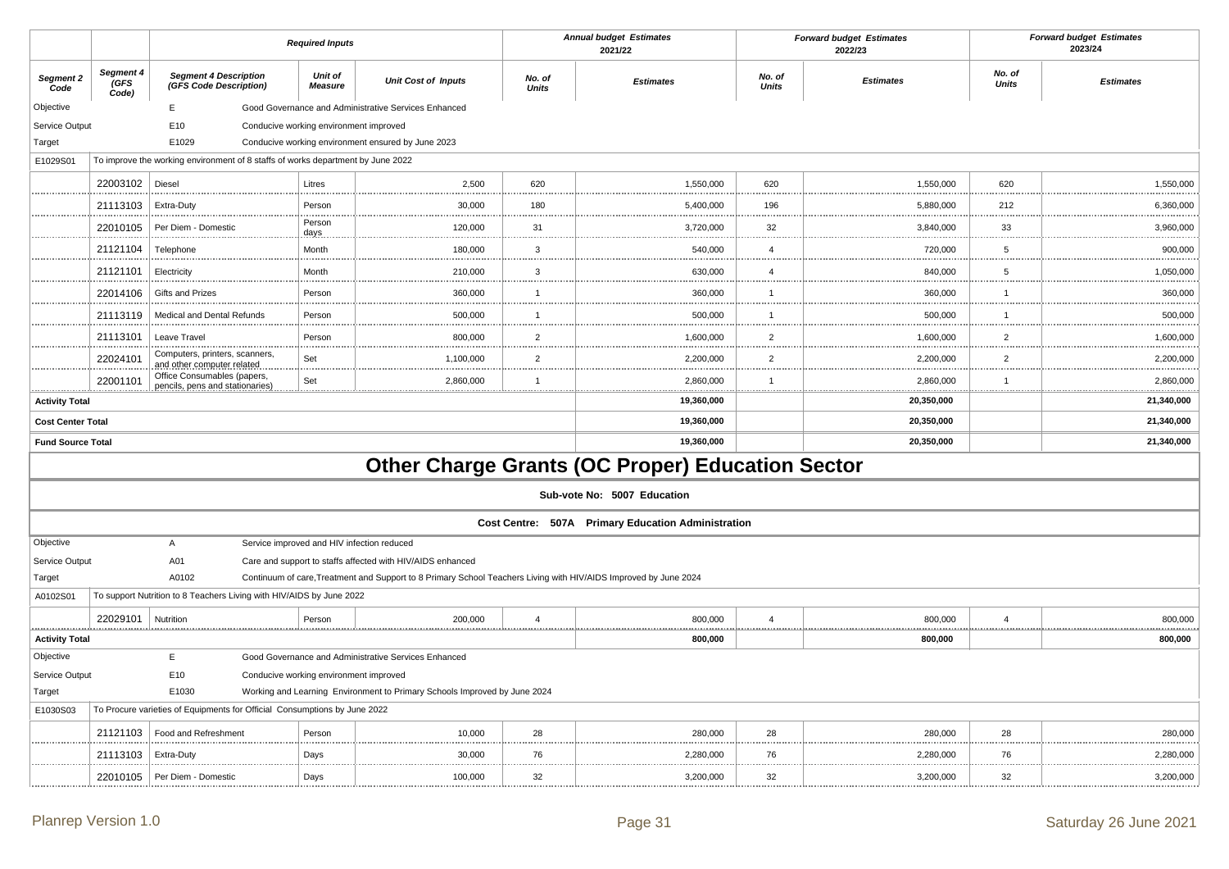|                          |                            |                                                                                 | <b>Required Inputs</b>                 |                                                                                                                  |                               | <b>Annual budget Estimates</b><br>2021/22               |                        | <b>Forward budget Estimates</b><br>2022/23 |                        | <b>Forward budget Estimates</b><br>2023/24 |
|--------------------------|----------------------------|---------------------------------------------------------------------------------|----------------------------------------|------------------------------------------------------------------------------------------------------------------|-------------------------------|---------------------------------------------------------|------------------------|--------------------------------------------|------------------------|--------------------------------------------|
| Segment 2<br>Code        | Segment 4<br>(GFS<br>Code) | <b>Segment 4 Description</b><br>(GFS Code Description)                          | Unit of<br><b>Measure</b>              | <b>Unit Cost of Inputs</b>                                                                                       | No. of<br><b>Units</b>        | <b>Estimates</b>                                        | No. of<br><b>Units</b> | <b>Estimates</b>                           | No. of<br><b>Units</b> | <b>Estimates</b>                           |
| Objective                |                            | E                                                                               |                                        | Good Governance and Administrative Services Enhanced                                                             |                               |                                                         |                        |                                            |                        |                                            |
| Service Output           |                            | E10                                                                             | Conducive working environment improved |                                                                                                                  |                               |                                                         |                        |                                            |                        |                                            |
| Target                   |                            | E1029                                                                           |                                        | Conducive working environment ensured by June 2023                                                               |                               |                                                         |                        |                                            |                        |                                            |
| E1029S01                 |                            | To improve the working environment of 8 staffs of works department by June 2022 |                                        |                                                                                                                  |                               |                                                         |                        |                                            |                        |                                            |
|                          | 22003102                   | Diesel                                                                          | Litres                                 | 2,500                                                                                                            | 620                           | 1,550,000                                               | 620                    | 1,550,000                                  | 620                    | 1,550,000                                  |
|                          | 21113103                   | Extra-Duty                                                                      | Person                                 | 30,000                                                                                                           | 180                           | 5,400,000                                               | 196                    | 5,880,000                                  | 212                    | 6,360,000                                  |
|                          | 22010105                   | Per Diem - Domestic                                                             | Person<br>days                         | 120,000                                                                                                          | 31                            | 3,720,000                                               | 32                     | 3,840,000                                  | 33                     | 3,960,000                                  |
|                          | 21121104                   | Telephone                                                                       | Month                                  | 180,000                                                                                                          | 3                             | 540,000                                                 | $\overline{4}$         | 720,000                                    | 5                      | 900,000                                    |
|                          | 21121101                   | Electricity                                                                     | Month                                  | 210,000                                                                                                          | $\mathbf{3}$<br><b>111111</b> | 630,000                                                 | $\overline{4}$         | 840,000                                    | 5<br>.                 | 1,050,000                                  |
|                          | 22014106                   | Gifts and Prizes                                                                | Person                                 | 360,000                                                                                                          | $\overline{1}$                | 360,000                                                 | $\overline{1}$         | 360,000                                    | $\overline{1}$         | 360,000                                    |
|                          | 21113119                   | Medical and Dental Refunds                                                      | Person                                 | 500,000                                                                                                          | $\mathbf{1}$                  | 500,000                                                 | $\overline{1}$         | 500,000                                    | $\overline{1}$         | 500,000                                    |
|                          | 21113101                   | Leave Travel                                                                    | Person                                 | 800,000                                                                                                          | $\overline{2}$                | 1,600,000                                               | $\overline{2}$         | 1,600,000                                  | $\overline{2}$         | 1,600,000                                  |
|                          | 22024101                   | Computers, printers, scanners,<br>and other computer related.                   | Set                                    | 1,100,000                                                                                                        | $\overline{2}$                | 2,200,000                                               | $\overline{2}$         | 2,200,000                                  | $\overline{2}$         | 2,200,000                                  |
|                          | 22001101                   | Office Consumables (papers,<br>pencils, pens and stationaries                   | Set                                    | 2,860,000                                                                                                        | 1                             | 2,860,000                                               | $\overline{1}$         | 2,860,000                                  | -1<br>                 | 2,860,000                                  |
| <b>Activity Total</b>    |                            |                                                                                 |                                        |                                                                                                                  |                               | 19,360,000                                              |                        | 20,350,000                                 |                        | 21,340,000                                 |
| <b>Cost Center Total</b> |                            |                                                                                 |                                        |                                                                                                                  |                               | 19,360,000                                              |                        | 20,350,000                                 |                        | 21,340,000                                 |
| <b>Fund Source Total</b> |                            |                                                                                 |                                        |                                                                                                                  |                               | 19,360,000                                              |                        | 20,350,000                                 |                        | 21,340,000                                 |
|                          |                            |                                                                                 |                                        |                                                                                                                  |                               | <b>Other Charge Grants (OC Proper) Education Sector</b> |                        |                                            |                        |                                            |
|                          |                            |                                                                                 |                                        |                                                                                                                  |                               | Sub-vote No: 5007 Education                             |                        |                                            |                        |                                            |
|                          |                            |                                                                                 |                                        |                                                                                                                  |                               | Cost Centre: 507A Primary Education Administration      |                        |                                            |                        |                                            |
| Objective                |                            | A                                                                               |                                        | Service improved and HIV infection reduced                                                                       |                               |                                                         |                        |                                            |                        |                                            |
| Service Output           |                            | A01                                                                             |                                        | Care and support to staffs affected with HIV/AIDS enhanced                                                       |                               |                                                         |                        |                                            |                        |                                            |
| Target                   |                            | A0102                                                                           |                                        | Continuum of care, Treatment and Support to 8 Primary School Teachers Living with HIV/AIDS Improved by June 2024 |                               |                                                         |                        |                                            |                        |                                            |
| A0102S01                 |                            | To support Nutrition to 8 Teachers Living with HIV/AIDS by June 2022            |                                        |                                                                                                                  |                               |                                                         |                        |                                            |                        |                                            |
|                          | 22029101                   | Nutrition                                                                       | Person                                 | 200,000                                                                                                          | $\overline{4}$                | 800,000                                                 | $\overline{4}$         | 800,000                                    | $\overline{4}$         | 800,000                                    |
| <b>Activity Total</b>    |                            |                                                                                 |                                        |                                                                                                                  |                               | 800,000                                                 |                        | 800,000                                    |                        | 800,000                                    |
| Objective                |                            | E                                                                               |                                        | Good Governance and Administrative Services Enhanced                                                             |                               |                                                         |                        |                                            |                        |                                            |
| Service Output           |                            | E10                                                                             | Conducive working environment improved |                                                                                                                  |                               |                                                         |                        |                                            |                        |                                            |
| Target                   |                            | E1030                                                                           |                                        | Working and Learning Environment to Primary Schools Improved by June 2024                                        |                               |                                                         |                        |                                            |                        |                                            |
| E1030S03                 |                            | To Procure varieties of Equipments for Official Consumptions by June 2022       |                                        |                                                                                                                  |                               |                                                         |                        |                                            |                        |                                            |
|                          | 21121103                   | Food and Refreshment                                                            | Person                                 | 10,000                                                                                                           | 28                            | 280,000                                                 | 28                     | 280,000                                    | 28                     | 280,000                                    |
|                          | 21113103                   | Extra-Duty                                                                      | Days                                   | 30,000                                                                                                           | 76<br>1.1111                  | 2,280,000                                               | 76                     | 2,280,000                                  | 76<br>                 | 2,280,000                                  |
|                          | 22010105                   | Per Diem - Domestic                                                             | Days                                   | 100,000                                                                                                          | 32                            | 3,200,000                                               | 32                     | 3,200,000                                  | 32                     | 3,200,000                                  |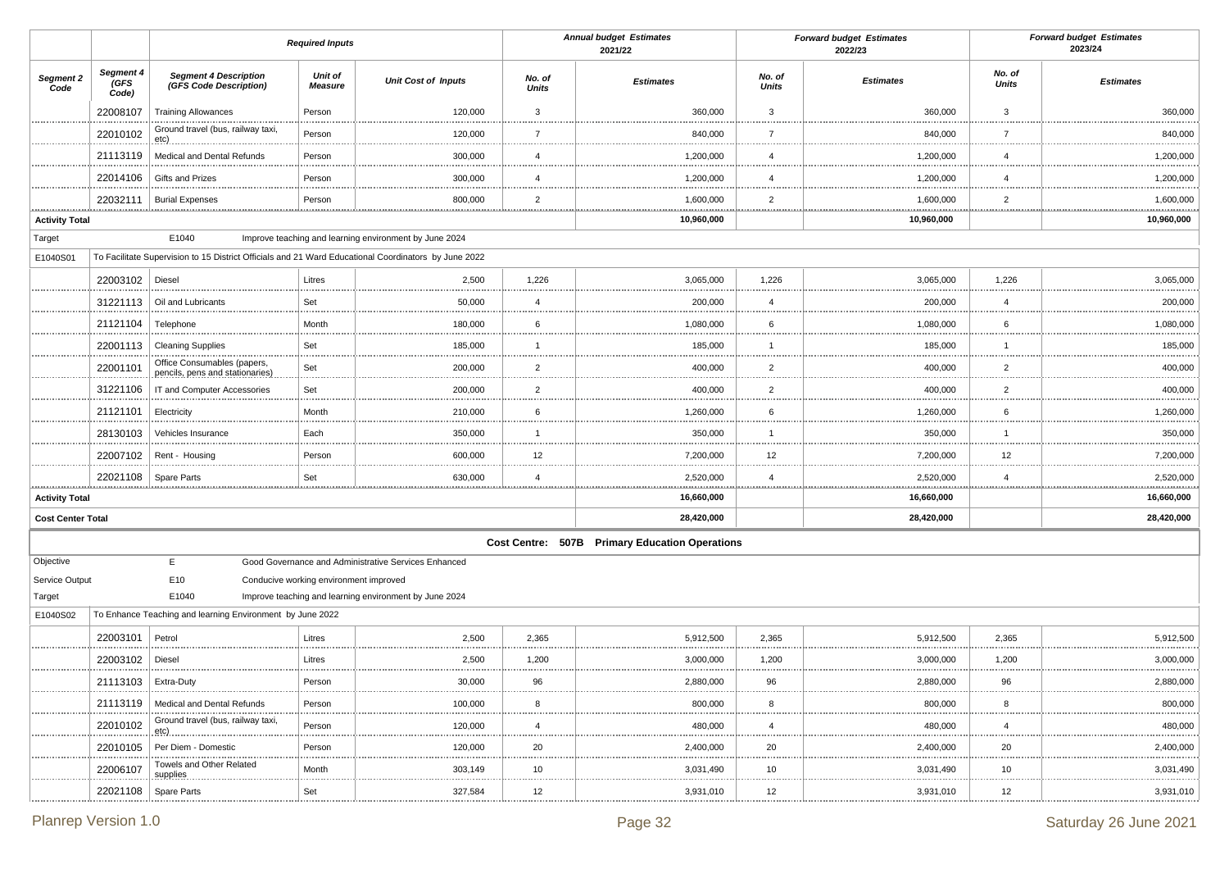|                                  |                            |                                                                                                      | <b>Required Inputs</b>                 |                                                        |                        | <b>Annual budget Estimates</b><br>2021/22      |                        | <b>Forward budget Estimates</b><br>2022/23 |                 | <b>Forward budget Estimates</b><br>2023/24 |
|----------------------------------|----------------------------|------------------------------------------------------------------------------------------------------|----------------------------------------|--------------------------------------------------------|------------------------|------------------------------------------------|------------------------|--------------------------------------------|-----------------|--------------------------------------------|
| Segment 2<br>Code                | Segment 4<br>(GFS<br>Code) | <b>Segment 4 Description</b><br>(GFS Code Description)                                               | Unit of<br><b>Measure</b>              | <b>Unit Cost of Inputs</b>                             | No. of<br><b>Units</b> | <b>Estimates</b>                               | No. of<br><b>Units</b> | <b>Estimates</b>                           | No. of<br>Units | <b>Estimates</b>                           |
|                                  | 22008107                   | <b>Training Allowances</b>                                                                           | Person                                 | 120,000                                                | 3                      | 360,000                                        | 3                      | 360,000                                    | 3               | 360,000                                    |
|                                  | 22010102                   | Ground travel (bus, railway taxi,<br>$etc)$ .                                                        | Person                                 | 120,000                                                | 7<br>                  | 840,000                                        | 7                      | 840,000                                    | 7               | 840,000                                    |
|                                  | 21113119                   | Medical and Dental Refunds                                                                           | Person                                 | 300,000                                                | $\overline{4}$         | 1,200,000                                      | $\overline{4}$         | 1,200,000                                  | $\overline{4}$  | 1,200,000                                  |
|                                  | 22014106                   | Gifts and Prizes                                                                                     | Person                                 | 300,000                                                | $\overline{4}$         | 1,200,000                                      | 4                      | 1,200,000                                  | 4               | 1,200,000                                  |
|                                  | 22032111                   | <b>Burial Expenses</b>                                                                               | Person                                 | 800,000                                                | $\overline{2}$         | 1,600,000                                      | $\overline{2}$         | 1,600,000                                  | $\overline{2}$  | 1,600,000                                  |
| <u></u><br><b>Activity Total</b> |                            |                                                                                                      | .                                      |                                                        |                        | 10,960,000                                     |                        | 10,960,000                                 | .               | .<br>10,960,000                            |
| Target                           |                            | E1040                                                                                                |                                        | Improve teaching and learning environment by June 2024 |                        |                                                |                        |                                            |                 |                                            |
| E1040S01                         |                            | To Facilitate Supervision to 15 District Officials and 21 Ward Educational Coordinators by June 2022 |                                        |                                                        |                        |                                                |                        |                                            |                 |                                            |
|                                  | 22003102 Diesel            |                                                                                                      | Litres                                 | 2,500                                                  | 1,226                  | 3,065,000                                      | 1,226                  | 3,065,000                                  | 1,226           | 3,065,000                                  |
|                                  | 31221113                   | Oil and Lubricants                                                                                   | Set                                    | 50,000                                                 | 4                      | 200,000                                        | $\overline{4}$         | 200,000                                    | $\overline{4}$  | 200,000                                    |
|                                  | 21121104                   | Telephone                                                                                            | Month                                  | 180,000                                                | 6                      | 1,080,000                                      | 6                      | 1,080,000                                  | 6               | 1,080,000                                  |
|                                  | 22001113                   | <b>Cleaning Supplies</b>                                                                             | Set                                    | 185,000                                                | $\overline{1}$         | 185,000                                        | -1                     | 185,000                                    | -1              | 185,000                                    |
|                                  | 22001101                   | Office Consumables (papers,<br>pencils, pens and stationaries)                                       | Set<br>                                | 200,000                                                | $\overline{2}$         | 400,000                                        | $\overline{2}$         | 400,000                                    | $\overline{2}$  | 400,000                                    |
|                                  | 31221106                   | IT and Computer Accessories                                                                          | Set                                    | 200,000                                                | $\overline{2}$         | 400,000                                        | $\overline{2}$         | 400,000                                    | $\overline{2}$  | 400,000                                    |
|                                  | 21121101                   | Electricity                                                                                          | Month                                  | 210,000                                                | 6                      | 1,260,000                                      | 6                      | 1,260,000                                  | 6               | 1,260,000                                  |
|                                  | 28130103                   | Vehicles Insurance                                                                                   | Each                                   | 350,000                                                | $\overline{1}$         | 350,000                                        | $\mathbf{1}$           | 350,000                                    | -1              | 350,000                                    |
|                                  | 22007102                   | Rent - Housing                                                                                       | Person                                 | 600,000                                                | 12                     | 7,200,000                                      | 12                     | 7,200,000                                  | 12              | 7,200,000                                  |
|                                  | 22021108   Spare Parts     |                                                                                                      | Set                                    | 630,000                                                | 4                      | 2,520,000                                      | 4                      | 2,520,000                                  | $\overline{4}$  | 2,520,000                                  |
| <b>Activity Total</b>            |                            |                                                                                                      |                                        |                                                        |                        | 16,660,000                                     |                        | 16,660,000                                 |                 | 16,660,000                                 |
| <b>Cost Center Total</b>         |                            |                                                                                                      |                                        |                                                        |                        | 28,420,000                                     |                        | 28,420,000                                 |                 | 28,420,000                                 |
|                                  |                            |                                                                                                      |                                        |                                                        |                        | Cost Centre: 507B Primary Education Operations |                        |                                            |                 |                                            |
| Objective                        |                            | E                                                                                                    |                                        | Good Governance and Administrative Services Enhanced   |                        |                                                |                        |                                            |                 |                                            |
| Service Output                   |                            | E10                                                                                                  | Conducive working environment improved |                                                        |                        |                                                |                        |                                            |                 |                                            |
| Target                           |                            | E1040                                                                                                |                                        | Improve teaching and learning environment by June 2024 |                        |                                                |                        |                                            |                 |                                            |
| E1040S02                         |                            | To Enhance Teaching and learning Environment by June 2022                                            |                                        |                                                        |                        |                                                |                        |                                            |                 |                                            |
|                                  | 22003101                   | Petrol                                                                                               | Litres                                 | 2,500                                                  | 2,365                  | 5,912,500                                      | 2,365                  | 5,912,500                                  | 2,365           | 5,912,500                                  |
|                                  | 22003102                   | Diesel                                                                                               | Litres                                 | 2,500                                                  | 1,200                  | 3,000,000                                      | 1,200                  | 3,000,000                                  | 1,200           | 3,000,000                                  |
|                                  | 21113103                   | Extra-Duty                                                                                           | Person<br>                             | 30.000<br>                                             | 96                     | 2.880.000<br>                                  | QR                     | 2.880.000<br>                              | ۹R              | 2.880.000                                  |
|                                  |                            | 21113119   Medical and Dental Refunds<br>                                                            | Person                                 | 100,000                                                | 8                      | 800,000                                        | 8                      | 800,000                                    | 8               | 800,000                                    |
|                                  | 22010102<br>               | Ground travel (bus, railway taxi,<br>$etc)$                                                          | Person<br>.                            | 120,000<br>.                                           | $\overline{4}$<br>     | 480,000<br>.                                   | $\overline{4}$<br>     | 480,000<br>                                | 4               | 480,000<br>                                |
|                                  |                            | 22010105   Per Diem - Domestic<br>                                                                   | Person                                 | 120,000<br>                                            | 20                     | 2,400,000<br>                                  | 20<br>                 | 2,400,000<br>.                             | 20              | 2,400,000                                  |
| .                                | 22006107<br>.              | Towels and Other Related<br>supplies.                                                                | Month<br>                              | 303,149                                                | 10<br>                 | 3,031,490                                      | 10<br>                 | 3,031,490<br>                              | 10<br>          | 3,031,490<br>                              |
|                                  | 22021108                   | Spare Parts                                                                                          | Set                                    | 327,584                                                | 12                     | 3,931,010                                      | 12                     | 3,931,010                                  | 12              | 3,931,010                                  |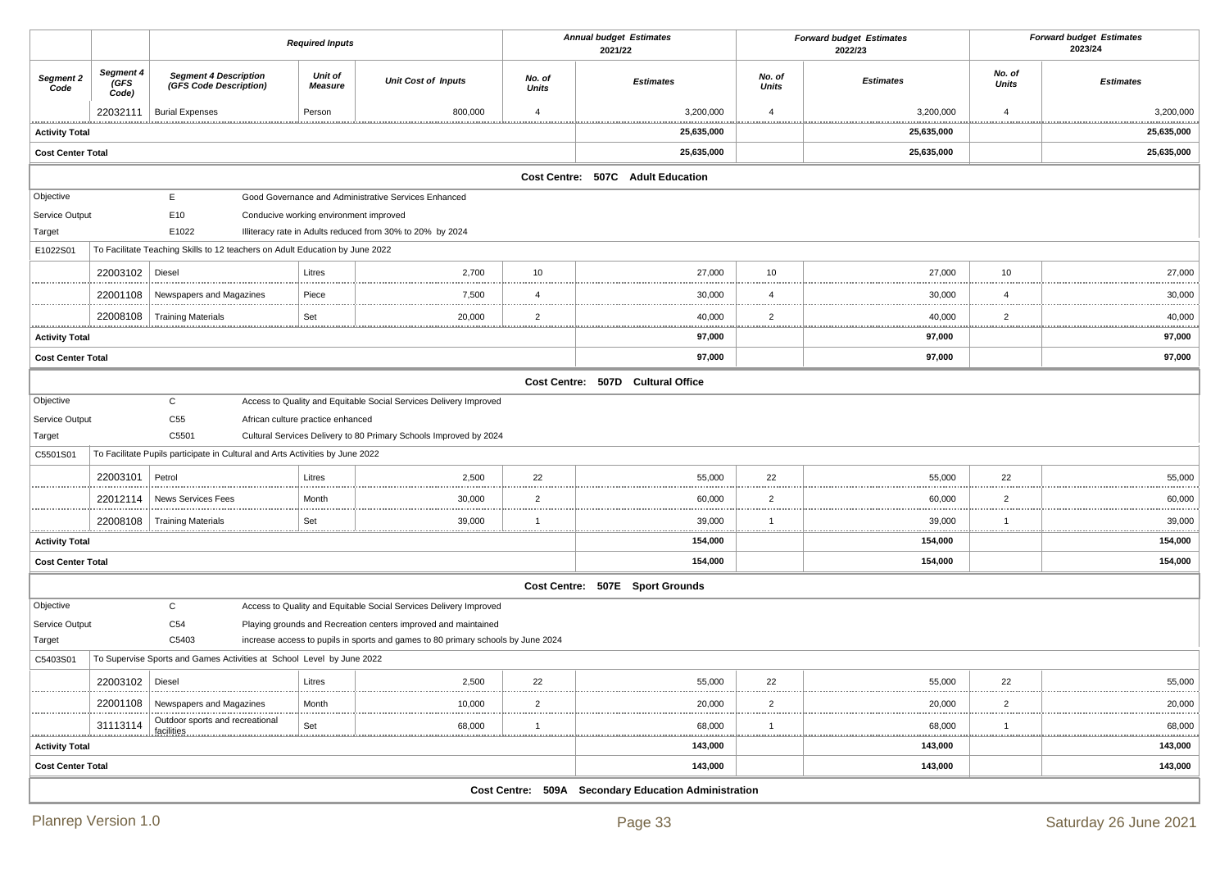|                                                                                   |                            |                                                                               | <b>Required Inputs</b>                 |                                                                                  |                        | <b>Annual budget Estimates</b><br>2021/22            |                 | <b>Forward budget Estimates</b><br>2022/23 |                 | <b>Forward budget Estimates</b><br>2023/24 |
|-----------------------------------------------------------------------------------|----------------------------|-------------------------------------------------------------------------------|----------------------------------------|----------------------------------------------------------------------------------|------------------------|------------------------------------------------------|-----------------|--------------------------------------------|-----------------|--------------------------------------------|
| Segment 2<br>Code                                                                 | Segment 4<br>(GFS<br>Code) | <b>Segment 4 Description</b><br>(GFS Code Description)                        | Unit of<br><b>Measure</b>              | <b>Unit Cost of Inputs</b>                                                       | No. of<br><b>Units</b> | <b>Estimates</b>                                     | No. of<br>Units | <b>Estimates</b>                           | No. of<br>Units | <b>Estimates</b>                           |
|                                                                                   | 22032111                   | <b>Burial Expenses</b>                                                        | Person                                 | 800,000                                                                          | $\overline{4}$         | 3,200,000                                            | $\overline{4}$  | 3,200,000                                  | $\overline{4}$  | 3,200,000                                  |
| <b>Activity Total</b>                                                             |                            |                                                                               |                                        |                                                                                  |                        | 25,635,000                                           |                 | 25,635,000                                 | .               | .<br>25,635,000                            |
| <b>Cost Center Total</b>                                                          |                            |                                                                               |                                        |                                                                                  |                        | 25,635,000                                           |                 | 25,635,000                                 |                 | 25,635,000                                 |
|                                                                                   |                            |                                                                               |                                        |                                                                                  |                        | Cost Centre: 507C Adult Education                    |                 |                                            |                 |                                            |
| Objective                                                                         |                            | E.                                                                            |                                        | Good Governance and Administrative Services Enhanced                             |                        |                                                      |                 |                                            |                 |                                            |
| Service Output                                                                    |                            | E10                                                                           | Conducive working environment improved |                                                                                  |                        |                                                      |                 |                                            |                 |                                            |
| Target                                                                            |                            | E1022                                                                         |                                        | Illiteracy rate in Adults reduced from 30% to 20% by 2024                        |                        |                                                      |                 |                                            |                 |                                            |
| E1022S01                                                                          |                            | To Facilitate Teaching Skills to 12 teachers on Adult Education by June 2022  |                                        |                                                                                  |                        |                                                      |                 |                                            |                 |                                            |
|                                                                                   | 22003102                   | Diesel                                                                        | Litres                                 | 2,700                                                                            | 10                     | 27,000                                               | 10              | 27,000                                     | 10              | 27,000                                     |
|                                                                                   | 22001108                   | Newspapers and Magazines                                                      | Piece                                  | 7,500                                                                            | $\overline{4}$         | 30,000                                               | $\overline{4}$  | 30,000                                     | $\overline{4}$  | 30,000                                     |
| ****************                                                                  | 22008108                   | <b>Training Materials</b>                                                     | Set                                    | 20,000                                                                           | $\overline{2}$         | 40,000                                               | $\overline{2}$  | 40,000<br>                                 | $\overline{2}$  | 40,000                                     |
| <b>Activity Total</b>                                                             |                            |                                                                               |                                        |                                                                                  |                        | 97,000                                               |                 | 97,000                                     |                 | <br>97,000                                 |
| <b>Cost Center Total</b>                                                          |                            |                                                                               |                                        |                                                                                  |                        | 97,000                                               |                 | 97,000                                     |                 | 97,000                                     |
|                                                                                   |                            |                                                                               |                                        |                                                                                  |                        | Cost Centre: 507D Cultural Office                    |                 |                                            |                 |                                            |
| Objective                                                                         |                            | $\mathsf{C}$                                                                  |                                        | Access to Quality and Equitable Social Services Delivery Improved                |                        |                                                      |                 |                                            |                 |                                            |
| Service Output                                                                    |                            | C55                                                                           | African culture practice enhanced      |                                                                                  |                        |                                                      |                 |                                            |                 |                                            |
| Target                                                                            |                            | C5501                                                                         |                                        | Cultural Services Delivery to 80 Primary Schools Improved by 2024                |                        |                                                      |                 |                                            |                 |                                            |
| C5501S01                                                                          |                            | To Facilitate Pupils participate in Cultural and Arts Activities by June 2022 |                                        |                                                                                  |                        |                                                      |                 |                                            |                 |                                            |
|                                                                                   | 22003101                   | Petrol                                                                        | Litres                                 | 2,500                                                                            | 22                     | 55,000                                               | 22              | 55,000                                     | 22              | 55,000                                     |
|                                                                                   | 22012114                   | <b>News Services Fees</b>                                                     | Month                                  | 30,000                                                                           | $\overline{2}$         | 60,000                                               | $\overline{2}$  | 60,000                                     | $\overline{2}$  | 60,000                                     |
|                                                                                   |                            | 22008108   Training Materials                                                 | Set                                    | 39,000                                                                           | $\mathbf 1$            | 39,000                                               | -1              | 39,000                                     | -1              | 39,000                                     |
| <b>Activity Total</b>                                                             |                            |                                                                               |                                        |                                                                                  |                        | 154,000                                              |                 | 154,000                                    | .               | .<br>154,000                               |
| <b>Cost Center Total</b>                                                          |                            |                                                                               |                                        |                                                                                  |                        | 154,000                                              |                 | 154,000                                    |                 | 154,000                                    |
|                                                                                   |                            |                                                                               |                                        |                                                                                  |                        | Cost Centre: 507E Sport Grounds                      |                 |                                            |                 |                                            |
| Objective                                                                         |                            | $\mathsf{C}$                                                                  |                                        | Access to Quality and Equitable Social Services Delivery Improved                |                        |                                                      |                 |                                            |                 |                                            |
| Service Output                                                                    |                            | C <sub>54</sub>                                                               |                                        | Playing grounds and Recreation centers improved and maintained                   |                        |                                                      |                 |                                            |                 |                                            |
| Target                                                                            |                            | C5403                                                                         |                                        | increase access to pupils in sports and games to 80 primary schools by June 2024 |                        |                                                      |                 |                                            |                 |                                            |
| To Supervise Sports and Games Activities at School Level by June 2022<br>C5403S01 |                            |                                                                               |                                        |                                                                                  |                        |                                                      |                 |                                            |                 |                                            |
|                                                                                   | 22003102   Diesel          |                                                                               | Litres                                 | 2,500                                                                            | 22                     | 55,000                                               | 22              | 55,000                                     | 22              | 55,000                                     |
|                                                                                   | 22001108                   | Newspapers and Magazines                                                      | Month                                  | 10,000                                                                           | $\overline{2}$         | 20,000<br>                                           | $\overline{2}$  | 20,000                                     | $\overline{2}$  | 20,000<br>                                 |
|                                                                                   | 31113114                   | Outdoor sports and recreational<br>facilities                                 | Set                                    | 68,000<br>                                                                       | -1                     | 68,000                                               | -1              | 68,000                                     | -1              | 68,000                                     |
| <u></u><br><b>Activity Total</b>                                                  |                            |                                                                               |                                        |                                                                                  |                        | <br>143,000                                          |                 | 143,000                                    |                 | .<br>143,000                               |
| <b>Cost Center Total</b>                                                          |                            |                                                                               |                                        |                                                                                  |                        | 143,000                                              |                 | 143,000                                    |                 | 143,000                                    |
|                                                                                   |                            |                                                                               |                                        |                                                                                  |                        | Cost Centre: 509A Secondary Education Administration |                 |                                            |                 |                                            |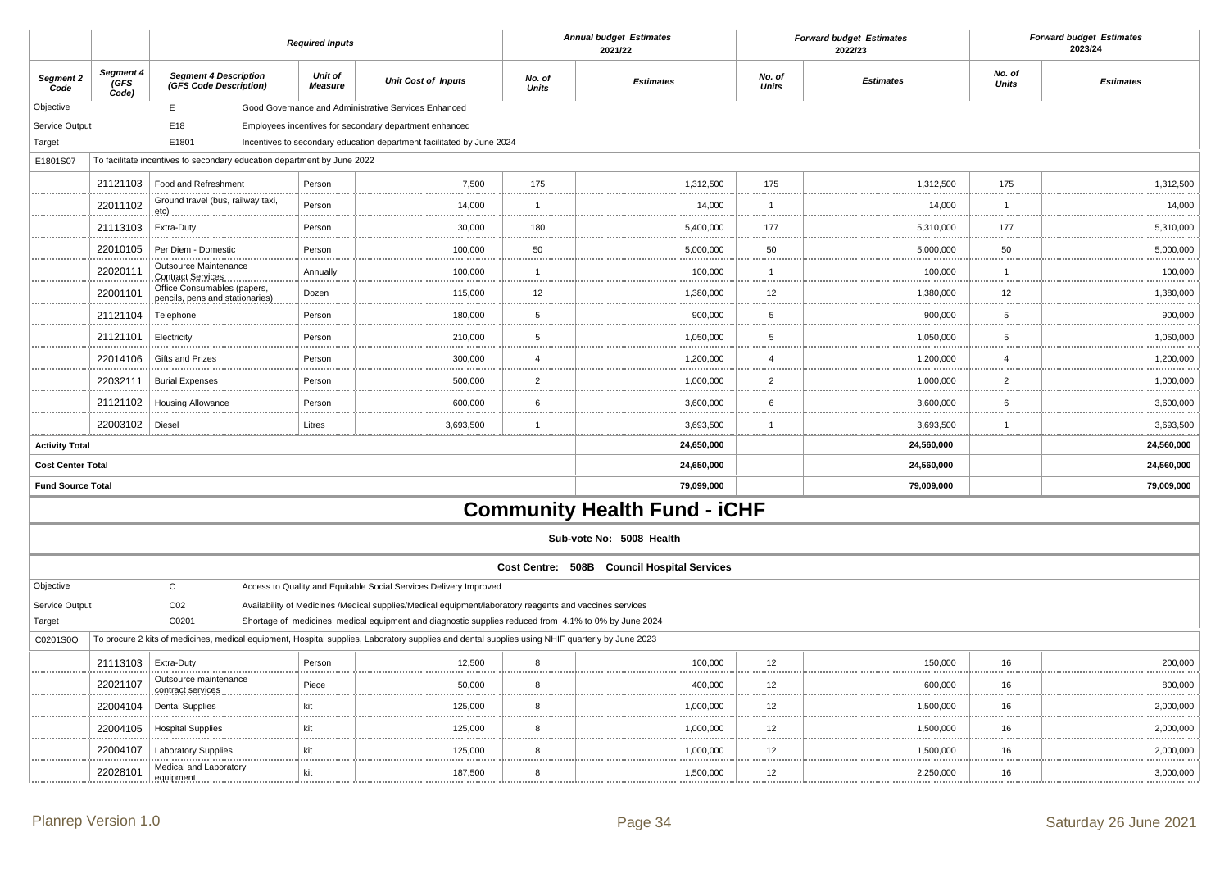|                          |                                  |                                                                                                                                                 | <b>Required Inputs</b>    |                                                                                                         | <b>Annual budget Estimates</b><br>2021/22 |                                             | <b>Forward budget Estimates</b><br>2022/23 |                  | <b>Forward budget Estimates</b><br>2023/24 |                  |
|--------------------------|----------------------------------|-------------------------------------------------------------------------------------------------------------------------------------------------|---------------------------|---------------------------------------------------------------------------------------------------------|-------------------------------------------|---------------------------------------------|--------------------------------------------|------------------|--------------------------------------------|------------------|
| Segment 2<br>Code        | Segment 4<br><b>GFS</b><br>Code) | <b>Segment 4 Description</b><br>(GFS Code Description)                                                                                          | Unit of<br><b>Measure</b> | <b>Unit Cost of Inputs</b>                                                                              | No. of<br><b>Units</b>                    | <b>Estimates</b>                            | No. of<br><b>Units</b>                     | <b>Estimates</b> | No. of<br><b>Units</b>                     | <b>Estimates</b> |
| Objective                |                                  | E                                                                                                                                               |                           | Good Governance and Administrative Services Enhanced                                                    |                                           |                                             |                                            |                  |                                            |                  |
| Service Output           |                                  | E18                                                                                                                                             |                           | Employees incentives for secondary department enhanced                                                  |                                           |                                             |                                            |                  |                                            |                  |
| Target                   |                                  | E1801                                                                                                                                           |                           | Incentives to secondary education department facilitated by June 2024                                   |                                           |                                             |                                            |                  |                                            |                  |
| E1801S07                 |                                  | To facilitate incentives to secondary education department by June 2022                                                                         |                           |                                                                                                         |                                           |                                             |                                            |                  |                                            |                  |
|                          | 21121103                         | Food and Refreshment                                                                                                                            | Person                    | 7,500                                                                                                   | 175                                       | 1,312,500                                   | 175                                        | 1,312,500        | 175                                        | 1,312,500        |
|                          | 22011102                         | Ground travel (bus, railway taxi,<br>eta(c)                                                                                                     | Person                    | 14,000                                                                                                  | $\overline{1}$                            | 14,000                                      | $\overline{1}$                             | 14,000           | $\overline{1}$                             | 14,000           |
|                          | 21113103                         | Extra-Duty                                                                                                                                      | Person                    | 30,000                                                                                                  | 180                                       | 5,400,000                                   | 177                                        | 5,310,000        | 177                                        | 5,310,000        |
|                          | 22010105                         | Per Diem - Domestic                                                                                                                             | Person                    | 100,000                                                                                                 | 50                                        | 5,000,000                                   | 50                                         | 5,000,000        | 50                                         | 5,000,000        |
|                          | 22020111                         | Outsource Maintenance<br><b>Contract Services</b>                                                                                               | Annually                  | 100,000                                                                                                 | $\mathbf{1}$                              | 100,000                                     | $\overline{1}$                             | 100,000          | 1                                          | 100,000          |
|                          | 22001101                         | Office Consumables (papers,<br>pencils, pens and stationaries)                                                                                  | Dozen                     | 115,000                                                                                                 | 12                                        | 1,380,000                                   | 12                                         | 1,380,000        | 12                                         | 1,380,000        |
|                          | 21121104                         | Telephone                                                                                                                                       | Person                    | 180,000                                                                                                 | 5                                         | 900,000                                     | 5                                          | 900,000          | 5                                          | 900,000          |
|                          | 21121101                         | Electricity                                                                                                                                     | Person                    | 210,000                                                                                                 | 5                                         | 1,050,000                                   | 5                                          | 1,050,000        | 5                                          | 1,050,000        |
|                          | 22014106                         | Gifts and Prizes                                                                                                                                | Person                    | 300,000                                                                                                 | $\overline{4}$<br><b>STATISTICS</b>       | 1,200,000<br>.                              | $\overline{4}$                             | 1,200,000<br>.   | $\overline{4}$                             | 1,200,000<br>.   |
|                          | 22032111                         | <b>Burial Expenses</b>                                                                                                                          | Person                    | 500,000                                                                                                 | $\overline{2}$                            | 1,000,000                                   | $\overline{2}$                             | 1,000,000        | $\overline{2}$                             | 1,000,000        |
|                          | 21121102                         | <b>Housing Allowance</b>                                                                                                                        | Person                    | 600,000                                                                                                 | 6                                         | 3,600,000                                   | 6                                          | 3,600,000        | 6<br>                                      | 3,600,000        |
| <b>ARABASARAS</b>        | 22003102                         | Diesel                                                                                                                                          | Litres                    | 3,693,500                                                                                               | $\mathbf{1}$                              | 3,693,500                                   |                                            | 3,693,500        | $\overline{1}$                             | 3,693,500        |
| <b>Activity Total</b>    |                                  |                                                                                                                                                 |                           |                                                                                                         |                                           | 24,650,000                                  |                                            | 24,560,000       |                                            | 24,560,000       |
| <b>Cost Center Total</b> |                                  |                                                                                                                                                 |                           |                                                                                                         |                                           | 24,650,000                                  |                                            | 24,560,000       |                                            | 24,560,000       |
| <b>Fund Source Total</b> |                                  |                                                                                                                                                 |                           |                                                                                                         |                                           | 79,099,000                                  |                                            | 79,009,000       |                                            | 79,009,000       |
|                          |                                  |                                                                                                                                                 |                           |                                                                                                         |                                           | <b>Community Health Fund - iCHF</b>         |                                            |                  |                                            |                  |
|                          |                                  |                                                                                                                                                 |                           |                                                                                                         |                                           | Sub-vote No: 5008 Health                    |                                            |                  |                                            |                  |
|                          |                                  |                                                                                                                                                 |                           |                                                                                                         |                                           | Cost Centre: 508B Council Hospital Services |                                            |                  |                                            |                  |
| Objective                |                                  | $\mathsf C$                                                                                                                                     |                           | Access to Quality and Equitable Social Services Delivery Improved                                       |                                           |                                             |                                            |                  |                                            |                  |
| Service Output           |                                  | C <sub>02</sub>                                                                                                                                 |                           | Availability of Medicines /Medical supplies/Medical equipment/laboratory reagents and vaccines services |                                           |                                             |                                            |                  |                                            |                  |
| Target                   |                                  | C0201                                                                                                                                           |                           | Shortage of medicines, medical equipment and diagnostic supplies reduced from 4.1% to 0% by June 2024   |                                           |                                             |                                            |                  |                                            |                  |
| C0201S0Q                 |                                  | To procure 2 kits of medicines, medical equipment, Hospital supplies, Laboratory supplies and dental supplies using NHIF quarterly by June 2023 |                           |                                                                                                         |                                           |                                             |                                            |                  |                                            |                  |
|                          | 21113103                         | Extra-Duty                                                                                                                                      | Person                    | 12,500                                                                                                  | 8                                         | 100,000                                     | 12                                         | 150,000          | 16                                         | 200,000          |
|                          | 22021107                         | Outsource maintenance<br>contract services                                                                                                      | Piece                     | 50,000                                                                                                  | 8                                         | 400,000                                     | 12                                         | 600,000          | 16                                         | 800,000          |
|                          | 22004104                         | <b>Dental Supplies</b>                                                                                                                          | kit                       | 125,000                                                                                                 | 8                                         | 1,000,000                                   | 12                                         | 1,500,000        | 16                                         | 2,000,000        |
|                          | 22004105                         | <b>Hospital Supplies</b>                                                                                                                        | kit                       | 125,000                                                                                                 | 8                                         | 1,000,000                                   | 12                                         | 1,500,000        | 16                                         | 2,000,000        |
|                          | 22004107                         | <b>Laboratory Supplies</b>                                                                                                                      | kit                       | 125,000                                                                                                 | 8                                         | 1,000,000                                   | 12                                         | 1,500,000        | 16                                         | 2,000,000        |
|                          | 22028101                         | Medical and Laboratory<br>equipment                                                                                                             | kit                       | 187,500                                                                                                 | 8                                         | 1,500,000                                   | 12                                         | 2,250,000        | 16                                         | 3,000,000        |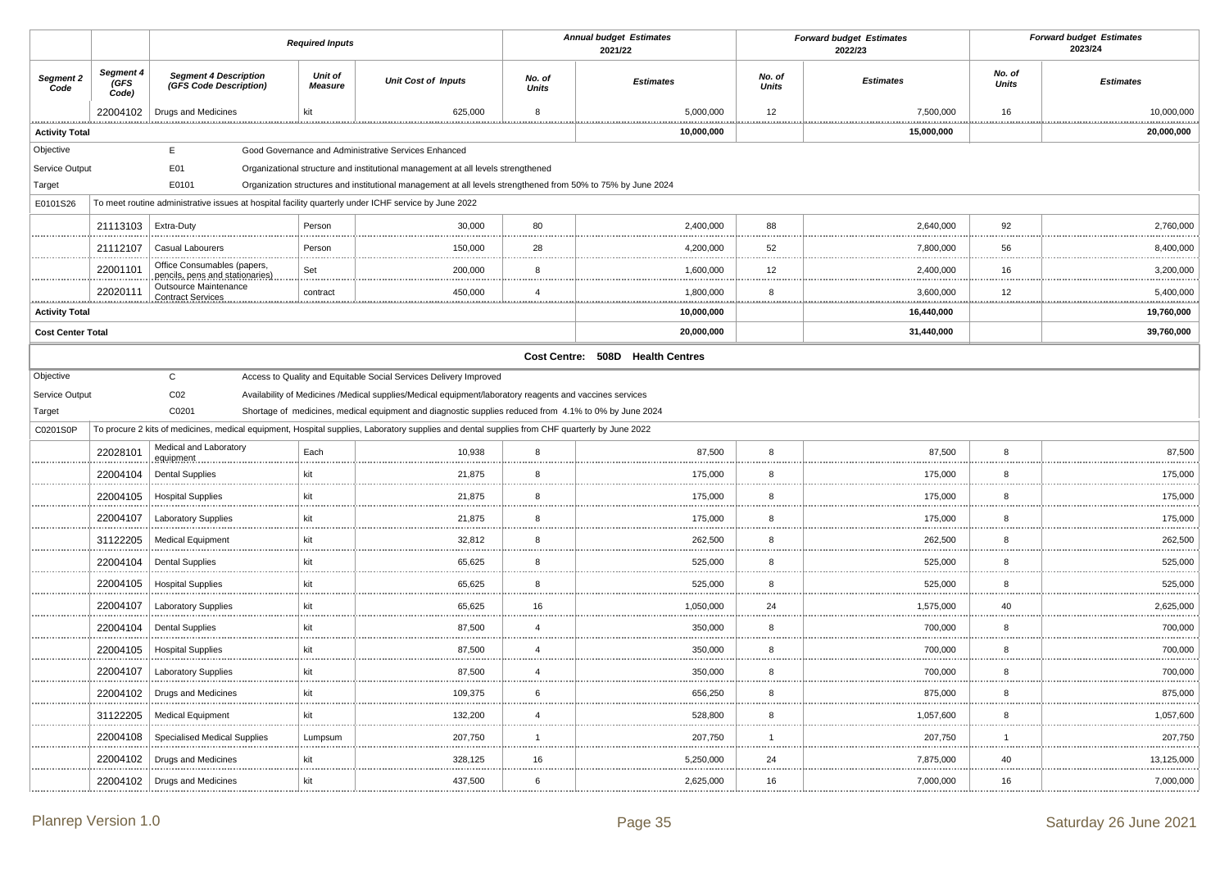|                          |                            |                                                                                                      | <b>Required Inputs</b>    |                                                                                                                                               |                        | <b>Annual budget Estimates</b><br>2021/22 |                        | <b>Forward budget Estimates</b><br>2022/23 |                 | <b>Forward budget Estimates</b><br>2023/24 |
|--------------------------|----------------------------|------------------------------------------------------------------------------------------------------|---------------------------|-----------------------------------------------------------------------------------------------------------------------------------------------|------------------------|-------------------------------------------|------------------------|--------------------------------------------|-----------------|--------------------------------------------|
| Segment 2<br>Code        | Segment 4<br>(GFS<br>Code) | <b>Segment 4 Description</b><br>(GFS Code Description)                                               | Unit of<br><b>Measure</b> | <b>Unit Cost of Inputs</b>                                                                                                                    | No. of<br><b>Units</b> | <b>Estimates</b>                          | No. of<br><b>Units</b> | <b>Estimates</b>                           | No. of<br>Units | <b>Estimates</b>                           |
|                          | 22004102                   | Drugs and Medicines                                                                                  | kit                       | 625,000                                                                                                                                       | 8                      | 5,000,000                                 | 12                     | 7,500,000                                  | 16              | 10,000,000                                 |
| <b>Activity Total</b>    |                            |                                                                                                      |                           |                                                                                                                                               | .                      | 10,000,000                                |                        | 15,000,000                                 |                 | 20,000,000                                 |
| Objective                |                            | E                                                                                                    |                           | Good Governance and Administrative Services Enhanced                                                                                          |                        |                                           |                        |                                            |                 |                                            |
| Service Output           |                            | E01                                                                                                  |                           | Organizational structure and institutional management at all levels strengthened                                                              |                        |                                           |                        |                                            |                 |                                            |
| Target                   |                            | E0101                                                                                                |                           | Organization structures and institutional management at all levels strengthened from 50% to 75% by June 2024                                  |                        |                                           |                        |                                            |                 |                                            |
| E0101S26                 |                            | To meet routine administrative issues at hospital facility quarterly under ICHF service by June 2022 |                           |                                                                                                                                               |                        |                                           |                        |                                            |                 |                                            |
|                          | 21113103                   | Extra-Duty                                                                                           | Person                    | 30,000                                                                                                                                        | 80                     | 2,400,000                                 | 88                     | 2,640,000                                  | 92              | 2,760,000                                  |
|                          | 21112107                   | Casual Labourers                                                                                     | Person                    | 150,000                                                                                                                                       | 28                     | 4,200,000                                 | 52                     | 7,800,000                                  | 56              | 8,400,000                                  |
|                          | 22001101                   | Office Consumables (papers,<br>pencils, pens and stationaries)                                       | Set                       | 200,000                                                                                                                                       | 8                      | 1,600,000                                 | 12                     | 2,400,000                                  | 16              | 3,200,000                                  |
|                          | 22020111                   | Outsource Maintenance<br><b>Contract Services</b>                                                    | contract                  | 450,000<br>.                                                                                                                                  | $\overline{4}$         | 1,800,000                                 | 8                      | 3,600,000<br>.                             | 12              | 5,400,000<br>.                             |
| <b>Activity Total</b>    |                            |                                                                                                      |                           |                                                                                                                                               |                        | 10,000,000                                |                        | 16,440,000                                 |                 | 19,760,000                                 |
| <b>Cost Center Total</b> |                            |                                                                                                      |                           |                                                                                                                                               |                        | 20,000,000                                |                        | 31,440,000                                 |                 | 39,760,000                                 |
|                          |                            |                                                                                                      |                           |                                                                                                                                               |                        | Cost Centre: 508D Health Centres          |                        |                                            |                 |                                            |
| Objective                |                            | C                                                                                                    |                           | Access to Quality and Equitable Social Services Delivery Improved                                                                             |                        |                                           |                        |                                            |                 |                                            |
| Service Output           |                            | CO <sub>2</sub>                                                                                      |                           | Availability of Medicines /Medical supplies/Medical equipment/laboratory reagents and vaccines services                                       |                        |                                           |                        |                                            |                 |                                            |
| Target                   |                            | C0201                                                                                                |                           | Shortage of medicines, medical equipment and diagnostic supplies reduced from 4.1% to 0% by June 2024                                         |                        |                                           |                        |                                            |                 |                                            |
| C0201S0P                 |                            |                                                                                                      |                           | To procure 2 kits of medicines, medical equipment, Hospital supplies, Laboratory supplies and dental supplies from CHF quarterly by June 2022 |                        |                                           |                        |                                            |                 |                                            |
|                          | 22028101                   | Medical and Laboratory<br>equipment                                                                  | Each                      | 10,938                                                                                                                                        | 8                      | 87,500                                    | 8                      | 87,500                                     | 8               | 87,500                                     |
|                          | 22004104                   | <b>Dental Supplies</b>                                                                               | kit                       | 21,875                                                                                                                                        | 8                      | 175,000                                   | 8                      | 175,000                                    | 8               | 175,000<br>.                               |
|                          | 22004105                   | <b>Hospital Supplies</b>                                                                             | kit                       | 21,875                                                                                                                                        | 8                      | 175,000                                   | 8                      | 175,000                                    | 8               | 175,000<br>                                |
|                          | 22004107                   | <b>Laboratory Supplies</b>                                                                           | kit                       | 21,875                                                                                                                                        | 8                      | 175,000                                   | 8                      | 175,000                                    | 8               | 175,000                                    |
|                          | 31122205                   | <b>Medical Equipment</b>                                                                             | kit                       | 32,812                                                                                                                                        | 8                      | 262,500                                   | 8                      | 262,500                                    | 8               | 262,500                                    |
|                          | 22004104                   | <b>Dental Supplies</b>                                                                               | kit                       | 65,625                                                                                                                                        | <br>8                  | 525,000                                   | 8                      | 525,000                                    | 8               | 525,000                                    |
|                          | 22004105                   | <b>Hospital Supplies</b>                                                                             | kit                       | 65,625                                                                                                                                        | 8                      | 525,000                                   | 8                      | 525,000                                    | 8               | 525,000                                    |
|                          | 22004107                   | <b>Laboratory Supplies</b>                                                                           | kit                       | 65,625                                                                                                                                        | 16                     | 1,050,000                                 | 24                     | 1,575,000                                  | 40              | 2,625,000                                  |
|                          | 22004104                   | <b>Dental Supplies</b>                                                                               | kit                       | 87,500                                                                                                                                        | $\overline{4}$         | 350,000                                   | 8                      | 700,000                                    | 8               | 700,000                                    |
|                          | 22004105                   | <b>Hospital Supplies</b>                                                                             | kit                       | 87,500                                                                                                                                        | $\overline{4}$         | 350,000                                   | 8                      | 700,000                                    | 8               | 700,000                                    |
|                          | 22004107                   | <b>Laboratory Supplies</b>                                                                           | kit                       | 87,500                                                                                                                                        | $\overline{4}$         | 350,000                                   | 8                      | 700,000                                    | 8               | 700,000                                    |
|                          | 22004102                   | Drugs and Medicines                                                                                  | kit                       | 109,375                                                                                                                                       | 6<br>.                 | 656,250                                   | 8                      | 875,000                                    | 8               | 875,000                                    |
|                          | 31122205                   | <b>Medical Equipment</b>                                                                             | kit                       | 132,200                                                                                                                                       | $\overline{4}$         | 528,800                                   | 8                      | 1,057,600                                  | 8               | 1,057,600                                  |
|                          | 22004108                   | Specialised Medical Supplies                                                                         | Lumpsum                   | 207,750                                                                                                                                       | $\overline{1}$         | 207,750                                   | $\mathbf{1}$           | 207,750                                    | $\overline{1}$  | 207,750                                    |
|                          | 22004102                   | Drugs and Medicines                                                                                  | kit                       | 328,125                                                                                                                                       | 16                     | 5,250,000                                 | 24                     | 7,875,000                                  | 40              | 13,125,000                                 |
|                          | 22004102                   | Drugs and Medicines                                                                                  | kit                       | 437,500                                                                                                                                       | $\,6\,$                | 2,625,000                                 | 16                     | 7,000,000                                  | 16              | 7,000,000                                  |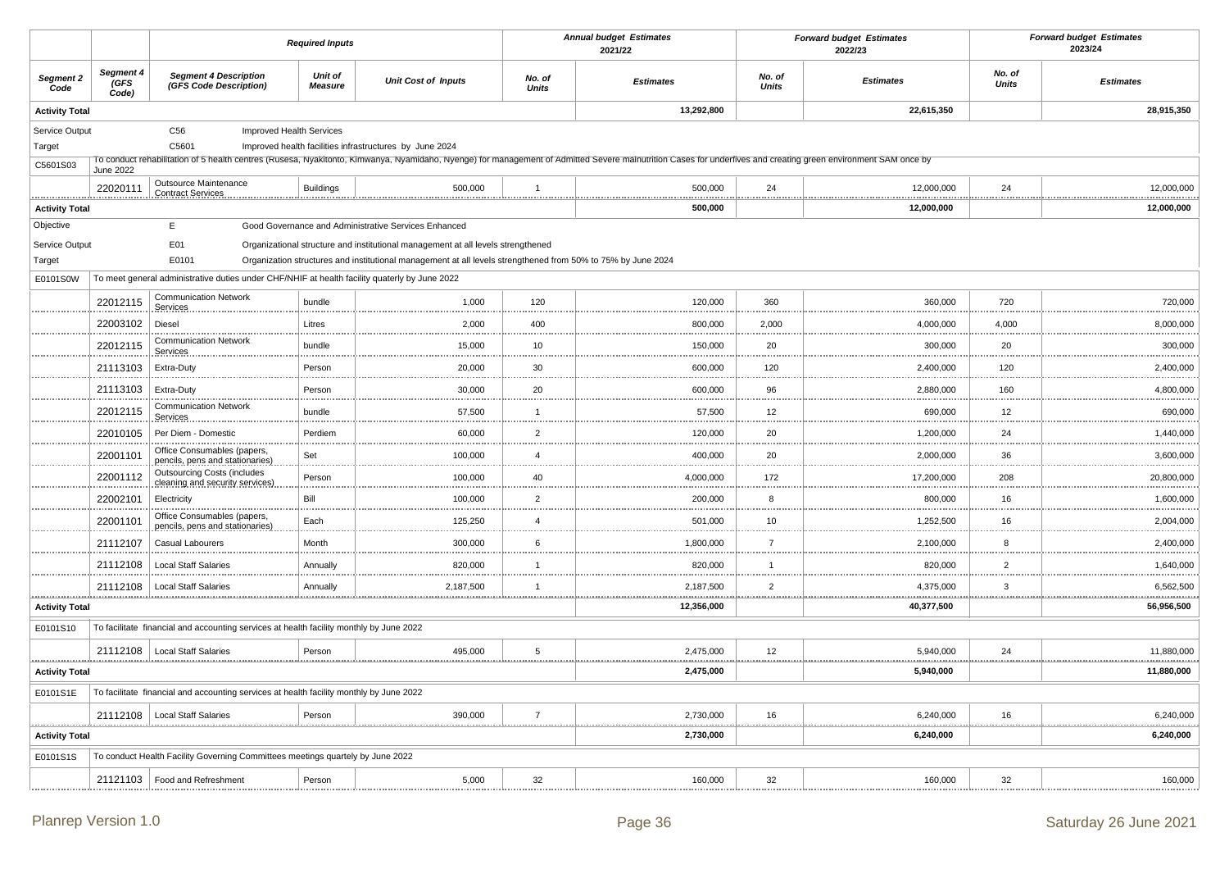|                       |                                                                                |                                                                                                                       | <b>Required Inputs</b> |                                                                                  |                        | <b>Annual budget Estimates</b><br>2021/22                                                                                                                                                                      | <b>Forward budget Estimates</b><br>2022/23 |                       |                 | <b>Forward budget Estimates</b><br>2023/24 |
|-----------------------|--------------------------------------------------------------------------------|-----------------------------------------------------------------------------------------------------------------------|------------------------|----------------------------------------------------------------------------------|------------------------|----------------------------------------------------------------------------------------------------------------------------------------------------------------------------------------------------------------|--------------------------------------------|-----------------------|-----------------|--------------------------------------------|
| Segment 2<br>Code     | Segment 4<br>GFS<br>Code)                                                      | <b>Segment 4 Description</b><br>(GFS Code Description)                                                                | Unit of<br>Measure     | <b>Unit Cost of Inputs</b>                                                       | No. of<br><b>Units</b> | <b>Estimates</b>                                                                                                                                                                                               | No. of<br><b>Units</b>                     | <b>Estimates</b>      | No. of<br>Units | <b>Estimates</b>                           |
| <b>Activity Total</b> |                                                                                |                                                                                                                       |                        |                                                                                  |                        | 13,292,800                                                                                                                                                                                                     |                                            | 22,615,350            |                 | 28,915,350                                 |
| Service Output        |                                                                                | C56<br>Improved Health Services                                                                                       |                        |                                                                                  |                        |                                                                                                                                                                                                                |                                            |                       |                 |                                            |
| Target                |                                                                                | C5601                                                                                                                 |                        | Improved health facilities infrastructures by June 2024                          |                        |                                                                                                                                                                                                                |                                            |                       |                 |                                            |
| C5601S03              | June 2022                                                                      |                                                                                                                       |                        |                                                                                  |                        | To conduct rehabilitation of 5 health centres (Rusesa, Nyakitonto, Kimwanya, Nyamidaho, Nyenge) for management of Admitted Severe malnutrition Cases for underfives and creating green environment SAM once by |                                            |                       |                 |                                            |
| **************        | 22020111                                                                       | Outsource Maintenance<br><b>Contract Services</b>                                                                     | <b>Buildings</b>       | 500,000                                                                          | $\overline{1}$         | 500,000<br>                                                                                                                                                                                                    | 24                                         | 12,000,000<br>        | 24              | 12,000,000<br>.                            |
| <b>Activity Total</b> |                                                                                |                                                                                                                       |                        |                                                                                  |                        | 500,000                                                                                                                                                                                                        |                                            | 12,000,000            |                 | 12,000,000                                 |
| Objective             |                                                                                | E                                                                                                                     |                        | Good Governance and Administrative Services Enhanced                             |                        |                                                                                                                                                                                                                |                                            |                       |                 |                                            |
| Service Output        |                                                                                | E01                                                                                                                   |                        | Organizational structure and institutional management at all levels strengthened |                        |                                                                                                                                                                                                                |                                            |                       |                 |                                            |
| Target                |                                                                                | E0101<br>Organization structures and institutional management at all levels strengthened from 50% to 75% by June 2024 |                        |                                                                                  |                        |                                                                                                                                                                                                                |                                            |                       |                 |                                            |
| E0101S0W              |                                                                                | To meet general administrative duties under CHF/NHIF at health facility quaterly by June 2022                         |                        |                                                                                  |                        |                                                                                                                                                                                                                |                                            |                       |                 |                                            |
|                       | 22012115                                                                       | <b>Communication Network</b><br>Services                                                                              | bundle                 | 1,000                                                                            | 120<br><b>11111</b>    | 120,000                                                                                                                                                                                                        | 360                                        | 360,000               | 720             | 720,000                                    |
|                       | 22003102                                                                       | Diesel                                                                                                                | Litres                 | 2,000                                                                            | 400                    | 800,000                                                                                                                                                                                                        | 2,000                                      | 4,000,000             | 4,000           | 8,000,000                                  |
|                       | 22012115                                                                       | <b>Communication Network</b><br>Services                                                                              | bundle                 | 15,000                                                                           | 10                     | 150,000                                                                                                                                                                                                        | 20                                         | 300,000               | 20              | 300,000                                    |
|                       | 21113103                                                                       | Extra-Duty                                                                                                            | Person                 | 20,000                                                                           | $30\,$                 | 600,000                                                                                                                                                                                                        | 120                                        | 2,400,000             | 120             | 2,400,000                                  |
|                       | 21113103                                                                       | Extra-Duty                                                                                                            | Person                 | 30,000                                                                           | 20                     | 600,000                                                                                                                                                                                                        | 96                                         | 2,880,000             | 160             | 4,800,000                                  |
|                       | 22012115                                                                       | <b>Communication Network</b><br>Services                                                                              | bundle                 | 57,500                                                                           | $\overline{1}$         | 57,500                                                                                                                                                                                                         | 12                                         | 690,000               | 12              | 690,000                                    |
|                       | 22010105                                                                       | Per Diem - Domestic                                                                                                   | Perdiem                | 60,000                                                                           | $\overline{2}$         | 120,000                                                                                                                                                                                                        | 20                                         | 1,200,000             | 24              | 1,440,000                                  |
|                       | 22001101                                                                       | Office Consumables (papers,<br>pencils, pens and stationaries)                                                        | Set                    | 100,000                                                                          | $\overline{4}$         | 400.000                                                                                                                                                                                                        | 20                                         | 2,000,000             | 36              | 3,600,000                                  |
|                       | 22001112                                                                       | <b>Outsourcing Costs (includes</b><br>cleaning and security services)                                                 | Person                 | 100,000                                                                          | 40<br><b>111111</b>    | 4,000,000                                                                                                                                                                                                      | 172                                        | 17,200,000            | 208             | 20,800,000                                 |
|                       | 22002101                                                                       | Electricity                                                                                                           | Bill                   | 100,000                                                                          | $\overline{2}$         | 200,000                                                                                                                                                                                                        | 8                                          | 800,000               | 16              | 1,600,000                                  |
|                       | 22001101                                                                       | Office Consumables (papers,<br>pencils, pens and stationaries)                                                        | Each                   | 125,250                                                                          | $\overline{4}$         | 501,000                                                                                                                                                                                                        | 10                                         | 1,252,500             | 16              | 2,004,000                                  |
|                       | 21112107                                                                       | Casual Labourers                                                                                                      | Month                  | 300,000                                                                          | $\,6\,$                | 1,800,000                                                                                                                                                                                                      | $\overline{7}$                             | 2,100,000             | 8               | 2,400,000                                  |
|                       | 21112108                                                                       | <b>Local Staff Salaries</b>                                                                                           | Annually               | 820,000                                                                          | $\overline{1}$         | 820,000                                                                                                                                                                                                        | $\overline{1}$                             | 820,000               | $\overline{2}$  | 1,640,000                                  |
| .                     | 21112108                                                                       | <b>Local Staff Salaries</b>                                                                                           | Annually<br>.          | 2,187,500                                                                        | 1<br>.                 | 2,187,500                                                                                                                                                                                                      | $\overline{2}$                             | 4,375,000<br>.        | $\mathbf{3}$    | 6,562,500<br>.                             |
| <b>Activity Total</b> |                                                                                |                                                                                                                       |                        |                                                                                  |                        | 12,356,000                                                                                                                                                                                                     |                                            | 40,377,500            |                 | 56,956,500                                 |
| E0101S10              |                                                                                | To facilitate financial and accounting services at health facility monthly by June 2022                               |                        |                                                                                  |                        |                                                                                                                                                                                                                |                                            |                       |                 |                                            |
|                       | 21112108                                                                       | <b>Local Staff Salaries</b>                                                                                           | Person                 | 495.000                                                                          | 5                      | 2,475,000                                                                                                                                                                                                      | 12 <sup>2</sup>                            | 5,940,000             | 24              | 11.880.000                                 |
| <b>Activity Total</b> |                                                                                |                                                                                                                       |                        |                                                                                  |                        | 2,475,000                                                                                                                                                                                                      |                                            | 5,940,000             |                 | 11,880,000                                 |
| E0101S1E              |                                                                                | To facilitate financial and accounting services at health facility monthly by June 2022                               |                        |                                                                                  |                        |                                                                                                                                                                                                                |                                            |                       |                 |                                            |
|                       |                                                                                | 21112108   Local Staff Salaries                                                                                       | Person                 | 390,000                                                                          | $\overline{7}$         | 2,730,000                                                                                                                                                                                                      | 16                                         | 6,240,000<br><u>.</u> | 16              | 6,240,000<br>. <u>.</u>                    |
| <b>Activity Total</b> |                                                                                |                                                                                                                       |                        |                                                                                  |                        | 2,730,000                                                                                                                                                                                                      |                                            | 6,240,000             |                 | 6,240,000                                  |
| E0101S1S              | To conduct Health Facility Governing Committees meetings quartely by June 2022 |                                                                                                                       |                        |                                                                                  |                        |                                                                                                                                                                                                                |                                            |                       |                 |                                            |
|                       | 21121103                                                                       | Food and Refreshment                                                                                                  | Person                 | 5,000                                                                            | 32                     | 160,000                                                                                                                                                                                                        | 32                                         | 160,000               | 32              | 160,000                                    |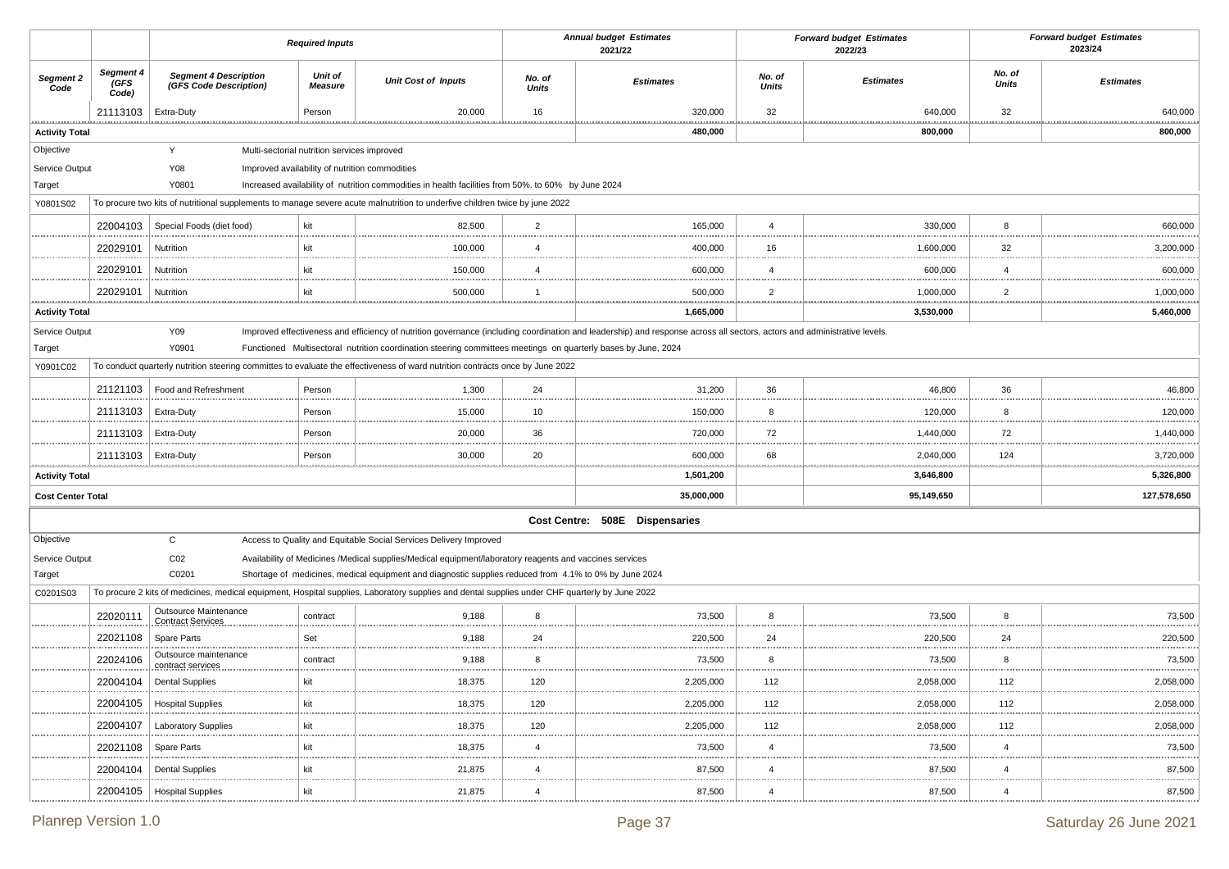|                            |                            | <b>Required Inputs</b>                                 |                                             |                                                                                                                                                |                        | <b>Annual budget Estimates</b><br>2021/22                                                                                                                                |                        | <b>Forward budget Estimates</b><br>2022/23 |                        | <b>Forward budget Estimates</b><br>2023/24 |
|----------------------------|----------------------------|--------------------------------------------------------|---------------------------------------------|------------------------------------------------------------------------------------------------------------------------------------------------|------------------------|--------------------------------------------------------------------------------------------------------------------------------------------------------------------------|------------------------|--------------------------------------------|------------------------|--------------------------------------------|
| Segment 2<br>Code          | Segment 4<br>(GFS<br>Code) | <b>Segment 4 Description</b><br>(GFS Code Description) | <b>Unit of</b><br><b>Measure</b>            | <b>Unit Cost of Inputs</b>                                                                                                                     | No. of<br><b>Units</b> | <b>Estimates</b>                                                                                                                                                         | No. of<br><b>Units</b> | <b>Estimates</b>                           | No. of<br><b>Units</b> | <b>Estimates</b>                           |
|                            | 21113103                   | Extra-Duty                                             | Person                                      | 20,000                                                                                                                                         | 16                     | 320,000                                                                                                                                                                  | 32                     | 640,000                                    | 32                     | 640,000<br>.                               |
| <b>Activity Total</b>      |                            |                                                        |                                             |                                                                                                                                                |                        | 480,000                                                                                                                                                                  |                        | 800,000                                    |                        | 800,000                                    |
| Objective                  |                            | Y                                                      | Multi-sectorial nutrition services improved |                                                                                                                                                |                        |                                                                                                                                                                          |                        |                                            |                        |                                            |
| Service Output             |                            | Y08                                                    |                                             | Improved availability of nutrition commodities                                                                                                 |                        |                                                                                                                                                                          |                        |                                            |                        |                                            |
| Target                     |                            | Y0801                                                  |                                             | Increased availability of nutrition commodities in health facilities from 50%. to 60% by June 2024                                             |                        |                                                                                                                                                                          |                        |                                            |                        |                                            |
| Y0801S02                   |                            |                                                        |                                             | To procure two kits of nutritional supplements to manage severe acute malnutrition to underfive children twice by june 2022                    |                        |                                                                                                                                                                          |                        |                                            |                        |                                            |
|                            | 22004103                   | Special Foods (diet food)                              | kit                                         | 82,500                                                                                                                                         | $\overline{2}$         | 165,000                                                                                                                                                                  | $\overline{4}$         | 330,000                                    | 8                      | 660,000<br>                                |
|                            | 22029101                   | Nutrition                                              | kit                                         | 100,000                                                                                                                                        | $\overline{4}$         | 400,000                                                                                                                                                                  | 16                     | 1,600,000                                  | 32                     | 3,200,000                                  |
|                            | 22029101                   | Nutrition                                              | kit                                         | 150,000                                                                                                                                        | $\overline{4}$         | 600,000                                                                                                                                                                  | 4                      | 600,000                                    | $\overline{4}$         | 600,000<br>.                               |
|                            | 22029101                   | Nutrition                                              | kit                                         | 500,000                                                                                                                                        |                        | 500,000                                                                                                                                                                  | $\overline{2}$         | 1,000,000<br>                              | $\overline{2}$         | 1,000,000                                  |
| <b>Activity Total</b>      |                            |                                                        |                                             |                                                                                                                                                |                        | 1,665,000                                                                                                                                                                |                        | 3,530,000                                  |                        | 5,460,000                                  |
| Service Output             |                            | Y09                                                    |                                             |                                                                                                                                                |                        | Improved effectiveness and efficiency of nutrition governance (including coordination and leadership) and response across all sectors, actors and administrative levels. |                        |                                            |                        |                                            |
| Target                     |                            | Y0901                                                  |                                             | Functioned Multisectoral nutrition coordination steering committees meetings on quarterly bases by June, 2024                                  |                        |                                                                                                                                                                          |                        |                                            |                        |                                            |
| Y0901C02                   |                            |                                                        |                                             | To conduct quarterly nutrition steering committes to evaluate the effectiveness of ward nutrition contracts once by June 2022                  |                        |                                                                                                                                                                          |                        |                                            |                        |                                            |
|                            | 21121103                   | Food and Refreshment                                   | Person                                      | 1,300                                                                                                                                          | 24                     | 31,200                                                                                                                                                                   | 36                     | 46,800                                     | 36                     | 46,800                                     |
|                            | 21113103                   | Extra-Duty                                             | Person                                      | 15,000                                                                                                                                         | 10<br>.                | 150,000                                                                                                                                                                  | 8                      | 120,000<br>                                | 8                      | 120,000                                    |
|                            | 21113103                   | Extra-Duty                                             | Person                                      | 20,000                                                                                                                                         | 36                     | 720,000                                                                                                                                                                  | 72                     | 1,440,000                                  | 72                     | 1,440,000                                  |
|                            | 21113103                   | Extra-Duty                                             | Person                                      | 30,000                                                                                                                                         | 20                     | 600,000                                                                                                                                                                  | 68                     | 2,040,000                                  | 124                    | 3,720,000                                  |
| .<br><b>Activity Total</b> |                            |                                                        |                                             |                                                                                                                                                |                        | 1,501,200                                                                                                                                                                |                        | 3,646,800                                  |                        | 5,326,800                                  |
| <b>Cost Center Total</b>   |                            |                                                        |                                             |                                                                                                                                                |                        | 35,000,000                                                                                                                                                               |                        | 95,149,650                                 |                        | 127,578,650                                |
|                            |                            |                                                        |                                             |                                                                                                                                                |                        | Cost Centre: 508E Dispensaries                                                                                                                                           |                        |                                            |                        |                                            |
| Objective                  |                            | $\mathsf{C}$                                           |                                             | Access to Quality and Equitable Social Services Delivery Improved                                                                              |                        |                                                                                                                                                                          |                        |                                            |                        |                                            |
| Service Output             |                            | CO <sub>2</sub>                                        |                                             | Availability of Medicines /Medical supplies/Medical equipment/laboratory reagents and vaccines services                                        |                        |                                                                                                                                                                          |                        |                                            |                        |                                            |
| Target                     |                            | C0201                                                  |                                             | Shortage of medicines, medical equipment and diagnostic supplies reduced from 4.1% to 0% by June 2024                                          |                        |                                                                                                                                                                          |                        |                                            |                        |                                            |
| C0201S03                   |                            |                                                        |                                             | To procure 2 kits of medicines, medical equipment, Hospital supplies, Laboratory supplies and dental supplies under CHF quarterly by June 2022 |                        |                                                                                                                                                                          |                        |                                            |                        |                                            |
|                            | 22020111                   | Outsource Maintenance<br><b>Contract Services</b>      | contract                                    | 9,188                                                                                                                                          | 8                      | 73,500                                                                                                                                                                   | 8                      | 73,500                                     | 8                      | 73,500                                     |
|                            | 22021108                   | Spare Parts                                            | Set                                         | 9,188                                                                                                                                          | 24                     | 220,500                                                                                                                                                                  | 24                     | 220,500                                    | 24                     | 220,500<br>                                |
|                            | 22024106                   | Outsource maintenance<br>contract services             | contract<br>.                               | 9,188                                                                                                                                          | 8<br>.                 | 73,500                                                                                                                                                                   | 8                      | 73,500<br>.                                | 8                      | 73,500<br>                                 |
|                            | 22004104                   | <b>Dental Supplies</b>                                 |                                             | 18,375                                                                                                                                         | 120                    | 2,205,000                                                                                                                                                                | 112                    | 2,058,000                                  | 112                    | 2,058,000                                  |
|                            | 22004105                   | <b>Hospital Supplies</b>                               | kit                                         | 18,375                                                                                                                                         | 120                    | 2,205,000                                                                                                                                                                | 112                    | 2,058,000                                  | 112                    | 2,058,000                                  |
|                            | 22004107                   | <b>Laboratory Supplies</b>                             | kit                                         | 18,375                                                                                                                                         | 120                    | 2,205,000                                                                                                                                                                | 112                    | 2,058,000                                  | 112                    | 2,058,000                                  |
|                            | 22021108                   | Spare Parts                                            | kit                                         | 18,375                                                                                                                                         | $\overline{4}$         | 73,500                                                                                                                                                                   | 4                      | 73,500                                     | $\overline{4}$         | 73,500                                     |
|                            | 22004104                   | <b>Dental Supplies</b>                                 | kit                                         | 21,875                                                                                                                                         | $\overline{4}$         | 87,500                                                                                                                                                                   | 4                      | 87,500                                     | $\overline{4}$         | 87,500                                     |
|                            | 22004105                   | <b>Hospital Supplies</b>                               | kit                                         | 21,875                                                                                                                                         | 4                      | 87,500                                                                                                                                                                   | $\overline{4}$         | 87,500                                     | $\overline{4}$         | 87,500                                     |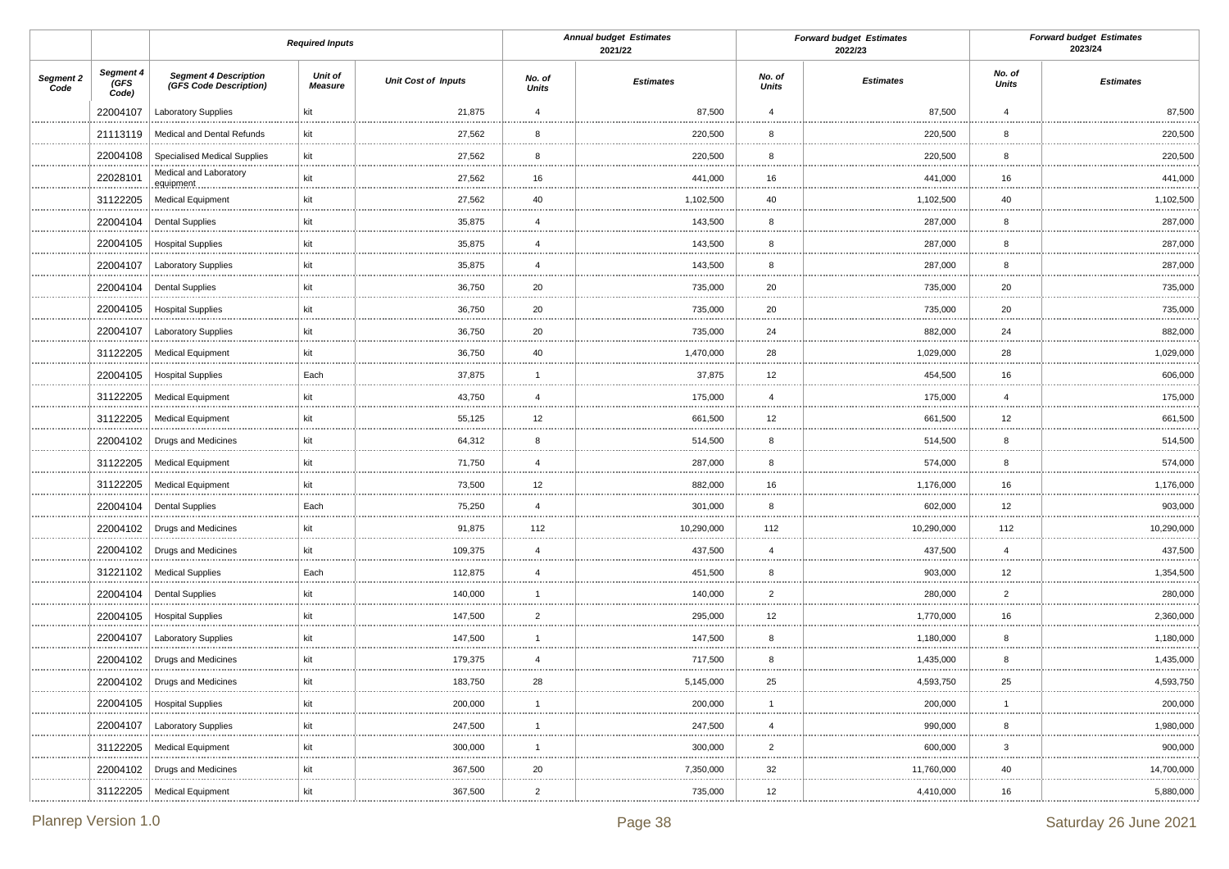|                   |                            |                                                        | <b>Required Inputs</b>           |                            |                        | <b>Annual budget Estimates</b><br>2021/22 |                    | <b>Forward budget Estimates</b><br>2022/23 |                    | <b>Forward budget Estimates</b><br>2023/24 |
|-------------------|----------------------------|--------------------------------------------------------|----------------------------------|----------------------------|------------------------|-------------------------------------------|--------------------|--------------------------------------------|--------------------|--------------------------------------------|
| Segment 2<br>Code | Segment 4<br>(GFS<br>Code) | <b>Segment 4 Description</b><br>(GFS Code Description) | <b>Unit of</b><br><b>Measure</b> | <b>Unit Cost of Inputs</b> | No. of<br><b>Units</b> | <b>Estimates</b>                          | No. of<br>Units    | <b>Estimates</b>                           | No. of<br>Units    | <b>Estimates</b>                           |
|                   | 22004107                   | <b>Laboratory Supplies</b>                             | kit                              | 21,875                     | $\overline{4}$         | 87,500                                    | $\overline{4}$     | 87,500                                     | $\overline{4}$     | 87,500                                     |
|                   | 21113119                   | Medical and Dental Refunds                             | kit                              | 27,562                     | 8<br>                  | 220,500                                   | 8                  | 220,500                                    | 8                  | 220,500<br>.                               |
|                   | 22004108                   | <b>Specialised Medical Supplies</b>                    | kit                              | 27,562                     | 8                      | 220,500                                   | 8                  | 220,500                                    | 8                  | 220,500<br>.                               |
|                   | 22028101                   | Medical and Laboratory<br>equipment                    | kit                              | 27,562                     | 16                     | 441,000                                   | 16                 | 441,000                                    | 16                 | 441,000                                    |
|                   | 31122205                   | <b>Medical Equipment</b>                               | kit                              | 27,562                     | 40                     | 1,102,500                                 | 40                 | 1,102,500                                  | 40                 | 1,102,500                                  |
|                   | 22004104                   | <b>Dental Supplies</b>                                 | kit                              | 35,875                     | $\overline{4}$         | 143,500                                   | 8                  | 287,000                                    | 8                  | 287,000                                    |
|                   | 22004105                   | <b>Hospital Supplies</b>                               | kit                              | 35,875                     | $\overline{4}$         | 143,500                                   | 8                  | 287,000                                    | 8                  | 287,000<br>.                               |
|                   | 22004107                   | Laboratory Supplies                                    | kit                              | 35,875                     | $\overline{4}$         | 143,500                                   | 8                  | 287,000                                    | 8                  | 287,000<br>                                |
|                   | 22004104                   | <b>Dental Supplies</b>                                 | kit                              | 36,750                     | 20                     | 735,000                                   | 20                 | 735,000                                    | 20                 | 735,000                                    |
|                   | 22004105                   | <b>Hospital Supplies</b>                               | kit                              | 36,750                     | 20<br>.                | 735,000                                   | 20<br>.            | 735,000                                    | 20<br>             | 735,000<br>                                |
|                   | 22004107                   | <b>Laboratory Supplies</b>                             | kit                              | 36,750                     | 20                     | 735,000                                   | 24                 | 882,000                                    | 24                 | 882,000                                    |
|                   | 31122205                   | <b>Medical Equipment</b>                               | kit                              | 36,750                     | 40                     | 1,470,000                                 | 28                 | 1,029,000                                  | 28                 | 1,029,000<br>                              |
|                   | 22004105                   | <b>Hospital Supplies</b>                               | Each                             | 37,875                     | 1                      | 37,875                                    | 12                 | 454,500                                    | 16                 | 606,000                                    |
|                   | 31122205                   | <b>Medical Equipment</b>                               | kit                              | 43,750                     | $\overline{4}$         | 175,000                                   | $\overline{4}$     | 175,000                                    | $\overline{4}$     | 175,000<br>.                               |
|                   | 31122205                   | <b>Medical Equipment</b>                               | kit                              | 55,125                     | 12                     | 661,500                                   | 12                 | 661,500                                    | 12                 | 661,500                                    |
|                   | 22004102                   | <b>Drugs and Medicines</b>                             | kit                              | 64,312                     | 8                      | 514,500                                   | 8                  | 514,500                                    | 8                  | 514,500                                    |
|                   | 31122205                   | <b>Medical Equipment</b>                               | kit                              | 71,750                     | $\overline{4}$         | 287,000                                   | 8                  | 574,000                                    | 8                  | 574,000                                    |
|                   | 31122205                   | <b>Medical Equipment</b>                               | kit                              | 73,500                     | 12<br>                 | 882,000                                   | 16                 | 1,176,000                                  | 16                 | 1,176,000                                  |
|                   | 22004104                   | <b>Dental Supplies</b>                                 | Each                             | 75,250                     | $\overline{4}$         | 301,000                                   | 8                  | 602,000                                    | 12                 | 903,000                                    |
|                   | 22004102                   | Drugs and Medicines                                    | kit                              | 91,875                     | 112                    | 10,290,000                                | 112                | 10,290,000                                 | 112<br>            | 10,290,000                                 |
|                   |                            | 22004102   Drugs and Medicines                         | kit                              | 109,375                    | $\overline{4}$         | 437,500                                   | $\overline{4}$     | 437,500                                    | $\overline{4}$     | 437,500                                    |
|                   | 31221102                   | <b>Medical Supplies</b>                                | Each                             | 112,875                    | $\overline{4}$         | 451,500                                   | 8                  | 903,000                                    | 12<br>.            | 1,354,500                                  |
|                   | 22004104                   | <b>Dental Supplies</b>                                 | kit                              | 140,000                    | 1                      | 140,000                                   | $\overline{2}$     | 280,000                                    | $\overline{2}$     | 280,000                                    |
|                   | 22004105                   | <b>Hospital Supplies</b>                               | kit                              | 147,500                    | $\overline{2}$         | 295,000                                   | 12                 | 1,770,000                                  | 16                 | 2,360,000                                  |
|                   |                            | 22004107   Laboratory Supplies                         | kit                              | 147,500                    | -1                     | 147,500                                   | 8                  | 1,180,000                                  | 8                  | 1,180,000                                  |
|                   | 22004102                   | Drugs and Medicines                                    | kit                              | 179,375                    | $\overline{4}$<br>     | 717,500                                   | 8<br>.             | 1,435,000                                  | 8<br>              | 1,435,000                                  |
|                   |                            | 22004102   Drugs and Medicines                         | kit                              | 183,750                    | 28                     | 5,145,000                                 | 25                 | 4,593,750                                  | 25                 | 4,593,750                                  |
|                   | 22004105                   | <b>Hospital Supplies</b>                               | kit                              | 200,000                    |                        | 200,000                                   |                    | 200,000                                    |                    | 200,000                                    |
|                   | 22004107                   | <b>Laboratory Supplies</b>                             | kit                              | 247,500                    | -1                     | 247,500                                   | $\overline{a}$     | 990,000                                    | 8                  | 1,980,000                                  |
|                   | 31122205                   | <b>Medical Equipment</b>                               | kit                              | 300,000<br>.               | -1<br>                 | 300,000<br>.                              | $\overline{2}$<br> | 600,000<br>.                               | $\overline{3}$<br> | 900,000<br>.                               |
|                   | 22004102                   | Drugs and Medicines                                    | kit                              | 367,500                    | 20                     | 7,350,000                                 | 32                 | 11,760,000                                 | 40                 | 14,700,000<br>                             |
|                   | 31122205                   | Medical Equipment                                      | kit                              | 367,500                    | $\overline{2}$         | 735,000                                   | 12                 | 4,410,000                                  | 16                 | 5,880,000                                  |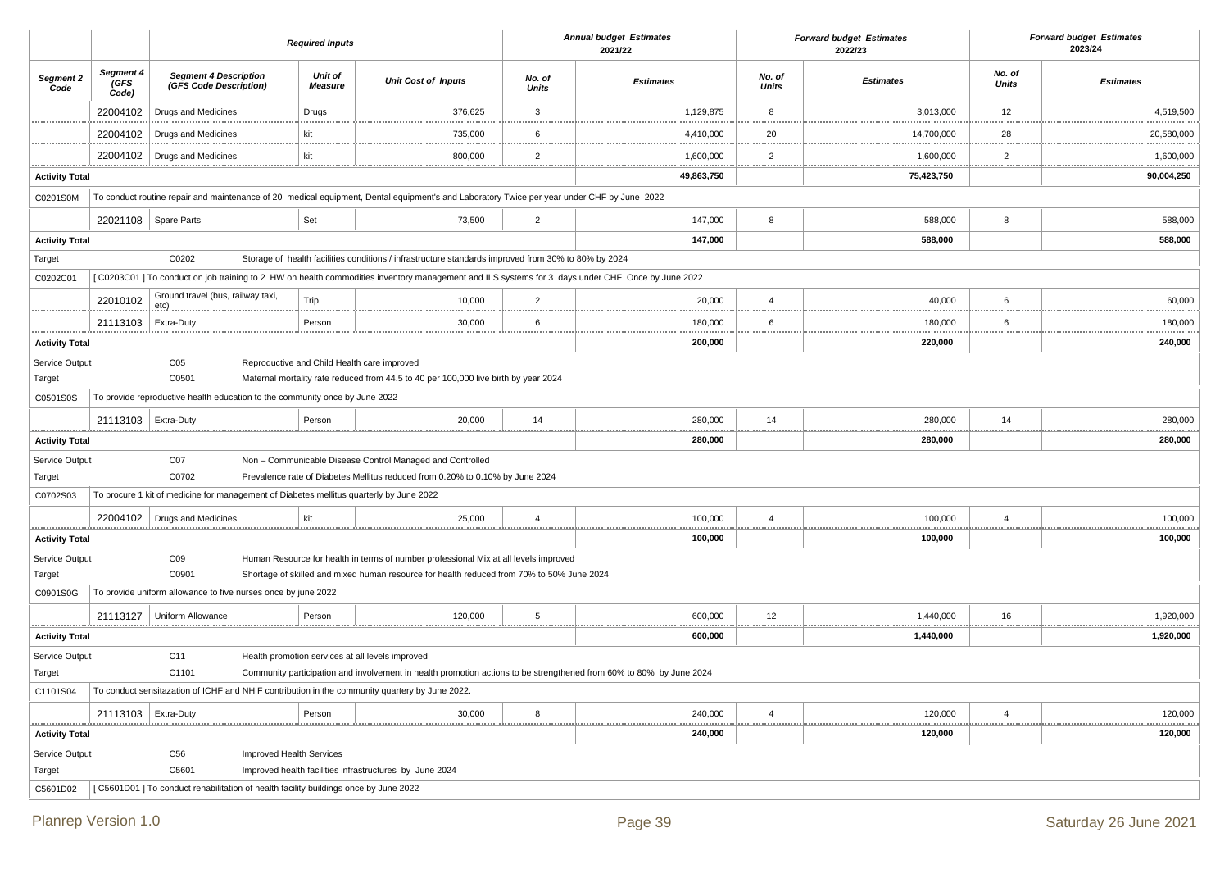|                            |                            |                                                                                         | <b>Required Inputs</b>                           |                                                                                                                                                                                   |                        | <b>Annual budget Estimates</b><br>2021/22 |                        | <b>Forward budget Estimates</b><br>2022/23 |                 | <b>Forward budget Estimates</b><br>2023/24 |
|----------------------------|----------------------------|-----------------------------------------------------------------------------------------|--------------------------------------------------|-----------------------------------------------------------------------------------------------------------------------------------------------------------------------------------|------------------------|-------------------------------------------|------------------------|--------------------------------------------|-----------------|--------------------------------------------|
| Segment 2<br>Code          | Segment 4<br>(GFS<br>Code) | <b>Segment 4 Description</b><br>(GFS Code Description)                                  | Unit of<br><b>Measure</b>                        | <b>Unit Cost of Inputs</b>                                                                                                                                                        | No. of<br><b>Units</b> | <b>Estimates</b>                          | No. of<br><b>Units</b> | <b>Estimates</b>                           | No. of<br>Units | <b>Estimates</b>                           |
|                            | 22004102                   | Drugs and Medicines                                                                     | Drugs                                            | 376,625                                                                                                                                                                           | $\mathbf{3}$           | 1,129,875                                 | 8                      | 3,013,000                                  | 12              | 4,519,500                                  |
|                            | 22004102                   | <b>Drugs and Medicines</b>                                                              | kit                                              | 735,000                                                                                                                                                                           | 6                      | 4,410,000                                 | 20                     | 14,700,000                                 | 28              | 20,580,000                                 |
|                            | 22004102                   | <b>Drugs and Medicines</b>                                                              | kit                                              | 800,000                                                                                                                                                                           | $\overline{2}$         | 1,600,000                                 | $\overline{2}$         | 1,600,000                                  | $\overline{2}$  | 1,600,000                                  |
| .<br><b>Activity Total</b> |                            |                                                                                         |                                                  |                                                                                                                                                                                   |                        | 49,863,750                                |                        | .<br>75,423,750                            |                 | 90,004,250                                 |
| C0201S0M                   |                            |                                                                                         |                                                  | To conduct routine repair and maintenance of 20 medical equipment, Dental equipment's and Laboratory Twice per year under CHF by June 2022                                        |                        |                                           |                        |                                            |                 |                                            |
|                            | 22021108                   | Spare Parts                                                                             | Set                                              | 73,500                                                                                                                                                                            | $\overline{2}$         | 147,000                                   | 8                      | 588,000                                    | 8               | 588,000                                    |
| <b>Activity Total</b>      |                            |                                                                                         |                                                  |                                                                                                                                                                                   |                        | 147,000                                   |                        | 588,000                                    |                 | 588,000                                    |
| Target                     |                            | C0202                                                                                   |                                                  | Storage of health facilities conditions / infrastructure standards improved from 30% to 80% by 2024                                                                               |                        |                                           |                        |                                            |                 |                                            |
| C0202C01                   |                            |                                                                                         |                                                  | [C0203C01] To conduct on job training to 2 HW on health commodities inventory management and ILS systems for 3 days under CHF Once by June 2022                                   |                        |                                           |                        |                                            |                 |                                            |
|                            | 22010102                   | Ground travel (bus, railway taxi,<br>etc)                                               | Trip                                             | 10,000                                                                                                                                                                            | $\overline{2}$         | 20,000                                    | $\overline{4}$         | 40,000                                     | 6               | 60,000                                     |
|                            | 21113103                   | Extra-Duty                                                                              | Person                                           | 30,000                                                                                                                                                                            | 6                      | 180,000                                   | 6                      | 180,000                                    | <br>6           | 180,000                                    |
| .<br><b>Activity Total</b> |                            |                                                                                         |                                                  |                                                                                                                                                                                   |                        | 200,000                                   | .                      | 220,000                                    |                 | <br>240,000                                |
| Service Output             |                            | C <sub>05</sub>                                                                         | Reproductive and Child Health care improved      |                                                                                                                                                                                   |                        |                                           |                        |                                            |                 |                                            |
| Target                     |                            | C0501                                                                                   |                                                  | Maternal mortality rate reduced from 44.5 to 40 per 100,000 live birth by year 2024                                                                                               |                        |                                           |                        |                                            |                 |                                            |
| C0501S0S                   |                            | To provide reproductive health education to the community once by June 2022             |                                                  |                                                                                                                                                                                   |                        |                                           |                        |                                            |                 |                                            |
| <u>.</u>                   | 21113103                   | Extra-Duty                                                                              | Person                                           | 20,000                                                                                                                                                                            | 14                     | 280,000<br>.                              | 14<br>.                | 280,000                                    | 14              | 280,000                                    |
| <b>Activity Total</b>      |                            |                                                                                         |                                                  |                                                                                                                                                                                   |                        | 280,000                                   |                        | 280,000                                    |                 | 280,000                                    |
| Service Output             |                            | C <sub>07</sub>                                                                         |                                                  | Non - Communicable Disease Control Managed and Controlled                                                                                                                         |                        |                                           |                        |                                            |                 |                                            |
| Target                     |                            | C0702                                                                                   |                                                  | Prevalence rate of Diabetes Mellitus reduced from 0.20% to 0.10% by June 2024                                                                                                     |                        |                                           |                        |                                            |                 |                                            |
| C0702S03                   |                            | To procure 1 kit of medicine for management of Diabetes mellitus quarterly by June 2022 |                                                  |                                                                                                                                                                                   |                        |                                           |                        |                                            |                 |                                            |
|                            | 22004102                   | Drugs and Medicines                                                                     | kit                                              | 25,000                                                                                                                                                                            | $\overline{4}$         | 100,000<br>.                              | $\overline{4}$         | 100,000                                    | $\overline{4}$  | 100,000                                    |
| <b>Activity Total</b>      |                            |                                                                                         |                                                  |                                                                                                                                                                                   |                        | 100,000                                   |                        | 100,000                                    |                 | 100,000                                    |
| Service Output<br>Target   |                            | CO9<br>C0901                                                                            |                                                  | Human Resource for health in terms of number professional Mix at all levels improved<br>Shortage of skilled and mixed human resource for health reduced from 70% to 50% June 2024 |                        |                                           |                        |                                            |                 |                                            |
| C0901S0G                   |                            | To provide uniform allowance to five nurses once by june 2022                           |                                                  |                                                                                                                                                                                   |                        |                                           |                        |                                            |                 |                                            |
|                            | 21113127                   | Uniform Allowance                                                                       | Person                                           | 120,000                                                                                                                                                                           | 5                      | 600,000                                   | 12                     | 1,440,000                                  | 16              | 1,920,000                                  |
| <br><b>Activity Total</b>  |                            |                                                                                         |                                                  |                                                                                                                                                                                   |                        | <br>600,000                               |                        | 1,440,000                                  |                 | <br>1,920,000                              |
| Service Output             |                            | C11                                                                                     | Health promotion services at all levels improved |                                                                                                                                                                                   |                        |                                           |                        |                                            |                 |                                            |
| Target                     |                            | C1101                                                                                   |                                                  | Community participation and involvement in health promotion actions to be strengthened from 60% to 80% by June 2024                                                               |                        |                                           |                        |                                            |                 |                                            |
| C1101S04                   |                            |                                                                                         |                                                  | To conduct sensitazation of ICHF and NHIF contribution in the community quartery by June 2022.                                                                                    |                        |                                           |                        |                                            |                 |                                            |
|                            | 21113103                   | Extra-Duty                                                                              | Person                                           | 30,000                                                                                                                                                                            | 8                      | 240,000                                   | $\overline{4}$         | 120,000                                    | $\overline{4}$  | 120,000                                    |
| <b>Activity Total</b>      |                            |                                                                                         |                                                  |                                                                                                                                                                                   |                        | 240,000                                   |                        | 120,000                                    |                 | 120,000                                    |
| Service Output             |                            | C <sub>56</sub>                                                                         | Improved Health Services                         |                                                                                                                                                                                   |                        |                                           |                        |                                            |                 |                                            |
| Target                     |                            | C5601                                                                                   |                                                  | Improved health facilities infrastructures by June 2024                                                                                                                           |                        |                                           |                        |                                            |                 |                                            |
| C5601D02                   |                            | [C5601D01] To conduct rehabilitation of health facility buildings once by June 2022     |                                                  |                                                                                                                                                                                   |                        |                                           |                        |                                            |                 |                                            |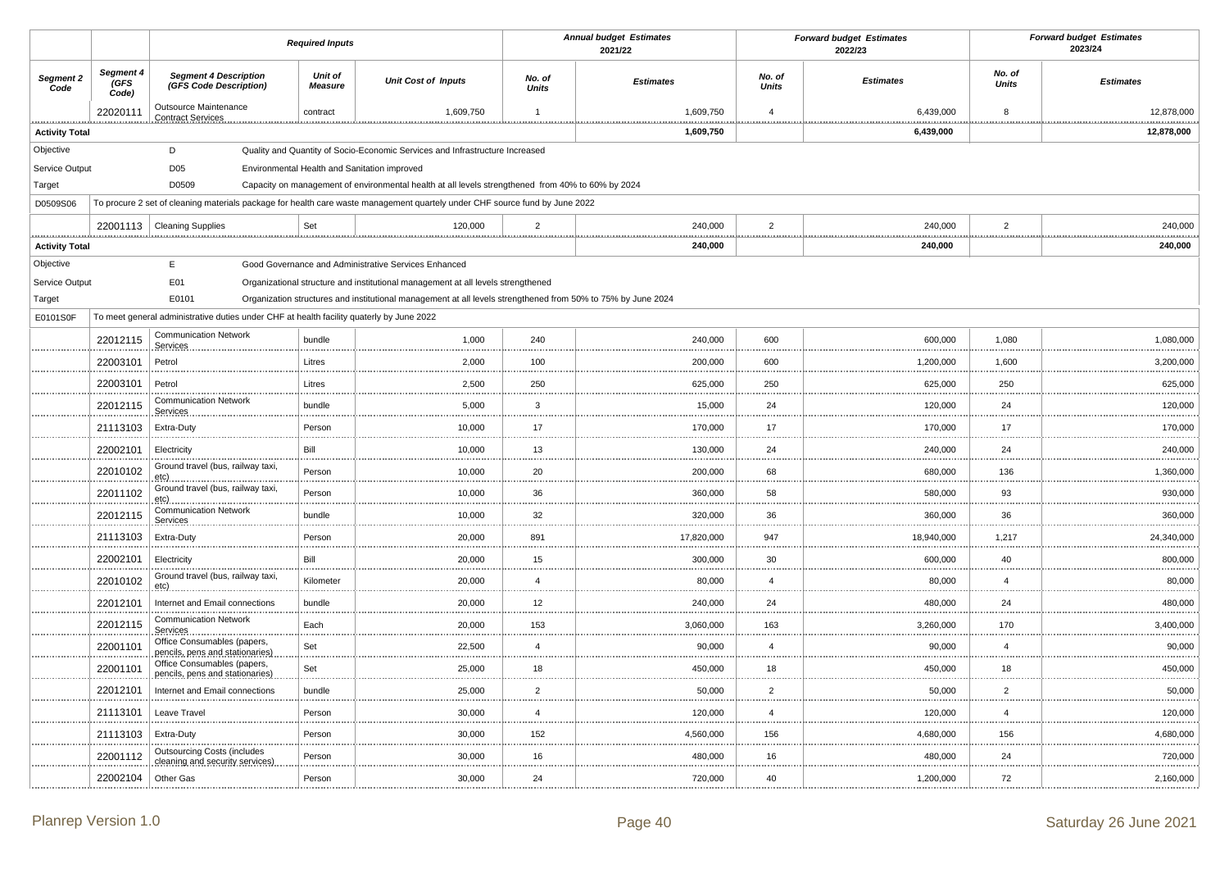|                          |                           |                                                                                                                                      | <b>Required Inputs</b>    |                                                                                                                                                                                                  |                        | <b>Annual budget Estimates</b><br>2021/22 |                 | <b>Forward budget Estimates</b><br>2022/23 |                 | <b>Forward budget Estimates</b><br>2023/24 |
|--------------------------|---------------------------|--------------------------------------------------------------------------------------------------------------------------------------|---------------------------|--------------------------------------------------------------------------------------------------------------------------------------------------------------------------------------------------|------------------------|-------------------------------------------|-----------------|--------------------------------------------|-----------------|--------------------------------------------|
| Segment 2<br>Code        | Segment 4<br>GFS<br>Code) | <b>Segment 4 Description</b><br>(GFS Code Description)                                                                               | Unit of<br><b>Measure</b> | <b>Unit Cost of Inputs</b>                                                                                                                                                                       | No. of<br><b>Units</b> | <b>Estimates</b>                          | No. of<br>Units | <b>Estimates</b>                           | No. of<br>Units | <b>Estimates</b>                           |
|                          | 22020111                  | Outsource Maintenance<br><b>Contract Services</b>                                                                                    | contract                  | 1,609,750                                                                                                                                                                                        | $\overline{1}$         | 1,609,750                                 | $\overline{4}$  | 6,439,000                                  | 8               | 12.878.000                                 |
| <b>Activity Total</b>    |                           |                                                                                                                                      |                           |                                                                                                                                                                                                  |                        | 1,609,750                                 |                 | 6,439,000                                  |                 | 12,878,000                                 |
| Objective                |                           | D                                                                                                                                    |                           | Quality and Quantity of Socio-Economic Services and Infrastructure Increased                                                                                                                     |                        |                                           |                 |                                            |                 |                                            |
| Service Output           |                           | D <sub>05</sub>                                                                                                                      |                           | Environmental Health and Sanitation improved                                                                                                                                                     |                        |                                           |                 |                                            |                 |                                            |
| Target                   |                           | D0509<br>To procure 2 set of cleaning materials package for health care waste management quartely under CHF source fund by June 2022 |                           | Capacity on management of environmental health at all levels strengthened from 40% to 60% by 2024                                                                                                |                        |                                           |                 |                                            |                 |                                            |
| D0509S06                 |                           |                                                                                                                                      |                           |                                                                                                                                                                                                  |                        |                                           |                 |                                            |                 |                                            |
|                          | 22001113                  | <b>Cleaning Supplies</b>                                                                                                             | Set                       | 120,000                                                                                                                                                                                          | $\overline{2}$         | 240,000                                   | $\overline{2}$  | 240,000                                    | $\overline{2}$  | 240,000                                    |
| <b>Activity Total</b>    |                           |                                                                                                                                      |                           |                                                                                                                                                                                                  |                        | 240,000                                   |                 | 240,000                                    |                 | 240,000                                    |
| Objective                |                           | Ε                                                                                                                                    |                           | Good Governance and Administrative Services Enhanced                                                                                                                                             |                        |                                           |                 |                                            |                 |                                            |
| Service Output<br>Target |                           | E01<br>E0101                                                                                                                         |                           | Organizational structure and institutional management at all levels strengthened<br>Organization structures and institutional management at all levels strengthened from 50% to 75% by June 2024 |                        |                                           |                 |                                            |                 |                                            |
| E0101S0F                 |                           | To meet general administrative duties under CHF at health facility quaterly by June 2022                                             |                           |                                                                                                                                                                                                  |                        |                                           |                 |                                            |                 |                                            |
|                          | 22012115                  | <b>Communication Network</b>                                                                                                         | bundle                    | 1,000                                                                                                                                                                                            | 240                    | 240,000                                   | 600             | 600,000                                    | 1,080           | 1,080,000                                  |
|                          |                           | Services<br>Petrol                                                                                                                   | Litres                    | 2,000                                                                                                                                                                                            | 100                    | 200,000                                   | 600             | 1,200,000                                  | 1,600           | 3,200,000                                  |
|                          | 22003101                  |                                                                                                                                      |                           |                                                                                                                                                                                                  |                        |                                           |                 |                                            |                 |                                            |
|                          | 22003101                  | Petrol<br><b>Communication Network</b>                                                                                               | Litres                    | 2,500                                                                                                                                                                                            | 250<br>.               | 625,000                                   | 250             | 625,000                                    | 250             | 625,000                                    |
|                          | 22012115                  | Services                                                                                                                             | bundle                    | 5,000                                                                                                                                                                                            | $\mathbf{3}$<br>       | 15,000                                    | 24              | 120,000                                    | 24              | 120,000                                    |
|                          | 21113103                  | Extra-Duty                                                                                                                           | Person                    | 10,000                                                                                                                                                                                           | 17                     | 170,000                                   | 17              | 170,000                                    | 17              | 170,000                                    |
|                          | 22002101                  | Electricity                                                                                                                          | Bill                      | 10,000                                                                                                                                                                                           | 13                     | 130,000                                   | 24              | 240,000                                    | 24              | 240,000                                    |
|                          | 22010102                  | Ground travel (bus, railway taxi,<br>etc)                                                                                            | Person                    | 10,000                                                                                                                                                                                           | 20                     | 200,000                                   | 68              | 680,000                                    | 136             | 1,360,000                                  |
|                          | 22011102                  | Ground travel (bus, railway taxi,<br>.etc)                                                                                           | Person                    | 10,000                                                                                                                                                                                           | 36                     | 360,000                                   | 58              | 580,000                                    | 93              | 930,000                                    |
|                          | 22012115                  | <b>Communication Network</b><br>Services                                                                                             | bundle                    | 10,000                                                                                                                                                                                           | 32<br>1.111            | 320,000                                   | 36              | 360,000                                    | 36              | 360,000                                    |
|                          | 21113103                  | Extra-Duty                                                                                                                           | Person                    | 20,000                                                                                                                                                                                           | 891<br>                | 17,820,000                                | 947             | 18,940,000                                 | 1,217           | 24,340,000                                 |
|                          | 22002101                  | Electricity                                                                                                                          | Bill                      | 20,000                                                                                                                                                                                           | 15<br>$\cdots$         | 300,000                                   | 30              | 600,000                                    | 40              | 800,000                                    |
|                          | 22010102                  | Ground travel (bus, railway taxi,<br>etc)                                                                                            | Kilometer                 | 20,000                                                                                                                                                                                           | $\overline{4}$         | 80,000                                    | $\overline{4}$  | 80,000                                     | $\overline{4}$  | 80,000                                     |
|                          | 22012101                  | Internet and Email connections                                                                                                       | bundle                    | 20,000                                                                                                                                                                                           | $12\,$                 | 240,000                                   | 24              | 480,000                                    | 24              | 480,000                                    |
|                          | 22012115                  | <b>Communication Network</b><br>Services                                                                                             | Each                      | 20,000                                                                                                                                                                                           | 153                    | 3,060,000                                 | 163             | 3,260,000                                  | 170             | 3,400,000                                  |
|                          | 22001101                  | Office Consumables (papers,<br>pencils, pens and stationaries)                                                                       | Set                       | 22,500                                                                                                                                                                                           | $\overline{4}$<br>     | 90,000                                    | $\overline{4}$  | 90,000                                     | $\overline{4}$  | 90,000<br>                                 |
|                          | 22001101                  | Office Consumables (papers,<br>pencils, pens and stationaries)                                                                       | Set                       | 25,000                                                                                                                                                                                           | 18                     | 450,000                                   | 18              | 450,000                                    | 18              | 450,000                                    |
|                          | 22012101                  | Internet and Email connections                                                                                                       | bundle                    | 25,000                                                                                                                                                                                           | $\overline{2}$<br>.    | 50,000                                    | $\overline{2}$  | 50,000                                     | $\overline{2}$  | 50,000                                     |
|                          | 21113101                  | Leave Travel                                                                                                                         | Person                    | 30,000                                                                                                                                                                                           | $\overline{4}$         | 120,000                                   | $\overline{4}$  | 120,000                                    | $\overline{4}$  | 120,000                                    |
|                          | 21113103                  | Extra-Duty                                                                                                                           | Person                    | 30,000                                                                                                                                                                                           | 152                    | 4,560,000                                 | 156             | 4,680,000                                  | 156             | 4,680,000                                  |
|                          | 22001112                  | <b>Outsourcing Costs (includes</b><br>cleaning and security services)                                                                | Person                    | 30,000                                                                                                                                                                                           | 16                     | 480,000                                   | 16              | 480,000                                    | 24              | 720,000                                    |
|                          | 22002104                  | Other Gas                                                                                                                            | Person                    | 30,000                                                                                                                                                                                           | 24                     | 720,000                                   | 40              | 1,200,000                                  | 72              | 2,160,000                                  |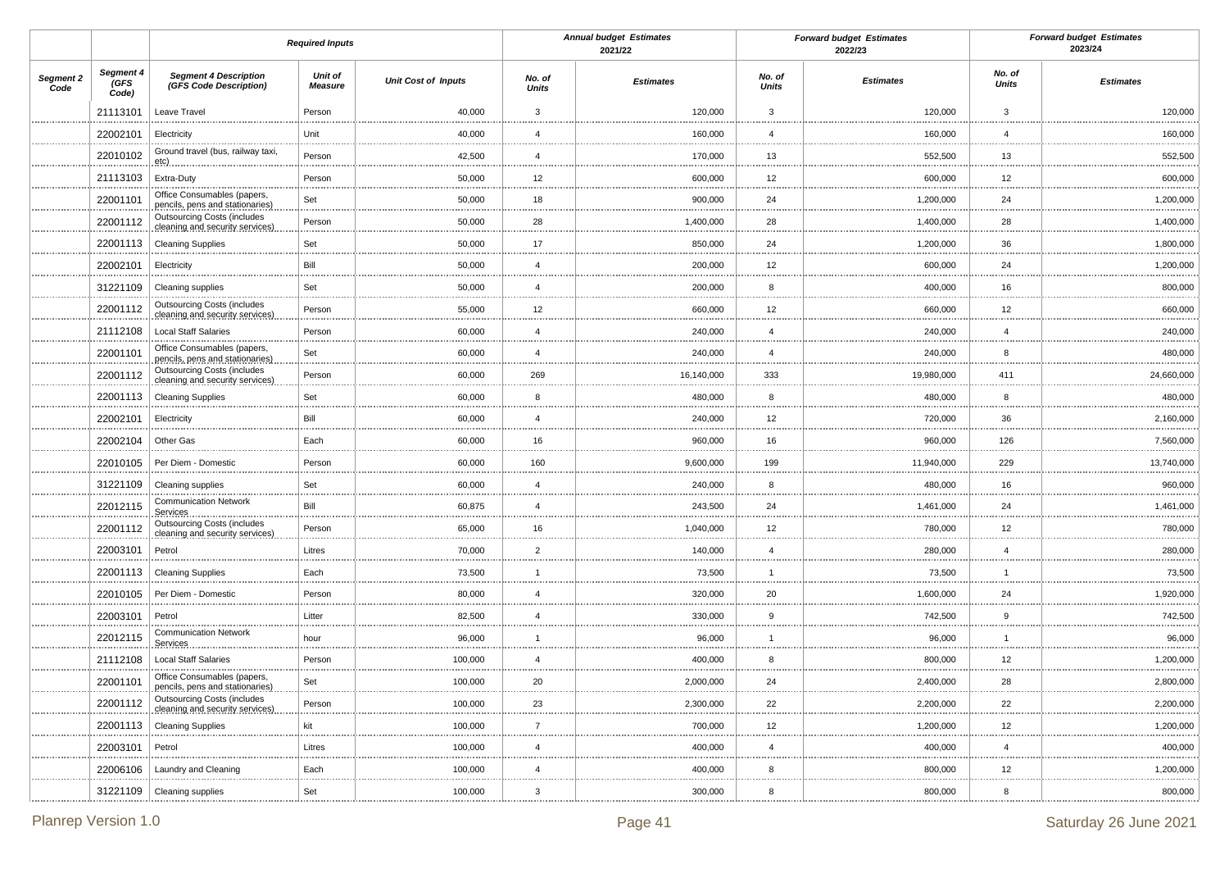|                   |                            |                                                                       | <b>Required Inputs</b>    |                            |                        | <b>Annual budget Estimates</b><br>2021/22 |                 | <b>Forward budget Estimates</b><br>2022/23 |                        | <b>Forward budget Estimates</b><br>2023/24 |
|-------------------|----------------------------|-----------------------------------------------------------------------|---------------------------|----------------------------|------------------------|-------------------------------------------|-----------------|--------------------------------------------|------------------------|--------------------------------------------|
| Segment 2<br>Code | Segment 4<br>(GFS<br>Code) | <b>Segment 4 Description</b><br>(GFS Code Description)                | <b>Unit of</b><br>Measure | <b>Unit Cost of Inputs</b> | No. of<br><b>Units</b> | <b>Estimates</b>                          | No. of<br>Units | <b>Estimates</b>                           | No. of<br><b>Units</b> | <b>Estimates</b>                           |
|                   | 21113101                   | Leave Travel                                                          | Person                    | 40,000                     | 3                      | 120,000                                   | $\mathbf{3}$    | 120,000                                    | 3                      | 120,000                                    |
|                   | 22002101                   | Electricity                                                           | Unit                      | 40,000                     | $\overline{4}$         | 160,000                                   | $\overline{4}$  | 160,000                                    | $\overline{4}$         | 160,000                                    |
|                   | 22010102                   | Ground travel (bus, railway taxi,<br>.etc)                            | Person                    | 42,500                     | $\overline{4}$         | 170,000                                   | 13              | 552,500                                    | 13                     | 552,500                                    |
|                   | 21113103                   | Extra-Duty                                                            | Person                    | 50,000                     | 12                     | 600,000                                   | 12              | 600,000                                    | 12                     | 600,000                                    |
|                   | 22001101                   | Office Consumables (papers,<br>pencils, pens and stationaries)        | Set                       | 50,000                     | 18                     | 900,000                                   | 24              | 1,200,000                                  | 24                     | 1,200,000                                  |
|                   | 22001112                   | <b>Outsourcing Costs (includes</b><br>cleaning and security services) | Person                    | 50,000                     | 28                     | 1,400,000                                 | 28              | 1,400,000                                  | 28                     | 1,400,000                                  |
|                   | 22001113                   | <b>Cleaning Supplies</b>                                              | Set                       | 50,000                     | 17                     | 850,000                                   | 24              | 1,200,000                                  | 36                     | 1,800,000<br>.                             |
|                   | 22002101                   | Electricity                                                           | Bill                      | 50,000                     | $\overline{4}$         | 200,000                                   | 12              | 600,000                                    | 24                     | 1,200,000                                  |
|                   | 31221109                   | Cleaning supplies                                                     | Set                       | 50,000                     | $\overline{4}$         | 200,000                                   | 8               | 400,000                                    | 16                     | 800,000                                    |
|                   | 22001112                   | <b>Outsourcing Costs (includes</b><br>cleaning and security services) | Person                    | 55,000                     | 12                     | 660,000                                   | 12              | 660,000                                    | 12                     | 660,000<br>.                               |
|                   | 21112108                   | <b>Local Staff Salaries</b>                                           | Person                    | 60,000                     | $\overline{4}$         | 240,000                                   | $\overline{4}$  | 240,000                                    | $\overline{4}$         | 240,000                                    |
|                   | 22001101                   | Office Consumables (papers,<br>pencils, pens and stationaries)        | Set                       | 60,000                     | $\overline{4}$         | 240,000                                   | $\overline{4}$  | 240,000                                    | 8                      | 480,000                                    |
|                   | 22001112                   | <b>Outsourcing Costs (includes</b><br>cleaning and security services) | Person                    | 60,000                     | 269                    | 16,140,000                                | 333             | 19,980,000                                 | 411                    | .<br>24,660,000                            |
|                   | 22001113                   | <b>Cleaning Supplies</b>                                              | Set                       | 60,000                     | 8                      | 480,000                                   | 8               | 480,000                                    | 8                      | 480,000                                    |
|                   | 22002101                   | Electricity                                                           | Bill                      | 60,000                     | $\overline{4}$         | 240,000                                   | 12              | 720,000                                    | 36                     | 2,160,000                                  |
|                   | 22002104                   | Other Gas                                                             | Each                      | 60,000                     | 16                     | 960,000                                   | 16              | 960,000                                    | 126                    | 7,560,000                                  |
|                   | 22010105                   | Per Diem - Domestic                                                   | Person                    | 60,000                     | 160                    | 9,600,000                                 | 199             | 11,940,000                                 | 229                    | 13,740,000                                 |
|                   | 31221109                   | <b>Cleaning supplies</b>                                              | Set                       | 60,000                     | $\overline{4}$         | 240,000                                   | 8               | 480,000                                    | 16                     | 960,000                                    |
|                   | 22012115                   | <b>Communication Network</b><br>Services                              | Bill                      | 60,875                     | $\overline{4}$         | 243,500                                   | 24              | 1,461,000                                  | 24                     | 1,461,000                                  |
|                   | 22001112                   | <b>Outsourcing Costs (includes</b><br>cleaning and security services) | Person                    | 65,000                     | 16                     | 1,040,000                                 | 12              | 780,000                                    | 12                     | 780,000<br>                                |
|                   | 22003101                   | Petrol                                                                | Litres                    | 70,000                     | $\overline{2}$         | 140,000                                   | $\overline{4}$  | 280,000                                    | $\overline{4}$         | 280,000                                    |
|                   | 22001113                   | <b>Cleaning Supplies</b>                                              | Each                      | 73,500                     | $\mathbf{1}$           | 73,500                                    | $\overline{1}$  | 73,500                                     | 1                      | 73,500<br>                                 |
|                   | 22010105                   | Per Diem - Domestic                                                   | Person                    | 80,000                     | $\overline{4}$         | 320,000                                   | 20              | 1,600,000                                  | 24                     | 1,920,000                                  |
|                   | 22003101                   | Petrol                                                                | Litter                    | 82,500                     | $\overline{4}$         | 330,000                                   | 9               | 742,500                                    | 9                      | 742,500<br>.                               |
|                   | 22012115                   | <b>Communication Network</b><br>Services.                             | hour                      | 96,000                     | $\mathbf 1$            | 96,000                                    |                 | 96,000                                     | 1                      | 96,000                                     |
|                   | 21112108                   | <b>Local Staff Salaries</b>                                           | Person                    | 100,000                    | $\overline{4}$<br>     | 400,000                                   | 8<br>           | 800,000                                    | 12<br>                 | 1,200,000                                  |
|                   | 22001101                   | Office Consumables (papers,<br>penciis, pens and stationaries).       | Set                       | 100,000                    | 20                     | 2,000,000                                 | 24              | 2,400,000                                  | 28                     | 2,800,000<br>                              |
|                   | 22001112                   | <b>Outsourcing Costs (includes</b><br>cleaning and security services) | Person                    | 100,000                    | 23                     | 2,300,000                                 | 22              | 2,200,000                                  | 22                     | 2,200,000                                  |
|                   | 22001113                   | <b>Cleaning Supplies</b>                                              | kit                       | 100,000                    | $\overline{7}$         | 700,000                                   | 12              | 1,200,000                                  | 12                     | 1,200,000                                  |
|                   | 22003101                   | Petrol                                                                | Litres                    | 100,000                    | $\overline{4}$         | 400,000                                   | $\overline{4}$  | 400,000                                    | $\overline{4}$         | 400,000<br>.                               |
|                   | 22006106                   | Laundry and Cleaning                                                  | Each                      | 100,000                    | $\overline{4}$         | 400,000                                   | 8               | 800,000                                    | 12                     | 1,200,000<br>                              |
|                   |                            | 31221109   Cleaning supplies                                          | Set                       | 100,000                    | 3                      | 300,000                                   | 8               | 800,000                                    | 8                      | 800,000                                    |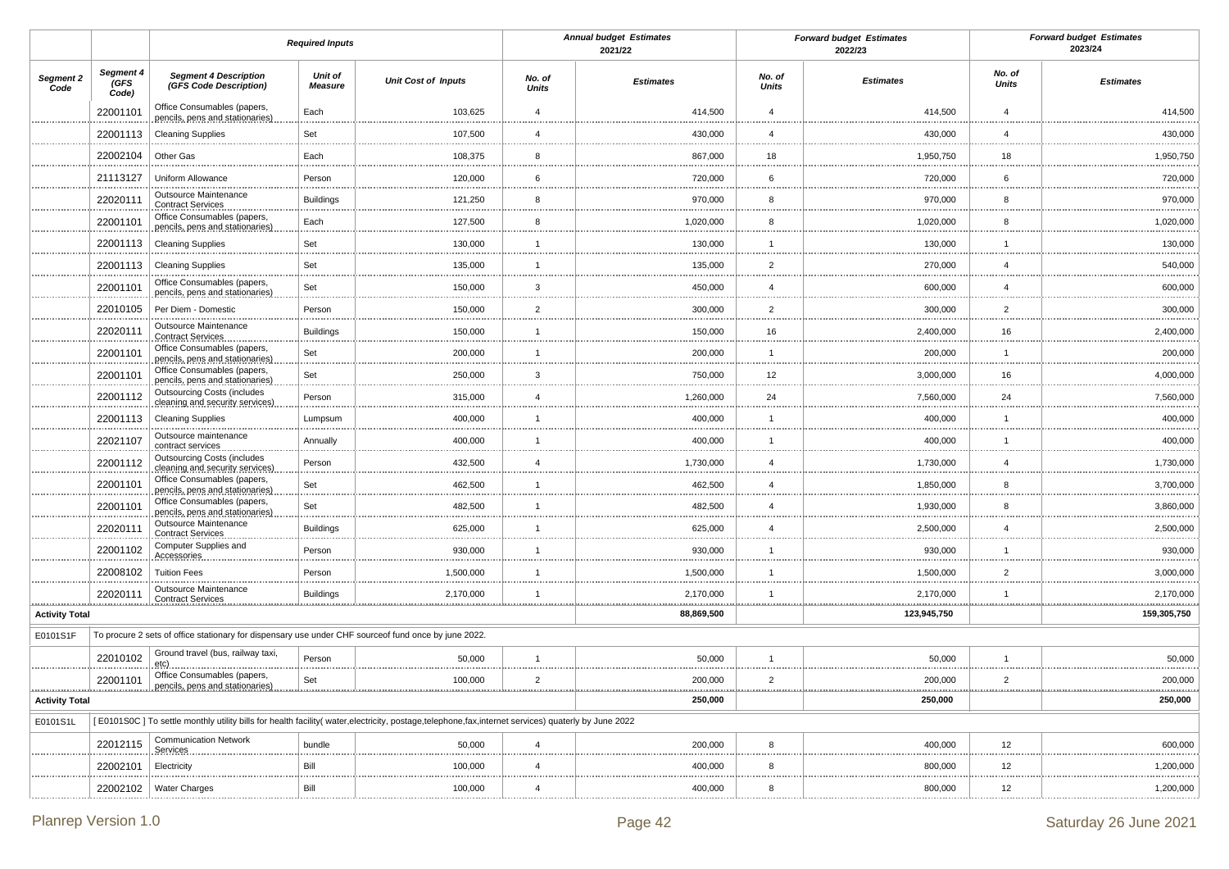|                       |                            |                                                                                                      | <b>Required Inputs</b> |                                                                                                                                                      |                        | <b>Annual budget Estimates</b><br>2021/22 |                 | <b>Forward budget Estimates</b><br>2022/23 |                 | <b>Forward budget Estimates</b><br>2023/24 |
|-----------------------|----------------------------|------------------------------------------------------------------------------------------------------|------------------------|------------------------------------------------------------------------------------------------------------------------------------------------------|------------------------|-------------------------------------------|-----------------|--------------------------------------------|-----------------|--------------------------------------------|
| Segment 2<br>Code     | Segment 4<br>(GFS<br>Code) | <b>Segment 4 Description</b><br>(GFS Code Description)                                               | Unit of<br>Measure     | <b>Unit Cost of Inputs</b>                                                                                                                           | No. of<br><b>Units</b> | <b>Estimates</b>                          | No. of<br>Units | <b>Estimates</b>                           | No. of<br>Units | <b>Estimates</b>                           |
|                       | 22001101                   | Office Consumables (papers,<br>pencils, pens and stationaries)                                       | Each                   | 103,625                                                                                                                                              | $\overline{4}$         | 414,500                                   | $\overline{4}$  | 414,500                                    | $\overline{4}$  | 414,500                                    |
|                       | 22001113                   | <b>Cleaning Supplies</b>                                                                             | Set                    | 107,500                                                                                                                                              | $\overline{4}$         | 430,000                                   | $\overline{4}$  | 430,000                                    | $\overline{4}$  | 430,000                                    |
|                       | 22002104                   | Other Gas                                                                                            | Each                   | 108,375                                                                                                                                              | 8                      | 867,000                                   | 18              | 1,950,750                                  | 18              | 1,950,750                                  |
|                       | 21113127                   | Uniform Allowance                                                                                    | Person                 | 120,000                                                                                                                                              | 6                      | 720,000                                   | 6               | 720,000                                    | 6               | 720,000                                    |
|                       | 22020111                   | Outsource Maintenance<br><b>Contract Services</b>                                                    | <b>Buildings</b>       | 121,250                                                                                                                                              | 8                      | 970,000                                   | 8               | 970,000                                    | 8               | 970,000<br>.                               |
|                       | 22001101                   | Office Consumables (papers,<br>pencils, pens and stationaries)                                       | Each                   | 127,500<br>                                                                                                                                          | 8<br>.                 | 1,020,000                                 | 8               | 1,020,000<br>.                             | 8               | 1,020,000<br>.                             |
|                       | 22001113                   | <b>Cleaning Supplies</b>                                                                             | Set                    | 130,000                                                                                                                                              | $\overline{1}$         | 130,000                                   | $\overline{1}$  | 130,000                                    | $\mathbf{1}$    | 130,000                                    |
|                       | 22001113                   | <b>Cleaning Supplies</b>                                                                             | Set                    | 135,000<br>.                                                                                                                                         | $\overline{1}$<br>.    | 135,000                                   | $\overline{2}$  | 270,000<br>                                | $\overline{4}$  | 540,000<br>.                               |
|                       | 22001101                   | Office Consumables (papers,<br>pencils, pens and stationaries)                                       | Set                    | 150,000                                                                                                                                              | $\mathbf{3}$           | 450,000                                   | $\overline{4}$  | 600,000                                    | $\overline{4}$  | 600,000<br>.                               |
|                       | 22010105                   | Per Diem - Domestic                                                                                  | Person                 | 150,000<br>.                                                                                                                                         | $\overline{2}$         | 300,000                                   | $\overline{2}$  | 300,000<br>                                | $\overline{2}$  | 300,000<br>                                |
|                       | 22020111                   | Outsource Maintenance<br><b>Contract Services</b>                                                    | <b>Buildings</b>       | 150,000                                                                                                                                              | $\overline{1}$         | 150,000                                   | 16              | 2,400,000                                  | 16              | 2,400,000<br>                              |
|                       | 22001101                   | Office Consumables (papers,<br>pencils, pens and stationaries)                                       | Set                    | 200,000                                                                                                                                              | $\overline{1}$         | 200,000                                   | $\overline{1}$  | 200,000                                    | $\mathbf{1}$    | 200,000                                    |
|                       | 22001101                   | Office Consumables (papers,<br>pencils, pens and stationaries)                                       | Set                    | 250,000                                                                                                                                              | $\mathbf{3}$           | 750,000                                   | 12              | 3,000,000                                  | 16              | 4,000,000<br>.                             |
|                       | 22001112                   | <b>Outsourcing Costs (includes</b><br>cleaning and security services)                                | Person                 | 315,000<br>.                                                                                                                                         | $\overline{4}$         | 1,260,000                                 | 24              | 7,560,000<br>.                             | 24              | 7,560,000                                  |
|                       | 22001113                   | <b>Cleaning Supplies</b>                                                                             | Lumpsum                | 400,000                                                                                                                                              | $\overline{1}$         | 400,000                                   | $\overline{1}$  | 400,000                                    | $\overline{1}$  | 400,000<br>                                |
|                       | 22021107                   | Outsource maintenance<br>contract services                                                           | Annually               | 400,000<br>.                                                                                                                                         | $\mathbf{1}$<br>       | 400,000                                   |                 | 400,000<br>                                | $\mathbf{1}$    | 400,000<br>                                |
|                       | 22001112                   | <b>Outsourcing Costs (includes</b><br>cleaning and security services)                                | Person                 | 432,500                                                                                                                                              | $\overline{4}$         | 1,730,000                                 | $\overline{4}$  | 1,730,000                                  | $\overline{4}$  | 1,730,000<br>                              |
|                       | 22001101                   | Office Consumables (papers,<br>pencils, pens and stationaries)                                       | Set<br>.               | 462,500<br>                                                                                                                                          | $\overline{1}$<br>     | 462,500                                   | $\overline{4}$  | 1,850,000<br>                              | 8               | 3,700,000<br>                              |
|                       | 22001101                   | Office Consumables (papers,<br>pencils, pens and stationaries)                                       | Set                    | 482,500                                                                                                                                              | $\overline{1}$         | 482,500                                   | $\overline{4}$  | 1,930,000                                  | 8               | 3,860,000                                  |
|                       | 22020111                   | Outsource Maintenance<br><b>Contract Services</b>                                                    | <b>Buildings</b>       | 625,000                                                                                                                                              | $\overline{1}$<br>.    | 625,000                                   | $\overline{4}$  | 2,500,000<br>                              | $\overline{4}$  | 2,500,000                                  |
|                       | 22001102                   | Computer Supplies and<br>Accessories                                                                 | Person                 | 930,000                                                                                                                                              | $\overline{1}$         | 930,000                                   | $\overline{1}$  | 930,000                                    | $\mathbf{1}$    | 930,000<br>                                |
|                       | 22008102                   | <b>Tuition Fees</b>                                                                                  | Person                 | 1,500,000                                                                                                                                            | $\overline{1}$<br>     | 1,500,000                                 | -1              | 1,500,000                                  | $\overline{2}$  | 3,000,000                                  |
| <u></u>               | 22020111<br>.              | Outsource Maintenance<br><b>Contract Services</b>                                                    | <b>Buildings</b><br>   | 2,170,000<br>                                                                                                                                        | $\overline{1}$         | 2,170,000<br>                             | $\overline{1}$  | 2,170,000<br>                              | $\mathbf{1}$    | 2,170,000                                  |
| <b>Activity Total</b> |                            |                                                                                                      |                        |                                                                                                                                                      |                        | 88,869,500                                |                 | 123,945,750                                |                 | 159,305,750                                |
| E0101S1F              |                            | To procure 2 sets of office stationary for dispensary use under CHF sourceof fund once by june 2022. |                        |                                                                                                                                                      |                        |                                           |                 |                                            |                 |                                            |
|                       | 22010102                   | Ground travel (bus, railway taxi,<br>etç).                                                           | Person                 | 50,000                                                                                                                                               | $\overline{1}$<br>     | 50,000                                    | $\overline{1}$  | 50,000                                     | $\mathbf{1}$    | 50,000                                     |
|                       | 22001101                   | Office Consumables (papers,                                                                          | Set                    | 100,000                                                                                                                                              | $\overline{2}$         | 200,000                                   | 2               | 200,000                                    | $\overline{2}$  | 200,000<br><u></u>                         |
| <b>Activity Total</b> |                            |                                                                                                      |                        |                                                                                                                                                      |                        | 250,000                                   |                 | 250,000                                    |                 | 250,000                                    |
| E0101S1L              |                            |                                                                                                      |                        | [E0101S0C] To settle monthly utility bills for health facility(water, electricity, postage, telephone, fax, internet services) quaterly by June 2022 |                        |                                           |                 |                                            |                 |                                            |
|                       | 22012115                   | <b>Communication Network</b><br>Services                                                             | bundle                 | 50,000                                                                                                                                               | $\overline{4}$         | 200,000                                   | 8               | 400,000                                    | 12              | 600,000                                    |
|                       | 22002101                   | Electricity                                                                                          | Bill                   | 100,000                                                                                                                                              | 4                      | 400,000                                   | 8               | 800,000                                    | 12              | 1,200,000                                  |
|                       | 22002102                   | <b>Water Charges</b>                                                                                 | Bill                   | 100,000                                                                                                                                              | $\overline{4}$         | 400,000                                   | 8               | 800,000                                    | 12              | 1,200,000                                  |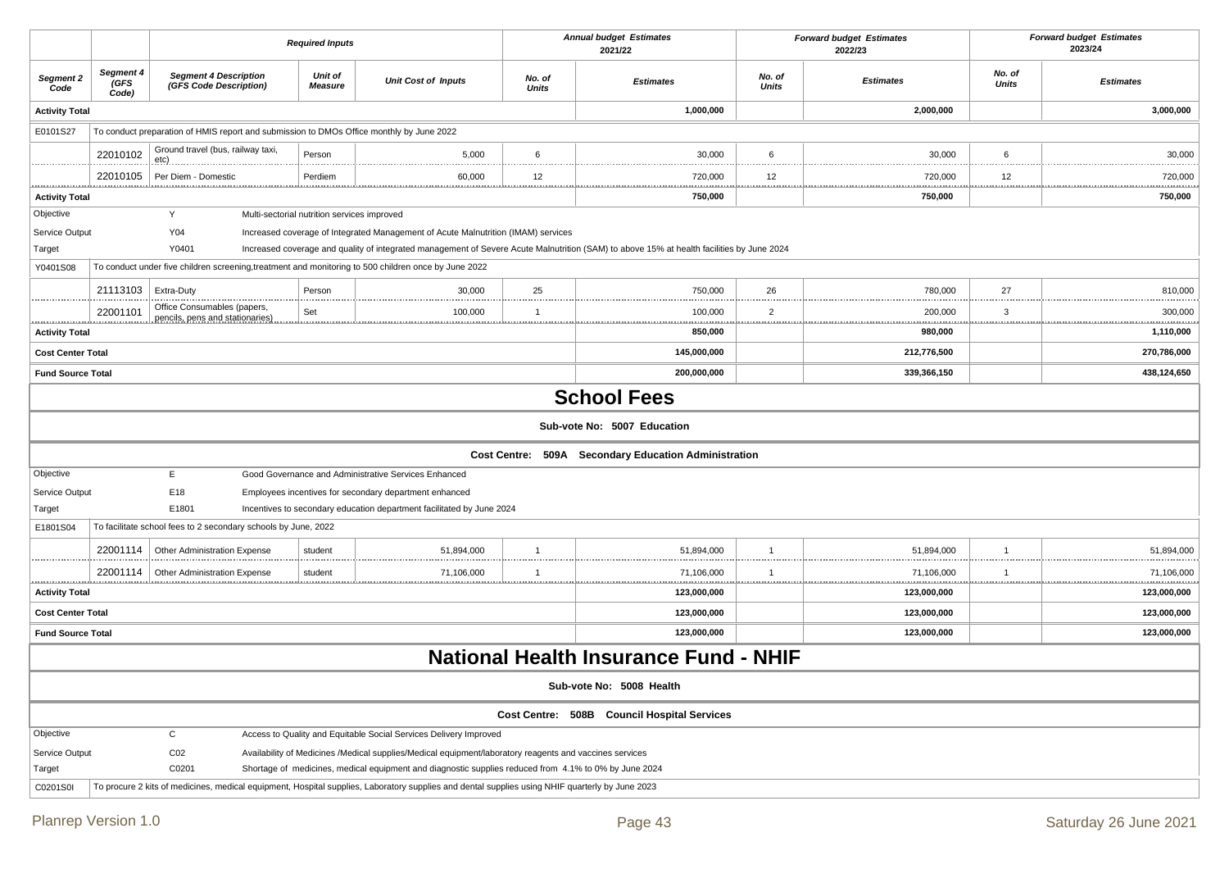|                          |                            |                                                                                                      | <b>Required Inputs</b>                      |                                                                                                                                                 |                        | <b>Annual budget Estimates</b><br>2021/22                                                                                                 |                        | <b>Forward budget Estimates</b><br><b>Forward budget Estimates</b><br>2023/24<br>2022/23<br>No. of |              |                    |
|--------------------------|----------------------------|------------------------------------------------------------------------------------------------------|---------------------------------------------|-------------------------------------------------------------------------------------------------------------------------------------------------|------------------------|-------------------------------------------------------------------------------------------------------------------------------------------|------------------------|----------------------------------------------------------------------------------------------------|--------------|--------------------|
| Segment 2<br>Code        | Segment 4<br>(GFS<br>Code) | <b>Segment 4 Description</b><br>(GFS Code Description)                                               | Unit of<br><b>Measure</b>                   | <b>Unit Cost of Inputs</b>                                                                                                                      | No. of<br><b>Units</b> | <b>Estimates</b>                                                                                                                          | No. of<br><b>Units</b> | <b>Estimates</b>                                                                                   | <b>Units</b> | <b>Estimates</b>   |
| <b>Activity Total</b>    |                            |                                                                                                      |                                             |                                                                                                                                                 |                        | 1,000,000                                                                                                                                 |                        | 2,000,000                                                                                          |              | 3,000,000          |
| E0101S27                 |                            | To conduct preparation of HMIS report and submission to DMOs Office monthly by June 2022             |                                             |                                                                                                                                                 |                        |                                                                                                                                           |                        |                                                                                                    |              |                    |
|                          | 22010102                   | Ground travel (bus, railway taxi,<br><u>etc) .</u>                                                   | Person                                      | 5,000                                                                                                                                           | 6                      | 30,000                                                                                                                                    | 6                      | 30,000                                                                                             | 6            | 30,000             |
|                          | 22010105                   | Per Diem - Domestic                                                                                  | Perdiem                                     | 60,000                                                                                                                                          | 12                     | 720,000                                                                                                                                   | 12                     | 720,000                                                                                            | 12           | <br>720,000        |
| <b>Activity Total</b>    |                            |                                                                                                      |                                             |                                                                                                                                                 |                        | <br>750,000                                                                                                                               |                        | 750,000                                                                                            |              | <u></u><br>750,000 |
| Objective                |                            | Y                                                                                                    | Multi-sectorial nutrition services improved |                                                                                                                                                 |                        |                                                                                                                                           |                        |                                                                                                    |              |                    |
| Service Output           |                            | Y04                                                                                                  |                                             | Increased coverage of Integrated Management of Acute Malnutrition (IMAM) services                                                               |                        |                                                                                                                                           |                        |                                                                                                    |              |                    |
| Target                   |                            | Y0401                                                                                                |                                             |                                                                                                                                                 |                        | Increased coverage and quality of integrated management of Severe Acute Malnutrition (SAM) to above 15% at health facilities by June 2024 |                        |                                                                                                    |              |                    |
| Y0401S08                 |                            | To conduct under five children screening, treatment and monitoring to 500 children once by June 2022 |                                             |                                                                                                                                                 |                        |                                                                                                                                           |                        |                                                                                                    |              |                    |
|                          | 21113103                   | Extra-Duty                                                                                           | Person                                      | 30,000                                                                                                                                          | 25<br>                 | 750,000                                                                                                                                   | 26                     | 780,000                                                                                            | 27<br>       | 810,000            |
|                          | 22001101                   | Office Consumables (papers,<br>pencils, pens and stationaries)                                       | Set                                         | 100,000                                                                                                                                         | $\mathbf 1$            | 100,000                                                                                                                                   | $\overline{2}$         | 200,000                                                                                            | 3            | 300,000            |
| <b>Activity Total</b>    |                            |                                                                                                      |                                             |                                                                                                                                                 |                        | 850,000                                                                                                                                   |                        | 980,000                                                                                            |              | 1,110,000          |
| <b>Cost Center Total</b> |                            |                                                                                                      |                                             |                                                                                                                                                 |                        | 145,000,000                                                                                                                               |                        | 212,776,500                                                                                        |              | 270,786,000        |
| <b>Fund Source Total</b> |                            |                                                                                                      |                                             |                                                                                                                                                 |                        | 200,000,000                                                                                                                               |                        | 339,366,150                                                                                        |              | 438,124,650        |
|                          |                            |                                                                                                      |                                             |                                                                                                                                                 |                        | <b>School Fees</b>                                                                                                                        |                        |                                                                                                    |              |                    |
|                          |                            |                                                                                                      |                                             |                                                                                                                                                 |                        | Sub-vote No: 5007 Education                                                                                                               |                        |                                                                                                    |              |                    |
|                          |                            |                                                                                                      |                                             |                                                                                                                                                 |                        | Cost Centre: 509A Secondary Education Administration                                                                                      |                        |                                                                                                    |              |                    |
| Objective                |                            | E                                                                                                    |                                             | Good Governance and Administrative Services Enhanced                                                                                            |                        |                                                                                                                                           |                        |                                                                                                    |              |                    |
| Service Output           |                            | E18                                                                                                  |                                             | Employees incentives for secondary department enhanced                                                                                          |                        |                                                                                                                                           |                        |                                                                                                    |              |                    |
| Target                   |                            | E1801                                                                                                |                                             | Incentives to secondary education department facilitated by June 2024                                                                           |                        |                                                                                                                                           |                        |                                                                                                    |              |                    |
| E1801S04                 |                            | To facilitate school fees to 2 secondary schools by June, 2022                                       |                                             |                                                                                                                                                 |                        |                                                                                                                                           |                        |                                                                                                    |              |                    |
|                          | 22001114                   | <b>Other Administration Expense</b>                                                                  | student                                     | 51,894,000                                                                                                                                      |                        | 51,894,000                                                                                                                                | $\overline{1}$         | 51,894,000                                                                                         | -1           | 51,894,000         |
|                          | 22001114                   | <b>Other Administration Expense</b>                                                                  | student                                     | 71,106,000                                                                                                                                      |                        | 71,106,000                                                                                                                                | -1                     | 71,106,000                                                                                         | -1<br>       | 71,106,000         |
| <b>Activity Total</b>    |                            |                                                                                                      |                                             |                                                                                                                                                 |                        | 123,000,000                                                                                                                               |                        | 123,000,000                                                                                        |              | 123,000,000        |
| <b>Cost Center Total</b> |                            |                                                                                                      |                                             |                                                                                                                                                 |                        | 123,000,000                                                                                                                               |                        | 123,000,000                                                                                        |              | 123,000,000        |
| <b>Fund Source Total</b> |                            |                                                                                                      |                                             |                                                                                                                                                 |                        | 123,000,000                                                                                                                               |                        | 123,000,000                                                                                        |              | 123,000,000        |
|                          |                            |                                                                                                      |                                             |                                                                                                                                                 |                        | <b>National Health Insurance Fund - NHIF</b>                                                                                              |                        |                                                                                                    |              |                    |
|                          |                            |                                                                                                      |                                             |                                                                                                                                                 |                        | Sub-vote No: 5008 Health                                                                                                                  |                        |                                                                                                    |              |                    |
|                          |                            |                                                                                                      |                                             |                                                                                                                                                 |                        | Cost Centre: 508B Council Hospital Services                                                                                               |                        |                                                                                                    |              |                    |
| Objective                |                            | $\mathbf C$                                                                                          |                                             | Access to Quality and Equitable Social Services Delivery Improved                                                                               |                        |                                                                                                                                           |                        |                                                                                                    |              |                    |
| Service Output           |                            | CO <sub>2</sub>                                                                                      |                                             | Availability of Medicines /Medical supplies/Medical equipment/laboratory reagents and vaccines services                                         |                        |                                                                                                                                           |                        |                                                                                                    |              |                    |
| Target                   |                            | C0201                                                                                                |                                             | Shortage of medicines, medical equipment and diagnostic supplies reduced from 4.1% to 0% by June 2024                                           |                        |                                                                                                                                           |                        |                                                                                                    |              |                    |
| C0201S0I                 |                            |                                                                                                      |                                             | To procure 2 kits of medicines, medical equipment, Hospital supplies, Laboratory supplies and dental supplies using NHIF quarterly by June 2023 |                        |                                                                                                                                           |                        |                                                                                                    |              |                    |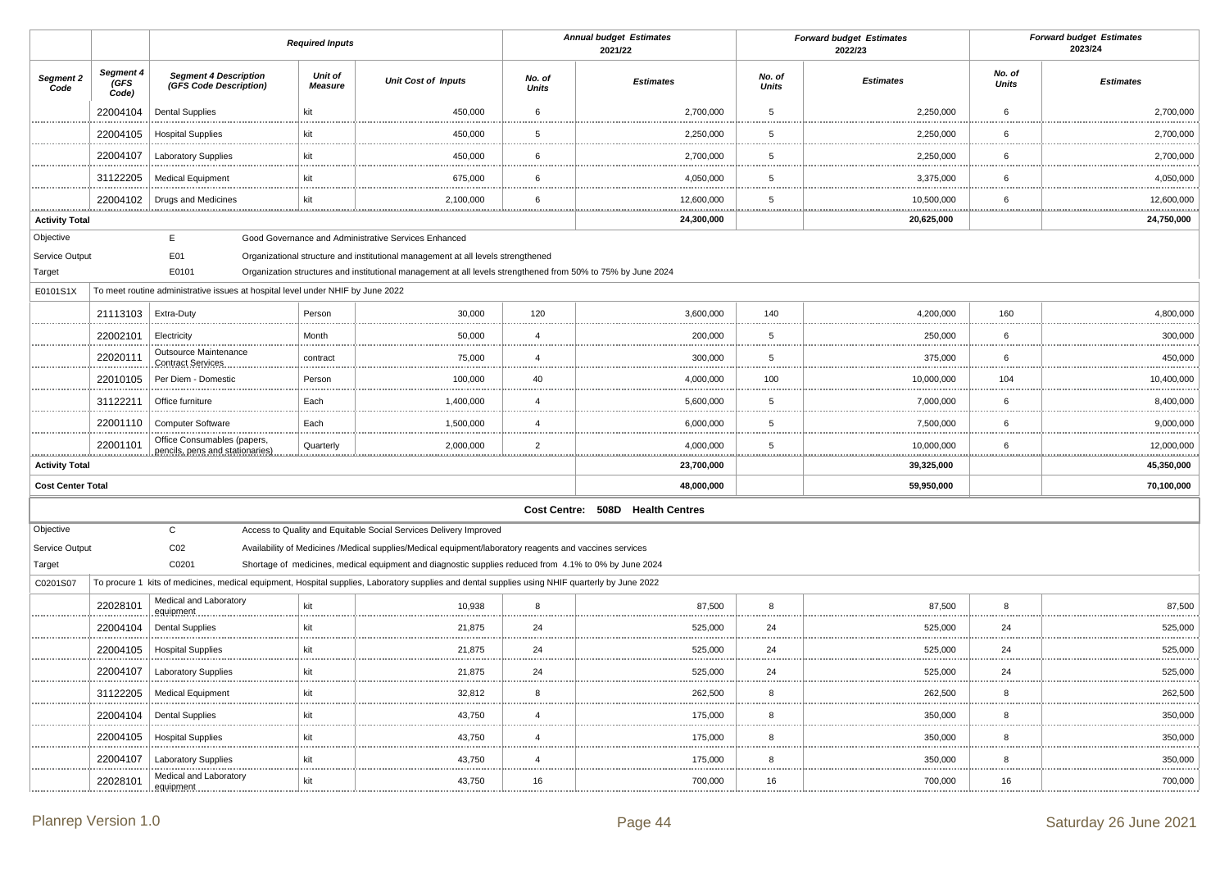|                            |                            |                                                                                 | <b>Required Inputs</b>           |                                                                                                                                                 |                        | <b>Annual budget Estimates</b><br>2021/22 |                        | <b>Forward budget Estimates</b><br>2022/23 |                        | <b>Forward budget Estimates</b><br>2023/24 |
|----------------------------|----------------------------|---------------------------------------------------------------------------------|----------------------------------|-------------------------------------------------------------------------------------------------------------------------------------------------|------------------------|-------------------------------------------|------------------------|--------------------------------------------|------------------------|--------------------------------------------|
| Segment 2<br>Code          | Segment 4<br>(GFS<br>Code) | <b>Segment 4 Description</b><br>(GFS Code Description)                          | <b>Unit of</b><br><b>Measure</b> | <b>Unit Cost of Inputs</b>                                                                                                                      | No. of<br><b>Units</b> | <b>Estimates</b>                          | No. of<br><b>Units</b> | <b>Estimates</b>                           | No. of<br><b>Units</b> | <b>Estimates</b>                           |
|                            | 22004104                   | <b>Dental Supplies</b>                                                          | kit                              | 450,000                                                                                                                                         | 6                      | 2,700,000                                 | 5                      | 2,250,000                                  | 6                      | 2,700,000                                  |
|                            | 22004105                   | <b>Hospital Supplies</b>                                                        | kit                              | 450,000                                                                                                                                         | 5                      | 2,250,000                                 | 5                      | 2,250,000                                  | 6                      | 2,700,000                                  |
|                            | 22004107                   | Laboratory Supplies                                                             | kit                              | 450,000                                                                                                                                         | 6                      | 2,700,000                                 | 5                      | 2,250,000                                  | 6                      | 2,700,000                                  |
|                            | 31122205                   | <b>Medical Equipment</b>                                                        | kit                              | 675,000                                                                                                                                         | 6                      | 4,050,000                                 | 5                      | 3,375,000                                  | 6                      | 4,050,000                                  |
|                            | 22004102                   | <b>Drugs and Medicines</b>                                                      | kit                              | 2,100,000                                                                                                                                       | 6                      | 12,600,000                                | 5                      | 10,500,000                                 | 6                      | 12,600,000                                 |
| .<br><b>Activity Total</b> |                            |                                                                                 |                                  |                                                                                                                                                 |                        | .<br>24,300,000                           |                        | .<br>20,625,000                            | .                      | .<br>24,750,000                            |
| Objective                  |                            | E                                                                               |                                  | Good Governance and Administrative Services Enhanced                                                                                            |                        |                                           |                        |                                            |                        |                                            |
| Service Output             |                            | E01                                                                             |                                  | Organizational structure and institutional management at all levels strengthened                                                                |                        |                                           |                        |                                            |                        |                                            |
| Target                     |                            | E0101                                                                           |                                  | Organization structures and institutional management at all levels strengthened from 50% to 75% by June 2024                                    |                        |                                           |                        |                                            |                        |                                            |
| E0101S1X                   |                            | To meet routine administrative issues at hospital level under NHIF by June 2022 |                                  |                                                                                                                                                 |                        |                                           |                        |                                            |                        |                                            |
|                            | 21113103                   | Extra-Duty                                                                      | Person                           | 30,000                                                                                                                                          | 120                    | 3,600,000                                 | 140                    | 4,200,000                                  | 160                    | 4,800,000                                  |
|                            | 22002101                   | Electricity                                                                     | Month                            | 50,000                                                                                                                                          | $\overline{4}$         | 200,000                                   | 5                      | 250,000                                    | 6                      | 300,000                                    |
|                            | 22020111                   | Outsource Maintenance<br><b>Contract Services</b>                               | contract                         | 75,000                                                                                                                                          | $\overline{4}$         | 300,000                                   | 5                      | 375,000                                    | 6                      | 450,000                                    |
|                            | 22010105                   | Per Diem - Domestic                                                             | Person                           | 100,000                                                                                                                                         | 40                     | 4,000,000                                 | 100                    | 10,000,000                                 | 104                    | 10,400,000                                 |
|                            | 31122211                   | Office furniture                                                                | Each                             | 1,400,000                                                                                                                                       | $\overline{4}$         | 5,600,000                                 | 5                      | 7,000,000                                  | 6                      | 8,400,000                                  |
|                            | 22001110                   | Computer Software                                                               | Each                             | 1,500,000                                                                                                                                       | $\overline{4}$         | 6,000,000                                 | 5                      | 7,500,000                                  | 6                      | 9,000,000                                  |
|                            | 22001101                   | Office Consumables (papers,<br>pencils, pens and stationaries                   | Quarterly                        | 2,000,000                                                                                                                                       | $\overline{2}$         | 4,000,000                                 | 5                      | 10,000,000                                 | 6                      | 12,000,000                                 |
| <br><b>Activity Total</b>  |                            |                                                                                 |                                  |                                                                                                                                                 |                        | 23,700,000                                |                        | 39,325,000                                 |                        | 45,350,000                                 |
| <b>Cost Center Total</b>   |                            |                                                                                 |                                  |                                                                                                                                                 |                        | 48,000,000                                |                        | 59,950,000                                 |                        | 70,100,000                                 |
|                            |                            |                                                                                 |                                  |                                                                                                                                                 |                        | Cost Centre: 508D Health Centres          |                        |                                            |                        |                                            |
| Objective                  |                            | $\mathsf{C}$                                                                    |                                  | Access to Quality and Equitable Social Services Delivery Improved                                                                               |                        |                                           |                        |                                            |                        |                                            |
| Service Output             |                            | CO <sub>2</sub>                                                                 |                                  | Availability of Medicines /Medical supplies/Medical equipment/laboratory reagents and vaccines services                                         |                        |                                           |                        |                                            |                        |                                            |
| Target                     |                            | C0201                                                                           |                                  | Shortage of medicines, medical equipment and diagnostic supplies reduced from 4.1% to 0% by June 2024                                           |                        |                                           |                        |                                            |                        |                                            |
| C0201S07                   |                            |                                                                                 |                                  | To procure 1 kits of medicines, medical equipment, Hospital supplies, Laboratory supplies and dental supplies using NHIF quarterly by June 2022 |                        |                                           |                        |                                            |                        |                                            |
|                            | 22028101                   | Medical and Laboratory<br>equipment                                             | kit                              | 10,938                                                                                                                                          | 8                      | 87,500                                    | 8                      | 87,500                                     | 8                      | 87,500                                     |
|                            | 22004104                   | <b>Dental Supplies</b>                                                          | kit                              | 21,875                                                                                                                                          | 24                     | 525,000                                   | 24                     | 525,000                                    | 24                     | 525,000<br>                                |
|                            | 22004105                   | <b>Hospital Supplies</b>                                                        | kit                              | 21,875                                                                                                                                          | 24                     | 525,000                                   | 24                     | 525,000                                    | 24                     | 525,000                                    |
|                            | 22004107                   | <b>Laboratory Supplies</b>                                                      | kit                              | 21,875                                                                                                                                          | 24                     | 525,000                                   | 24                     | 525,000                                    | 24                     | 525,000                                    |
|                            | 31122205                   | <b>Medical Equipment</b>                                                        | kit                              | 32,812                                                                                                                                          | 8                      | 262,500                                   | 8                      | 262,500                                    | 8                      | 262,500                                    |
|                            | 22004104                   | <b>Dental Supplies</b>                                                          | kit                              | 43,750                                                                                                                                          | $\overline{4}$         | 175,000                                   | 8                      | 350,000                                    | 8                      | 350,000                                    |
|                            | 22004105                   | <b>Hospital Supplies</b>                                                        | kit                              | 43,750                                                                                                                                          | $\overline{4}$         | 175,000                                   | 8                      | 350,000                                    | 8                      | 350,000                                    |
|                            | 22004107                   | Laboratory Supplies                                                             | kit                              | 43,750                                                                                                                                          | $\overline{4}$         | 175,000                                   | 8                      | 350,000                                    | 8                      | 350,000                                    |
|                            | 22028101                   | Medical and Laboratory<br>equipment                                             | kit                              | 43,750                                                                                                                                          | 16                     | 700,000                                   | 16                     | 700,000                                    | 16                     | 700,000                                    |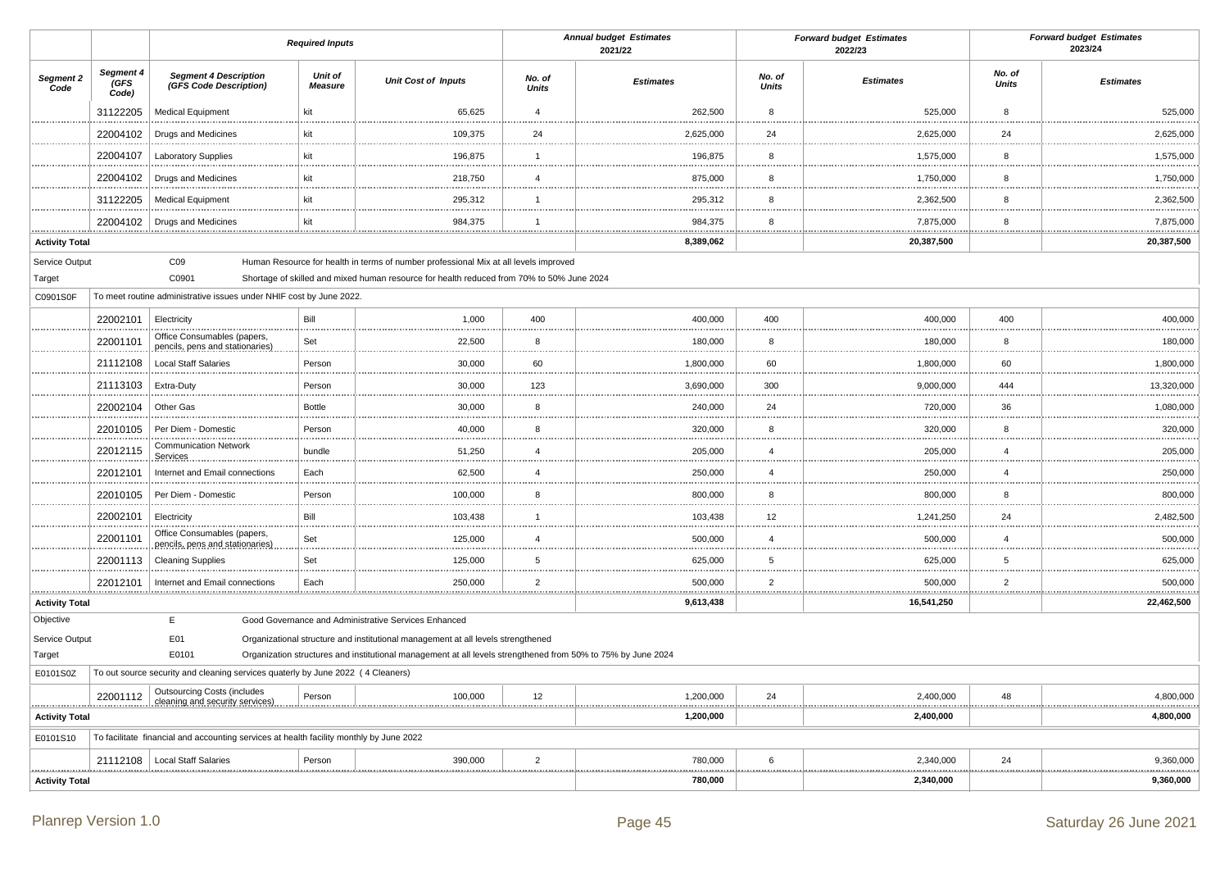|                                      |                                                                                         |                                                                                          | <b>Required Inputs</b>    |                                                                                                                                                                                   |                        | <b>Annual budget Estimates</b><br>2021/22 |                        | <b>Forward budget Estimates</b><br>2022/23 |                        | <b>Forward budget Estimates</b><br>2023/24 |
|--------------------------------------|-----------------------------------------------------------------------------------------|------------------------------------------------------------------------------------------|---------------------------|-----------------------------------------------------------------------------------------------------------------------------------------------------------------------------------|------------------------|-------------------------------------------|------------------------|--------------------------------------------|------------------------|--------------------------------------------|
| Segment 2<br>Code                    | Segment 4<br>GFS<br>Code)                                                               | <b>Segment 4 Description</b><br>(GFS Code Description)                                   | Unit of<br><b>Measure</b> | <b>Unit Cost of Inputs</b>                                                                                                                                                        | No. of<br><b>Units</b> | <b>Estimates</b>                          | No. of<br><b>Units</b> | <b>Estimates</b>                           | No. of<br><b>Units</b> | <b>Estimates</b>                           |
|                                      | 31122205                                                                                | <b>Medical Equipment</b>                                                                 | kit                       | 65,625                                                                                                                                                                            | $\overline{4}$         | 262,500                                   | 8                      | 525,000                                    | 8                      | 525,000                                    |
|                                      | 22004102                                                                                | Drugs and Medicines                                                                      | kit                       | 109,375                                                                                                                                                                           | 24                     | 2,625,000                                 | 24                     | 2,625,000                                  | 24                     | 2,625,000                                  |
|                                      | 22004107                                                                                | <b>Laboratory Supplies</b>                                                               | kit                       | 196,875                                                                                                                                                                           | $\overline{1}$         | 196,875                                   | 8                      | 1,575,000                                  | 8                      | 1,575,000                                  |
|                                      | 22004102                                                                                | Drugs and Medicines                                                                      | kit                       | 218,750                                                                                                                                                                           | $\overline{4}$         | 875,000                                   | 8                      | 1,750,000                                  | 8                      | 1,750,000                                  |
|                                      | 31122205                                                                                | <b>Medical Equipment</b>                                                                 | kit                       | 295,312                                                                                                                                                                           | $\mathbf{1}$           | 295,312                                   | 8                      | 2,362,500                                  | 8                      | 2,362,500                                  |
|                                      | 22004102                                                                                | Drugs and Medicines                                                                      | kit                       | 984,375                                                                                                                                                                           | $\mathbf{1}$           | 984,375                                   | 8                      | 7,875,000                                  | 8                      | 7,875,000                                  |
| <b>Activity Total</b>                |                                                                                         |                                                                                          |                           |                                                                                                                                                                                   |                        | 8,389,062                                 |                        | 20,387,500                                 |                        | 20,387,500                                 |
| Service Output<br>Target<br>C0901S0F |                                                                                         | CO9<br>C0901<br>To meet routine administrative issues under NHIF cost by June 2022.      |                           | Human Resource for health in terms of number professional Mix at all levels improved<br>Shortage of skilled and mixed human resource for health reduced from 70% to 50% June 2024 |                        |                                           |                        |                                            |                        |                                            |
|                                      | 22002101                                                                                | Electricity<br>Office Consumables (papers,                                               | Bill                      | 1,000                                                                                                                                                                             | 400                    | 400,000                                   | 400                    | 400,000                                    | 400                    | 400,000                                    |
|                                      | 22001101                                                                                | pencils, pens and stationaries)                                                          | Set                       | 22,500                                                                                                                                                                            | 8                      | 180,000                                   | 8                      | 180,000                                    | 8                      | 180,000                                    |
|                                      | 21112108                                                                                | <b>Local Staff Salaries</b>                                                              | Person                    | 30,000                                                                                                                                                                            | 60                     | 1,800,000                                 | 60<br>.                | 1,800,000                                  | 60                     | 1,800,000                                  |
|                                      | 21113103                                                                                | Extra-Duty                                                                               | Person                    | 30,000                                                                                                                                                                            | 123                    | 3,690,000                                 | 300                    | 9,000,000                                  | 444                    | 13,320,000                                 |
|                                      | 22002104                                                                                | Other Gas                                                                                | <b>Bottle</b>             | 30,000                                                                                                                                                                            | 8<br>                  | 240,000                                   | 24<br>1.111            | 720,000                                    | 36                     | 1,080,000                                  |
|                                      | 22010105                                                                                | Per Diem - Domestic                                                                      | Person                    | 40,000                                                                                                                                                                            | 8                      | 320,000                                   | 8                      | 320,000                                    | 8                      | 320,000                                    |
|                                      | 22012115                                                                                | <b>Communication Network</b><br>Services                                                 | bundle                    | 51,250                                                                                                                                                                            | $\overline{4}$         | 205,000                                   | $\overline{4}$         | 205,000                                    | $\overline{4}$         | 205,000                                    |
|                                      | 22012101                                                                                | Internet and Email connections                                                           | Each                      | 62,500                                                                                                                                                                            | $\overline{4}$         | 250,000                                   | $\overline{4}$         | 250,000                                    | $\overline{4}$         | 250,000                                    |
|                                      | 22010105                                                                                | Per Diem - Domestic                                                                      | Person                    | 100,000                                                                                                                                                                           | 8                      | 800,000                                   | 8<br>.                 | 800,000                                    | 8                      | 800,000                                    |
|                                      | 22002101                                                                                | Electricity                                                                              | Bill                      | 103,438                                                                                                                                                                           | $\overline{1}$         | 103,438                                   | 12                     | 1,241,250                                  | 24                     | 2,482,500                                  |
|                                      | 22001101                                                                                | Office Consumables (papers,<br>pencils, pens and stationaries)                           | Set                       | 125,000                                                                                                                                                                           | $\overline{4}$         | 500,000                                   | $\overline{4}$         | 500,000                                    | 4                      | 500,000                                    |
|                                      | 22001113                                                                                | <b>Cleaning Supplies</b>                                                                 | Set                       | 125,000                                                                                                                                                                           | 5                      | 625,000                                   | 5                      | 625,000                                    | 5                      | 625,000                                    |
|                                      | 22012101                                                                                | Internet and Email connections                                                           | Each                      | 250,000                                                                                                                                                                           | $\overline{2}$         | 500,000                                   | $\overline{2}$         | 500,000                                    | $\overline{2}$         | 500,000                                    |
| <b>Activity Total</b>                |                                                                                         |                                                                                          |                           |                                                                                                                                                                                   |                        | 9,613,438                                 |                        | 16,541,250                                 |                        | 22,462,500                                 |
| Objective                            |                                                                                         | E                                                                                        |                           | Good Governance and Administrative Services Enhanced                                                                                                                              |                        |                                           |                        |                                            |                        |                                            |
| Service Output                       | E01<br>Organizational structure and institutional management at all levels strengthened |                                                                                          |                           |                                                                                                                                                                                   |                        |                                           |                        |                                            |                        |                                            |
| Target<br>E0101S0Z                   |                                                                                         | E0101<br>To out source security and cleaning services quaterly by June 2022 (4 Cleaners) |                           | Organization structures and institutional management at all levels strengthened from 50% to 75% by June 2024                                                                      |                        |                                           |                        |                                            |                        |                                            |
|                                      |                                                                                         | <b>Outsourcing Costs (includes</b>                                                       |                           |                                                                                                                                                                                   |                        |                                           |                        |                                            |                        |                                            |
|                                      | 22001112                                                                                | cleaning and security services)                                                          | Person                    | 100,000                                                                                                                                                                           | 12                     | 1,200,000<br>.                            | 24<br>.                | 2,400,000                                  | 48                     | 4,800,000                                  |
| <b>Activity Total</b>                | To facilitate financial and accounting services at health facility monthly by June 2022 |                                                                                          |                           |                                                                                                                                                                                   |                        | 1,200,000                                 |                        | 2,400,000                                  |                        | 4,800,000                                  |
| E0101S10                             |                                                                                         |                                                                                          |                           |                                                                                                                                                                                   |                        |                                           |                        |                                            |                        |                                            |
|                                      | 21112108                                                                                | <b>Local Staff Salaries</b>                                                              | Person                    | 390,000                                                                                                                                                                           | $\overline{2}$<br>     | 780,000<br>.<br>                          | 6<br>                  | 2,340,000                                  | 24                     | 9,360,000                                  |
| <b>Activity Total</b>                |                                                                                         |                                                                                          |                           |                                                                                                                                                                                   |                        | 780,000                                   |                        | 2,340,000                                  |                        | 9,360,000                                  |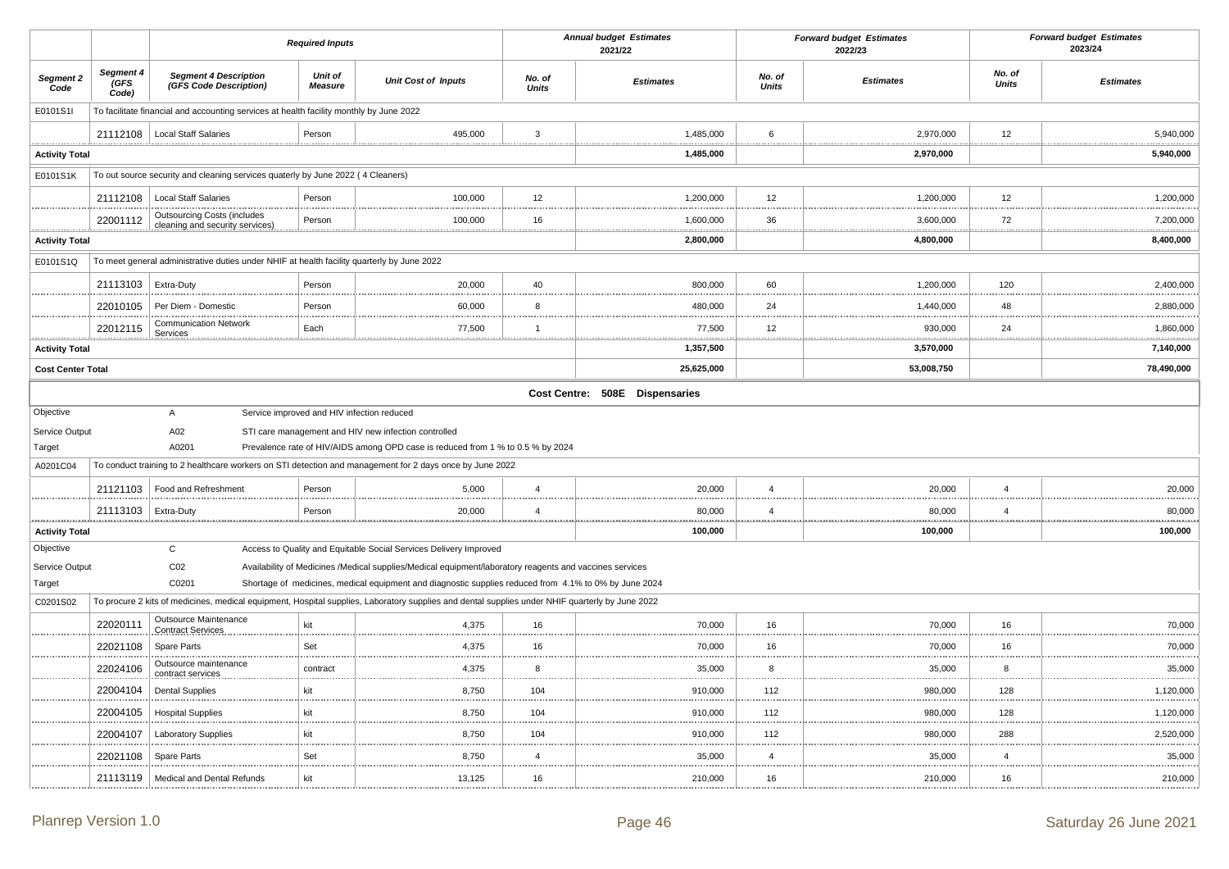|                                                                                                        |                            |                                                                                         | <b>Required Inputs</b>    |                                                                                                                                                                                                                                                                                                                                                                     |                        | <b>Annual budget Estimates</b><br>2021/22 |                        | <b>Forward budget Estimates</b><br>2022/23 |                        | <b>Forward budget Estimates</b><br>2023/24 |
|--------------------------------------------------------------------------------------------------------|----------------------------|-----------------------------------------------------------------------------------------|---------------------------|---------------------------------------------------------------------------------------------------------------------------------------------------------------------------------------------------------------------------------------------------------------------------------------------------------------------------------------------------------------------|------------------------|-------------------------------------------|------------------------|--------------------------------------------|------------------------|--------------------------------------------|
| Segment 2<br>Code                                                                                      | Segment 4<br>(GFS<br>Code) | <b>Segment 4 Description</b><br>(GFS Code Description)                                  | Unit of<br><b>Measure</b> | <b>Unit Cost of Inputs</b>                                                                                                                                                                                                                                                                                                                                          | No. of<br><b>Units</b> | <b>Estimates</b>                          | No. of<br><b>Units</b> | <b>Estimates</b>                           | No. of<br><b>Units</b> | <b>Estimates</b>                           |
| E0101S1I                                                                                               |                            | To facilitate financial and accounting services at health facility monthly by June 2022 |                           |                                                                                                                                                                                                                                                                                                                                                                     |                        |                                           |                        |                                            |                        |                                            |
|                                                                                                        | 21112108                   | <b>Local Staff Salaries</b>                                                             | Person                    | 495,000                                                                                                                                                                                                                                                                                                                                                             | 3                      | 1,485,000                                 | 6                      | 2,970,000                                  | 12                     | 5,940,000                                  |
| <b>Activity Total</b>                                                                                  |                            |                                                                                         |                           |                                                                                                                                                                                                                                                                                                                                                                     |                        | 1,485,000                                 |                        | 2,970,000                                  |                        | 5,940,000                                  |
| E0101S1K                                                                                               |                            | To out source security and cleaning services quaterly by June 2022 (4 Cleaners)         |                           |                                                                                                                                                                                                                                                                                                                                                                     |                        |                                           |                        |                                            |                        |                                            |
|                                                                                                        | 21112108                   | <b>Local Staff Salaries</b>                                                             | Person                    | 100,000                                                                                                                                                                                                                                                                                                                                                             | 12                     | 1,200,000                                 | 12                     | 1,200,000                                  | 12                     | 1,200,000                                  |
|                                                                                                        | 22001112                   | <b>Outsourcing Costs (includes</b>                                                      | Person                    | 100,000                                                                                                                                                                                                                                                                                                                                                             | 16                     | 1,600,000                                 | 36                     | 3,600,000                                  | 72                     | 7,200,000                                  |
| .<br><b>Activity Total</b>                                                                             |                            | cleaning and security services)                                                         |                           |                                                                                                                                                                                                                                                                                                                                                                     | .                      | 2,800,000                                 |                        | 4,800,000                                  | .                      | <br>8,400,000                              |
| To meet general administrative duties under NHIF at health facility quarterly by June 2022<br>E0101S1Q |                            |                                                                                         |                           |                                                                                                                                                                                                                                                                                                                                                                     |                        |                                           |                        |                                            |                        |                                            |
|                                                                                                        | 21113103                   | Extra-Duty                                                                              | Person                    | 20,000                                                                                                                                                                                                                                                                                                                                                              | 40                     | 800,000                                   | 60                     | 1,200,000                                  | 120                    | 2,400,000                                  |
|                                                                                                        | 22010105                   | Per Diem - Domestic                                                                     | Person                    | 60,000                                                                                                                                                                                                                                                                                                                                                              | 8                      | 480,000                                   | 24                     | 1,440,000                                  | 48                     | 2,880,000                                  |
|                                                                                                        | 22012115                   | <b>Communication Network</b>                                                            | Each                      | 77,500                                                                                                                                                                                                                                                                                                                                                              | $\overline{1}$         | 77,500                                    | 12                     | 930,000                                    | 24                     | 1,860,000                                  |
| <b>Activity Total</b>                                                                                  |                            | Services                                                                                |                           |                                                                                                                                                                                                                                                                                                                                                                     | .                      | 1,357,500                                 |                        | 3,570,000                                  |                        | 7,140,000                                  |
| <b>Cost Center Total</b>                                                                               |                            |                                                                                         |                           |                                                                                                                                                                                                                                                                                                                                                                     |                        | 25,625,000                                |                        | 53,008,750                                 |                        | 78,490,000                                 |
|                                                                                                        |                            |                                                                                         |                           |                                                                                                                                                                                                                                                                                                                                                                     |                        | Cost Centre: 508E Dispensaries            |                        |                                            |                        |                                            |
| Objective<br>Service Output<br>Target<br>A0201C04                                                      |                            | A<br>A02<br>A0201                                                                       |                           | Service improved and HIV infection reduced<br>STI care management and HIV new infection controlled<br>Prevalence rate of HIV/AIDS among OPD case is reduced from 1 % to 0.5 % by 2024<br>To conduct training to 2 healthcare workers on STI detection and management for 2 days once by June 2022                                                                   |                        |                                           |                        |                                            |                        |                                            |
|                                                                                                        | 21121103                   | Food and Refreshment                                                                    | Person                    | 5,000                                                                                                                                                                                                                                                                                                                                                               | $\overline{4}$         | 20,000                                    | $\overline{4}$         | 20,000                                     | $\overline{4}$         | 20,000                                     |
|                                                                                                        | 21113103                   | Extra-Duty                                                                              | Person                    | 20,000                                                                                                                                                                                                                                                                                                                                                              | $\overline{4}$         | 80,000                                    | $\overline{4}$         | 80,000                                     | $\overline{4}$         | 80,000                                     |
| <b>Activity Total</b>                                                                                  |                            |                                                                                         |                           |                                                                                                                                                                                                                                                                                                                                                                     |                        | 100,000                                   |                        | 100,000                                    |                        | .<br>100,000                               |
| Objective                                                                                              |                            | $\mathbf C$                                                                             |                           | Access to Quality and Equitable Social Services Delivery Improved                                                                                                                                                                                                                                                                                                   |                        |                                           |                        |                                            |                        |                                            |
| Service Output<br>Target<br>C0201S02                                                                   |                            | CO <sub>2</sub><br>C0201                                                                |                           | Availability of Medicines /Medical supplies/Medical equipment/laboratory reagents and vaccines services<br>Shortage of medicines, medical equipment and diagnostic supplies reduced from 4.1% to 0% by June 2024<br>To procure 2 kits of medicines, medical equipment, Hospital supplies, Laboratory supplies and dental supplies under NHIF quarterly by June 2022 |                        |                                           |                        |                                            |                        |                                            |
|                                                                                                        | 22020111                   | <b>Outsource Maintenance</b>                                                            | kit                       | 4,375                                                                                                                                                                                                                                                                                                                                                               | 16                     | 70,000                                    | 16                     | 70,000                                     | 16                     | 70,000                                     |
|                                                                                                        | 22021108                   | <b>Contract Services</b><br>Spare Parts                                                 | Set                       | 4,375                                                                                                                                                                                                                                                                                                                                                               | 16                     | 70,000                                    | 16                     | 70,000                                     | 16                     | 70,000                                     |
|                                                                                                        | 22024106                   | Outsource maintenance                                                                   | contract                  | 4,375                                                                                                                                                                                                                                                                                                                                                               | .<br>8                 | 35,000                                    | 8                      | 35,000                                     | <br>8                  | 35,000                                     |
|                                                                                                        |                            | contract services                                                                       | kit                       |                                                                                                                                                                                                                                                                                                                                                                     | .<br>104               |                                           | 112                    |                                            | 128                    |                                            |
|                                                                                                        | 22004104                   | <b>Dental Supplies</b>                                                                  |                           | 8,750                                                                                                                                                                                                                                                                                                                                                               | 104                    | 910,000                                   |                        | 980,000                                    |                        | 1,120,000                                  |
|                                                                                                        | 22004105                   | <b>Hospital Supplies</b>                                                                | kit                       | 8,750                                                                                                                                                                                                                                                                                                                                                               |                        | 910,000                                   | 112                    | 980,000                                    | 128                    | 1,120,000                                  |
|                                                                                                        | 22004107                   | <b>Laboratory Supplies</b>                                                              | kit                       | 8,750                                                                                                                                                                                                                                                                                                                                                               | 104                    | 910,000                                   | 112                    | 980,000                                    | 288                    | 2,520,000                                  |
|                                                                                                        | 22021108                   | Spare Parts                                                                             | Set                       | 8,750                                                                                                                                                                                                                                                                                                                                                               | $\overline{4}$         | 35,000                                    | $\overline{4}$         | 35,000                                     | $\overline{4}$         | 35,000                                     |
|                                                                                                        | 21113119                   | Medical and Dental Refunds                                                              | kit                       | 13,125                                                                                                                                                                                                                                                                                                                                                              | 16                     | 210,000                                   | 16                     | 210,000                                    | 16                     | 210,000                                    |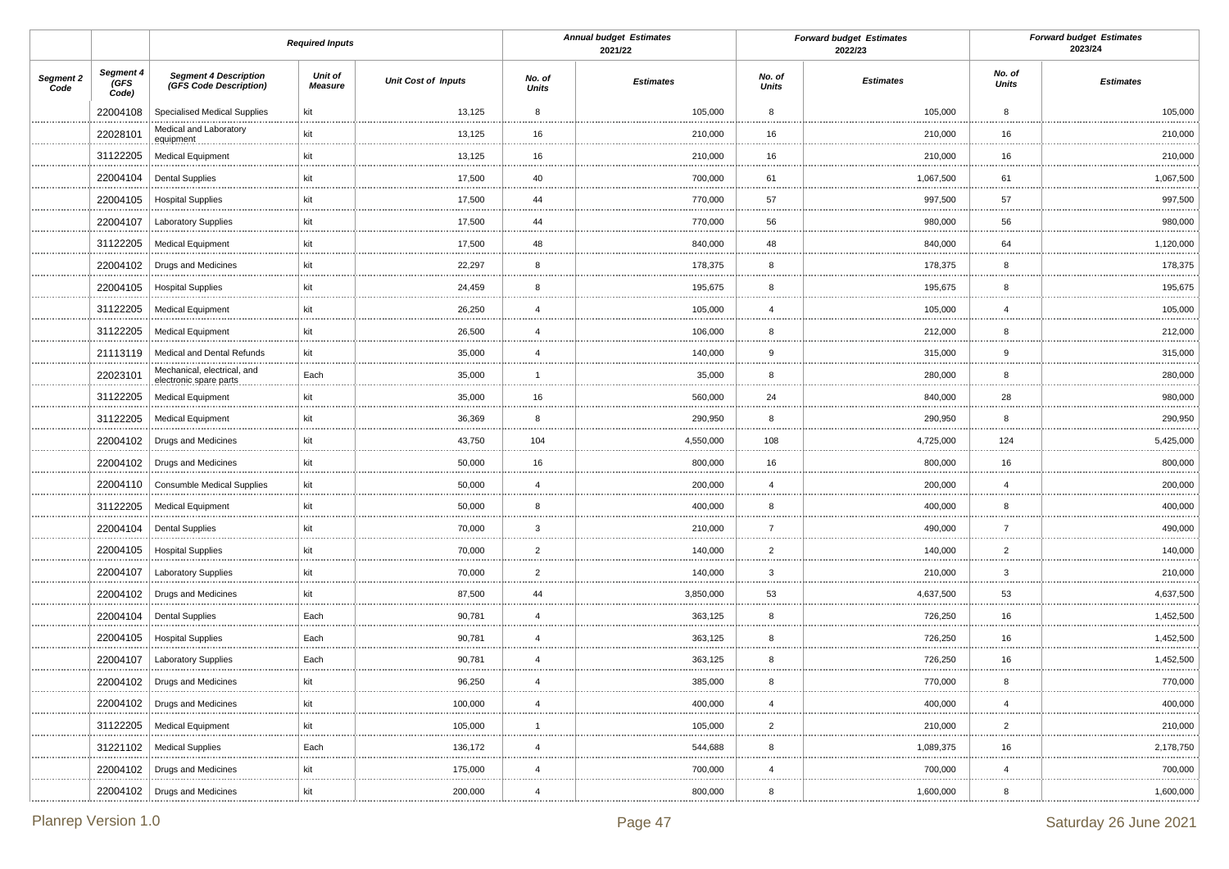|                   |                            |                                                        | <b>Required Inputs</b> |                            |                        | <b>Annual budget Estimates</b><br>2021/22 |                 | <b>Forward budget Estimates</b><br>2022/23 |                        | <b>Forward budget Estimates</b><br>2023/24 |
|-------------------|----------------------------|--------------------------------------------------------|------------------------|----------------------------|------------------------|-------------------------------------------|-----------------|--------------------------------------------|------------------------|--------------------------------------------|
| Segment 2<br>Code | Segment 4<br>(GFS<br>Code) | <b>Segment 4 Description</b><br>(GFS Code Description) | Unit of<br>Measure     | <b>Unit Cost of Inputs</b> | No. of<br><b>Units</b> | <b>Estimates</b>                          | No. of<br>Units | <b>Estimates</b>                           | No. of<br><b>Units</b> | <b>Estimates</b>                           |
|                   | 22004108                   | Specialised Medical Supplies                           | kit                    | 13,125                     | 8                      | 105,000                                   | 8               | 105,000                                    | 8                      | 105,000                                    |
|                   | 22028101                   | Medical and Laboratory<br>equipment                    | kit                    | 13,125                     | 16                     | 210,000                                   | 16              | 210,000                                    | 16                     | 210,000                                    |
|                   | 31122205                   | <b>Medical Equipment</b>                               | kit                    | 13,125                     | 16                     | 210,000                                   | 16              | 210,000                                    | 16                     | .<br>210,000<br>.                          |
|                   | 22004104                   | <b>Dental Supplies</b>                                 | kit                    | 17,500                     | 40                     | 700,000                                   | 61              | 1,067,500                                  | 61                     | 1,067,500                                  |
|                   | 22004105                   | <b>Hospital Supplies</b><br>.                          | kit                    | 17,500                     | 44                     | 770,000                                   | 57              | 997,500                                    | 57                     | 997,500                                    |
|                   | 22004107                   | <b>Laboratory Supplies</b>                             | kit                    | 17,500                     | 44                     | 770,000                                   | 56              | 980,000                                    | 56                     | 980,000                                    |
|                   | 31122205                   | <b>Medical Equipment</b>                               | kit                    | 17,500                     | 48                     | 840,000                                   | 48              | 840,000                                    | 64                     | 1,120,000<br>.                             |
|                   | 22004102                   | <b>Drugs and Medicines</b>                             | kit                    | 22,297                     | 8                      | 178,375                                   | 8               | 178,375                                    | 8                      | 178,375                                    |
|                   | 22004105                   | <b>Hospital Supplies</b>                               | kit                    | 24,459                     | 8                      | 195,675                                   | 8               | 195,675                                    | 8                      | 195,675                                    |
|                   | 31122205                   | <b>Medical Equipment</b><br>                           | kit                    | 26,250                     | $\overline{4}$         | 105,000                                   | $\overline{4}$  | 105,000                                    | $\overline{4}$         | 105,000                                    |
|                   | 31122205                   | <b>Medical Equipment</b>                               | kit                    | 26,500                     | $\overline{4}$         | 106,000                                   | 8               | 212,000                                    | 8                      | 212,000                                    |
|                   | 21113119                   | Medical and Dental Refunds<br>                         | kit                    | 35,000                     | $\overline{4}$         | 140,000                                   | 9               | 315,000                                    | 9                      | 315,000<br>                                |
|                   | 22023101                   | Mechanical, electrical, and<br>electronic spare parts  | Each                   | 35,000                     | $\mathbf{1}$           | 35,000                                    | 8               | 280,000                                    | 8                      | 280,000                                    |
|                   | 31122205                   | <b>Medical Equipment</b>                               | kit                    | 35,000                     | 16                     | 560,000                                   | 24              | 840,000                                    | 28                     | 980,000<br>.                               |
|                   | 31122205                   | <b>Medical Equipment</b>                               | kit                    | 36,369                     | 8                      | 290,950                                   | 8               | 290,950                                    | 8                      | 290,950<br>.                               |
|                   | 22004102                   | <b>Drugs and Medicines</b>                             | kit                    | 43,750                     | 104                    | 4,550,000                                 | 108             | 4,725,000                                  | 124                    | 5,425,000                                  |
|                   | 22004102                   | Drugs and Medicines                                    | kit                    | 50,000                     | 16                     | 800,000                                   | 16              | 800,000                                    | 16                     | 800,000<br>.                               |
|                   | 22004110                   | <b>Consumble Medical Supplies</b>                      | kit                    | 50,000                     | $\overline{4}$         | 200,000                                   | $\overline{4}$  | 200,000                                    | $\overline{4}$         | 200,000<br>                                |
|                   | 31122205                   | <b>Medical Equipment</b>                               | kit                    | 50,000                     | 8                      | 400,000                                   | 8               | 400,000                                    | 8                      | 400,000<br>                                |
|                   | 22004104                   | <b>Dental Supplies</b>                                 | kit                    | 70,000                     | 3                      | 210,000                                   | $\overline{7}$  | 490,000                                    | $\overline{7}$         | 490,000<br>                                |
|                   | 22004105                   | <b>Hospital Supplies</b><br>.                          | kit                    | 70,000                     | $\overline{2}$         | 140,000                                   | $\overline{2}$  | 140,000                                    | $\overline{2}$         | 140,000                                    |
|                   | 22004107                   | <b>Laboratory Supplies</b>                             | kit                    | 70,000                     | $\overline{2}$<br>     | 140,000                                   | 3               | 210,000                                    | $\overline{3}$         | 210,000<br>                                |
|                   | 22004102                   | Drugs and Medicines                                    | kit                    | 87,500                     | 44                     | 3,850,000                                 | 53              | 4,637,500                                  | 53                     | 4,637,500                                  |
|                   | 22004104                   | <b>Dental Supplies</b>                                 | Each                   | 90,781                     | $\overline{4}$         | 363,125                                   | 8               | 726,250                                    | 16                     | 1,452,500                                  |
|                   | 22004105                   | <b>Hospital Supplies</b><br>.                          | Each                   | 90,781                     | $\overline{4}$         | 363,125                                   | 8               | 726,250                                    | 16                     | 1,452,500                                  |
|                   | 22004107                   | Laboratory Supplies                                    | Each                   | 90,781                     | $\overline{4}$<br>     | 363,125                                   | 8               | 726,250                                    | 16<br>                 | 1,452,500                                  |
|                   | 22004102                   | Drugs and Medicines                                    | kit                    | 96,250                     | $\overline{4}$         | 385,000                                   | 8               | 770,000                                    | 8                      | 770,000                                    |
|                   | 22004102                   | Drugs and Medicines                                    | kit                    | 100,000                    | 4                      | 400,000                                   |                 | 400,000                                    | 4                      | 400,000                                    |
|                   | 31122205                   | <b>Medical Equipment</b>                               | kit                    | 105,000                    | 1                      | 105,000                                   | $\overline{2}$  | 210,000                                    | $\overline{2}$         | 210,000                                    |
|                   | 31221102                   | <b>Medical Supplies</b>                                | Each                   | 136,172                    | $\overline{4}$         | 544,688                                   | 8               | 1,089,375                                  | 16                     | 2,178,750<br>.                             |
|                   | 22004102                   | <b>Drugs and Medicines</b>                             | kit                    | 175,000                    | $\overline{4}$         | 700,000                                   | $\overline{4}$  | 700,000                                    | $\overline{4}$         | 700,000<br>                                |
|                   |                            | 22004102   Drugs and Medicines                         | kit                    | 200,000                    | $\overline{4}$         | 800,000                                   | 8               | 1,600,000                                  | 8                      | 1,600,000                                  |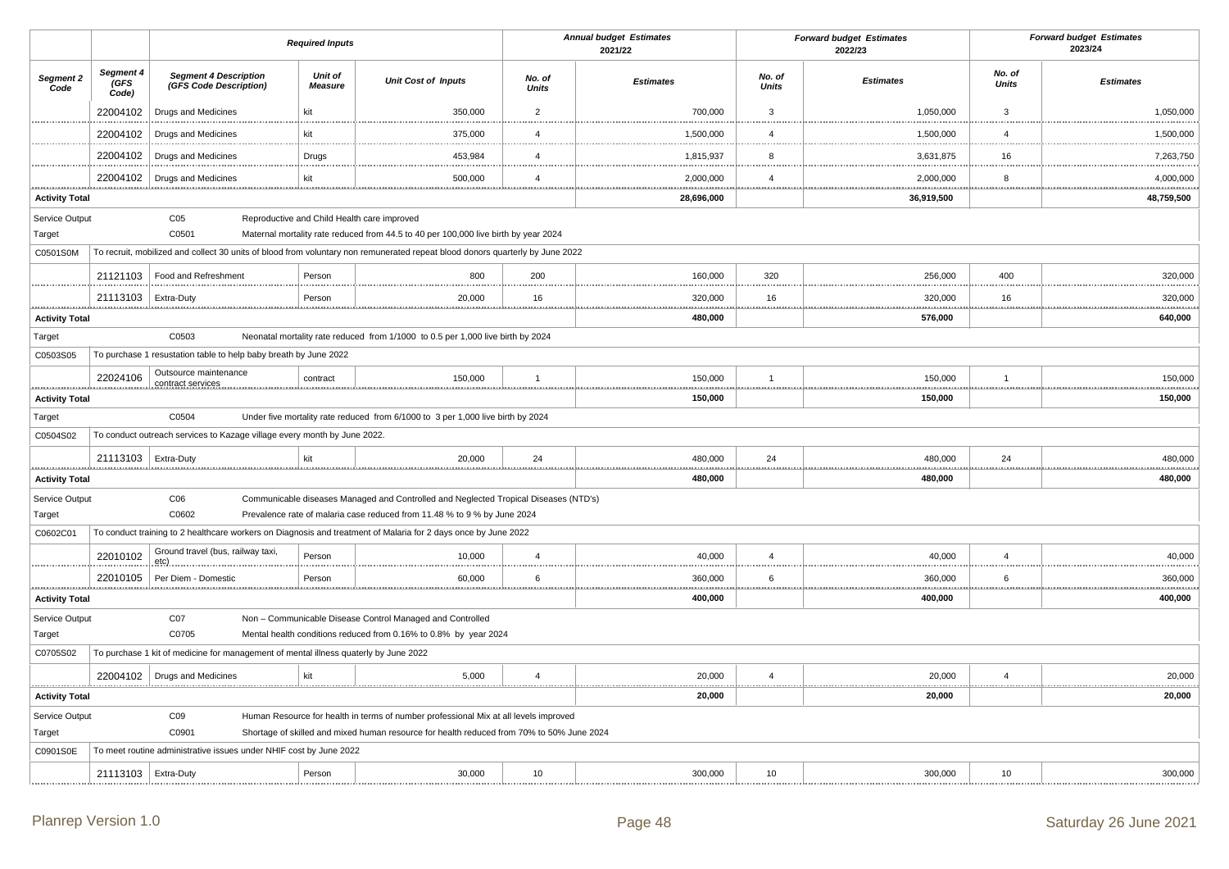|                                                                                                              |                                                                                      |                                                                          | <b>Required Inputs</b>    |                                                                                                                               |                        | <b>Annual budget Estimates</b><br>2021/22 |                        | <b>Forward budget Estimates</b><br>2022/23 |                        | <b>Forward budget Estimates</b><br>2023/24 |
|--------------------------------------------------------------------------------------------------------------|--------------------------------------------------------------------------------------|--------------------------------------------------------------------------|---------------------------|-------------------------------------------------------------------------------------------------------------------------------|------------------------|-------------------------------------------|------------------------|--------------------------------------------|------------------------|--------------------------------------------|
| Segment 2<br>Code                                                                                            | Segment 4<br>(GFS<br>Code)                                                           | <b>Segment 4 Description</b><br>(GFS Code Description)                   | Unit of<br><b>Measure</b> | <b>Unit Cost of Inputs</b>                                                                                                    | No. of<br><b>Units</b> | <b>Estimates</b>                          | No. of<br><b>Units</b> | <b>Estimates</b>                           | No. of<br><b>Units</b> | <b>Estimates</b>                           |
|                                                                                                              | 22004102                                                                             | Drugs and Medicines                                                      | kit                       | 350,000                                                                                                                       | $\overline{2}$         | 700,000                                   | $\overline{3}$         | 1,050,000                                  | $\mathbf{3}$           | 1,050,000                                  |
|                                                                                                              | 22004102                                                                             | Drugs and Medicines                                                      | kit                       | 375,000                                                                                                                       | $\overline{4}$         | 1,500,000                                 | $\overline{4}$         | 1,500,000                                  | $\overline{4}$         | 1,500,000                                  |
|                                                                                                              | 22004102                                                                             | Drugs and Medicines                                                      | Drugs                     | 453,984                                                                                                                       | $\overline{4}$         | 1,815,937                                 | 8                      | 3,631,875                                  | 16                     | 7,263,750                                  |
|                                                                                                              | 22004102<br>.                                                                        | <b>Drugs and Medicines</b>                                               | kit                       | 500,000                                                                                                                       | $\overline{4}$         | 2,000,000<br>.                            | $\overline{4}$         | 2,000,000                                  | 8                      | 4,000,000                                  |
| <b>Activity Total</b>                                                                                        |                                                                                      |                                                                          |                           |                                                                                                                               |                        | 28,696,000                                |                        | .<br>36,919,500                            |                        | .<br>48,759,500                            |
| Service Output                                                                                               |                                                                                      | CO <sub>5</sub>                                                          |                           | Reproductive and Child Health care improved                                                                                   |                        |                                           |                        |                                            |                        |                                            |
| Target                                                                                                       |                                                                                      | C0501                                                                    |                           | Maternal mortality rate reduced from 44.5 to 40 per 100,000 live birth by year 2024                                           |                        |                                           |                        |                                            |                        |                                            |
| C0501S0M                                                                                                     |                                                                                      |                                                                          |                           | To recruit, mobilized and collect 30 units of blood from voluntary non remunerated repeat blood donors quarterly by June 2022 |                        |                                           |                        |                                            |                        |                                            |
|                                                                                                              | 21121103                                                                             | Food and Refreshment                                                     | Person                    | 800                                                                                                                           | 200                    | 160,000                                   | 320                    | 256,000                                    | 400                    | 320,000                                    |
|                                                                                                              | 21113103   Extra-Duty                                                                |                                                                          | Person                    | 20,000                                                                                                                        | 16                     | 320,000                                   | 16                     | 320,000                                    | 16                     | 320,000                                    |
| <b>Activity Total</b>                                                                                        |                                                                                      |                                                                          |                           |                                                                                                                               |                        | 480,000                                   |                        | 576,000                                    |                        | 640,000                                    |
| Target                                                                                                       |                                                                                      | C0503                                                                    |                           | Neonatal mortality rate reduced from 1/1000 to 0.5 per 1,000 live birth by 2024                                               |                        |                                           |                        |                                            |                        |                                            |
| C0503S05                                                                                                     |                                                                                      | To purchase 1 resustation table to help baby breath by June 2022         |                           |                                                                                                                               |                        |                                           |                        |                                            |                        |                                            |
|                                                                                                              | 22024106                                                                             | Outsource maintenance<br>contract services                               | contract                  | 150,000                                                                                                                       | $\overline{1}$         | 150,000                                   | $\overline{1}$         | 150,000                                    | $\mathbf{1}$           | 150,000                                    |
| <b>Activity Total</b>                                                                                        |                                                                                      |                                                                          |                           |                                                                                                                               |                        | 150,000                                   |                        | 150,000                                    |                        | 150,000                                    |
| Target                                                                                                       |                                                                                      | C0504                                                                    |                           | Under five mortality rate reduced from 6/1000 to 3 per 1,000 live birth by 2024                                               |                        |                                           |                        |                                            |                        |                                            |
| C0504S02                                                                                                     |                                                                                      | To conduct outreach services to Kazage village every month by June 2022. |                           |                                                                                                                               |                        |                                           |                        |                                            |                        |                                            |
|                                                                                                              | 21113103   Extra-Duty                                                                |                                                                          | kit                       | 20,000                                                                                                                        | 24                     | 480,000                                   | 24                     | 480,000                                    | 24                     | 480,000                                    |
| <b>Activity Total</b>                                                                                        |                                                                                      |                                                                          |                           |                                                                                                                               |                        | 480,000                                   |                        | 480,000                                    |                        | 480,000                                    |
| Service Output                                                                                               |                                                                                      | C <sub>06</sub>                                                          |                           | Communicable diseases Managed and Controlled and Neglected Tropical Diseases (NTD's)                                          |                        |                                           |                        |                                            |                        |                                            |
| Target                                                                                                       |                                                                                      | C0602                                                                    |                           | Prevalence rate of malaria case reduced from 11.48 % to 9 % by June 2024                                                      |                        |                                           |                        |                                            |                        |                                            |
| C0602C01                                                                                                     |                                                                                      |                                                                          |                           | To conduct training to 2 healthcare workers on Diagnosis and treatment of Malaria for 2 days once by June 2022                |                        |                                           |                        |                                            |                        |                                            |
|                                                                                                              | 22010102                                                                             | Ground travel (bus, railway taxi,<br>etc)                                | Person                    | 10,000                                                                                                                        | $\overline{4}$         | 40,000                                    | $\overline{4}$         | 40,000                                     | $\overline{4}$         | 40,000                                     |
|                                                                                                              | 22010105                                                                             | Per Diem - Domestic                                                      | Person                    | 60,000                                                                                                                        | 6                      | 360,000                                   | 6                      | 360,000                                    | 6                      | 360,000                                    |
| <b>Activity Total</b>                                                                                        |                                                                                      |                                                                          |                           |                                                                                                                               |                        | 400,000                                   |                        | 400,000                                    |                        | 400,000                                    |
| Service Output                                                                                               |                                                                                      | CO7                                                                      |                           | Non - Communicable Disease Control Managed and Controlled                                                                     |                        |                                           |                        |                                            |                        |                                            |
| Target                                                                                                       |                                                                                      | C0705                                                                    |                           | Mental health conditions reduced from 0.16% to 0.8% by year 2024                                                              |                        |                                           |                        |                                            |                        |                                            |
| C0705S02                                                                                                     | To purchase 1 kit of medicine for management of mental illness quaterly by June 2022 |                                                                          |                           |                                                                                                                               |                        |                                           |                        |                                            |                        |                                            |
|                                                                                                              |                                                                                      | 22004102   Drugs and Medicines<br>                                       | kit                       | 5,000                                                                                                                         | $\overline{4}$         | 20,000<br><u>.</u>                        | $\overline{4}$         | 20,000                                     | $\overline{4}$         | 20,000<br><u></u>                          |
| <b>Activity Total</b>                                                                                        |                                                                                      |                                                                          |                           |                                                                                                                               |                        | 20,000                                    |                        | 20,000                                     |                        | 20,000                                     |
| Service Output                                                                                               |                                                                                      | CO9                                                                      |                           | Human Resource for health in terms of number professional Mix at all levels improved                                          |                        |                                           |                        |                                            |                        |                                            |
| Target<br>C0901<br>Shortage of skilled and mixed human resource for health reduced from 70% to 50% June 2024 |                                                                                      |                                                                          |                           |                                                                                                                               |                        |                                           |                        |                                            |                        |                                            |
| C0901S0E                                                                                                     |                                                                                      | To meet routine administrative issues under NHIF cost by June 2022       |                           |                                                                                                                               |                        |                                           |                        |                                            |                        |                                            |
|                                                                                                              | 21113103   Extra-Duty                                                                |                                                                          | Person                    | 30,000                                                                                                                        | 10                     | 300,000                                   | 10                     | 300,000                                    | 10                     | 300,000                                    |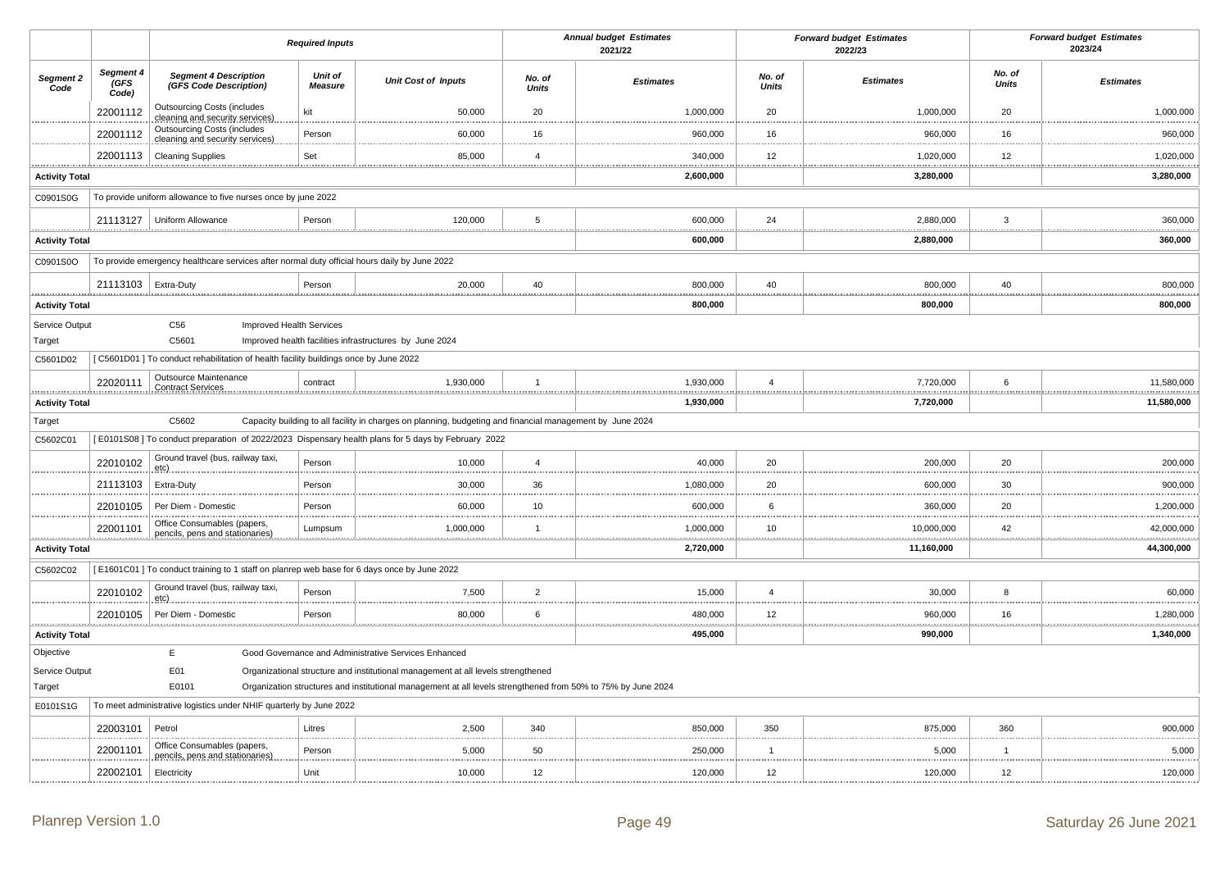|                            |                            |                                                                                              | <b>Required Inputs</b>    |                                                                                                              |                 | <b>Annual budget Estimates</b><br>2021/22 |                        | <b>Forward budget Estimates</b><br>2022/23 |                        | <b>Forward budget Estimates</b><br>2023/24 |
|----------------------------|----------------------------|----------------------------------------------------------------------------------------------|---------------------------|--------------------------------------------------------------------------------------------------------------|-----------------|-------------------------------------------|------------------------|--------------------------------------------|------------------------|--------------------------------------------|
| Segment 2<br>Code          | Segment 4<br>(GFS<br>Code) | <b>Segment 4 Description</b><br>(GFS Code Description)                                       | Unit of<br><b>Measure</b> | <b>Unit Cost of Inputs</b>                                                                                   | No. of<br>Units | <b>Estimates</b>                          | No. of<br><b>Units</b> | <b>Estimates</b>                           | No. of<br><b>Units</b> | <b>Estimates</b>                           |
|                            | 22001112                   | <b>Outsourcing Costs (includes</b><br>cleaning and security services)                        | kit                       | 50,000                                                                                                       | 20              | 1,000,000                                 | 20                     | 1,000,000                                  | 20                     | 1,000,000                                  |
|                            | 22001112                   | <b>Outsourcing Costs (includes</b><br>cleaning and security services)                        | Person                    | 60,000                                                                                                       | 16              | 960,000                                   | 16                     | 960,000                                    | 16                     | 960,000                                    |
|                            | 22001113                   | <b>Cleaning Supplies</b>                                                                     | Set                       | 85,000                                                                                                       | $\overline{4}$  | 340,000                                   | 12                     | 1,020,000                                  | 12                     | 1,020,000                                  |
| <br><b>Activity Total</b>  |                            |                                                                                              |                           |                                                                                                              |                 | .<br>2,600,000                            |                        | 3,280,000                                  |                        | .<br>3,280,000                             |
| C0901S0G                   |                            | To provide uniform allowance to five nurses once by june 2022                                |                           |                                                                                                              |                 |                                           |                        |                                            |                        |                                            |
|                            | 21113127                   | <b>Uniform Allowance</b>                                                                     | Person                    | 120,000                                                                                                      | 5               | 600,000                                   | 24                     | 2,880,000                                  | 3                      | 360,000                                    |
| .<br><b>Activity Total</b> |                            |                                                                                              |                           |                                                                                                              |                 | <u></u><br>600,000                        | .                      | 2,880,000                                  | .                      | .<br>360,000                               |
| C0901S0O                   |                            | To provide emergency healthcare services after normal duty official hours daily by June 2022 |                           |                                                                                                              |                 |                                           |                        |                                            |                        |                                            |
|                            | 21113103   Extra-Duty      |                                                                                              | Person                    | 20,000                                                                                                       | 40              | 800,000                                   | 40                     | 800,000                                    | 40                     | 800,000                                    |
| <b>Activity Total</b>      |                            |                                                                                              |                           |                                                                                                              |                 | 800,000                                   |                        | 800,000                                    |                        | 800,000                                    |
| Service Output             |                            | C56<br><b>Improved Health Services</b>                                                       |                           |                                                                                                              |                 |                                           |                        |                                            |                        |                                            |
| Target                     |                            | C5601                                                                                        |                           | Improved health facilities infrastructures by June 2024                                                      |                 |                                           |                        |                                            |                        |                                            |
| C5601D02                   |                            | [C5601D01] To conduct rehabilitation of health facility buildings once by June 2022          |                           |                                                                                                              |                 |                                           |                        |                                            |                        |                                            |
| ***************            | 22020111                   | Outsource Maintenance<br><b>Contract Services</b>                                            | contract                  | 1,930,000                                                                                                    | $\overline{1}$  | 1,930,000<br>                             | $\overline{4}$<br>     | 7,720,000                                  | 6                      | 11,580,000                                 |
| <b>Activity Total</b>      |                            |                                                                                              |                           |                                                                                                              |                 | 1,930,000                                 |                        | 7,720,000                                  |                        | 11,580,000                                 |
| Target                     |                            | C5602                                                                                        |                           | Capacity building to all facility in charges on planning, budgeting and financial management by June 2024    |                 |                                           |                        |                                            |                        |                                            |
| C5602C01                   |                            |                                                                                              |                           | [E0101S08] To conduct preparation of 2022/2023 Dispensary health plans for 5 days by February 2022           |                 |                                           |                        |                                            |                        |                                            |
|                            | 22010102                   | Ground travel (bus, railway taxi,<br>etc)                                                    | Person                    | 10,000                                                                                                       | $\overline{4}$  | 40,000                                    | 20                     | 200,000                                    | 20                     | 200,000                                    |
|                            | 21113103                   | Extra-Duty                                                                                   | Person                    | 30,000                                                                                                       | 36              | 1,080,000                                 | 20                     | 600,000                                    | 30                     | 900,000                                    |
|                            | 22010105                   | Per Diem - Domestic                                                                          | Person                    | 60,000                                                                                                       | 10              | 600,000                                   | 6                      | 360,000                                    | 20                     | 1,200,000                                  |
| .                          | 22001101<br><u></u>        | Office Consumables (papers,<br>pencils, pens and stationaries)                               | Lumpsum                   | 1,000,000                                                                                                    | $\overline{1}$  | 1,000,000<br>.                            | 10<br>.                | 10,000,000                                 | 42<br>.                | 42,000,000<br>.                            |
| <b>Activity Total</b>      |                            |                                                                                              |                           |                                                                                                              |                 | 2,720,000                                 |                        | 11,160,000                                 |                        | 44,300,000                                 |
| C5602C02                   |                            | [E1601C01] To conduct training to 1 staff on planrep web base for 6 days once by June 2022   |                           |                                                                                                              |                 |                                           |                        |                                            |                        |                                            |
|                            | 22010102                   | Ground travel (bus, railway taxi,<br>etc)                                                    | Person                    | 7,500                                                                                                        | $\overline{2}$  | 15,000                                    | $\boldsymbol{\Delta}$  | 30,000                                     | 8                      | 60,000                                     |
|                            | 22010105                   | Per Diem - Domestic                                                                          | Person                    | 80,000                                                                                                       | 6               | 480,000                                   | 12                     | 960,000                                    | 16                     | 1,280,000                                  |
| <b>Activity Total</b>      |                            |                                                                                              |                           |                                                                                                              |                 | .<br>495,000                              | .                      | 990,000                                    |                        | 1,340,000                                  |
| Objective                  |                            | E                                                                                            |                           | Good Governance and Administrative Services Enhanced                                                         |                 |                                           |                        |                                            |                        |                                            |
| Service Output             |                            | E01                                                                                          |                           | Organizational structure and institutional management at all levels strengthened                             |                 |                                           |                        |                                            |                        |                                            |
| Target                     |                            | E0101                                                                                        |                           | Organization structures and institutional management at all levels strengthened from 50% to 75% by June 2024 |                 |                                           |                        |                                            |                        |                                            |
| E0101S1G                   |                            | To meet administrative logistics under NHIF quarterly by June 2022                           |                           |                                                                                                              |                 |                                           |                        |                                            |                        |                                            |
|                            | 22003101                   | Petrol                                                                                       | Litres                    | 2,500                                                                                                        | 340             | 850,000                                   | 350                    | 875,000                                    | 360                    | 900,000                                    |
|                            | 22001101                   | Office Consumables (papers,<br>pencils, pens and stationaries)                               | Person                    | 5,000                                                                                                        | 50              | 250,000                                   | $\overline{1}$         | 5,000                                      | $\mathbf{1}$           | 5,000                                      |
|                            | 22002101                   | Electricity                                                                                  | Unit                      | 10,000                                                                                                       | 12              | 120,000                                   | 12                     | 120,000                                    | 12                     | 120,000                                    |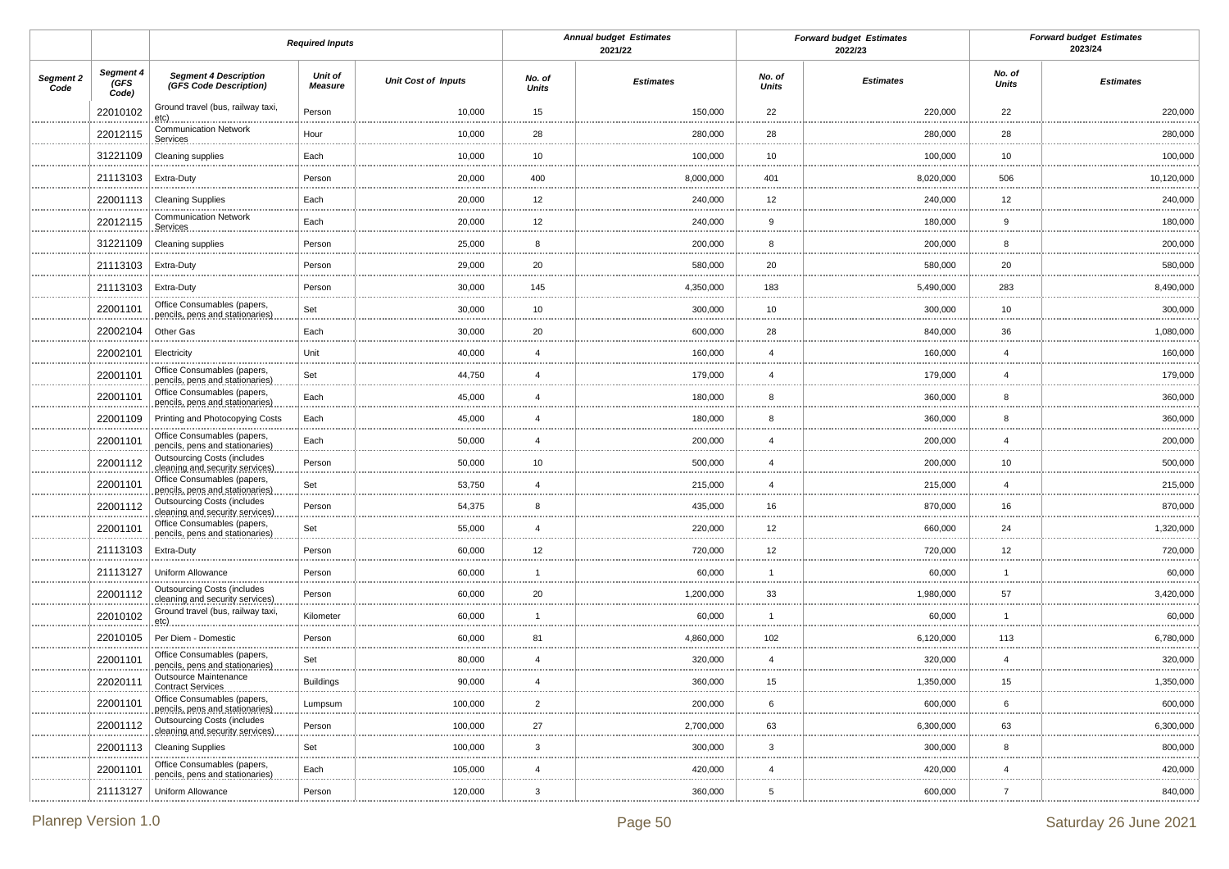|                   |                            |                                                                       | <b>Required Inputs</b> |                            |                           | <b>Annual budget Estimates</b><br>2021/22 |                        | <b>Forward budget Estimates</b><br>2022/23 |                    | <b>Forward budget Estimates</b><br>2023/24 |
|-------------------|----------------------------|-----------------------------------------------------------------------|------------------------|----------------------------|---------------------------|-------------------------------------------|------------------------|--------------------------------------------|--------------------|--------------------------------------------|
| Segment 2<br>Code | Segment 4<br>(GFS<br>Code) | <b>Segment 4 Description</b><br>(GFS Code Description)                | Unit of<br>Measure     | <b>Unit Cost of Inputs</b> | No. of<br><b>Units</b>    | <b>Estimates</b>                          | No. of<br><b>Units</b> | <b>Estimates</b>                           | No. of<br>Units    | <b>Estimates</b>                           |
|                   | 22010102                   | Ground travel (bus, railway taxi,<br>etc)                             | Person                 | 10,000                     | 15                        | 150,000                                   | 22                     | 220,000                                    | 22                 | 220,000                                    |
|                   | 22012115                   | <b>Communication Network</b><br>Services                              | Hour                   | 10,000                     | 28                        | 280,000                                   | 28                     | 280,000                                    | 28                 | 280,000                                    |
|                   | 31221109                   | Cleaning supplies                                                     | Each                   | 10,000                     | 10                        | 100,000                                   | 10                     | 100,000                                    | 10                 | 100,000<br>                                |
|                   | 21113103                   | Extra-Duty                                                            | Person                 | 20,000                     | 400                       | 8,000,000                                 | 401                    | 8,020,000                                  | 506                | 10,120,000<br>.                            |
|                   | 22001113                   | <b>Cleaning Supplies</b>                                              | Each                   | 20,000                     | 12                        | 240,000                                   | 12                     | 240,000                                    | 12                 | 240,000<br>                                |
|                   | 22012115                   | <b>Communication Network</b><br>Services                              | Each                   | 20,000                     | 12<br>                    | 240,000                                   | 9                      | 180,000<br>                                | 9<br>              | 180,000<br>                                |
|                   | 31221109                   | Cleaning supplies                                                     | Person                 | 25,000                     | 8                         | 200,000                                   | 8                      | 200,000                                    | 8                  | 200,000<br>.                               |
|                   | 21113103                   | Extra-Duty                                                            | Person                 | 29,000                     | 20<br>                    | 580,000                                   | 20                     | 580,000                                    | 20                 | 580,000<br>.                               |
|                   | 21113103                   | Extra-Duty                                                            | Person                 | 30,000                     | 145                       | 4,350,000                                 | 183                    | 5,490,000                                  | 283                | 8,490,000<br>.                             |
|                   | 22001101                   | Office Consumables (papers,<br>pencils, pens and stationaries)        | Set                    | 30,000                     | 10                        | 300,000                                   | 10                     | 300,000                                    | 10                 | 300,000<br>.                               |
|                   | 22002104                   | Other Gas                                                             | Each                   | 30,000                     | 20                        | 600,000                                   | 28                     | 840,000                                    | 36                 | 1,080,000<br>                              |
|                   | 22002101                   | Electricity                                                           | Unit                   | 40,000                     | $\overline{4}$            | 160,000                                   | $\overline{4}$         | 160,000                                    | $\overline{4}$     | 160,000<br>                                |
|                   | 22001101                   | Office Consumables (papers,<br>pencils, pens and stationaries)        | Set                    | 44,750                     | $\overline{4}$            | 179,000                                   | $\boldsymbol{\Delta}$  | 179,000                                    | $\overline{4}$     | 179,000<br>                                |
|                   | 22001101                   | Office Consumables (papers,<br>pencils, pens and stationaries)        | Each                   | 45,000                     | $\overline{4}$<br>        | 180,000                                   | 8                      | 360,000                                    | 8                  | 360,000<br>.                               |
|                   | 22001109                   | Printing and Photocopying Costs                                       | Each                   | 45,000                     | $\overline{4}$            | 180,000                                   | 8                      | 360,000                                    | 8                  | 360,000<br>                                |
|                   | 22001101                   | Office Consumables (papers,<br>pencils, pens and stationaries)        | Each                   | 50,000                     | $\overline{4}$<br>        | 200,000                                   | $\overline{4}$         | 200,000                                    | $\overline{4}$     | 200,000<br>                                |
|                   | 22001112                   | <b>Outsourcing Costs (includes</b><br>cleaning and security services) | Person                 | 50,000                     | 10                        | 500,000                                   | $\overline{4}$         | 200,000                                    | 10                 | 500,000<br>.                               |
|                   | 22001101                   | Office Consumables (papers,<br>pencils, pens and stationaries)        | Set                    | 53,750                     | $\overline{4}$<br>        | 215,000                                   | $\overline{4}$         | 215,000                                    | $\overline{4}$     | 215,000<br>                                |
|                   | 22001112                   | <b>Outsourcing Costs (includes</b><br>cleaning and security services) | Person                 | 54,375                     | 8                         | 435,000                                   | 16                     | 870,000                                    | 16                 | 870,000<br>.                               |
|                   | 22001101                   | Office Consumables (papers,<br>pencils, pens and stationaries)        | Set                    | 55,000                     | $\overline{4}$<br>        | 220,000                                   | 12                     | 660,000                                    | 24                 | 1,320,000<br>                              |
|                   | 21113103                   | Extra-Duty                                                            | Person                 | 60,000                     | 12                        | 720,000                                   | 12                     | 720,000                                    | 12                 | 720,000<br>                                |
|                   | 21113127                   | Uniform Allowance                                                     | Person                 | 60,000                     | $\mathbf{1}$              | 60,000                                    | $\overline{1}$         | 60,000                                     | -1                 | 60,000<br>.                                |
|                   | 22001112                   | <b>Outsourcing Costs (includes</b><br>cleaning and security services) | Person                 | 60,000                     | 20                        | 1,200,000                                 | 33                     | 1,980,000                                  | 57                 | 3,420,000<br>.                             |
|                   | 22010102                   | Ground travel (bus, railway taxi,<br><u>etc)</u>                      | Kilometer              | 60,000                     | $\mathbf{1}$              | 60,000                                    |                        | 60,000                                     | 1                  | 60,000<br>                                 |
|                   | 22010105                   | Per Diem - Domestic                                                   | Person                 | 60,000                     | 81                        | 4,860,000                                 | 102                    | 6,120,000                                  | 113                | 6,780,000                                  |
|                   | 22001101                   | Office Consumables (papers,<br>pencils, pens and stationaries)        | Set                    | 80,000                     | $\overline{4}$<br>        | 320,000                                   | $\overline{4}$<br>     | 320,000                                    | $\overline{4}$<br> | 320,000<br>                                |
|                   | 22020111                   | Outsource Maintenance<br>Contract Services                            | <b>Buildings</b>       | 90,000                     | 4                         | 360,000                                   | 15                     | 1,350,000                                  | 15                 | 1,350,000                                  |
|                   | 22001101                   | Office Consumables (papers,<br>pencils, pens and stationaries)        | Lumpsum                | 100,000                    | $\overline{2}$            | 200,000                                   | 6                      | 600,000                                    | 6<br>              | 600,000<br>.                               |
|                   | 22001112                   | <b>Outsourcing Costs (includes</b><br>cleaning and security services) | Person                 | 100,000                    | 27                        | 2,700,000                                 | 63                     | 6,300,000                                  | 63                 | 6,300,000<br>                              |
|                   | 22001113                   | <b>Cleaning Supplies</b>                                              | Set                    | 100,000                    | 3                         | 300,000                                   | $\mathbf{3}$           | 300,000                                    | 8                  | 800,000<br>                                |
|                   | 22001101                   | Office Consumables (papers,<br>pencils, pens and stationaries)        | Each                   | 105,000                    | $\overline{4}$            | 420,000                                   | $\overline{4}$         | 420,000                                    | $\overline{4}$     | 420,000<br>.                               |
|                   | 21113127                   | Uniform Allowance                                                     | Person                 | 120,000                    | $\ensuremath{\mathsf{3}}$ | 360,000                                   | 5                      | 600,000                                    | $\overline{7}$     | 840,000                                    |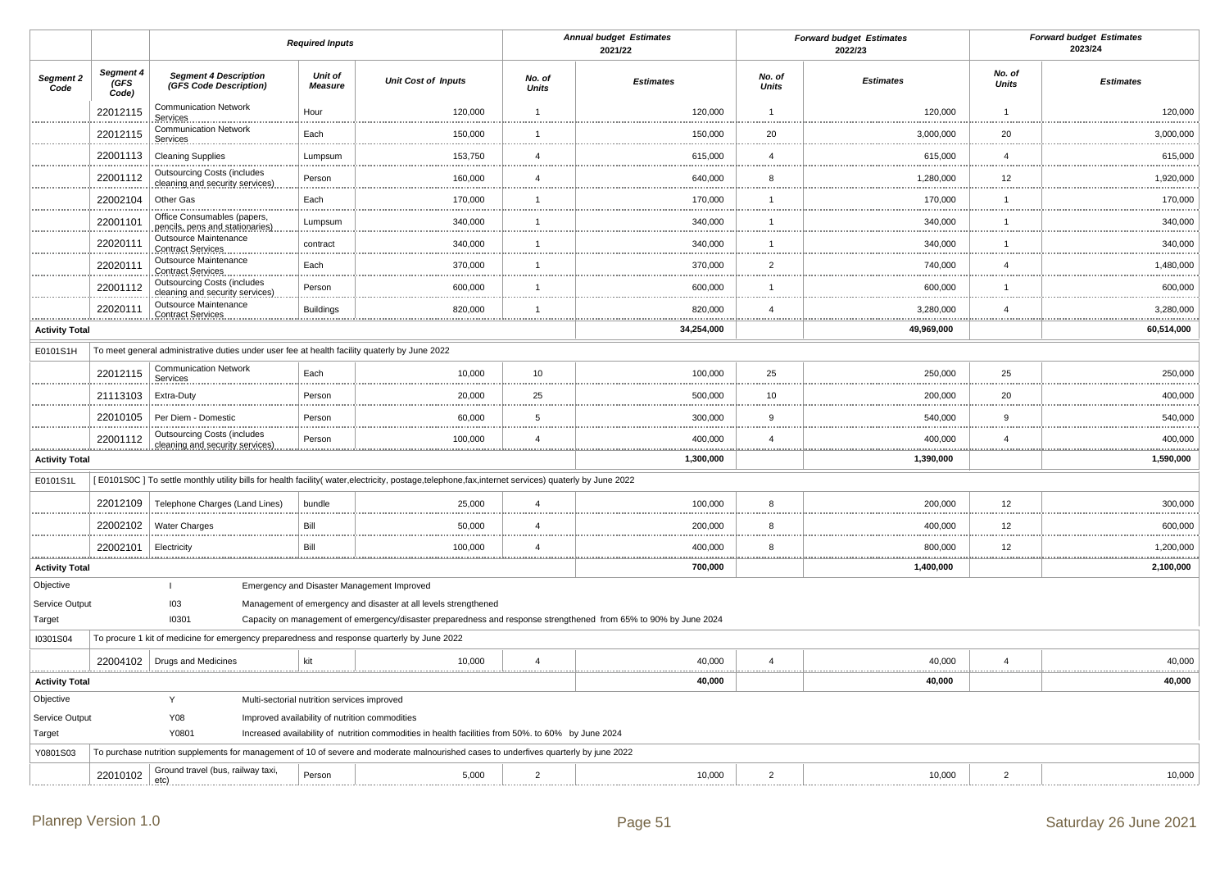|                          |                            |                                                                                               | <b>Required Inputs</b>           |                                                                                                                                                                                     |                                 | <b>Annual budget Estimates</b><br>2021/22 |                        | <b>Forward budget Estimates</b><br>2022/23 |                        | <b>Forward budget Estimates</b><br>2023/24 |
|--------------------------|----------------------------|-----------------------------------------------------------------------------------------------|----------------------------------|-------------------------------------------------------------------------------------------------------------------------------------------------------------------------------------|---------------------------------|-------------------------------------------|------------------------|--------------------------------------------|------------------------|--------------------------------------------|
| Segment 2<br>Code        | Segment 4<br>(GFS<br>Code) | <b>Segment 4 Description</b><br>(GFS Code Description)                                        | <b>Unit of</b><br><b>Measure</b> | <b>Unit Cost of Inputs</b>                                                                                                                                                          | No. of<br><b>Units</b>          | <b>Estimates</b>                          | No. of<br><b>Units</b> | <b>Estimates</b>                           | No. of<br><b>Units</b> | <b>Estimates</b>                           |
|                          | 22012115                   | <b>Communication Network</b><br>Services                                                      | Hour                             | 120,000                                                                                                                                                                             | $\overline{1}$                  | 120,000                                   | $\overline{1}$         | 120,000                                    | $\overline{1}$         | 120,000                                    |
|                          | 22012115                   | <b>Communication Network</b><br>Services                                                      | Each                             | 150,000                                                                                                                                                                             | $\overline{1}$                  | 150,000                                   | 20                     | 3,000,000                                  | 20                     | 3,000,000                                  |
|                          | 22001113                   | <b>Cleaning Supplies</b>                                                                      | Lumpsum                          | 153,750                                                                                                                                                                             | $\overline{4}$                  | 615,000                                   | $\overline{4}$         | 615,000                                    | $\overline{4}$         | 615,000                                    |
|                          | 22001112                   | <b>Outsourcing Costs (includes</b><br>cleaning and security services)                         | Person                           | 160,000                                                                                                                                                                             | $\overline{4}$                  | 640,000                                   | 8                      | 1,280,000                                  | 12                     | 1,920,000                                  |
|                          | 22002104                   | Other Gas                                                                                     | Each                             | 170,000                                                                                                                                                                             | $\overline{1}$<br>              | 170,000                                   | $\overline{1}$<br>.    | 170,000                                    | $\overline{1}$<br>     | 170,000<br>.                               |
|                          | 22001101                   | Office Consumables (papers,<br>pencils, pens and stationaries)                                | Lumpsum                          | 340,000                                                                                                                                                                             | $\mathbf{1}$                    | 340,000                                   | $\mathbf{1}$           | 340,000                                    | $\mathbf{1}$           | 340,000                                    |
|                          | 22020111                   | Outsource Maintenance<br>Contract Services                                                    | contract                         | 340,000                                                                                                                                                                             | $\mathbf{1}$<br>.               | 340,000                                   | $\overline{1}$         | 340,000                                    | $\overline{1}$<br>     | 340,000                                    |
|                          | 22020111                   | Outsource Maintenance<br><b>Contract Services</b>                                             | Each                             | 370,000                                                                                                                                                                             | $\mathbf{1}$                    | 370,000                                   | $\overline{2}$         | 740,000                                    | $\overline{4}$         | 1,480,000                                  |
|                          | 22001112                   | <b>Outsourcing Costs (includes</b><br>cleaning and security services)                         | Person                           | 600,000                                                                                                                                                                             | $\overline{1}$                  | 600,000                                   | $\overline{1}$         | 600,000                                    | $\overline{1}$         | 600,000                                    |
|                          | 22020111                   | Outsource Maintenance<br>Contract Services                                                    | <b>Buildings</b>                 | 820,000                                                                                                                                                                             | $\overline{1}$                  | 820,000                                   | $\overline{4}$         | 3,280,000                                  | $\overline{4}$         | 3,280,000<br>.                             |
| <b>Activity Total</b>    |                            |                                                                                               |                                  |                                                                                                                                                                                     |                                 | 34,254,000                                |                        | 49,969,000                                 |                        | 60,514,000                                 |
| E0101S1H                 |                            | To meet general administrative duties under user fee at health facility quaterly by June 2022 |                                  |                                                                                                                                                                                     |                                 |                                           |                        |                                            |                        |                                            |
|                          | 22012115                   | <b>Communication Network</b><br>Services.                                                     | Each                             | 10,000                                                                                                                                                                              | 10                              | 100,000                                   | 25                     | 250,000                                    | 25                     | 250,000                                    |
|                          | 21113103                   | Extra-Duty                                                                                    | Person                           | 20,000                                                                                                                                                                              | 25<br>.                         | 500,000                                   | 10                     | 200,000                                    | 20<br>-----            | 400,000                                    |
|                          | 22010105                   | Per Diem - Domestic                                                                           | Person                           | 60,000                                                                                                                                                                              | 5                               | 300,000                                   | 9                      | 540,000                                    | 9                      | 540,000                                    |
|                          | 22001112                   | <b>Outsourcing Costs (includes</b><br>cleaning and security services)                         | Person                           | 100,000                                                                                                                                                                             | $\overline{4}$<br>.             | 400,000                                   | $\overline{4}$         | 400,000                                    | $\overline{4}$<br>     | 400,000<br>                                |
| <b>Activity Total</b>    |                            |                                                                                               |                                  |                                                                                                                                                                                     |                                 | 1,300,000                                 |                        | 1,390,000                                  |                        | 1,590,000                                  |
| E0101S1L                 |                            |                                                                                               |                                  | [E0101S0C] To settle monthly utility bills for health facility( water, electricity, postage, telephone, fax, internet services) quaterly by June 2022                               |                                 |                                           |                        |                                            |                        |                                            |
|                          | 22012109                   | Telephone Charges (Land Lines)                                                                | bundle                           | 25,000                                                                                                                                                                              | $\overline{4}$                  | 100,000                                   | 8                      | 200,000                                    | 12                     | 300,000                                    |
|                          | 22002102                   | <b>Water Charges</b>                                                                          | Bill                             | 50,000                                                                                                                                                                              | $\overline{4}$<br><b>TERRIT</b> | 200,000                                   | 8                      | 400,000                                    | 12                     | 600,000                                    |
|                          | 22002101                   | Electricity                                                                                   | Bill                             | 100,000                                                                                                                                                                             | $\overline{4}$                  | 400,000                                   | 8                      | 800,000                                    | 12                     | 1,200,000                                  |
| <b>Activity Total</b>    |                            |                                                                                               |                                  |                                                                                                                                                                                     |                                 | 700,000                                   |                        | 1,400,000                                  |                        | 2,100,000                                  |
| Objective                |                            | $\mathbf{I}$                                                                                  |                                  | Emergency and Disaster Management Improved                                                                                                                                          |                                 |                                           |                        |                                            |                        |                                            |
| Service Output<br>Target |                            | 103<br>10301                                                                                  |                                  | Management of emergency and disaster at all levels strengthened<br>Capacity on management of emergency/disaster preparedness and response strengthened from 65% to 90% by June 2024 |                                 |                                           |                        |                                            |                        |                                            |
| I0301S04                 |                            | To procure 1 kit of medicine for emergency preparedness and response quarterly by June 2022   |                                  |                                                                                                                                                                                     |                                 |                                           |                        |                                            |                        |                                            |
|                          | 22004102                   | Drugs and Medicines                                                                           | kit                              | 10,000                                                                                                                                                                              | $\overline{4}$                  | 40,000                                    | $\overline{4}$         | 40,000                                     | $\overline{4}$         | 40,000                                     |
| <b>Activity Total</b>    |                            |                                                                                               |                                  |                                                                                                                                                                                     |                                 | 40,000                                    |                        | 40,000                                     |                        | .<br>40,000                                |
| Objective                |                            | Y<br>Multi-sectorial nutrition services improved                                              |                                  |                                                                                                                                                                                     |                                 |                                           |                        |                                            |                        |                                            |
| Service Output           |                            | Y08                                                                                           |                                  | Improved availability of nutrition commodities                                                                                                                                      |                                 |                                           |                        |                                            |                        |                                            |
| Target                   |                            | Y0801                                                                                         |                                  | Increased availability of nutrition commodities in health facilities from 50%. to 60% by June 2024                                                                                  |                                 |                                           |                        |                                            |                        |                                            |
| Y0801S03                 |                            |                                                                                               |                                  | To purchase nutrition supplements for management of 10 of severe and moderate malnourished cases to underfives quarterly by june 2022                                               |                                 |                                           |                        |                                            |                        |                                            |
|                          | 22010102                   | Ground travel (bus, railway taxi,<br>etc)                                                     | Person                           | 5,000                                                                                                                                                                               | $\overline{2}$                  | 10,000                                    | $\overline{2}$         | 10,000                                     | $\overline{2}$         | 10,000                                     |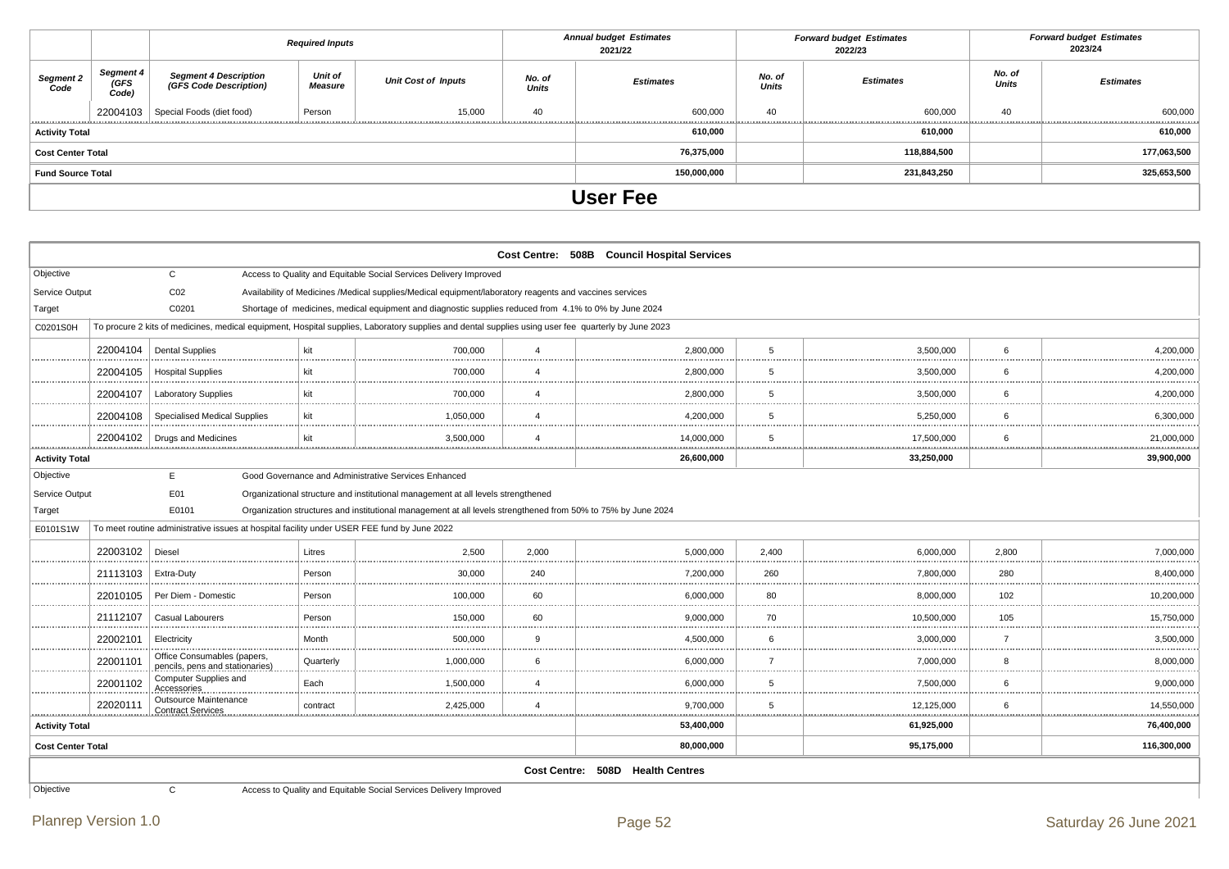|                       |                                   |                                                         | <b>Required Inputs</b>    |                            |                        | <b>Annual budget Estimates</b><br>2021/22 |                        | <b>Forward budget Estimates</b><br>2022/23 | <b>Forward budget Estimates</b><br>2023/24 |                  |  |
|-----------------------|-----------------------------------|---------------------------------------------------------|---------------------------|----------------------------|------------------------|-------------------------------------------|------------------------|--------------------------------------------|--------------------------------------------|------------------|--|
| Segment 2<br>Code     | <b>Segment 4</b><br>(GFS<br>Code) | <b>Segment 4 Description<br/>(GFS Code Description)</b> | <b>Unit of</b><br>Measure | <b>Unit Cost of Inputs</b> | No. of<br><b>Units</b> | <b>Estimates</b>                          | No. of<br><b>Units</b> | <b>Estimates</b>                           | No. of<br><b>Units</b>                     | <b>Estimates</b> |  |
|                       |                                   | 22004103   Special Foods (diet food)                    | Person                    | 15,000                     | 40                     | 600,000                                   | 40                     | 600,000                                    | 40                                         | 600,000<br>      |  |
| <b>Activity Total</b> |                                   |                                                         |                           |                            |                        | 610,000                                   |                        | 610,000                                    |                                            | 610,000          |  |
| Cost Center Total     |                                   |                                                         |                           |                            |                        | 76,375,000                                |                        | 118,884,500                                |                                            | 177,063,500      |  |
| Fund Source Total     |                                   |                                                         |                           |                            |                        | 150,000,000                               |                        | 231,843,250                                |                                            | 325,653,500      |  |
|                       |                                   |                                                         |                           |                            |                        | <b>User Fee</b>                           |                        |                                            |                                            |                  |  |

|                          |                                                                                         |                                                                                             |           |                                                                                                                                                     |                | Cost Centre: 508B Council Hospital Services |                     |            |                                 |                |  |  |
|--------------------------|-----------------------------------------------------------------------------------------|---------------------------------------------------------------------------------------------|-----------|-----------------------------------------------------------------------------------------------------------------------------------------------------|----------------|---------------------------------------------|---------------------|------------|---------------------------------|----------------|--|--|
| Objective                |                                                                                         | $\mathbf{C}$                                                                                |           | Access to Quality and Equitable Social Services Delivery Improved                                                                                   |                |                                             |                     |            |                                 |                |  |  |
| Service Output           |                                                                                         | CO <sub>2</sub>                                                                             |           | Availability of Medicines /Medical supplies/Medical equipment/laboratory reagents and vaccines services                                             |                |                                             |                     |            |                                 |                |  |  |
| Target                   |                                                                                         | C0201                                                                                       |           | Shortage of medicines, medical equipment and diagnostic supplies reduced from 4.1% to 0% by June 2024                                               |                |                                             |                     |            |                                 |                |  |  |
| C0201S0H                 |                                                                                         |                                                                                             |           | To procure 2 kits of medicines, medical equipment, Hospital supplies, Laboratory supplies and dental supplies using user fee quarterly by June 2023 |                |                                             |                     |            |                                 |                |  |  |
| .                        | 22004104                                                                                | <b>Dental Supplies</b>                                                                      | kit       | 700.000                                                                                                                                             | 4              | 2,800,000                                   | 5                   | 3,500,000  | 6                               | 4,200,000      |  |  |
|                          | 22004105                                                                                | <b>Hospital Supplies</b>                                                                    | kit       | 700.000                                                                                                                                             | $\overline{4}$ | 2,800,000                                   | 5                   | 3,500,000  | 6                               | 4,200,000      |  |  |
|                          | 22004107                                                                                | <b>Laboratory Supplies</b>                                                                  | kit       | 700,000                                                                                                                                             | $\overline{4}$ | 2,800,000                                   | 5                   | 3,500,000  | 6                               | 4,200,000      |  |  |
|                          | 22004108                                                                                | <b>Specialised Medical Supplies</b>                                                         | kit       | 1,050,000                                                                                                                                           | 4              | 4,200,000                                   | 5                   | 5,250,000  | 6                               | 6,300,000      |  |  |
| .                        | 22004102                                                                                | Drugs and Medicines                                                                         | kit       | 3,500,000                                                                                                                                           | 4              | 14,000,000                                  | 5                   | 17,500,000 | 6                               | 21,000,000     |  |  |
| <b>Activity Total</b>    |                                                                                         |                                                                                             |           |                                                                                                                                                     |                | 26,600,000                                  |                     | 33,250,000 |                                 | 39,900,000     |  |  |
| Objective                |                                                                                         | E.                                                                                          |           | Good Governance and Administrative Services Enhanced                                                                                                |                |                                             |                     |            |                                 |                |  |  |
| Service Output           | E01<br>Organizational structure and institutional management at all levels strengthened |                                                                                             |           |                                                                                                                                                     |                |                                             |                     |            |                                 |                |  |  |
| Target                   |                                                                                         | E0101                                                                                       |           | Organization structures and institutional management at all levels strengthened from 50% to 75% by June 2024                                        |                |                                             |                     |            |                                 |                |  |  |
| E0101S1W                 |                                                                                         | To meet routine administrative issues at hospital facility under USER FEE fund by June 2022 |           |                                                                                                                                                     |                |                                             |                     |            |                                 |                |  |  |
| <b>************</b>      | 22003102                                                                                | Diesel                                                                                      | Litres    | 2.500                                                                                                                                               | 2.000          | 5.000.000                                   | 2.400               | 6.000.000  | 2.800                           | 7,000,000      |  |  |
|                          | 21113103                                                                                | Extra-Duty                                                                                  | Person    | 30,000                                                                                                                                              | 240            | 7,200,000                                   | 260                 | 7,800,000  | 280                             | 8,400,000      |  |  |
| .                        | 22010105                                                                                | Per Diem - Domestic                                                                         | Person    | 100,000                                                                                                                                             | 60             | 6,000,000                                   | 80<br>.             | 8,000,000  | 102                             | 10,200,000     |  |  |
|                          | 21112107                                                                                | Casual Labourers                                                                            | Person    | 150,000                                                                                                                                             | 60             | 9,000,000                                   | 70                  | 10.500.000 | 105                             | 15,750,000     |  |  |
| .                        | 22002101                                                                                | Electricity                                                                                 | Month     | 500,000                                                                                                                                             | $\mathbf{Q}$   | 4,500,000                                   |                     | 3,000,000  | $\overline{ }$<br><b>111111</b> | 3,500,000<br>. |  |  |
| .                        | 22001101                                                                                | Office Consumables (papers,<br>pencils, pens and stationaries)                              | Quarterly | 1,000,000                                                                                                                                           | 6              | 6,000,000                                   | $\overline{7}$<br>. | 7,000,000  | 8                               | 8,000,000      |  |  |
|                          | 22001102                                                                                | Computer Supplies and<br>Accessories                                                        | Each      | 1.500.000                                                                                                                                           | $\overline{4}$ | 6,000,000                                   | 5                   | 7.500.000  | 6                               | 9,000,000      |  |  |
| .                        | 22020111                                                                                | Outsource Maintenance<br><b>Contract Services</b>                                           | contract  | 2,425,000                                                                                                                                           | $\overline{4}$ | 9,700,000                                   | 5                   | 12,125,000 | 6                               | 14,550,000     |  |  |
| <b>Activity Total</b>    | 53,400,000<br>61,925,000<br>76,400,000                                                  |                                                                                             |           |                                                                                                                                                     |                |                                             |                     |            |                                 |                |  |  |
| <b>Cost Center Total</b> |                                                                                         |                                                                                             |           |                                                                                                                                                     |                | 80,000,000                                  |                     | 95,175,000 |                                 | 116,300,000    |  |  |
|                          |                                                                                         |                                                                                             |           |                                                                                                                                                     |                | Cost Centre: 508D Health Centres            |                     |            |                                 |                |  |  |
| Objective                |                                                                                         | C                                                                                           |           | Access to Quality and Equitable Social Services Delivery Improved                                                                                   |                |                                             |                     |            |                                 |                |  |  |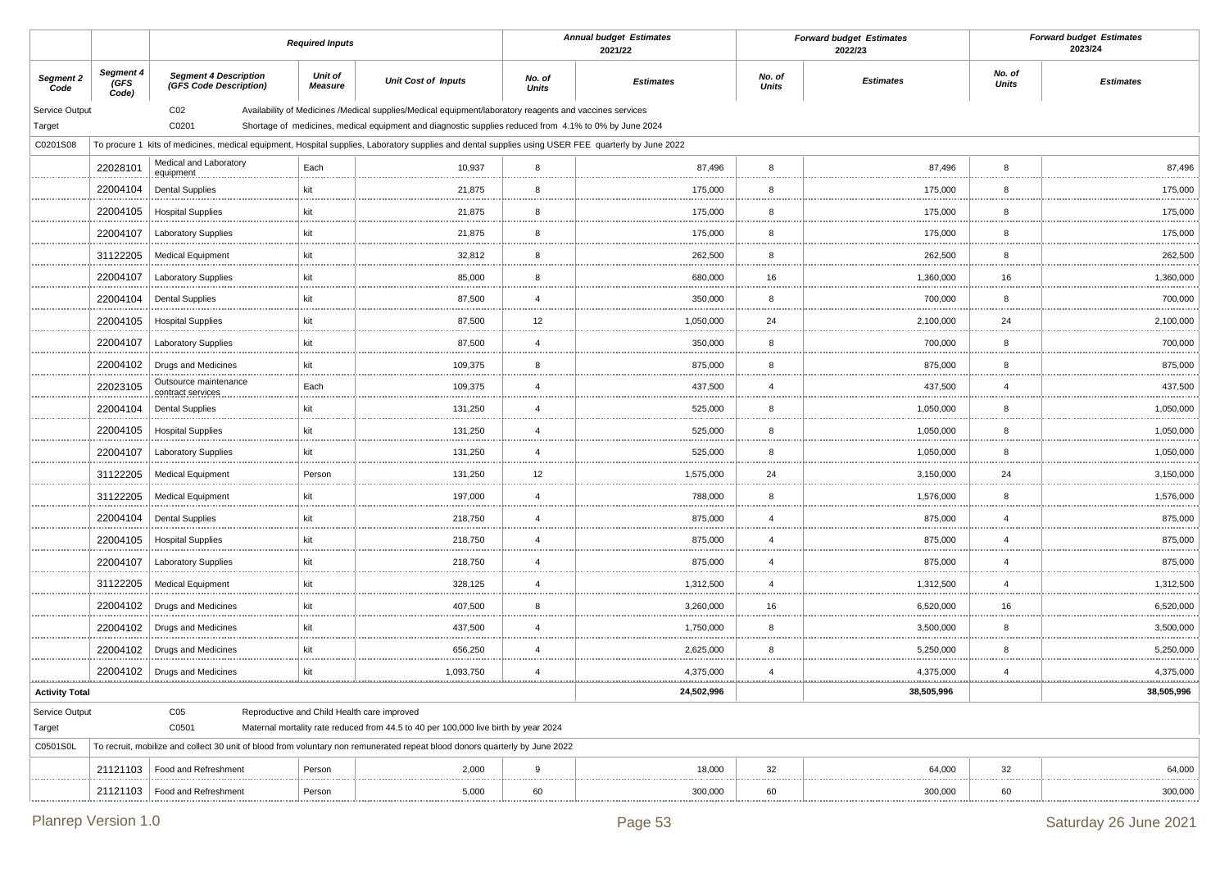|                       |                            |                                                        | <b>Required Inputs</b>                      |                                                                                                                                                     |                        | <b>Annual budget Estimates</b><br>2021/22 |                        | <b>Forward budget Estimates</b><br>2022/23 |                        | <b>Forward budget Estimates</b><br>2023/24 |
|-----------------------|----------------------------|--------------------------------------------------------|---------------------------------------------|-----------------------------------------------------------------------------------------------------------------------------------------------------|------------------------|-------------------------------------------|------------------------|--------------------------------------------|------------------------|--------------------------------------------|
| Segment 2<br>Code     | Segment 4<br>(GFS<br>Code) | <b>Segment 4 Description</b><br>(GFS Code Description) | <b>Unit of</b><br><b>Measure</b>            | <b>Unit Cost of Inputs</b>                                                                                                                          | No. of<br><b>Units</b> | <b>Estimates</b>                          | No. of<br><b>Units</b> | <b>Estimates</b>                           | No. of<br><b>Units</b> | <b>Estimates</b>                           |
| Service Output        |                            | CO <sub>2</sub>                                        |                                             | Availability of Medicines /Medical supplies/Medical equipment/laboratory reagents and vaccines services                                             |                        |                                           |                        |                                            |                        |                                            |
| Target                |                            | C0201                                                  |                                             | Shortage of medicines, medical equipment and diagnostic supplies reduced from 4.1% to 0% by June 2024                                               |                        |                                           |                        |                                            |                        |                                            |
| C0201S08              |                            |                                                        |                                             | To procure 1 kits of medicines, medical equipment, Hospital supplies, Laboratory supplies and dental supplies using USER FEE quarterly by June 2022 |                        |                                           |                        |                                            |                        |                                            |
|                       | 22028101                   | Medical and Laboratory<br>equipment                    | Each                                        | 10,937                                                                                                                                              | 8<br>.                 | 87,496                                    | 8                      | 87,496                                     | 8                      | 87,496                                     |
|                       | 22004104                   | <b>Dental Supplies</b>                                 | kit                                         | 21,875                                                                                                                                              | 8                      | 175,000                                   | 8                      | 175,000                                    | 8                      | 175,000                                    |
|                       | 22004105                   | <b>Hospital Supplies</b>                               | kit                                         | 21,875                                                                                                                                              | 8<br>.                 | 175,000                                   | 8                      | 175,000                                    | 8                      | 175,000                                    |
|                       | 22004107                   | <b>Laboratory Supplies</b>                             | kit                                         | 21,875                                                                                                                                              | 8                      | 175,000                                   | 8                      | 175,000                                    | 8                      | 175,000                                    |
|                       | 31122205                   | <b>Medical Equipment</b>                               | kit                                         | 32,812<br>                                                                                                                                          | 8<br>                  | 262,500                                   | 8                      | 262,500                                    | 8                      | 262,500                                    |
|                       | 22004107                   | <b>Laboratory Supplies</b>                             | kit                                         | 85,000                                                                                                                                              | 8                      | 680,000                                   | 16                     | 1,360,000                                  | 16                     | 1,360,000                                  |
|                       | 22004104                   | <b>Dental Supplies</b>                                 | kit                                         | 87,500                                                                                                                                              | $\overline{4}$<br>     | 350,000                                   | 8                      | 700,000                                    | 8                      | 700,000                                    |
|                       | 22004105                   | <b>Hospital Supplies</b>                               | kit                                         | 87,500                                                                                                                                              | 12                     | 1,050,000                                 | 24                     | 2,100,000                                  | 24                     | 2,100,000                                  |
|                       | 22004107                   | <b>Laboratory Supplies</b>                             | kit                                         | 87,500                                                                                                                                              | $\overline{4}$         | 350,000                                   | 8                      | 700,000                                    | 8                      | 700,000                                    |
|                       | 22004102                   | Drugs and Medicines                                    | kit                                         | <br>109,375                                                                                                                                         | <br>8                  | 875,000                                   | 8                      | 875,000                                    | 8                      | 875,000                                    |
|                       | 22023105                   | Outsource maintenance<br>contract services             | Each                                        | 109,375                                                                                                                                             | $\overline{4}$         | 437,500                                   | $\overline{4}$         | 437,500                                    | 4                      | 437,500                                    |
|                       | 22004104                   | <b>Dental Supplies</b>                                 | kit                                         | 131,250                                                                                                                                             | <br>$\overline{4}$     | 525,000                                   | 8                      | 1,050,000                                  | 8                      | 1,050,000                                  |
|                       | 22004105                   | <b>Hospital Supplies</b>                               | kit                                         | 131,250                                                                                                                                             | $\overline{4}$         | 525,000                                   | 8                      | 1,050,000                                  | 8                      | 1,050,000                                  |
|                       | 22004107                   | <b>Laboratory Supplies</b>                             | kit                                         | 131,250                                                                                                                                             | <br>$\overline{4}$     | 525,000                                   | 8                      | 1,050,000                                  | 8                      | 1,050,000                                  |
|                       | 31122205                   | <b>Medical Equipment</b>                               | Person                                      | 131,250                                                                                                                                             | 12                     | 1,575,000                                 | 24                     | 3,150,000                                  | 24                     | 3,150,000                                  |
|                       | 31122205                   | <b>Medical Equipment</b>                               | kit                                         | 197,000                                                                                                                                             | <br>$\overline{4}$     | 788,000                                   | 8                      | 1,576,000                                  | 8                      | 1,576,000                                  |
|                       | 22004104                   | <b>Dental Supplies</b>                                 | kit                                         | 218,750                                                                                                                                             | $\overline{4}$         | 875,000                                   | $\overline{4}$         | 875,000                                    | 4                      | 875,000                                    |
|                       | 22004105                   | <b>Hospital Supplies</b>                               | kit                                         | 218,750                                                                                                                                             | <br>$\overline{4}$     | 875,000                                   | $\overline{4}$         | 875,000                                    | 4                      | 875,000                                    |
|                       | 22004107                   | <b>Laboratory Supplies</b>                             | kit                                         | 218,750                                                                                                                                             | $\overline{4}$         | 875,000                                   | $\overline{4}$         | 875,000                                    | 4                      | 875,000                                    |
|                       | 31122205                   | <b>Medical Equipment</b>                               | kit                                         | 328,125                                                                                                                                             | $\overline{4}$         | 1,312,500                                 | $\overline{4}$         | 1,312,500                                  | 4                      | 1,312,500                                  |
|                       | 22004102                   | Drugs and Medicines                                    | kit                                         | 407,500                                                                                                                                             | <br>8                  | 3,260,000                                 | 16                     | 6,520,000                                  | 16                     | 6,520,000                                  |
|                       | 22004102                   | Drugs and Medicines                                    | kit                                         | <br>437,500                                                                                                                                         | <br>$\overline{4}$     | 1,750,000                                 | 8                      | 3,500,000                                  | 8                      | 3,500,000                                  |
|                       | 22004102                   | Drugs and Medicines                                    | kit                                         | 656,250                                                                                                                                             | $\overline{4}$         | 2,625,000                                 | 8                      | 5,250,000                                  | 8                      | 5,250,000                                  |
|                       |                            | 22004102   Drugs and Medicines                         | kit                                         | 1,093,750                                                                                                                                           | <br>$\overline{4}$     | 4,375,000                                 | $\overline{4}$         | 4,375,000                                  | $\overline{4}$         | 4,375,000                                  |
| <b>Activity Total</b> |                            |                                                        |                                             | <u></u>                                                                                                                                             |                        | 24,502,996                                |                        | 38,505,996                                 |                        | 38,505,996                                 |
| Service Output        |                            | C <sub>05</sub>                                        | Reproductive and Child Health care improved |                                                                                                                                                     |                        |                                           |                        |                                            |                        |                                            |
| Target                |                            | C0501                                                  |                                             | Maternal mortality rate reduced from 44.5 to 40 per 100,000 live birth by year 2024                                                                 |                        |                                           |                        |                                            |                        |                                            |
| C0501S0L              |                            |                                                        |                                             | To recruit, mobilize and collect 30 unit of blood from voluntary non remunerated repeat blood donors quarterly by June 2022                         |                        |                                           |                        |                                            |                        |                                            |
|                       | 21121103                   | Food and Refreshment                                   | Person                                      | 2,000<br>                                                                                                                                           | 9<br>                  | 18,000                                    | 32<br>                 | 64,000                                     | 32                     | 64,000<br>                                 |
|                       | 21121103                   | Food and Refreshment                                   | Person                                      | 5,000                                                                                                                                               | 60                     | 300,000                                   | 60                     | 300,000                                    | 60                     | 300,000                                    |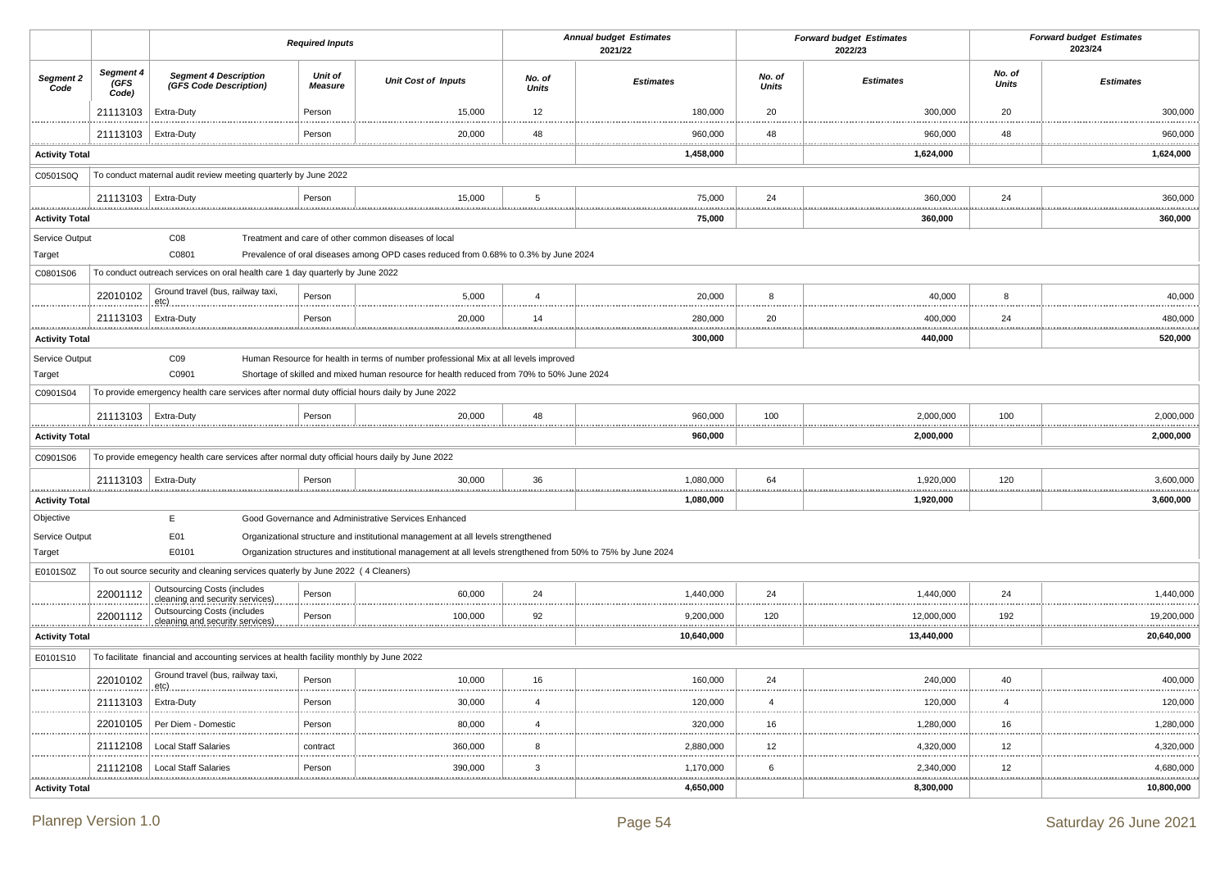|                       |                            |                                                                                               | <b>Required Inputs</b>           |                                                                                                              |                        | <b>Annual budget Estimates</b><br>2021/22 |                        | <b>Forward budget Estimates</b><br>2022/23 |                 | <b>Forward budget Estimates</b><br>2023/24 |
|-----------------------|----------------------------|-----------------------------------------------------------------------------------------------|----------------------------------|--------------------------------------------------------------------------------------------------------------|------------------------|-------------------------------------------|------------------------|--------------------------------------------|-----------------|--------------------------------------------|
| Segment 2<br>Code     | Segment 4<br>(GFS<br>Code) | <b>Segment 4 Description</b><br>(GFS Code Description)                                        | <b>Unit of</b><br><b>Measure</b> | <b>Unit Cost of Inputs</b>                                                                                   | No. of<br><b>Units</b> | <b>Estimates</b>                          | No. of<br><b>Units</b> | <b>Estimates</b>                           | No. of<br>Units | <b>Estimates</b>                           |
|                       | 21113103                   | Extra-Duty                                                                                    | Person                           | 15,000                                                                                                       | 12                     | 180,000                                   | 20                     | 300,000                                    | 20              | 300,000                                    |
|                       | 21113103   Extra-Duty      |                                                                                               | Person                           | 20,000                                                                                                       | 48                     | 960,000                                   | 48                     | 960,000                                    | 48              | 960,000                                    |
| <b>Activity Total</b> |                            |                                                                                               |                                  |                                                                                                              |                        | 1,458,000                                 |                        | 1,624,000                                  |                 | <br>1,624,000                              |
| C0501S0Q              |                            | To conduct maternal audit review meeting quarterly by June 2022                               |                                  |                                                                                                              |                        |                                           |                        |                                            |                 |                                            |
|                       | 21113103   Extra-Duty      |                                                                                               | Person                           | 15,000                                                                                                       | 5                      | 75,000                                    | 24                     | 360,000                                    | 24              | 360,000                                    |
| <b>Activity Total</b> |                            |                                                                                               |                                  |                                                                                                              |                        | .<br>75,000                               |                        | 360,000                                    |                 | <u></u><br>360,000                         |
| Service Output        |                            | C <sub>08</sub>                                                                               |                                  | Treatment and care of other common diseases of local                                                         |                        |                                           |                        |                                            |                 |                                            |
| Target                |                            | C0801                                                                                         |                                  | Prevalence of oral diseases among OPD cases reduced from 0.68% to 0.3% by June 2024                          |                        |                                           |                        |                                            |                 |                                            |
| C0801S06              |                            | To conduct outreach services on oral health care 1 day quarterly by June 2022                 |                                  |                                                                                                              |                        |                                           |                        |                                            |                 |                                            |
|                       | 22010102                   | Ground travel (bus, railway taxi,<br>etc).                                                    | Person                           | 5,000                                                                                                        | $\overline{4}$         | 20,000                                    | 8<br>                  | 40,000                                     | 8               | 40,000                                     |
|                       | 21113103                   | Extra-Duty                                                                                    | Person                           | 20,000                                                                                                       | 14                     | 280,000<br>.                              | 20                     | 400,000                                    | 24              | 480,000<br>.                               |
| <b>Activity Total</b> |                            |                                                                                               |                                  |                                                                                                              |                        | 300,000                                   |                        | 440,000                                    |                 | 520,000                                    |
| Service Output        |                            | CO9                                                                                           |                                  | Human Resource for health in terms of number professional Mix at all levels improved                         |                        |                                           |                        |                                            |                 |                                            |
| Target                |                            | C0901                                                                                         |                                  | Shortage of skilled and mixed human resource for health reduced from 70% to 50% June 2024                    |                        |                                           |                        |                                            |                 |                                            |
| C0901S04              |                            | To provide emergency health care services after normal duty official hours daily by June 2022 |                                  |                                                                                                              |                        |                                           |                        |                                            |                 |                                            |
|                       | 21113103   Extra-Duty      |                                                                                               | Person                           | 20,000                                                                                                       | 48                     | 960,000                                   | 100                    | 2,000,000                                  | 100             | 2,000,000<br>.                             |
| <b>Activity Total</b> |                            |                                                                                               |                                  |                                                                                                              |                        | 960,000                                   |                        | 2,000,000                                  |                 | 2,000,000                                  |
| C0901S06              |                            | To provide emegency health care services after normal duty official hours daily by June 2022  |                                  |                                                                                                              |                        |                                           |                        |                                            |                 |                                            |
|                       | 21113103   Extra-Duty      |                                                                                               | Person                           | 30,000                                                                                                       | 36                     | 1,080,000                                 | 64                     | 1,920,000                                  | 120             | 3,600,000<br>.                             |
| <b>Activity Total</b> |                            |                                                                                               |                                  |                                                                                                              |                        | 1,080,000                                 |                        | 1,920,000                                  |                 | 3,600,000                                  |
| Objective             |                            | E                                                                                             |                                  | Good Governance and Administrative Services Enhanced                                                         |                        |                                           |                        |                                            |                 |                                            |
| Service Output        |                            | E01                                                                                           |                                  | Organizational structure and institutional management at all levels strengthened                             |                        |                                           |                        |                                            |                 |                                            |
| Target                |                            | E0101                                                                                         |                                  | Organization structures and institutional management at all levels strengthened from 50% to 75% by June 2024 |                        |                                           |                        |                                            |                 |                                            |
| E0101S0Z              |                            | To out source security and cleaning services quaterly by June 2022 (4 Cleaners)               |                                  |                                                                                                              |                        |                                           |                        |                                            |                 |                                            |
|                       | 22001112                   | <b>Outsourcing Costs (includes</b><br>cleaning and security services)                         | Person                           | 60,000                                                                                                       | 24                     | 1,440,000                                 | 24                     | 1,440,000                                  | 24              | 1,440,000                                  |
|                       | 22001112                   | <b>Outsourcing Costs (includes</b><br>cleaning and security services)                         | Person                           | 100,000                                                                                                      | 92                     | 9,200,000                                 | <br>120                | 12,000,000                                 | 192             | 19,200,000                                 |
| <b>Activity Total</b> |                            |                                                                                               |                                  |                                                                                                              |                        | 10,640,000                                |                        | 13,440,000                                 |                 | .<br>20,640,000                            |
| E0101S10              |                            | To facilitate financial and accounting services at health facility monthly by June 2022       |                                  |                                                                                                              |                        |                                           |                        |                                            |                 |                                            |
|                       | 22010102                   | Ground travel (bus, railway taxi,<br><u>etc)</u>                                              | Person                           | 10,000                                                                                                       | 16                     | 160,000                                   | 24                     | 240,000                                    | 40              | 400,000                                    |
|                       | 21113103                   | Extra-Duty                                                                                    | Person                           | 30,000                                                                                                       | $\overline{4}$         | 120,000                                   |                        | 120,000                                    | $\overline{4}$  | <br>120,000                                |
|                       | 22010105                   | Per Diem - Domestic                                                                           | Person                           | 80,000                                                                                                       | $\overline{4}$         | 320,000                                   | <br>16                 | 1,280,000                                  | 16              | <br>1,280,000                              |
|                       | 21112108                   | <b>Local Staff Salaries</b>                                                                   | contract                         | 360,000                                                                                                      | 8                      | 2,880,000                                 | 1.1.1.1<br>12          | 4,320,000                                  | 12              | .<br>4,320,000                             |
|                       | 21112108                   | <b>Local Staff Salaries</b>                                                                   | Person                           | 390,000                                                                                                      | $\mathbf{3}$           | <br>1,170,000                             | .<br>6                 | 2,340,000                                  | 12              | 4,680,000                                  |
| <b>Activity Total</b> |                            |                                                                                               |                                  |                                                                                                              |                        | 4,650,000                                 | <u></u>                | <u></u><br>8,300,000                       |                 | <u></u><br>10,800,000                      |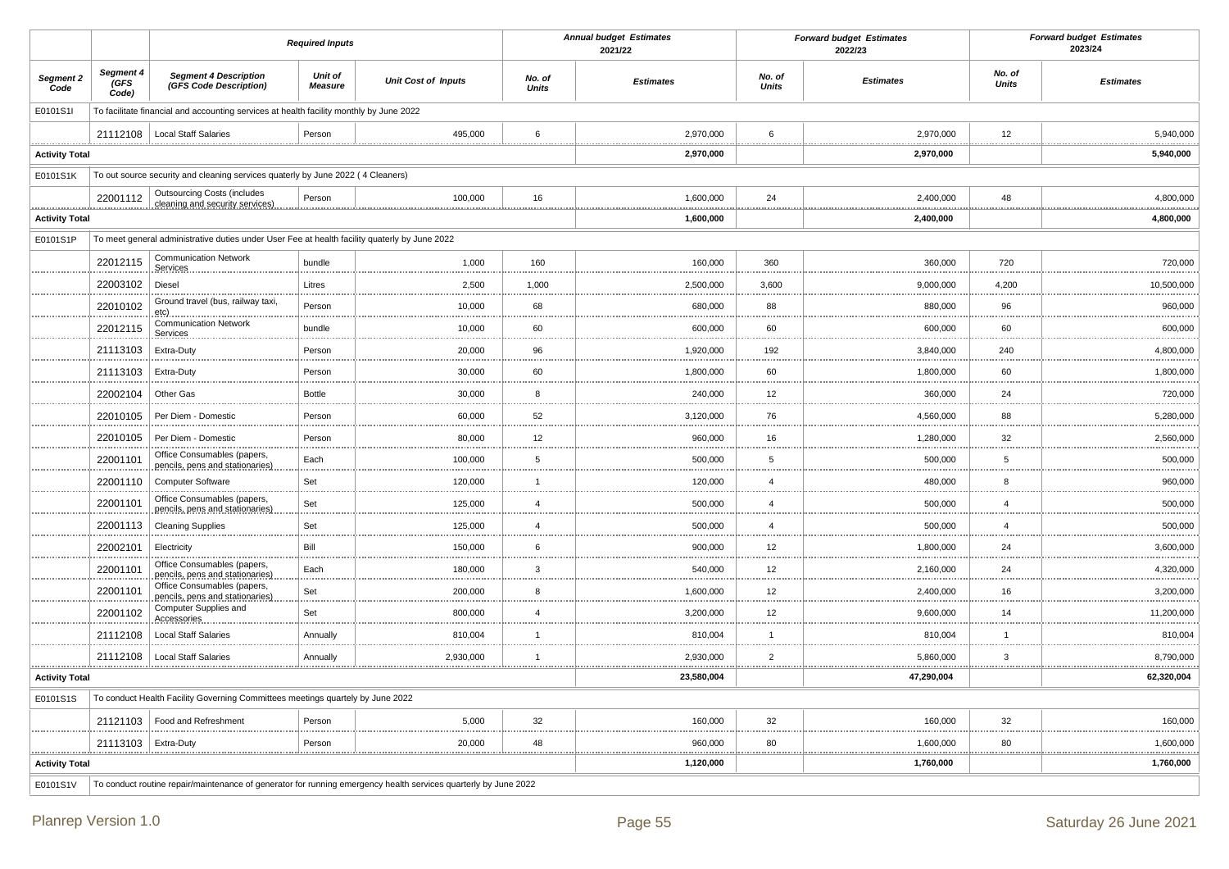|                            |                                  |                                                                                               | <b>Required Inputs</b>    |                                                                                                                 |                 | <b>Annual budget Estimates</b><br>2021/22 |                        | <b>Forward budget Estimates</b><br>2022/23 |                         | <b>Forward budget Estimates</b><br>2023/24 |
|----------------------------|----------------------------------|-----------------------------------------------------------------------------------------------|---------------------------|-----------------------------------------------------------------------------------------------------------------|-----------------|-------------------------------------------|------------------------|--------------------------------------------|-------------------------|--------------------------------------------|
| Segment 2<br>Code          | Segment 4<br><b>GFS</b><br>Code) | <b>Segment 4 Description</b><br>(GFS Code Description)                                        | Unit of<br><b>Measure</b> | <b>Unit Cost of Inputs</b>                                                                                      | No. of<br>Units | <b>Estimates</b>                          | No. of<br><b>Units</b> | <b>Estimates</b>                           | No. of<br><b>Units</b>  | <b>Estimates</b>                           |
| E0101S1I                   |                                  | To facilitate financial and accounting services at health facility monthly by June 2022       |                           |                                                                                                                 |                 |                                           |                        |                                            |                         |                                            |
|                            | 21112108                         | <b>Local Staff Salaries</b>                                                                   | Person                    | 495,000                                                                                                         | 6               | 2,970,000                                 | 6                      | 2,970,000<br>                              | 12                      | 5,940,000                                  |
| <b>Activity Total</b>      |                                  |                                                                                               |                           |                                                                                                                 |                 | 2,970,000                                 |                        | 2,970,000                                  |                         | 5,940,000                                  |
| E0101S1K                   |                                  | To out source security and cleaning services quaterly by June 2022 (4 Cleaners)               |                           |                                                                                                                 |                 |                                           |                        |                                            |                         |                                            |
|                            | 22001112                         | <b>Outsourcing Costs (includes</b><br>cleaning and security services)                         | Person                    | 100,000                                                                                                         | 16              | 1,600,000                                 | 24                     | 2,400,000                                  | 48                      | 4,800,000                                  |
| .<br><b>Activity Total</b> | .                                |                                                                                               |                           |                                                                                                                 |                 | 1,600,000                                 |                        | .<br>2,400,000                             |                         | .<br>4,800,000                             |
| E0101S1P                   |                                  | To meet general administrative duties under User Fee at health facility quaterly by June 2022 |                           |                                                                                                                 |                 |                                           |                        |                                            |                         |                                            |
|                            | 22012115                         | <b>Communication Network</b><br>Services                                                      | bundle                    | 1,000                                                                                                           | 160             | 160,000                                   | 360                    | 360,000                                    | 720                     | 720,000                                    |
|                            | 22003102                         | Diesel                                                                                        | Litres                    | 2,500                                                                                                           | 1,000           | 2,500,000                                 | 3,600                  | 9,000,000                                  | 4,200                   | 10,500,000                                 |
|                            | 22010102                         | Ground travel (bus, railway taxi,<br>etc)                                                     | Person                    | 10,000                                                                                                          | 68              | 680,000                                   | 88                     | 880,000                                    | 96                      | 960,000                                    |
|                            | 22012115                         | <b>Communication Network</b><br>Services                                                      | bundle                    | 10,000                                                                                                          | 60              | 600,000                                   | 60                     | 600,000                                    | 60                      | 600,000                                    |
|                            | 21113103                         | Extra-Duty                                                                                    | Person                    | 20,000                                                                                                          | 96              | 1,920,000                                 | 192                    | 3,840,000                                  | 240                     | 4,800,000                                  |
|                            | 21113103                         | Extra-Duty                                                                                    | Person                    | 30,000                                                                                                          | 60              | 1,800,000                                 | 60                     | 1,800,000                                  | 60                      | 1,800,000                                  |
|                            | 22002104                         | Other Gas                                                                                     | <b>Bottle</b>             | 30,000                                                                                                          | 8               | 240,000                                   | 12                     | <br>360,000                                | 24                      | .<br>720,000                               |
|                            | 22010105                         | Per Diem - Domestic                                                                           | Person                    | 60,000                                                                                                          | 52              | 3,120,000                                 | 76                     | 4,560,000                                  | 88                      | 5,280,000                                  |
|                            | 22010105                         | Per Diem - Domestic                                                                           | Person                    | 80,000                                                                                                          | 12              | 960,000                                   | 16                     | 1,280,000                                  | 32                      | 2,560,000                                  |
|                            | 22001101                         | Office Consumables (papers,<br>pencils, pens and stationaries)                                | Each                      | 100,000                                                                                                         | $\overline{5}$  | 500,000                                   | 5                      | 500,000                                    | $\sqrt{5}$              | 500,000                                    |
|                            | 22001110                         | <b>Computer Software</b>                                                                      | Set                       | 120,000                                                                                                         | $\overline{1}$  | 120,000                                   | $\overline{4}$         | 480,000                                    | 8                       | 960,000                                    |
|                            | 22001101                         | Office Consumables (papers,                                                                   | Set                       | 125,000                                                                                                         | $\overline{4}$  | 500,000                                   | $\overline{4}$         | 500,000                                    | $\overline{4}$          | 500,000                                    |
|                            | 22001113                         | pencils, pens and stationaries)<br><b>Cleaning Supplies</b>                                   | Set                       | 125,000                                                                                                         | $\overline{4}$  | 500,000                                   | $\overline{4}$         | 500,000                                    | $\overline{4}$          | 500,000                                    |
|                            | 22002101                         | Electricity                                                                                   | Bill                      | 150,000                                                                                                         | 6               | 900,000                                   | 12                     | .<br>1,800,000                             | 24                      | .<br>3,600,000                             |
|                            | 22001101                         | Office Consumables (papers,                                                                   | Each                      | 180,000                                                                                                         | 3               | 540,000                                   | 12                     | 2,160,000                                  | 24                      | 4,320,000                                  |
|                            | 22001101                         | pencils, pens and stationaries)<br>Office Consumables (papers,                                | Set                       | 200,000                                                                                                         | 8               | 1,600,000                                 | 12                     | 2,400,000                                  | 16                      | 3,200,000                                  |
|                            | 22001102                         | pencils, pens and stationaries)<br>Computer Supplies and                                      | Set                       | 800,000                                                                                                         | $\overline{4}$  | 3,200,000                                 | 12                     | 9,600,000                                  | <b>STATISTICS</b><br>14 | 11,200,000                                 |
|                            | 21112108                         | Accessories<br><b>Local Staff Salaries</b>                                                    | Annually                  | 810,004                                                                                                         | $\overline{1}$  | 810,004                                   | $\overline{1}$         | 810,004                                    | $\overline{1}$          | 810,004                                    |
|                            | 21112108                         | Local Staff Salaries                                                                          | Annually                  | 2,930,000                                                                                                       | $\mathbf{1}$    | 2,930,000                                 | $\overline{2}$         | 5,860,000                                  | 3                       | 8,790,000                                  |
| <b>Activity Total</b>      |                                  |                                                                                               |                           |                                                                                                                 |                 | 23,580,004                                |                        | *****************<br>47,290,004            |                         | 62,320,004                                 |
| E0101S1S                   |                                  | To conduct Health Facility Governing Committees meetings quartely by June 2022                |                           |                                                                                                                 |                 |                                           |                        |                                            |                         |                                            |
|                            | 21121103                         | Food and Refreshment                                                                          | Person                    | 5,000                                                                                                           | 32              | 160,000                                   | 32                     | 160,000                                    | 32                      | 160,000                                    |
|                            | 21113103   Extra-Duty            |                                                                                               | Person                    | 20,000                                                                                                          | 48              | 960,000                                   | 80                     | 1,600,000                                  | 80                      | 1,600,000                                  |
| <b>Activity Total</b>      |                                  |                                                                                               |                           |                                                                                                                 |                 | 1,120,000                                 |                        | 1,760,000                                  |                         | 1,760,000                                  |
| E0101S1V                   |                                  |                                                                                               |                           | To conduct routine repair/maintenance of generator for running emergency health services quarterly by June 2022 |                 |                                           |                        |                                            |                         |                                            |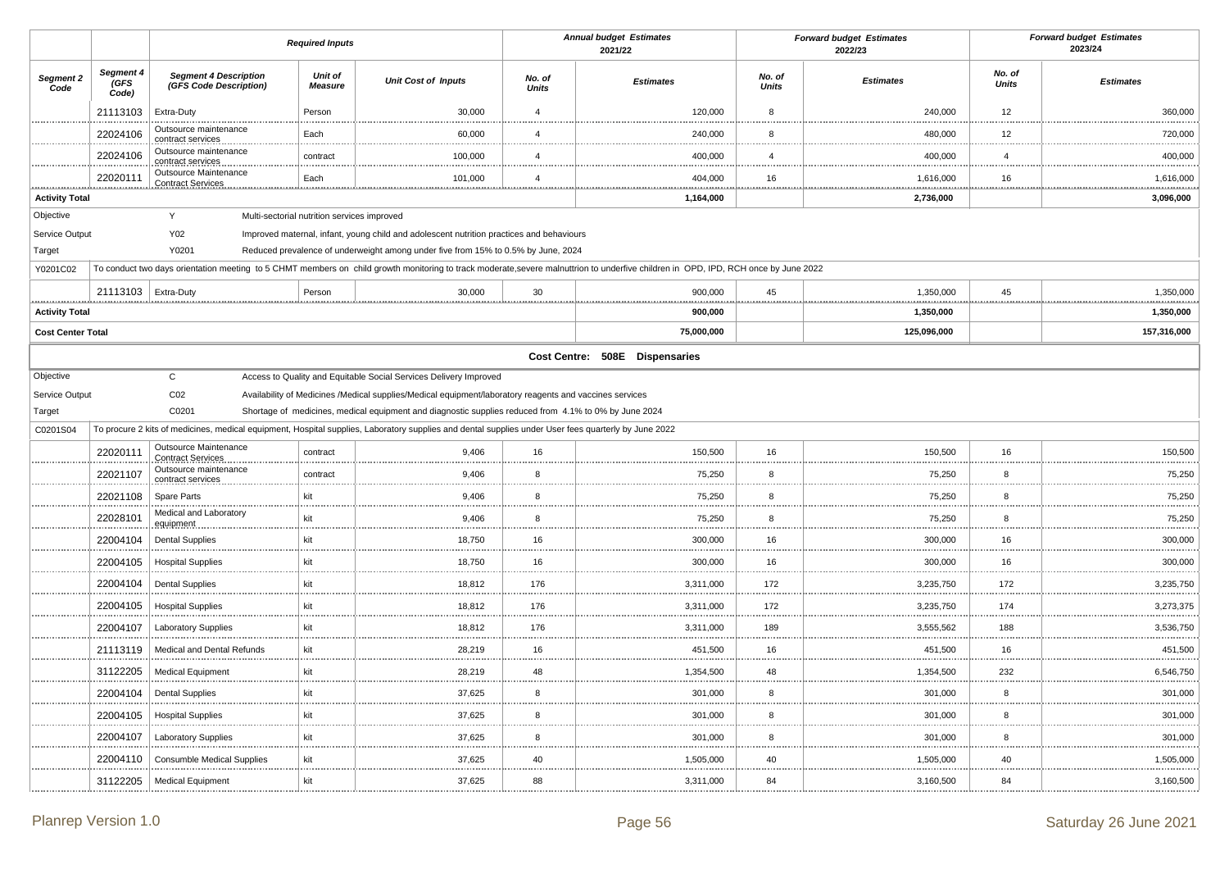|                          |                            |                                                        | <b>Required Inputs</b> |                                                                                                                                                      |                        | <b>Annual budget Estimates</b><br>2021/22                                                                                                                                           |                        | <b>Forward budget Estimates</b><br>2022/23 | <b>Forward budget Estimates</b><br>2023/24 |                  |
|--------------------------|----------------------------|--------------------------------------------------------|------------------------|------------------------------------------------------------------------------------------------------------------------------------------------------|------------------------|-------------------------------------------------------------------------------------------------------------------------------------------------------------------------------------|------------------------|--------------------------------------------|--------------------------------------------|------------------|
| Segment 2<br>Code        | Segment 4<br>(GFS<br>Code) | <b>Segment 4 Description</b><br>(GFS Code Description) | Unit of<br>Measure     | <b>Unit Cost of Inputs</b>                                                                                                                           | No. of<br><b>Units</b> | <b>Estimates</b>                                                                                                                                                                    | No. of<br><b>Units</b> | <b>Estimates</b>                           | No. of<br><b>Units</b>                     | <b>Estimates</b> |
|                          | 21113103                   | Extra-Duty                                             | Person                 | 30,000                                                                                                                                               | $\overline{4}$         | 120,000                                                                                                                                                                             | 8                      | 240,000                                    | 12                                         | 360,000          |
|                          | 22024106                   | Outsource maintenance<br>contract services             | Each                   | 60,000                                                                                                                                               | $\overline{4}$         | 240,000                                                                                                                                                                             | 8                      | 480,000                                    | 12                                         | 720,000          |
|                          | 22024106                   | Outsource maintenance<br>contract services             | contract               | 100,000                                                                                                                                              | $\overline{4}$         | 400,000                                                                                                                                                                             | $\overline{4}$         | 400,000                                    | $\overline{4}$                             | 400,000          |
|                          | 22020111                   | Outsource Maintenance<br><b>Contract Services</b>      | Each                   | 101,000                                                                                                                                              | $\overline{4}$         | 404,000                                                                                                                                                                             | 16                     | 1,616,000                                  | 16                                         | 1,616,000<br>.   |
| <b>Activity Total</b>    |                            |                                                        |                        |                                                                                                                                                      |                        | 1,164,000                                                                                                                                                                           |                        | 2,736,000                                  |                                            | 3,096,000        |
| Objective                |                            | Y<br>Multi-sectorial nutrition services improved       |                        |                                                                                                                                                      |                        |                                                                                                                                                                                     |                        |                                            |                                            |                  |
| Service Output           |                            | Y02                                                    |                        | Improved maternal, infant, young child and adolescent nutrition practices and behaviours                                                             |                        |                                                                                                                                                                                     |                        |                                            |                                            |                  |
| Target                   |                            | Y0201                                                  |                        | Reduced prevalence of underweight among under five from 15% to 0.5% by June, 2024                                                                    |                        |                                                                                                                                                                                     |                        |                                            |                                            |                  |
| Y0201C02                 |                            |                                                        |                        |                                                                                                                                                      |                        | To conduct two days orientation meeting to 5 CHMT members on child growth monitoring to track moderate, severe malnuttrion to underfive children in OPD, IPD, RCH once by June 2022 |                        |                                            |                                            |                  |
|                          | 21113103   Extra-Duty      |                                                        | Person                 | 30,000                                                                                                                                               | 30                     | 900,000                                                                                                                                                                             | 45<br>.                | 1,350,000                                  | 45<br>.                                    | 1,350,000<br>    |
| <b>Activity Total</b>    |                            |                                                        |                        |                                                                                                                                                      |                        | 900,000                                                                                                                                                                             |                        | 1,350,000                                  |                                            | 1,350,000        |
| <b>Cost Center Total</b> |                            |                                                        |                        |                                                                                                                                                      |                        | 75,000,000                                                                                                                                                                          |                        | 125,096,000                                |                                            | 157,316,000      |
|                          |                            |                                                        |                        |                                                                                                                                                      |                        | Cost Centre: 508E Dispensaries                                                                                                                                                      |                        |                                            |                                            |                  |
| Objective                |                            | $\mathbf C$                                            |                        | Access to Quality and Equitable Social Services Delivery Improved                                                                                    |                        |                                                                                                                                                                                     |                        |                                            |                                            |                  |
| Service Output           |                            | CO <sub>2</sub>                                        |                        | Availability of Medicines /Medical supplies/Medical equipment/laboratory reagents and vaccines services                                              |                        |                                                                                                                                                                                     |                        |                                            |                                            |                  |
| Target                   |                            | C0201                                                  |                        | Shortage of medicines, medical equipment and diagnostic supplies reduced from 4.1% to 0% by June 2024                                                |                        |                                                                                                                                                                                     |                        |                                            |                                            |                  |
| C0201S04                 |                            |                                                        |                        | To procure 2 kits of medicines, medical equipment, Hospital supplies, Laboratory supplies and dental supplies under User fees quarterly by June 2022 |                        |                                                                                                                                                                                     |                        |                                            |                                            |                  |
|                          | 22020111                   | Outsource Maintenance<br><b>Contract Services</b>      | contract               | 9,406                                                                                                                                                | 16                     | 150,500                                                                                                                                                                             | 16                     | 150,500                                    | 16                                         | 150,500          |
|                          | 22021107                   | Outsource maintenance<br>contract services             | contract               | 9,406                                                                                                                                                | 8                      | 75,250                                                                                                                                                                              | 8                      | 75,250                                     | 8                                          | 75,250           |
|                          | 22021108                   | Spare Parts                                            | kit                    | 9,406                                                                                                                                                | 8                      | 75,250                                                                                                                                                                              | 8                      | 75,250                                     | 8                                          | 75,250<br>       |
|                          | 22028101                   | Medical and Laboratory<br>equipment                    | kit                    | 9,406                                                                                                                                                | 8                      | 75,250                                                                                                                                                                              | 8                      | 75,250                                     | 8                                          | 75,250           |
|                          | 22004104                   | <b>Dental Supplies</b>                                 | kit                    | 18,750                                                                                                                                               | 16<br>$\cdots$         | 300,000                                                                                                                                                                             | 16                     | 300,000                                    | 16                                         | 300,000          |
|                          | 22004105                   | <b>Hospital Supplies</b>                               | kit                    | 18,750                                                                                                                                               | 16                     | 300,000                                                                                                                                                                             | 16                     | 300,000                                    | 16                                         | 300,000          |
|                          | 22004104                   | <b>Dental Supplies</b>                                 | kit                    | 18,812                                                                                                                                               | 176                    | 3,311,000                                                                                                                                                                           | 172                    | 3,235,750                                  | 172                                        | 3,235,750        |
|                          | 22004105                   | <b>Hospital Supplies</b>                               | kit                    | 18,812                                                                                                                                               | 176                    | 3,311,000                                                                                                                                                                           | 172                    | 3,235,750                                  | 174                                        | 3,273,375        |
|                          | 22004107                   | <b>Laboratory Supplies</b>                             | kit                    | 18,812                                                                                                                                               | 176                    | 3,311,000                                                                                                                                                                           | 189                    | 3,555,562                                  | 188                                        | 3,536,750        |
|                          | 21113119                   | Medical and Dental Refunds                             | kit                    | 28,219                                                                                                                                               | 16                     | 451,500                                                                                                                                                                             | 16                     | 451,500                                    | 16                                         | 451,500          |
|                          | 31122205                   | <b>Medical Equipment</b>                               | kit                    | 28,219                                                                                                                                               | 48                     | 1,354,500                                                                                                                                                                           | 48                     | 1,354,500                                  | 232                                        | 6,546,750        |
|                          | 22004104                   | <b>Dental Supplies</b>                                 | kit                    | 37,625                                                                                                                                               | 8                      | 301,000                                                                                                                                                                             | 8                      | 301,000                                    | 8                                          | 301,000          |
|                          | 22004105                   | <b>Hospital Supplies</b>                               | kit                    | 37,625                                                                                                                                               | 8                      | 301,000                                                                                                                                                                             | 8                      | 301,000                                    | 8                                          | 301,000          |
|                          | 22004107                   | <b>Laboratory Supplies</b>                             | kit                    | 37,625                                                                                                                                               | 8                      | 301,000                                                                                                                                                                             | 8                      | 301,000                                    | 8                                          | 301,000          |
|                          | 22004110                   | <b>Consumble Medical Supplies</b>                      | kit                    | 37,625                                                                                                                                               | 40                     | 1,505,000                                                                                                                                                                           | 40                     | 1,505,000                                  | 40                                         | 1,505,000        |
|                          | 31122205                   | <b>Medical Equipment</b>                               | kit                    | 37,625                                                                                                                                               | 88                     | 3,311,000                                                                                                                                                                           | 84                     | 3,160,500                                  | 84                                         | 3,160,500        |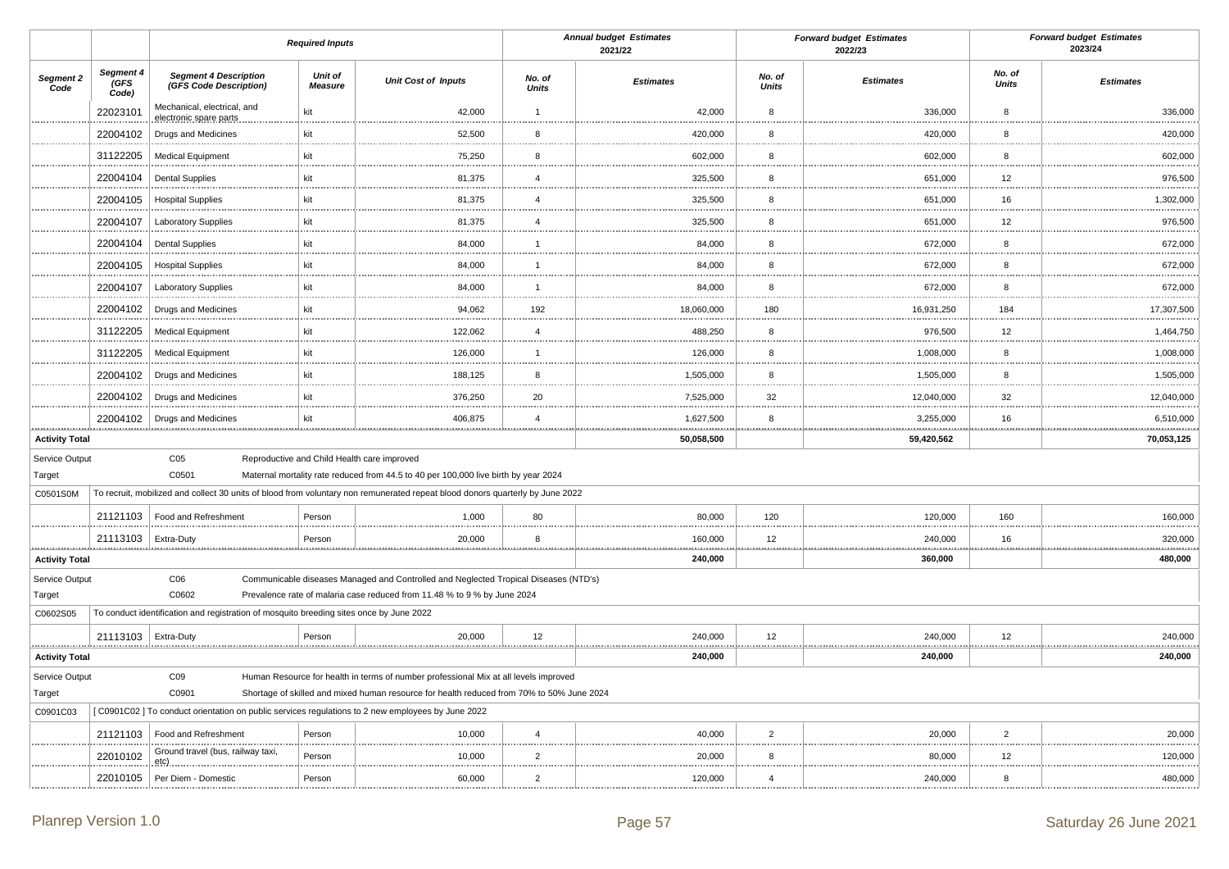|                            |                            |                                                                                                  | <b>Required Inputs</b>    |                                                                                                                                                                  |                        | <b>Annual budget Estimates</b><br>2021/22 |                        | <b>Forward budget Estimates</b><br>2022/23 |                        | <b>Forward budget Estimates</b><br>2023/24 |
|----------------------------|----------------------------|--------------------------------------------------------------------------------------------------|---------------------------|------------------------------------------------------------------------------------------------------------------------------------------------------------------|------------------------|-------------------------------------------|------------------------|--------------------------------------------|------------------------|--------------------------------------------|
| Segment 2<br>Code          | Segment 4<br>(GFS<br>Code) | <b>Segment 4 Description</b><br>(GFS Code Description)                                           | Unit of<br><b>Measure</b> | <b>Unit Cost of Inputs</b>                                                                                                                                       | No. of<br><b>Units</b> | <b>Estimates</b>                          | No. of<br><b>Units</b> | <b>Estimates</b>                           | No. of<br><b>Units</b> | <b>Estimates</b>                           |
|                            | 22023101                   | Mechanical, electrical, and<br>electronic spare parts                                            | kit                       | 42,000                                                                                                                                                           | $\overline{1}$         | 42,000                                    | 8                      | 336,000                                    | 8                      | 336,000                                    |
|                            | 22004102                   | Drugs and Medicines                                                                              | kit                       | 52,500                                                                                                                                                           | 8                      | 420,000                                   | 8                      | 420,000                                    | 8                      | 420,000                                    |
|                            | 31122205                   | <b>Medical Equipment</b>                                                                         | kit                       | 75,250                                                                                                                                                           | 8                      | 602,000                                   | 8                      | 602,000                                    | 8                      | 602,000                                    |
|                            | 22004104                   | <b>Dental Supplies</b>                                                                           | kit                       | 81,375                                                                                                                                                           | $\overline{4}$         | 325,500                                   | 8                      | 651,000                                    | 12                     | 976,500                                    |
|                            | 22004105                   | <b>Hospital Supplies</b>                                                                         | kit                       | 81,375                                                                                                                                                           | $\overline{4}$         | 325,500                                   | 8                      | 651,000                                    | 16                     | 1,302,000                                  |
|                            | 22004107                   | <b>Laboratory Supplies</b>                                                                       | kit                       | 81,375                                                                                                                                                           | $\overline{4}$         | 325,500                                   | 8                      | 651,000                                    | 12                     | .<br>976,500                               |
|                            | 22004104                   | <b>Dental Supplies</b>                                                                           | kit                       | 84,000                                                                                                                                                           | $\overline{1}$         | 84,000                                    | 8                      | 672,000                                    | 8                      | 672,000                                    |
|                            | 22004105                   | <b>Hospital Supplies</b>                                                                         | kit                       | 84,000                                                                                                                                                           | $\overline{1}$         | 84,000                                    | 8                      | 672,000                                    | 8                      | 672,000                                    |
|                            | 22004107                   | <b>Laboratory Supplies</b>                                                                       | kit                       | 84,000                                                                                                                                                           | $\overline{1}$         | 84,000                                    | 8                      | 672,000                                    | 8                      | 672,000                                    |
|                            | 22004102                   | Drugs and Medicines                                                                              | kit                       | 94,062                                                                                                                                                           | 192                    | 18,060,000                                | 180                    | 16,931,250                                 | 184                    | 17,307,500                                 |
|                            | 31122205                   | <b>Medical Equipment</b>                                                                         | kit                       | 122,062                                                                                                                                                          | $\overline{4}$         | 488,250                                   | 8                      | 976,500                                    | 12                     | 1,464,750                                  |
|                            | 31122205                   | <b>Medical Equipment</b>                                                                         | kit                       | 126,000                                                                                                                                                          | $\overline{1}$         | 126,000                                   | 8                      | 1,008,000                                  | 8                      | 1,008,000                                  |
|                            | 22004102                   | Drugs and Medicines                                                                              | kit                       | 188,125                                                                                                                                                          | 8                      | 1,505,000                                 | 8                      | 1,505,000                                  | 8                      | 1,505,000                                  |
|                            | 22004102                   | Drugs and Medicines                                                                              | kit                       | 376,250                                                                                                                                                          | 20                     | 7,525,000                                 | 32                     | 12,040,000                                 | 32                     | 12,040,000                                 |
|                            | 22004102                   | Drugs and Medicines                                                                              | kit                       | 406,875                                                                                                                                                          | $\overline{4}$         | 1,627,500                                 | 8                      | 3,255,000                                  | 16                     | 6,510,000                                  |
| <b>Activity Total</b>      |                            |                                                                                                  |                           |                                                                                                                                                                  |                        | 50,058,500                                |                        | 59,420,562                                 |                        | 70,053,125                                 |
| Service Output             |                            | C <sub>05</sub>                                                                                  |                           | Reproductive and Child Health care improved                                                                                                                      |                        |                                           |                        |                                            |                        |                                            |
| Target                     |                            | C0501                                                                                            |                           | Maternal mortality rate reduced from 44.5 to 40 per 100,000 live birth by year 2024                                                                              |                        |                                           |                        |                                            |                        |                                            |
| C0501S0M                   |                            |                                                                                                  |                           | To recruit, mobilized and collect 30 units of blood from voluntary non remunerated repeat blood donors quarterly by June 2022                                    |                        |                                           |                        |                                            |                        |                                            |
|                            | 21121103                   | Food and Refreshment                                                                             | Person                    | 1,000                                                                                                                                                            | 80                     | 80,000                                    | 120                    | 120,000                                    | 160                    | 160,000                                    |
| .                          | 21113103                   | Extra-Duty                                                                                       | Person                    | 20,000                                                                                                                                                           | 8                      | 160,000                                   | 12<br>.                | 240,000                                    | 16                     | 320,000<br>.                               |
| <b>Activity Total</b>      |                            | C <sub>06</sub>                                                                                  |                           |                                                                                                                                                                  |                        | 240,000                                   |                        | 360,000                                    |                        | 480,000                                    |
| Service Output<br>Target   |                            | C0602                                                                                            |                           | Communicable diseases Managed and Controlled and Neglected Tropical Diseases (NTD's)<br>Prevalence rate of malaria case reduced from 11.48 % to 9 % by June 2024 |                        |                                           |                        |                                            |                        |                                            |
| C0602S05                   |                            | To conduct identification and registration of mosquito breeding sites once by June 2022          |                           |                                                                                                                                                                  |                        |                                           |                        |                                            |                        |                                            |
|                            | 21113103   Extra-Duty      |                                                                                                  | Person                    | 20,000                                                                                                                                                           | 12                     | 240,000                                   | 12                     | 240,000                                    | 12                     | 240,000                                    |
| .<br><b>Activity Total</b> |                            |                                                                                                  |                           |                                                                                                                                                                  |                        | .<br>240,000                              |                        | 240,000                                    |                        | .<br>240,000                               |
| Service Output             |                            | CO9                                                                                              |                           | Human Resource for health in terms of number professional Mix at all levels improved                                                                             |                        |                                           |                        |                                            |                        |                                            |
| Target                     |                            | C0901                                                                                            |                           | Shortage of skilled and mixed human resource for health reduced from 70% to 50% June 2024                                                                        |                        |                                           |                        |                                            |                        |                                            |
| C0901C03                   |                            | [C0901C02] To conduct orientation on public services regulations to 2 new employees by June 2022 |                           |                                                                                                                                                                  |                        |                                           |                        |                                            |                        |                                            |
|                            | 21121103                   | Food and Refreshment<br>Ground travel (bus, railway taxi,                                        | Person                    | 10,000                                                                                                                                                           | $\overline{4}$         | 40.000                                    | $\overline{2}$         | 20.000                                     | $\overline{2}$         | 20,000                                     |
|                            | 22010102                   | etc).                                                                                            | Person                    | 10,000                                                                                                                                                           | $\overline{2}$         | 20,000                                    | 8                      | 80,000                                     | 12                     | 120,000<br>.                               |
|                            | 22010105                   | Per Diem - Domestic                                                                              | Person                    | 60,000                                                                                                                                                           | $\overline{2}$         | 120,000                                   | $\overline{4}$         | 240,000                                    | 8                      | 480,000                                    |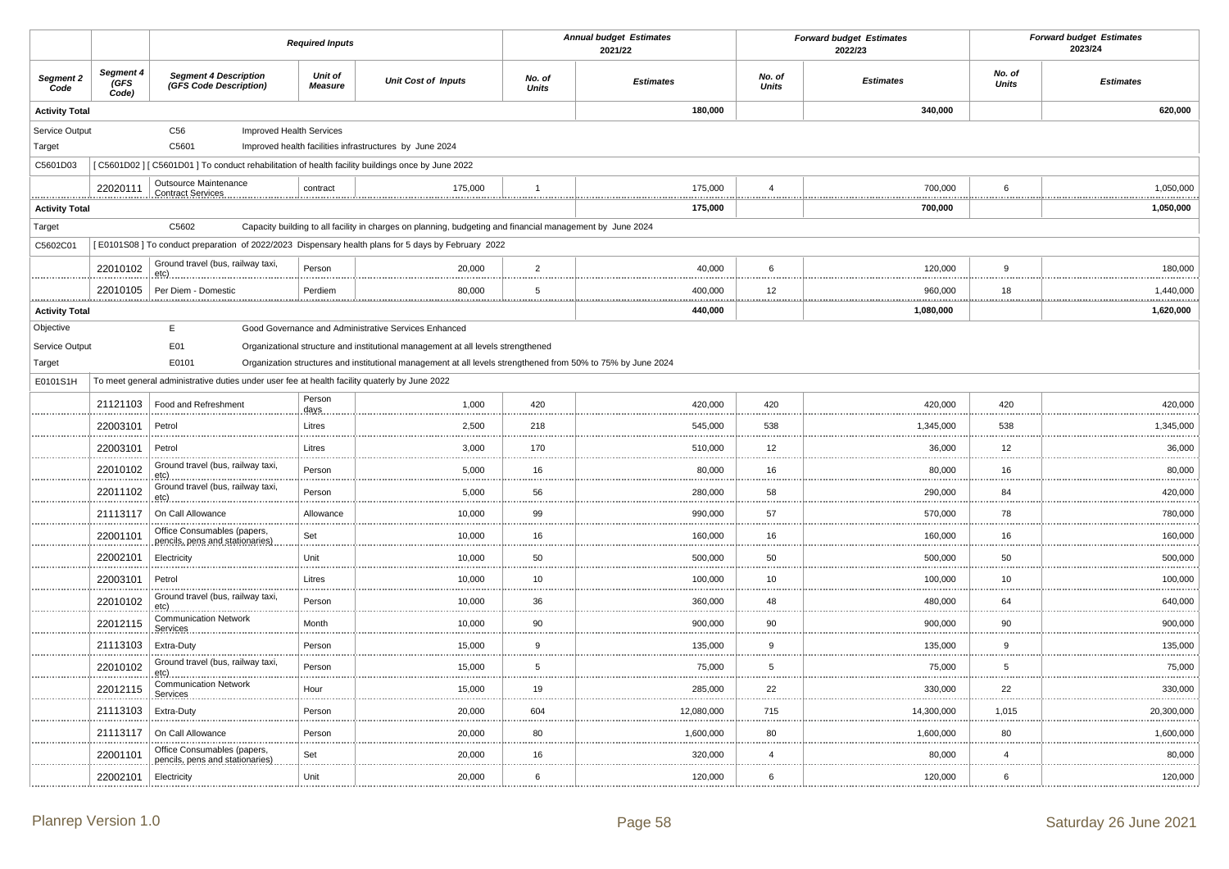|                       |                                  |                                                                                                    | <b>Required Inputs</b>    |                                                                                                              |                        | <b>Annual budget Estimates</b><br>2021/22 |                        | <b>Forward budget Estimates</b><br>2022/23 |                        | <b>Forward budget Estimates</b><br>2023/24 |
|-----------------------|----------------------------------|----------------------------------------------------------------------------------------------------|---------------------------|--------------------------------------------------------------------------------------------------------------|------------------------|-------------------------------------------|------------------------|--------------------------------------------|------------------------|--------------------------------------------|
| Segment 2<br>Code     | Segment 4<br><b>GFS</b><br>Code) | <b>Segment 4 Description</b><br>(GFS Code Description)                                             | Unit of<br><b>Measure</b> | <b>Unit Cost of Inputs</b>                                                                                   | No. of<br><b>Units</b> | <b>Estimates</b>                          | No. of<br><b>Units</b> | <b>Estimates</b>                           | No. of<br><b>Units</b> | <b>Estimates</b>                           |
| <b>Activity Total</b> |                                  |                                                                                                    |                           |                                                                                                              |                        | 180,000                                   |                        | 340,000                                    |                        | 620,000                                    |
| Service Output        |                                  | C56<br>Improved Health Services                                                                    |                           |                                                                                                              |                        |                                           |                        |                                            |                        |                                            |
| Target                |                                  | C5601                                                                                              |                           | Improved health facilities infrastructures by June 2024                                                      |                        |                                           |                        |                                            |                        |                                            |
| C5601D03              |                                  | [C5601D02] [C5601D01] To conduct rehabilitation of health facility buildings once by June 2022     |                           |                                                                                                              |                        |                                           |                        |                                            |                        |                                            |
|                       | 22020111                         | Outsource Maintenance<br>Contract Services                                                         | contract                  | 175,000                                                                                                      | $\overline{1}$         | 175,000                                   | $\overline{4}$         | 700,000                                    | 6                      | 1,050,000                                  |
| <b>Activity Total</b> |                                  |                                                                                                    |                           |                                                                                                              |                        | 175,000                                   |                        | <u>.</u><br>700,000                        |                        | .<br>1,050,000                             |
| Target                |                                  | C5602                                                                                              |                           | Capacity building to all facility in charges on planning, budgeting and financial management by June 2024    |                        |                                           |                        |                                            |                        |                                            |
| C5602C01              |                                  | [E0101S08] To conduct preparation of 2022/2023 Dispensary health plans for 5 days by February 2022 |                           |                                                                                                              |                        |                                           |                        |                                            |                        |                                            |
|                       | 22010102                         | Ground travel (bus, railway taxi,<br>etc).                                                         | Person                    | 20,000                                                                                                       | $\overline{2}$         | 40,000                                    | 6                      | 120,000                                    | 9                      | 180,000                                    |
|                       | 22010105                         | Per Diem - Domestic                                                                                | Perdiem                   | 80,000                                                                                                       | 5                      | 400,000                                   | 12                     | 960,000                                    | 18                     | 1,440,000                                  |
| <b>Activity Total</b> |                                  |                                                                                                    |                           |                                                                                                              |                        | 440,000                                   |                        | 1,080,000                                  |                        | .<br>1,620,000                             |
| Objective             |                                  | E                                                                                                  |                           | Good Governance and Administrative Services Enhanced                                                         |                        |                                           |                        |                                            |                        |                                            |
| Service Output        |                                  | E01                                                                                                |                           | Organizational structure and institutional management at all levels strengthened                             |                        |                                           |                        |                                            |                        |                                            |
| Target                |                                  | E0101                                                                                              |                           | Organization structures and institutional management at all levels strengthened from 50% to 75% by June 2024 |                        |                                           |                        |                                            |                        |                                            |
| E0101S1H              |                                  | To meet general administrative duties under user fee at health facility quaterly by June 2022      |                           |                                                                                                              |                        |                                           |                        |                                            |                        |                                            |
|                       | 21121103                         | Food and Refreshment                                                                               | Person<br>days            | 1,000                                                                                                        | 420                    | 420,000                                   | 420                    | 420,000                                    | 420                    | 420,000                                    |
|                       | 22003101                         | Petrol                                                                                             | Litres                    | 2,500                                                                                                        | 218                    | 545,000                                   | 538                    | 1,345,000                                  | 538                    | 1,345,000                                  |
|                       | 22003101                         | Petrol                                                                                             | Litres                    | 3,000                                                                                                        | 170                    | 510,000                                   | 12                     | 36,000                                     | 12                     | 36,000                                     |
|                       | 22010102                         | Ground travel (bus, railway taxi,<br>$etc)$ .<br>                                                  | Person                    | 5,000                                                                                                        | 16                     | 80,000                                    | 16                     | 80,000                                     | 16                     | 80,000                                     |
|                       | 22011102                         | Ground travel (bus, railway taxi,<br>$etc)_{}$                                                     | Person                    | 5,000                                                                                                        | 56                     | 280,000                                   | 58                     | 290,000                                    | 84                     | 420,000<br>.                               |
|                       | 21113117                         | On Call Allowance<br>                                                                              | Allowance                 | 10,000                                                                                                       | 99<br>                 | 990,000                                   | 57                     | 570,000                                    | 78                     | 780,000                                    |
|                       | 22001101                         | Office Consumables (papers,<br>pencils, pens and stationaries)                                     | Set                       | 10,000                                                                                                       | 16                     | 160,000                                   | 16                     | 160,000                                    | 16                     | 160,000                                    |
|                       | 22002101                         | Electricity                                                                                        | Unit                      | 10,000                                                                                                       | 50<br>$\cdots$         | 500,000                                   | 50                     | 500,000                                    | 50                     | 500,000                                    |
|                       | 22003101                         | Petrol                                                                                             | Litres                    | 10,000                                                                                                       | 10                     | 100,000                                   | 10                     | 100,000                                    | 10                     | 100,000                                    |
|                       | 22010102                         | Ground travel (bus, railway taxi,<br>etc)                                                          | Person                    | 10,000                                                                                                       | 36                     | 360,000                                   | 48                     | 480,000                                    | 64                     | 640,000                                    |
|                       | 22012115                         | <b>Communication Network</b><br>Services                                                           | Month                     | 10,000                                                                                                       | 90                     | 900,000                                   | 90                     | 900,000                                    | 90                     | 900,000                                    |
|                       | 21113103                         | Extra-Duty                                                                                         | Person                    | 15,000                                                                                                       | $\boldsymbol{9}$       | 135,000                                   | 9                      | 135,000                                    | $9\,$                  | 135,000<br>                                |
|                       | 22010102                         | Ground travel (bus, railway taxi,<br>etc)                                                          | Person                    | 15,000                                                                                                       | 5                      | 75,000                                    | 5                      | 75,000                                     | 5                      | 75,000                                     |
|                       | 22012115                         | <b>Communication Network</b><br>Services                                                           | Hour                      | 15,000                                                                                                       | 19<br>.                | 285,000                                   | 22                     | 330,000                                    | 22                     | 330,000                                    |
|                       | 21113103                         | Extra-Duty                                                                                         | Person                    | 20,000                                                                                                       | 604                    | 12,080,000                                | 715                    | 14,300,000                                 | 1,015                  | 20,300,000                                 |
|                       | 21113117                         | On Call Allowance                                                                                  | Person                    | 20,000                                                                                                       | 80                     | 1,600,000                                 | 80                     | 1,600,000                                  | 80                     | 1,600,000                                  |
|                       | 22001101                         | Office Consumables (papers,<br>pencils, pens and stationaries)                                     | Set                       | 20,000                                                                                                       | 16                     | 320,000                                   | $\overline{4}$         | 80,000                                     | $\overline{4}$         | 80,000                                     |
|                       | 22002101                         | Electricity                                                                                        | Unit                      | 20,000                                                                                                       | 6                      | 120,000                                   | 6                      | 120,000                                    | 6                      | 120,000                                    |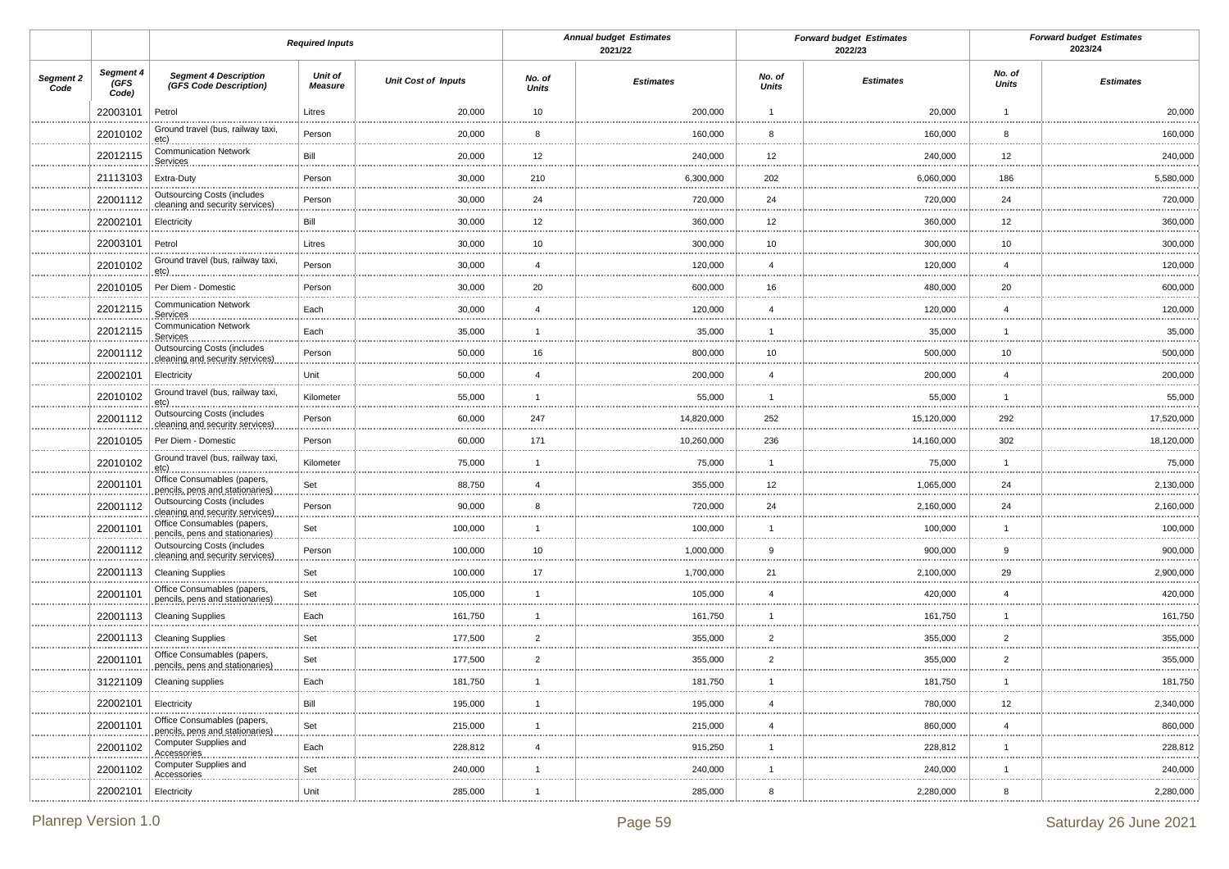|                   |                            | <b>Required Inputs</b>                                                |                           |                            | <b>Annual budget Estimates</b><br>2021/22 |                  | <b>Forward budget Estimates</b><br>2022/23 |                  | <b>Forward budget Estimates</b><br>2023/24 |                  |
|-------------------|----------------------------|-----------------------------------------------------------------------|---------------------------|----------------------------|-------------------------------------------|------------------|--------------------------------------------|------------------|--------------------------------------------|------------------|
| Segment 2<br>Code | Segment 4<br>(GFS<br>Code) | <b>Segment 4 Description</b><br>(GFS Code Description)                | Unit of<br><b>Measure</b> | <b>Unit Cost of Inputs</b> | No. of<br><b>Units</b>                    | <b>Estimates</b> | No. of<br>Units                            | <b>Estimates</b> | No. of<br><b>Units</b>                     | <b>Estimates</b> |
|                   | 22003101                   | Petrol                                                                | Litres                    | 20,000                     | 10                                        | 200,000          | $\overline{1}$                             | 20,000           | $\overline{1}$                             | 20,000           |
|                   | 22010102                   | Ground travel (bus, railway taxi,<br>etc)                             | Person                    | 20,000                     | 8                                         | 160,000          | 8                                          | 160,000          | 8                                          | 160,000          |
|                   | 22012115                   | <b>Communication Network</b><br>Services                              | Bill                      | 20,000                     | 12                                        | 240,000          | 12                                         | 240,000          | 12                                         | 240,000          |
|                   | 21113103                   | Extra-Duty                                                            | Person                    | 30,000                     | 210                                       | 6,300,000        | 202                                        | 6,060,000        | 186                                        | 5,580,000        |
|                   | 22001112                   | <b>Outsourcing Costs (includes</b><br>cleaning and security services) | Person                    | 30,000                     | 24                                        | 720,000          | 24                                         | 720,000          | 24                                         | 720,000          |
|                   | 22002101                   | Electricity                                                           | Bill                      | 30,000                     | 12                                        | 360,000          | 12                                         | 360,000          | 12                                         | 360,000          |
|                   | 22003101                   | Petrol                                                                | Litres                    | 30,000                     | 10                                        | 300,000          | 10                                         | 300,000          | 10                                         | 300,000          |
|                   | 22010102                   | Ground travel (bus, railway taxi,<br>$etc)$ .                         | Person                    | 30,000                     | $\overline{4}$                            | 120,000          | $\overline{4}$                             | 120,000          | $\overline{4}$                             | 120,000          |
|                   | 22010105                   | Per Diem - Domestic                                                   | Person                    | 30,000                     | 20                                        | 600,000          | 16                                         | 480,000          | 20                                         | 600,000          |
|                   | 22012115                   | <b>Communication Network</b><br>Services                              | Each                      | 30,000                     | $\overline{4}$                            | 120,000          | $\overline{4}$                             | 120,000          | $\overline{4}$                             | 120,000          |
|                   | 22012115                   | <b>Communication Network</b><br>Services                              | Each                      | 35,000                     | $\mathbf{1}$                              | 35,000           |                                            | 35,000           | $\mathbf{1}$                               | 35,000           |
|                   | 22001112                   | <b>Outsourcing Costs (includes</b><br>cleaning and security services) | Person                    | 50,000                     | 16                                        | 800,000          | 10                                         | 500,000          | 10                                         | 500,000          |
|                   | 22002101                   | Electricity                                                           | Unit                      | 50,000                     | $\overline{4}$                            | 200,000          | $\overline{4}$                             | 200,000          | $\overline{4}$                             | 200,000          |
|                   | 22010102                   | Ground travel (bus, railway taxi,<br>etc)                             | Kilometer                 | 55,000                     | $\overline{1}$                            | 55,000           |                                            | 55,000<br>.      | $\mathbf{1}$                               | 55,000           |
|                   | 22001112                   | <b>Outsourcing Costs (includes</b><br>cleaning and security services) | Person                    | 60,000                     | 247                                       | 14,820,000       | 252                                        | 15,120,000       | 292                                        | 17,520,000       |
|                   | 22010105                   | Per Diem - Domestic                                                   | Person                    | 60,000                     | 171                                       | 10,260,000       | 236                                        | 14,160,000       | 302                                        | 18,120,000       |
|                   | 22010102                   | Ground travel (bus, railway taxi,<br>etc)                             | Kilometer                 | 75,000                     | $\mathbf{1}$                              | 75,000           |                                            | 75,000           | $\overline{1}$                             | 75,000           |
|                   | 22001101                   | Office Consumables (papers,<br>pencils, pens and stationaries)        | Set                       | 88,750                     | $\overline{4}$                            | 355,000          | 12                                         | 1,065,000        | 24                                         | 2,130,000        |
|                   | 22001112                   | <b>Outsourcing Costs (includes</b><br>cleaning and security services) | Person                    | 90,000                     | 8                                         | 720,000          | 24                                         | 2,160,000        | 24                                         | 2,160,000        |
|                   | 22001101                   | Office Consumables (papers,<br>pencils, pens and stationaries)        | Set                       | 100,000                    | $\overline{1}$                            | 100,000          |                                            | 100,000          | $\overline{1}$                             | 100,000          |
|                   | 22001112                   | <b>Outsourcing Costs (includes</b><br>cleaning and security services) | Person                    | 100,000                    | 10                                        | 1,000,000        | 9                                          | 900,000          | 9                                          | 900,000          |
|                   | 22001113                   | <b>Cleaning Supplies</b><br>                                          | Set                       | 100,000                    | 17                                        | 1,700,000        | 21                                         | 2,100,000<br>    | 29                                         | 2,900,000        |
|                   | 22001101                   | Office Consumables (papers,<br>pencils, pens and stationaries)        | Set                       | 105,000                    | $\mathbf{1}$                              | 105,000          | $\overline{4}$                             | 420,000          | $\overline{4}$                             | 420,000          |
|                   | 22001113                   | <b>Cleaning Supplies</b>                                              | Each                      | 161,750                    | $\overline{1}$                            | 161,750          |                                            | 161,750          | $\mathbf{1}$                               | 161,750          |
|                   | 22001113                   | <b>Cleaning Supplies</b>                                              | Set                       | 177,500                    | $\overline{2}$                            | 355,000          | $\overline{2}$                             | 355,000          | $\overline{2}$                             | 355,000          |
|                   | 22001101                   | Office Consumables (papers,<br>pencils, pens and stationaries)        | Set                       | 177,500                    | $\overline{2}$<br>                        | 355,000          | $\overline{2}$                             | 355,000          | $\overline{2}$                             | 355,000          |
|                   | 31221109                   | Cleaning supplies                                                     | Each                      | 181,750                    |                                           | 181,750          |                                            | 181,750          |                                            | 181,750          |
|                   | 22002101                   | Electricity                                                           | Bill                      | 195,000                    |                                           | 195,000          |                                            | 780,000          | 12                                         | 2,340,000        |
|                   | 22001101                   | Office Consumables (papers,<br>pencils, pens and stationaries)        | Set                       | 215,000                    | -1                                        | 215,000          | $\overline{4}$                             | 860,000          | $\overline{4}$                             | 860,000          |
|                   | 22001102                   | Computer Supplies and<br>Accessories                                  | Each                      | 228,812                    | $\overline{4}$                            | 915,250<br>      |                                            | 228,812<br>      | $\overline{1}$                             | 228,812          |
|                   | 22001102                   | Computer Supplies and<br><b>Accessories</b>                           | Set                       | 240,000                    | -1                                        | 240,000          |                                            | 240,000          | $\mathbf{1}$                               | 240,000          |
|                   | 22002101                   | Electricity                                                           | Unit                      | 285,000                    | $\mathbf{1}$                              | 285,000          | 8                                          | 2,280,000        | 8                                          | 2,280,000        |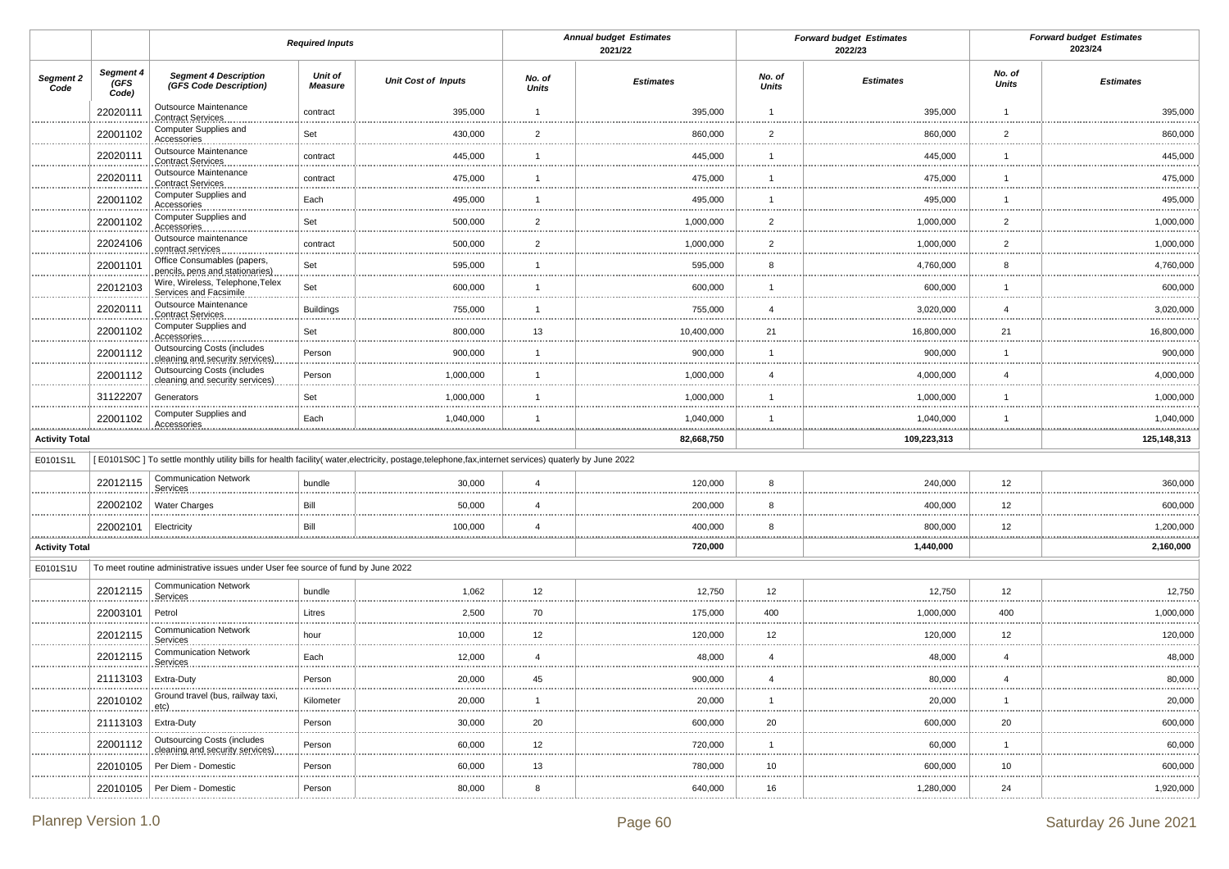|                           |                                                                                                                                                  | <b>Required Inputs</b>                                                |                           |                            | <b>Annual budget Estimates</b><br>2021/22 |                  | <b>Forward budget Estimates</b><br>2022/23 |                  | <b>Forward budget Estimates</b><br>2023/24 |                  |
|---------------------------|--------------------------------------------------------------------------------------------------------------------------------------------------|-----------------------------------------------------------------------|---------------------------|----------------------------|-------------------------------------------|------------------|--------------------------------------------|------------------|--------------------------------------------|------------------|
| Segment 2<br>Code         | Segment 4<br>(GFS<br>Code)                                                                                                                       | <b>Segment 4 Description</b><br>(GFS Code Description)                | <b>Unit of</b><br>Measure | <b>Unit Cost of Inputs</b> | No. of<br><b>Units</b>                    | <b>Estimates</b> | No. of<br><b>Units</b>                     | <b>Estimates</b> | No. of<br>Units                            | <b>Estimates</b> |
|                           | 22020111                                                                                                                                         | Outsource Maintenance<br><b>Contract Services</b>                     | contract                  | 395,000                    | $\overline{1}$                            | 395,000          | $\mathbf{1}$                               | 395,000          | -1                                         | 395,000          |
|                           | 22001102                                                                                                                                         | Computer Supplies and<br>Accessories                                  | Set                       | 430,000                    | $\overline{2}$                            | 860,000          | $\overline{2}$                             | 860,000          | $\overline{2}$                             | 860,000          |
|                           | 22020111                                                                                                                                         | Outsource Maintenance<br>Contract Services                            | contract                  | 445,000                    | .<br>-1                                   | 445,000          |                                            | 445,000          | -1                                         | 445,000          |
|                           | 22020111                                                                                                                                         | Outsource Maintenance<br><b>Contract Services</b>                     | contract                  | 475,000                    | -1                                        | 475,000          |                                            | 475,000          | 1                                          | <br>475,000      |
|                           | 22001102                                                                                                                                         | Computer Supplies and<br>Accessories                                  | Each                      | 495,000                    | -1                                        | 495,000          | -1                                         | 495,000          | -1                                         | <br>495,000      |
|                           | 22001102                                                                                                                                         | Computer Supplies and<br>Accessories                                  | Set                       | 500,000                    | $\overline{2}$                            | 1,000,000        | $\overline{2}$                             | 1,000,000        | $\overline{2}$                             | 1,000,000        |
|                           | 22024106                                                                                                                                         | Outsource maintenance<br>contract services                            | contract                  | 500,000                    | <br>$\overline{2}$                        | 1,000,000        | .<br>$\overline{2}$                        | 1,000,000        | .<br>$\overline{2}$                        | .<br>1,000,000   |
|                           | 22001101                                                                                                                                         | Office Consumables (papers,<br>pencils, pens and stationaries)        | Set                       | 595,000                    | $\overline{1}$                            | 595,000          | 8                                          | 4,760,000        | 8                                          | 4,760,000        |
|                           | 22012103                                                                                                                                         | Wire, Wireless, Telephone, Telex<br>Services and Facsimile            | Set                       | 600,000                    | -1                                        | 600,000          |                                            | 600,000          | $\overline{\mathbf{1}}$                    | 600,000<br>      |
|                           | 22020111                                                                                                                                         | Outsource Maintenance<br><b>Contract Services</b>                     | <b>Buildings</b>          | 755,000                    | $\mathbf{1}$<br>                          | 755,000          | $\overline{4}$                             | 3,020,000        | $\overline{4}$                             | 3,020,000        |
|                           | 22001102                                                                                                                                         | Computer Supplies and<br>Accessories                                  | Set                       | 800,000                    | 13                                        | 10,400,000       | 21                                         | 16,800,000       | 21                                         | 16,800,000       |
|                           | 22001112                                                                                                                                         | <b>Outsourcing Costs (includes</b><br>cleaning and security services) | Person                    | 900,000                    | -1                                        | 900,000          |                                            | 900,000          | 1                                          | 900,000          |
|                           | 22001112                                                                                                                                         | <b>Outsourcing Costs (includes</b><br>cleaning and security services) | Person                    | 1,000,000                  | -1                                        | 1,000,000        | $\overline{4}$                             | 4,000,000        | $\overline{4}$                             | 4,000,000        |
|                           | 31122207                                                                                                                                         | Generators                                                            | Set                       | 1,000,000                  | -1<br>                                    | 1,000,000        |                                            | 1,000,000        | $\overline{\mathbf{1}}$                    | 1,000,000        |
|                           | 22001102                                                                                                                                         | Computer Supplies and<br>Accessories                                  | Each                      | 1,040,000                  | -1<br>                                    | 1,040,000<br>.   |                                            | 1,040,000<br>.   | -1                                         | 1,040,000<br>.   |
| <br><b>Activity Total</b> | .                                                                                                                                                |                                                                       |                           |                            |                                           | 82,668,750       |                                            | 109,223,313      |                                            | 125,148,313      |
| E0101S1L                  | [E0101S0C] To settle monthly utility bills for health facility(water,electricity, postage,telephone,fax,internet services) quaterly by June 2022 |                                                                       |                           |                            |                                           |                  |                                            |                  |                                            |                  |
|                           | 22012115                                                                                                                                         | <b>Communication Network</b><br>Services                              | bundle                    | 30,000                     | $\overline{4}$                            | 120,000          | 8                                          | 240,000          | 12<br>.                                    | 360,000          |
|                           | 22002102                                                                                                                                         | <b>Water Charges</b>                                                  | Bill                      | 50,000                     | 4                                         | 200,000          | 8                                          | 400,000          | 12                                         | 600,000          |
| .                         | 22002101                                                                                                                                         | Electricity                                                           | Bill                      | 100,000                    | $\overline{4}$                            | 400,000          | 8                                          | 800,000          | 12                                         | 1,200,000        |
| <b>Activity Total</b>     |                                                                                                                                                  |                                                                       |                           |                            |                                           | 720,000          |                                            | 1,440,000        |                                            | 2,160,000        |
| E0101S1U                  | To meet routine administrative issues under User fee source of fund by June 2022                                                                 |                                                                       |                           |                            |                                           |                  |                                            |                  |                                            |                  |
|                           | 22012115                                                                                                                                         | <b>Communication Network</b><br>Services                              | bundle                    | 1,062                      | 12<br>                                    | 12,750           | 12                                         | 12,750           | 12<br>                                     | 12,750           |
|                           | 22003101                                                                                                                                         | Petrol                                                                | Litres                    | 2,500                      | 70                                        | 175,000          | 400                                        | 1,000,000        | 400                                        | 1,000,000        |
|                           | 22012115                                                                                                                                         | <b>Communication Network</b><br>Services                              | hour                      | 10,000                     | 12                                        | 120,000          | 12                                         | 120,000          | 12                                         | 120,000          |
|                           | 22012115                                                                                                                                         | <b>Communication Network</b><br>Services.                             | Each                      | 12,000                     | $\overline{4}$                            | 48,000           | $\overline{4}$                             | 48,000           | $\overline{4}$                             | 48,000           |
|                           | 21113103                                                                                                                                         | Extra-Duty                                                            | Person                    | 20,000                     | 45                                        | 900,000          | $\overline{4}$                             | 80,000           | $\overline{a}$                             | 80,000           |
|                           | 22010102<br>.                                                                                                                                    | Ground travel (bus, railway taxi,<br>$etc)$ .                         | Kilometer                 | 20,000                     |                                           | 20,000           |                                            | 20,000           |                                            | 20,000           |
|                           | 21113103                                                                                                                                         | Extra-Duty                                                            | Person                    | 30,000                     | 20                                        | 600,000          | 20                                         | 600,000          | 20                                         | 600,000          |
|                           | 22001112                                                                                                                                         | <b>Outsourcing Costs (includes</b><br>cleaning and security services) | Person                    | 60,000                     | 12                                        | 720,000          | -1<br>.                                    | 60,000           | -1                                         | 60,000           |
|                           | 22010105                                                                                                                                         | Per Diem - Domestic                                                   | Person                    | 60,000                     | 13                                        | 780,000          | 10<br>                                     | 600,000          | 10                                         | 600,000          |
|                           | 22010105                                                                                                                                         | Per Diem - Domestic                                                   | Person                    | 80,000                     | 8                                         | 640,000          | 16                                         | 1,280,000        | 24                                         | 1,920,000        |